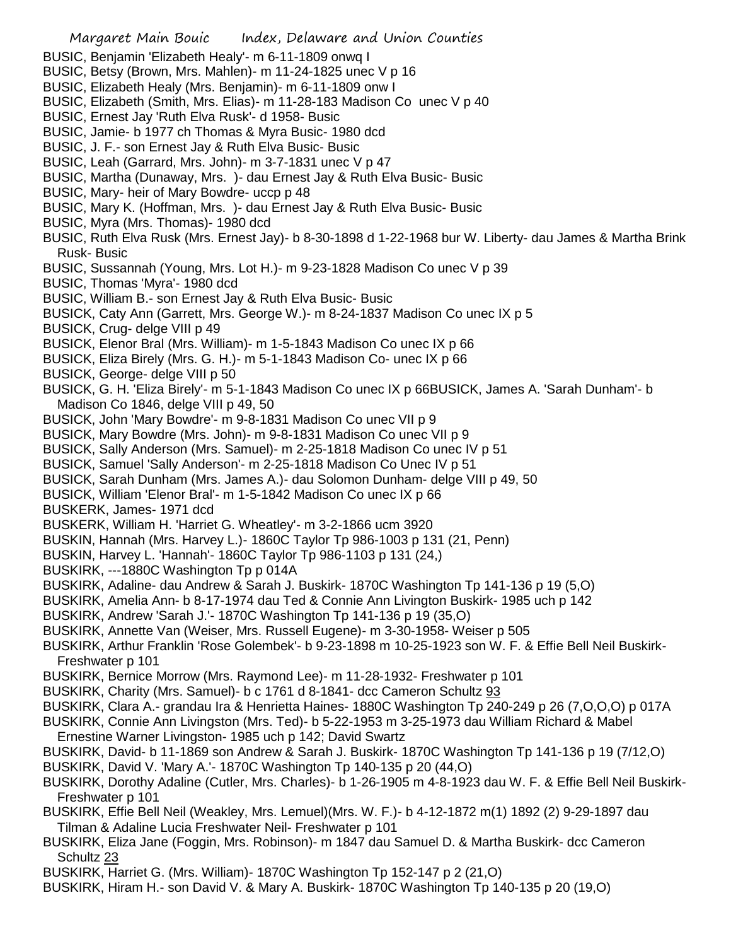- Margaret Main Bouic Index, Delaware and Union Counties BUSIC, Benjamin 'Elizabeth Healy'- m 6-11-1809 onwq I BUSIC, Betsy (Brown, Mrs. Mahlen)- m 11-24-1825 unec V p 16 BUSIC, Elizabeth Healy (Mrs. Benjamin)- m 6-11-1809 onw I BUSIC, Elizabeth (Smith, Mrs. Elias)- m 11-28-183 Madison Co unec V p 40 BUSIC, Ernest Jay 'Ruth Elva Rusk'- d 1958- Busic BUSIC, Jamie- b 1977 ch Thomas & Myra Busic- 1980 dcd BUSIC, J. F.- son Ernest Jay & Ruth Elva Busic- Busic BUSIC, Leah (Garrard, Mrs. John)- m 3-7-1831 unec V p 47 BUSIC, Martha (Dunaway, Mrs. )- dau Ernest Jay & Ruth Elva Busic- Busic BUSIC, Mary- heir of Mary Bowdre- uccp p 48 BUSIC, Mary K. (Hoffman, Mrs. )- dau Ernest Jay & Ruth Elva Busic- Busic BUSIC, Myra (Mrs. Thomas)- 1980 dcd BUSIC, Ruth Elva Rusk (Mrs. Ernest Jay)- b 8-30-1898 d 1-22-1968 bur W. Liberty- dau James & Martha Brink Rusk- Busic BUSIC, Sussannah (Young, Mrs. Lot H.)- m 9-23-1828 Madison Co unec V p 39 BUSIC, Thomas 'Myra'- 1980 dcd BUSIC, William B.- son Ernest Jay & Ruth Elva Busic- Busic BUSICK, Caty Ann (Garrett, Mrs. George W.)- m 8-24-1837 Madison Co unec IX p 5 BUSICK, Crug- delge VIII p 49 BUSICK, Elenor Bral (Mrs. William)- m 1-5-1843 Madison Co unec IX p 66 BUSICK, Eliza Birely (Mrs. G. H.)- m 5-1-1843 Madison Co- unec IX p 66 BUSICK, George- delge VIII p 50 BUSICK, G. H. 'Eliza Birely'- m 5-1-1843 Madison Co unec IX p 66BUSICK, James A. 'Sarah Dunham'- b Madison Co 1846, delge VIII p 49, 50 BUSICK, John 'Mary Bowdre'- m 9-8-1831 Madison Co unec VII p 9 BUSICK, Mary Bowdre (Mrs. John)- m 9-8-1831 Madison Co unec VII p 9 BUSICK, Sally Anderson (Mrs. Samuel)- m 2-25-1818 Madison Co unec IV p 51 BUSICK, Samuel 'Sally Anderson'- m 2-25-1818 Madison Co Unec IV p 51 BUSICK, Sarah Dunham (Mrs. James A.)- dau Solomon Dunham- delge VIII p 49, 50 BUSICK, William 'Elenor Bral'- m 1-5-1842 Madison Co unec IX p 66 BUSKERK, James- 1971 dcd BUSKERK, William H. 'Harriet G. Wheatley'- m 3-2-1866 ucm 3920 BUSKIN, Hannah (Mrs. Harvey L.)- 1860C Taylor Tp 986-1003 p 131 (21, Penn) BUSKIN, Harvey L. 'Hannah'- 1860C Taylor Tp 986-1103 p 131 (24,) BUSKIRK, ---1880C Washington Tp p 014A BUSKIRK, Adaline- dau Andrew & Sarah J. Buskirk- 1870C Washington Tp 141-136 p 19 (5,O) BUSKIRK, Amelia Ann- b 8-17-1974 dau Ted & Connie Ann Livington Buskirk- 1985 uch p 142 BUSKIRK, Andrew 'Sarah J.'- 1870C Washington Tp 141-136 p 19 (35,O) BUSKIRK, Annette Van (Weiser, Mrs. Russell Eugene)- m 3-30-1958- Weiser p 505 BUSKIRK, Arthur Franklin 'Rose Golembek'- b 9-23-1898 m 10-25-1923 son W. F. & Effie Bell Neil Buskirk-Freshwater p 101 BUSKIRK, Bernice Morrow (Mrs. Raymond Lee)- m 11-28-1932- Freshwater p 101 BUSKIRK, Charity (Mrs. Samuel)- b c 1761 d 8-1841- dcc Cameron Schultz 93 BUSKIRK, Clara A.- grandau Ira & Henrietta Haines- 1880C Washington Tp 240-249 p 26 (7,O,O,O) p 017A BUSKIRK, Connie Ann Livingston (Mrs. Ted)- b 5-22-1953 m 3-25-1973 dau William Richard & Mabel Ernestine Warner Livingston- 1985 uch p 142; David Swartz BUSKIRK, David- b 11-1869 son Andrew & Sarah J. Buskirk- 1870C Washington Tp 141-136 p 19 (7/12,O) BUSKIRK, David V. 'Mary A.'- 1870C Washington Tp 140-135 p 20 (44,O) BUSKIRK, Dorothy Adaline (Cutler, Mrs. Charles)- b 1-26-1905 m 4-8-1923 dau W. F. & Effie Bell Neil Buskirk-Freshwater p 101 BUSKIRK, Effie Bell Neil (Weakley, Mrs. Lemuel)(Mrs. W. F.)- b 4-12-1872 m(1) 1892 (2) 9-29-1897 dau Tilman & Adaline Lucia Freshwater Neil- Freshwater p 101 BUSKIRK, Eliza Jane (Foggin, Mrs. Robinson)- m 1847 dau Samuel D. & Martha Buskirk- dcc Cameron Schultz 23
	- BUSKIRK, Harriet G. (Mrs. William)- 1870C Washington Tp 152-147 p 2 (21,O)
- BUSKIRK, Hiram H.- son David V. & Mary A. Buskirk- 1870C Washington Tp 140-135 p 20 (19,O)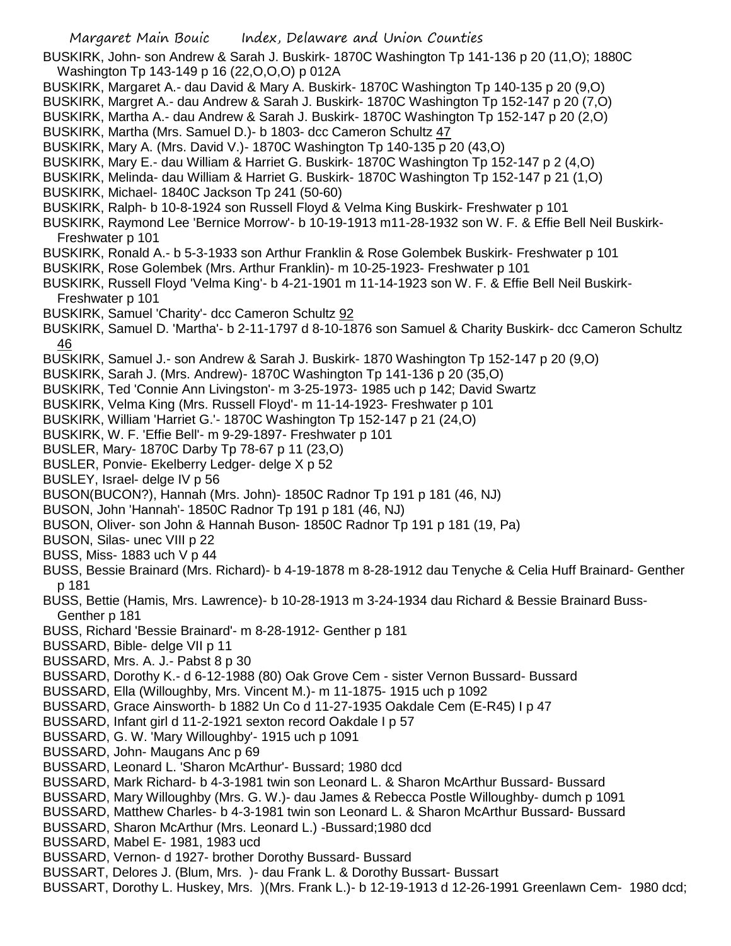Margaret Main Bouic Index, Delaware and Union Counties BUSKIRK, John- son Andrew & Sarah J. Buskirk- 1870C Washington Tp 141-136 p 20 (11,O); 1880C Washington Tp 143-149 p 16 (22,O,O,O) p 012A BUSKIRK, Margaret A.- dau David & Mary A. Buskirk- 1870C Washington Tp 140-135 p 20 (9,O) BUSKIRK, Margret A.- dau Andrew & Sarah J. Buskirk- 1870C Washington Tp 152-147 p 20 (7,O) BUSKIRK, Martha A.- dau Andrew & Sarah J. Buskirk- 1870C Washington Tp 152-147 p 20 (2,O) BUSKIRK, Martha (Mrs. Samuel D.)- b 1803- dcc Cameron Schultz 47 BUSKIRK, Mary A. (Mrs. David V.)- 1870C Washington Tp 140-135 p 20 (43,O) BUSKIRK, Mary E.- dau William & Harriet G. Buskirk- 1870C Washington Tp 152-147 p 2 (4,O) BUSKIRK, Melinda- dau William & Harriet G. Buskirk- 1870C Washington Tp 152-147 p 21 (1,O) BUSKIRK, Michael- 1840C Jackson Tp 241 (50-60) BUSKIRK, Ralph- b 10-8-1924 son Russell Floyd & Velma King Buskirk- Freshwater p 101 BUSKIRK, Raymond Lee 'Bernice Morrow'- b 10-19-1913 m11-28-1932 son W. F. & Effie Bell Neil Buskirk-Freshwater p 101 BUSKIRK, Ronald A.- b 5-3-1933 son Arthur Franklin & Rose Golembek Buskirk- Freshwater p 101 BUSKIRK, Rose Golembek (Mrs. Arthur Franklin)- m 10-25-1923- Freshwater p 101 BUSKIRK, Russell Floyd 'Velma King'- b 4-21-1901 m 11-14-1923 son W. F. & Effie Bell Neil Buskirk-Freshwater p 101 BUSKIRK, Samuel 'Charity'- dcc Cameron Schultz 92 BUSKIRK, Samuel D. 'Martha'- b 2-11-1797 d 8-10-1876 son Samuel & Charity Buskirk- dcc Cameron Schultz 46 BUSKIRK, Samuel J.- son Andrew & Sarah J. Buskirk- 1870 Washington Tp 152-147 p 20 (9,O) BUSKIRK, Sarah J. (Mrs. Andrew)- 1870C Washington Tp 141-136 p 20 (35,O) BUSKIRK, Ted 'Connie Ann Livingston'- m 3-25-1973- 1985 uch p 142; David Swartz BUSKIRK, Velma King (Mrs. Russell Floyd'- m 11-14-1923- Freshwater p 101 BUSKIRK, William 'Harriet G.'- 1870C Washington Tp 152-147 p 21 (24,O) BUSKIRK, W. F. 'Effie Bell'- m 9-29-1897- Freshwater p 101 BUSLER, Mary- 1870C Darby Tp 78-67 p 11 (23,O) BUSLER, Ponvie- Ekelberry Ledger- delge X p 52 BUSLEY, Israel- delge IV p 56 BUSON(BUCON?), Hannah (Mrs. John)- 1850C Radnor Tp 191 p 181 (46, NJ) BUSON, John 'Hannah'- 1850C Radnor Tp 191 p 181 (46, NJ) BUSON, Oliver- son John & Hannah Buson- 1850C Radnor Tp 191 p 181 (19, Pa) BUSON, Silas- unec VIII p 22 BUSS, Miss- 1883 uch V p 44 BUSS, Bessie Brainard (Mrs. Richard)- b 4-19-1878 m 8-28-1912 dau Tenyche & Celia Huff Brainard- Genther p 181 BUSS, Bettie (Hamis, Mrs. Lawrence)- b 10-28-1913 m 3-24-1934 dau Richard & Bessie Brainard Buss-Genther p 181 BUSS, Richard 'Bessie Brainard'- m 8-28-1912- Genther p 181 BUSSARD, Bible- delge VII p 11 BUSSARD, Mrs. A. J.- Pabst 8 p 30 BUSSARD, Dorothy K.- d 6-12-1988 (80) Oak Grove Cem - sister Vernon Bussard- Bussard BUSSARD, Ella (Willoughby, Mrs. Vincent M.)- m 11-1875- 1915 uch p 1092 BUSSARD, Grace Ainsworth- b 1882 Un Co d 11-27-1935 Oakdale Cem (E-R45) I p 47 BUSSARD, Infant girl d 11-2-1921 sexton record Oakdale I p 57 BUSSARD, G. W. 'Mary Willoughby'- 1915 uch p 1091 BUSSARD, John- Maugans Anc p 69 BUSSARD, Leonard L. 'Sharon McArthur'- Bussard; 1980 dcd BUSSARD, Mark Richard- b 4-3-1981 twin son Leonard L. & Sharon McArthur Bussard- Bussard BUSSARD, Mary Willoughby (Mrs. G. W.)- dau James & Rebecca Postle Willoughby- dumch p 1091 BUSSARD, Matthew Charles- b 4-3-1981 twin son Leonard L. & Sharon McArthur Bussard- Bussard BUSSARD, Sharon McArthur (Mrs. Leonard L.) -Bussard;1980 dcd BUSSARD, Mabel E- 1981, 1983 ucd BUSSARD, Vernon- d 1927- brother Dorothy Bussard- Bussard BUSSART, Delores J. (Blum, Mrs. )- dau Frank L. & Dorothy Bussart- Bussart

BUSSART, Dorothy L. Huskey, Mrs. )(Mrs. Frank L.)- b 12-19-1913 d 12-26-1991 Greenlawn Cem- 1980 dcd;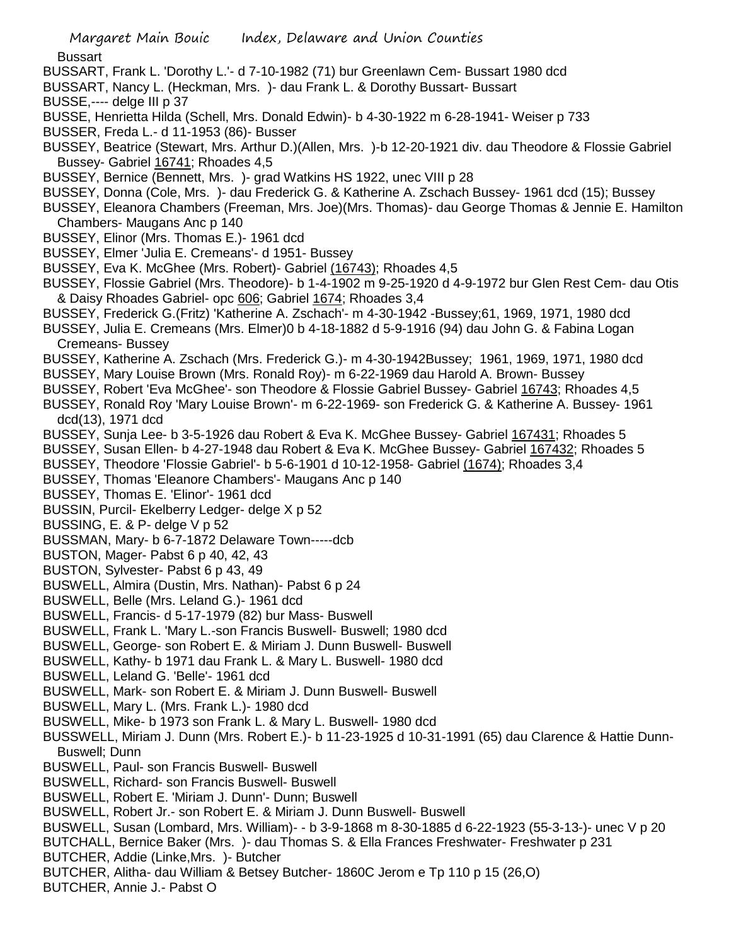**Bussart** 

- BUSSART, Frank L. 'Dorothy L.'- d 7-10-1982 (71) bur Greenlawn Cem- Bussart 1980 dcd
- BUSSART, Nancy L. (Heckman, Mrs. )- dau Frank L. & Dorothy Bussart- Bussart
- BUSSE,---- delge III p 37
- BUSSE, Henrietta Hilda (Schell, Mrs. Donald Edwin)- b 4-30-1922 m 6-28-1941- Weiser p 733
- BUSSER, Freda L.- d 11-1953 (86)- Busser
- BUSSEY, Beatrice (Stewart, Mrs. Arthur D.)(Allen, Mrs. )-b 12-20-1921 div. dau Theodore & Flossie Gabriel Bussey- Gabriel 16741; Rhoades 4,5
- BUSSEY, Bernice (Bennett, Mrs. )- grad Watkins HS 1922, unec VIII p 28
- BUSSEY, Donna (Cole, Mrs. )- dau Frederick G. & Katherine A. Zschach Bussey- 1961 dcd (15); Bussey
- BUSSEY, Eleanora Chambers (Freeman, Mrs. Joe)(Mrs. Thomas)- dau George Thomas & Jennie E. Hamilton Chambers- Maugans Anc p 140
- BUSSEY, Elinor (Mrs. Thomas E.)- 1961 dcd
- BUSSEY, Elmer 'Julia E. Cremeans'- d 1951- Bussey
- BUSSEY, Eva K. McGhee (Mrs. Robert)- Gabriel (16743); Rhoades 4,5
- BUSSEY, Flossie Gabriel (Mrs. Theodore)- b 1-4-1902 m 9-25-1920 d 4-9-1972 bur Glen Rest Cem- dau Otis & Daisy Rhoades Gabriel- opc 606; Gabriel 1674; Rhoades 3,4
- BUSSEY, Frederick G.(Fritz) 'Katherine A. Zschach'- m 4-30-1942 -Bussey;61, 1969, 1971, 1980 dcd
- BUSSEY, Julia E. Cremeans (Mrs. Elmer)0 b 4-18-1882 d 5-9-1916 (94) dau John G. & Fabina Logan Cremeans- Bussey
- BUSSEY, Katherine A. Zschach (Mrs. Frederick G.)- m 4-30-1942Bussey; 1961, 1969, 1971, 1980 dcd
- BUSSEY, Mary Louise Brown (Mrs. Ronald Roy)- m 6-22-1969 dau Harold A. Brown- Bussey
- BUSSEY, Robert 'Eva McGhee'- son Theodore & Flossie Gabriel Bussey- Gabriel 16743; Rhoades 4,5
- BUSSEY, Ronald Roy 'Mary Louise Brown'- m 6-22-1969- son Frederick G. & Katherine A. Bussey- 1961 dcd(13), 1971 dcd
- BUSSEY, Sunja Lee- b 3-5-1926 dau Robert & Eva K. McGhee Bussey- Gabriel 167431; Rhoades 5
- BUSSEY, Susan Ellen- b 4-27-1948 dau Robert & Eva K. McGhee Bussey- Gabriel 167432; Rhoades 5
- BUSSEY, Theodore 'Flossie Gabriel'- b 5-6-1901 d 10-12-1958- Gabriel (1674); Rhoades 3,4
- BUSSEY, Thomas 'Eleanore Chambers'- Maugans Anc p 140
- BUSSEY, Thomas E. 'Elinor'- 1961 dcd
- BUSSIN, Purcil- Ekelberry Ledger- delge X p 52
- BUSSING, E. & P- delge V p 52
- BUSSMAN, Mary- b 6-7-1872 Delaware Town-----dcb
- BUSTON, Mager- Pabst 6 p 40, 42, 43
- BUSTON, Sylvester- Pabst 6 p 43, 49
- BUSWELL, Almira (Dustin, Mrs. Nathan)- Pabst 6 p 24
- BUSWELL, Belle (Mrs. Leland G.)- 1961 dcd
- BUSWELL, Francis- d 5-17-1979 (82) bur Mass- Buswell
- BUSWELL, Frank L. 'Mary L.-son Francis Buswell- Buswell; 1980 dcd
- BUSWELL, George- son Robert E. & Miriam J. Dunn Buswell- Buswell
- BUSWELL, Kathy- b 1971 dau Frank L. & Mary L. Buswell- 1980 dcd
- BUSWELL, Leland G. 'Belle'- 1961 dcd
- BUSWELL, Mark- son Robert E. & Miriam J. Dunn Buswell- Buswell
- BUSWELL, Mary L. (Mrs. Frank L.)- 1980 dcd
- BUSWELL, Mike- b 1973 son Frank L. & Mary L. Buswell- 1980 dcd
- BUSSWELL, Miriam J. Dunn (Mrs. Robert E.)- b 11-23-1925 d 10-31-1991 (65) dau Clarence & Hattie Dunn-Buswell; Dunn
- BUSWELL, Paul- son Francis Buswell- Buswell
- BUSWELL, Richard- son Francis Buswell- Buswell
- BUSWELL, Robert E. 'Miriam J. Dunn'- Dunn; Buswell
- BUSWELL, Robert Jr.- son Robert E. & Miriam J. Dunn Buswell- Buswell
- BUSWELL, Susan (Lombard, Mrs. William)- b 3-9-1868 m 8-30-1885 d 6-22-1923 (55-3-13-)- unec V p 20
- BUTCHALL, Bernice Baker (Mrs. )- dau Thomas S. & Ella Frances Freshwater- Freshwater p 231
- BUTCHER, Addie (Linke,Mrs. )- Butcher
- BUTCHER, Alitha- dau William & Betsey Butcher- 1860C Jerom e Tp 110 p 15 (26,O)
- BUTCHER, Annie J.- Pabst O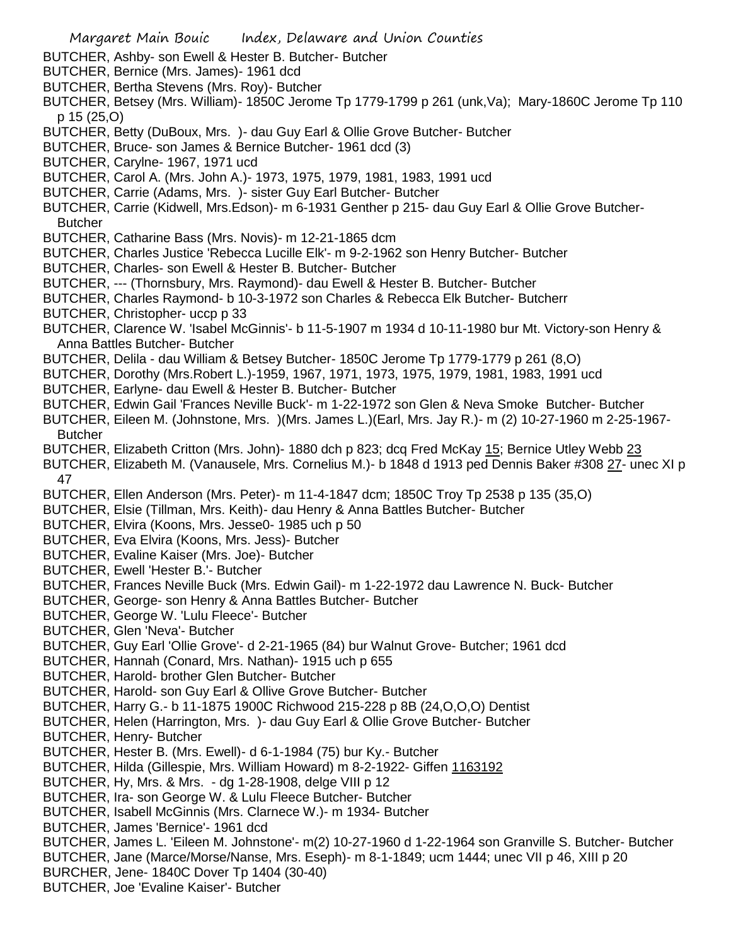Margaret Main Bouic Index, Delaware and Union Counties BUTCHER, Ashby- son Ewell & Hester B. Butcher- Butcher BUTCHER, Bernice (Mrs. James)- 1961 dcd BUTCHER, Bertha Stevens (Mrs. Roy)- Butcher BUTCHER, Betsey (Mrs. William)- 1850C Jerome Tp 1779-1799 p 261 (unk,Va); Mary-1860C Jerome Tp 110 p 15 (25,O) BUTCHER, Betty (DuBoux, Mrs. )- dau Guy Earl & Ollie Grove Butcher- Butcher BUTCHER, Bruce- son James & Bernice Butcher- 1961 dcd (3) BUTCHER, Carylne- 1967, 1971 ucd BUTCHER, Carol A. (Mrs. John A.)- 1973, 1975, 1979, 1981, 1983, 1991 ucd BUTCHER, Carrie (Adams, Mrs. )- sister Guy Earl Butcher- Butcher BUTCHER, Carrie (Kidwell, Mrs.Edson)- m 6-1931 Genther p 215- dau Guy Earl & Ollie Grove Butcher-**Butcher** BUTCHER, Catharine Bass (Mrs. Novis)- m 12-21-1865 dcm BUTCHER, Charles Justice 'Rebecca Lucille Elk'- m 9-2-1962 son Henry Butcher- Butcher BUTCHER, Charles- son Ewell & Hester B. Butcher- Butcher BUTCHER, --- (Thornsbury, Mrs. Raymond)- dau Ewell & Hester B. Butcher- Butcher BUTCHER, Charles Raymond- b 10-3-1972 son Charles & Rebecca Elk Butcher- Butcherr BUTCHER, Christopher- uccp p 33 BUTCHER, Clarence W. 'Isabel McGinnis'- b 11-5-1907 m 1934 d 10-11-1980 bur Mt. Victory-son Henry & Anna Battles Butcher- Butcher BUTCHER, Delila - dau William & Betsey Butcher- 1850C Jerome Tp 1779-1779 p 261 (8,O) BUTCHER, Dorothy (Mrs.Robert L.)-1959, 1967, 1971, 1973, 1975, 1979, 1981, 1983, 1991 ucd BUTCHER, Earlyne- dau Ewell & Hester B. Butcher- Butcher BUTCHER, Edwin Gail 'Frances Neville Buck'- m 1-22-1972 son Glen & Neva Smoke Butcher- Butcher BUTCHER, Eileen M. (Johnstone, Mrs. )(Mrs. James L.)(Earl, Mrs. Jay R.)- m (2) 10-27-1960 m 2-25-1967- **Butcher** BUTCHER, Elizabeth Critton (Mrs. John)- 1880 dch p 823; dcq Fred McKay 15; Bernice Utley Webb 23 BUTCHER, Elizabeth M. (Vanausele, Mrs. Cornelius M.)- b 1848 d 1913 ped Dennis Baker #308 27- unec XI p 47 BUTCHER, Ellen Anderson (Mrs. Peter)- m 11-4-1847 dcm; 1850C Troy Tp 2538 p 135 (35,O) BUTCHER, Elsie (Tillman, Mrs. Keith)- dau Henry & Anna Battles Butcher- Butcher BUTCHER, Elvira (Koons, Mrs. Jesse0- 1985 uch p 50 BUTCHER, Eva Elvira (Koons, Mrs. Jess)- Butcher BUTCHER, Evaline Kaiser (Mrs. Joe)- Butcher BUTCHER, Ewell 'Hester B.'- Butcher BUTCHER, Frances Neville Buck (Mrs. Edwin Gail)- m 1-22-1972 dau Lawrence N. Buck- Butcher BUTCHER, George- son Henry & Anna Battles Butcher- Butcher BUTCHER, George W. 'Lulu Fleece'- Butcher BUTCHER, Glen 'Neva'- Butcher BUTCHER, Guy Earl 'Ollie Grove'- d 2-21-1965 (84) bur Walnut Grove- Butcher; 1961 dcd BUTCHER, Hannah (Conard, Mrs. Nathan)- 1915 uch p 655 BUTCHER, Harold- brother Glen Butcher- Butcher BUTCHER, Harold- son Guy Earl & Ollive Grove Butcher- Butcher BUTCHER, Harry G.- b 11-1875 1900C Richwood 215-228 p 8B (24,O,O,O) Dentist BUTCHER, Helen (Harrington, Mrs. )- dau Guy Earl & Ollie Grove Butcher- Butcher BUTCHER, Henry- Butcher BUTCHER, Hester B. (Mrs. Ewell)- d 6-1-1984 (75) bur Ky.- Butcher BUTCHER, Hilda (Gillespie, Mrs. William Howard) m 8-2-1922- Giffen 1163192 BUTCHER, Hy, Mrs. & Mrs. - dg 1-28-1908, delge VIII p 12 BUTCHER, Ira- son George W. & Lulu Fleece Butcher- Butcher BUTCHER, Isabell McGinnis (Mrs. Clarnece W.)- m 1934- Butcher BUTCHER, James 'Bernice'- 1961 dcd BUTCHER, James L. 'Eileen M. Johnstone'- m(2) 10-27-1960 d 1-22-1964 son Granville S. Butcher- Butcher BUTCHER, Jane (Marce/Morse/Nanse, Mrs. Eseph)- m 8-1-1849; ucm 1444; unec VII p 46, XIII p 20 BURCHER, Jene- 1840C Dover Tp 1404 (30-40) BUTCHER, Joe 'Evaline Kaiser'- Butcher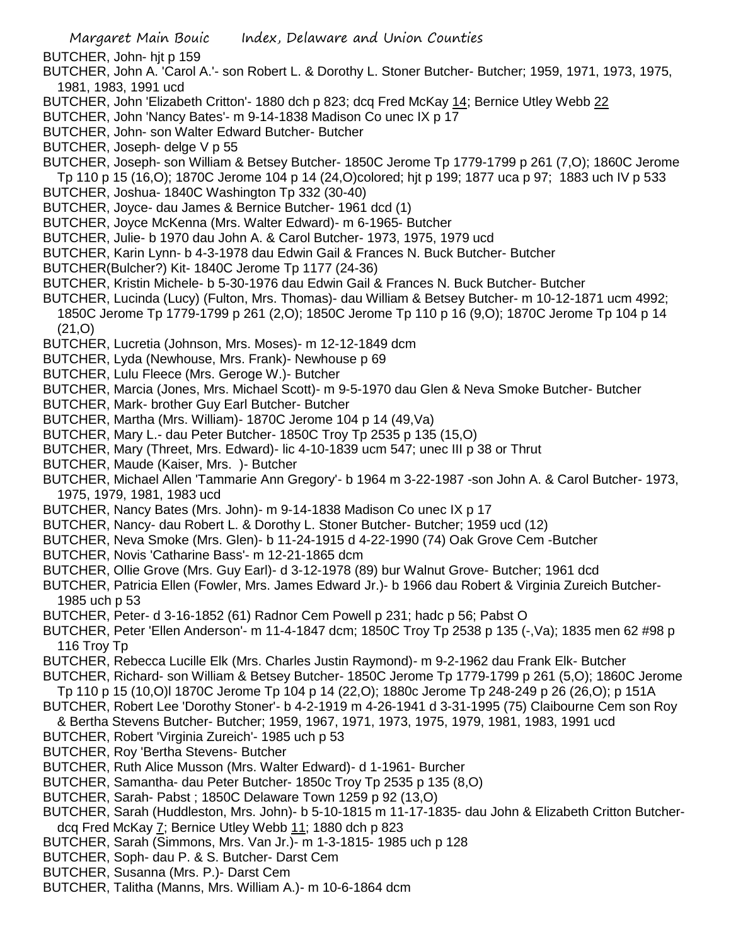BUTCHER, John- hjt p 159

- BUTCHER, John A. 'Carol A.'- son Robert L. & Dorothy L. Stoner Butcher- Butcher; 1959, 1971, 1973, 1975, 1981, 1983, 1991 ucd
- BUTCHER, John 'Elizabeth Critton'- 1880 dch p 823; dcq Fred McKay 14; Bernice Utley Webb 22
- BUTCHER, John 'Nancy Bates'- m 9-14-1838 Madison Co unec IX p 17
- BUTCHER, John- son Walter Edward Butcher- Butcher
- BUTCHER, Joseph- delge V p 55
- BUTCHER, Joseph- son William & Betsey Butcher- 1850C Jerome Tp 1779-1799 p 261 (7,O); 1860C Jerome Tp 110 p 15 (16,O); 1870C Jerome 104 p 14 (24,O)colored; hjt p 199; 1877 uca p 97; 1883 uch IV p 533
- BUTCHER, Joshua- 1840C Washington Tp 332 (30-40)
- BUTCHER, Joyce- dau James & Bernice Butcher- 1961 dcd (1)
- BUTCHER, Joyce McKenna (Mrs. Walter Edward)- m 6-1965- Butcher
- BUTCHER, Julie- b 1970 dau John A. & Carol Butcher- 1973, 1975, 1979 ucd
- BUTCHER, Karin Lynn- b 4-3-1978 dau Edwin Gail & Frances N. Buck Butcher- Butcher
- BUTCHER(Bulcher?) Kit- 1840C Jerome Tp 1177 (24-36)
- BUTCHER, Kristin Michele- b 5-30-1976 dau Edwin Gail & Frances N. Buck Butcher- Butcher
- BUTCHER, Lucinda (Lucy) (Fulton, Mrs. Thomas)- dau William & Betsey Butcher- m 10-12-1871 ucm 4992; 1850C Jerome Tp 1779-1799 p 261 (2,O); 1850C Jerome Tp 110 p 16 (9,O); 1870C Jerome Tp 104 p 14 (21,O)
- BUTCHER, Lucretia (Johnson, Mrs. Moses)- m 12-12-1849 dcm
- BUTCHER, Lyda (Newhouse, Mrs. Frank)- Newhouse p 69
- BUTCHER, Lulu Fleece (Mrs. Geroge W.)- Butcher
- BUTCHER, Marcia (Jones, Mrs. Michael Scott)- m 9-5-1970 dau Glen & Neva Smoke Butcher- Butcher
- BUTCHER, Mark- brother Guy Earl Butcher- Butcher
- BUTCHER, Martha (Mrs. William)- 1870C Jerome 104 p 14 (49,Va)
- BUTCHER, Mary L.- dau Peter Butcher- 1850C Troy Tp 2535 p 135 (15,O)
- BUTCHER, Mary (Threet, Mrs. Edward)- lic 4-10-1839 ucm 547; unec III p 38 or Thrut
- BUTCHER, Maude (Kaiser, Mrs. )- Butcher
- BUTCHER, Michael Allen 'Tammarie Ann Gregory'- b 1964 m 3-22-1987 -son John A. & Carol Butcher- 1973, 1975, 1979, 1981, 1983 ucd
- BUTCHER, Nancy Bates (Mrs. John)- m 9-14-1838 Madison Co unec IX p 17
- BUTCHER, Nancy- dau Robert L. & Dorothy L. Stoner Butcher- Butcher; 1959 ucd (12)
- BUTCHER, Neva Smoke (Mrs. Glen)- b 11-24-1915 d 4-22-1990 (74) Oak Grove Cem -Butcher
- BUTCHER, Novis 'Catharine Bass'- m 12-21-1865 dcm
- BUTCHER, Ollie Grove (Mrs. Guy Earl)- d 3-12-1978 (89) bur Walnut Grove- Butcher; 1961 dcd
- BUTCHER, Patricia Ellen (Fowler, Mrs. James Edward Jr.)- b 1966 dau Robert & Virginia Zureich Butcher-1985 uch p 53
- BUTCHER, Peter- d 3-16-1852 (61) Radnor Cem Powell p 231; hadc p 56; Pabst O
- BUTCHER, Peter 'Ellen Anderson'- m 11-4-1847 dcm; 1850C Troy Tp 2538 p 135 (-,Va); 1835 men 62 #98 p 116 Troy Tp
- BUTCHER, Rebecca Lucille Elk (Mrs. Charles Justin Raymond)- m 9-2-1962 dau Frank Elk- Butcher
- BUTCHER, Richard- son William & Betsey Butcher- 1850C Jerome Tp 1779-1799 p 261 (5,O); 1860C Jerome Tp 110 p 15 (10,O)l 1870C Jerome Tp 104 p 14 (22,O); 1880c Jerome Tp 248-249 p 26 (26,O); p 151A
- BUTCHER, Robert Lee 'Dorothy Stoner'- b 4-2-1919 m 4-26-1941 d 3-31-1995 (75) Claibourne Cem son Roy & Bertha Stevens Butcher- Butcher; 1959, 1967, 1971, 1973, 1975, 1979, 1981, 1983, 1991 ucd
- BUTCHER, Robert 'Virginia Zureich'- 1985 uch p 53
- BUTCHER, Roy 'Bertha Stevens- Butcher
- BUTCHER, Ruth Alice Musson (Mrs. Walter Edward)- d 1-1961- Burcher
- BUTCHER, Samantha- dau Peter Butcher- 1850c Troy Tp 2535 p 135 (8,O)
- BUTCHER, Sarah- Pabst ; 1850C Delaware Town 1259 p 92 (13,O)
- BUTCHER, Sarah (Huddleston, Mrs. John)- b 5-10-1815 m 11-17-1835- dau John & Elizabeth Critton Butcherdcq Fred McKay 7; Bernice Utley Webb 11; 1880 dch p 823
- BUTCHER, Sarah (Simmons, Mrs. Van Jr.)- m 1-3-1815- 1985 uch p 128
- BUTCHER, Soph- dau P. & S. Butcher- Darst Cem
- BUTCHER, Susanna (Mrs. P.)- Darst Cem
- BUTCHER, Talitha (Manns, Mrs. William A.)- m 10-6-1864 dcm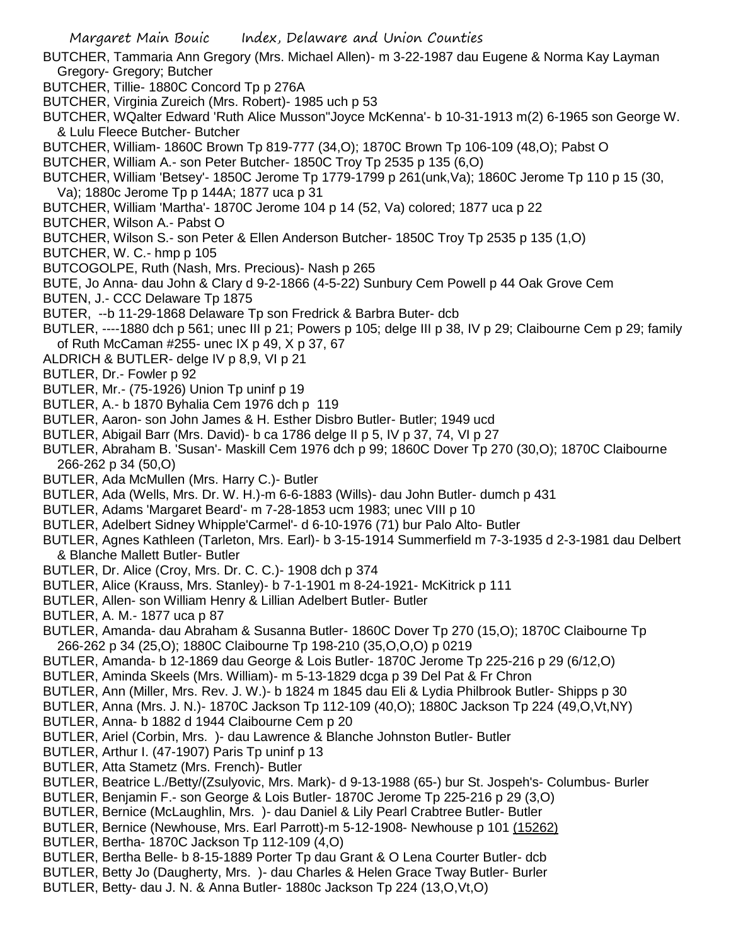- BUTCHER, Tammaria Ann Gregory (Mrs. Michael Allen)- m 3-22-1987 dau Eugene & Norma Kay Layman Gregory- Gregory; Butcher
- BUTCHER, Tillie- 1880C Concord Tp p 276A
- BUTCHER, Virginia Zureich (Mrs. Robert)- 1985 uch p 53
- BUTCHER, WQalter Edward 'Ruth Alice Musson''Joyce McKenna'- b 10-31-1913 m(2) 6-1965 son George W. & Lulu Fleece Butcher- Butcher
- BUTCHER, William- 1860C Brown Tp 819-777 (34,O); 1870C Brown Tp 106-109 (48,O); Pabst O
- BUTCHER, William A.- son Peter Butcher- 1850C Troy Tp 2535 p 135 (6,O)
- BUTCHER, William 'Betsey'- 1850C Jerome Tp 1779-1799 p 261(unk,Va); 1860C Jerome Tp 110 p 15 (30,
- Va); 1880c Jerome Tp p 144A; 1877 uca p 31
- BUTCHER, William 'Martha'- 1870C Jerome 104 p 14 (52, Va) colored; 1877 uca p 22
- BUTCHER, Wilson A.- Pabst O
- BUTCHER, Wilson S.- son Peter & Ellen Anderson Butcher- 1850C Troy Tp 2535 p 135 (1,O)
- BUTCHER, W. C.- hmp p 105
- BUTCOGOLPE, Ruth (Nash, Mrs. Precious)- Nash p 265
- BUTE, Jo Anna- dau John & Clary d 9-2-1866 (4-5-22) Sunbury Cem Powell p 44 Oak Grove Cem
- BUTEN, J.- CCC Delaware Tp 1875
- BUTER, --b 11-29-1868 Delaware Tp son Fredrick & Barbra Buter- dcb
- BUTLER, ----1880 dch p 561; unec III p 21; Powers p 105; delge III p 38, IV p 29; Claibourne Cem p 29; family of Ruth McCaman #255- unec IX p 49, X p 37, 67
- ALDRICH & BUTLER- delge IV p 8,9, VI p 21
- BUTLER, Dr.- Fowler p 92
- BUTLER, Mr.- (75-1926) Union Tp uninf p 19
- BUTLER, A.- b 1870 Byhalia Cem 1976 dch p 119
- BUTLER, Aaron- son John James & H. Esther Disbro Butler- Butler; 1949 ucd
- BUTLER, Abigail Barr (Mrs. David)- b ca 1786 delge II p 5, IV p 37, 74, VI p 27
- BUTLER, Abraham B. 'Susan'- Maskill Cem 1976 dch p 99; 1860C Dover Tp 270 (30,O); 1870C Claibourne 266-262 p 34 (50,O)
- BUTLER, Ada McMullen (Mrs. Harry C.)- Butler
- BUTLER, Ada (Wells, Mrs. Dr. W. H.)-m 6-6-1883 (Wills)- dau John Butler- dumch p 431
- BUTLER, Adams 'Margaret Beard'- m 7-28-1853 ucm 1983; unec VIII p 10
- BUTLER, Adelbert Sidney Whipple'Carmel'- d 6-10-1976 (71) bur Palo Alto- Butler
- BUTLER, Agnes Kathleen (Tarleton, Mrs. Earl)- b 3-15-1914 Summerfield m 7-3-1935 d 2-3-1981 dau Delbert & Blanche Mallett Butler- Butler
- BUTLER, Dr. Alice (Croy, Mrs. Dr. C. C.)- 1908 dch p 374
- BUTLER, Alice (Krauss, Mrs. Stanley)- b 7-1-1901 m 8-24-1921- McKitrick p 111
- BUTLER, Allen- son William Henry & Lillian Adelbert Butler- Butler
- BUTLER, A. M.- 1877 uca p 87
- BUTLER, Amanda- dau Abraham & Susanna Butler- 1860C Dover Tp 270 (15,O); 1870C Claibourne Tp 266-262 p 34 (25,O); 1880C Claibourne Tp 198-210 (35,O,O,O) p 0219
- BUTLER, Amanda- b 12-1869 dau George & Lois Butler- 1870C Jerome Tp 225-216 p 29 (6/12,O)
- BUTLER, Aminda Skeels (Mrs. William)- m 5-13-1829 dcga p 39 Del Pat & Fr Chron
- BUTLER, Ann (Miller, Mrs. Rev. J. W.)- b 1824 m 1845 dau Eli & Lydia Philbrook Butler- Shipps p 30
- BUTLER, Anna (Mrs. J. N.)- 1870C Jackson Tp 112-109 (40,O); 1880C Jackson Tp 224 (49,O,Vt,NY)
- BUTLER, Anna- b 1882 d 1944 Claibourne Cem p 20
- BUTLER, Ariel (Corbin, Mrs. )- dau Lawrence & Blanche Johnston Butler- Butler
- BUTLER, Arthur I. (47-1907) Paris Tp uninf p 13
- BUTLER, Atta Stametz (Mrs. French)- Butler
- BUTLER, Beatrice L./Betty/(Zsulyovic, Mrs. Mark)- d 9-13-1988 (65-) bur St. Jospeh's- Columbus- Burler
- BUTLER, Benjamin F.- son George & Lois Butler- 1870C Jerome Tp 225-216 p 29 (3,O)
- BUTLER, Bernice (McLaughlin, Mrs. )- dau Daniel & Lily Pearl Crabtree Butler- Butler
- BUTLER, Bernice (Newhouse, Mrs. Earl Parrott)-m 5-12-1908- Newhouse p 101 (15262)
- BUTLER, Bertha- 1870C Jackson Tp 112-109 (4,O)
- BUTLER, Bertha Belle- b 8-15-1889 Porter Tp dau Grant & O Lena Courter Butler- dcb
- BUTLER, Betty Jo (Daugherty, Mrs. )- dau Charles & Helen Grace Tway Butler- Burler
- BUTLER, Betty- dau J. N. & Anna Butler- 1880c Jackson Tp 224 (13,O,Vt,O)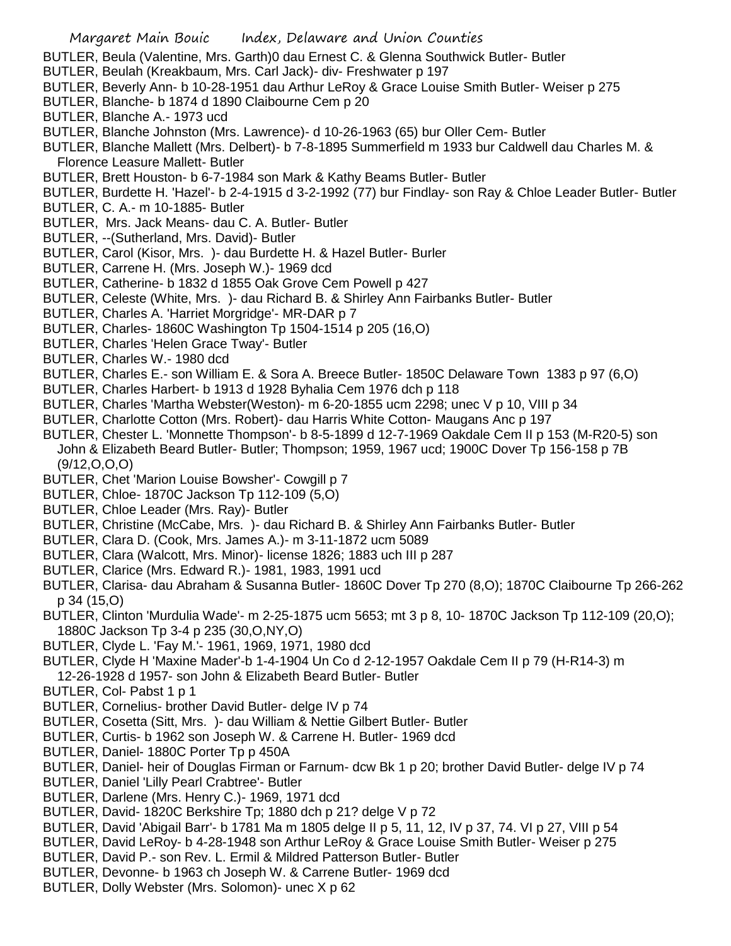- BUTLER, Beula (Valentine, Mrs. Garth)0 dau Ernest C. & Glenna Southwick Butler- Butler
- BUTLER, Beulah (Kreakbaum, Mrs. Carl Jack)- div- Freshwater p 197
- BUTLER, Beverly Ann- b 10-28-1951 dau Arthur LeRoy & Grace Louise Smith Butler- Weiser p 275
- BUTLER, Blanche- b 1874 d 1890 Claibourne Cem p 20
- BUTLER, Blanche A.- 1973 ucd
- BUTLER, Blanche Johnston (Mrs. Lawrence)- d 10-26-1963 (65) bur Oller Cem- Butler
- BUTLER, Blanche Mallett (Mrs. Delbert)- b 7-8-1895 Summerfield m 1933 bur Caldwell dau Charles M. & Florence Leasure Mallett- Butler
- BUTLER, Brett Houston- b 6-7-1984 son Mark & Kathy Beams Butler- Butler
- BUTLER, Burdette H. 'Hazel'- b 2-4-1915 d 3-2-1992 (77) bur Findlay- son Ray & Chloe Leader Butler- Butler
- BUTLER, C. A.- m 10-1885- Butler
- BUTLER, Mrs. Jack Means- dau C. A. Butler- Butler
- BUTLER, --(Sutherland, Mrs. David)- Butler
- BUTLER, Carol (Kisor, Mrs. )- dau Burdette H. & Hazel Butler- Burler
- BUTLER, Carrene H. (Mrs. Joseph W.)- 1969 dcd
- BUTLER, Catherine- b 1832 d 1855 Oak Grove Cem Powell p 427
- BUTLER, Celeste (White, Mrs. )- dau Richard B. & Shirley Ann Fairbanks Butler- Butler
- BUTLER, Charles A. 'Harriet Morgridge'- MR-DAR p 7
- BUTLER, Charles- 1860C Washington Tp 1504-1514 p 205 (16,O)
- BUTLER, Charles 'Helen Grace Tway'- Butler
- BUTLER, Charles W.- 1980 dcd
- BUTLER, Charles E.- son William E. & Sora A. Breece Butler- 1850C Delaware Town 1383 p 97 (6,O)
- BUTLER, Charles Harbert- b 1913 d 1928 Byhalia Cem 1976 dch p 118
- BUTLER, Charles 'Martha Webster(Weston)- m 6-20-1855 ucm 2298; unec V p 10, VIII p 34
- BUTLER, Charlotte Cotton (Mrs. Robert)- dau Harris White Cotton- Maugans Anc p 197
- BUTLER, Chester L. 'Monnette Thompson'- b 8-5-1899 d 12-7-1969 Oakdale Cem II p 153 (M-R20-5) son John & Elizabeth Beard Butler- Butler; Thompson; 1959, 1967 ucd; 1900C Dover Tp 156-158 p 7B (9/12,O,O,O)
- BUTLER, Chet 'Marion Louise Bowsher'- Cowgill p 7
- BUTLER, Chloe- 1870C Jackson Tp 112-109 (5,O)
- BUTLER, Chloe Leader (Mrs. Ray)- Butler
- BUTLER, Christine (McCabe, Mrs. )- dau Richard B. & Shirley Ann Fairbanks Butler- Butler
- BUTLER, Clara D. (Cook, Mrs. James A.)- m 3-11-1872 ucm 5089
- BUTLER, Clara (Walcott, Mrs. Minor)- license 1826; 1883 uch III p 287
- BUTLER, Clarice (Mrs. Edward R.)- 1981, 1983, 1991 ucd
- BUTLER, Clarisa- dau Abraham & Susanna Butler- 1860C Dover Tp 270 (8,O); 1870C Claibourne Tp 266-262 p 34 (15,O)
- BUTLER, Clinton 'Murdulia Wade'- m 2-25-1875 ucm 5653; mt 3 p 8, 10- 1870C Jackson Tp 112-109 (20,O); 1880C Jackson Tp 3-4 p 235 (30,O,NY,O)
- BUTLER, Clyde L. 'Fay M.'- 1961, 1969, 1971, 1980 dcd
- BUTLER, Clyde H 'Maxine Mader'-b 1-4-1904 Un Co d 2-12-1957 Oakdale Cem II p 79 (H-R14-3) m
- 12-26-1928 d 1957- son John & Elizabeth Beard Butler- Butler
- BUTLER, Col- Pabst 1 p 1
- BUTLER, Cornelius- brother David Butler- delge IV p 74
- BUTLER, Cosetta (Sitt, Mrs. )- dau William & Nettie Gilbert Butler- Butler
- BUTLER, Curtis- b 1962 son Joseph W. & Carrene H. Butler- 1969 dcd
- BUTLER, Daniel- 1880C Porter Tp p 450A
- BUTLER, Daniel- heir of Douglas Firman or Farnum- dcw Bk 1 p 20; brother David Butler- delge IV p 74
- BUTLER, Daniel 'Lilly Pearl Crabtree'- Butler
- BUTLER, Darlene (Mrs. Henry C.)- 1969, 1971 dcd
- BUTLER, David- 1820C Berkshire Tp; 1880 dch p 21? delge V p 72
- BUTLER, David 'Abigail Barr'- b 1781 Ma m 1805 delge II p 5, 11, 12, IV p 37, 74. VI p 27, VIII p 54
- BUTLER, David LeRoy- b 4-28-1948 son Arthur LeRoy & Grace Louise Smith Butler- Weiser p 275
- BUTLER, David P.- son Rev. L. Ermil & Mildred Patterson Butler- Butler
- BUTLER, Devonne- b 1963 ch Joseph W. & Carrene Butler- 1969 dcd
- BUTLER, Dolly Webster (Mrs. Solomon)- unec X p 62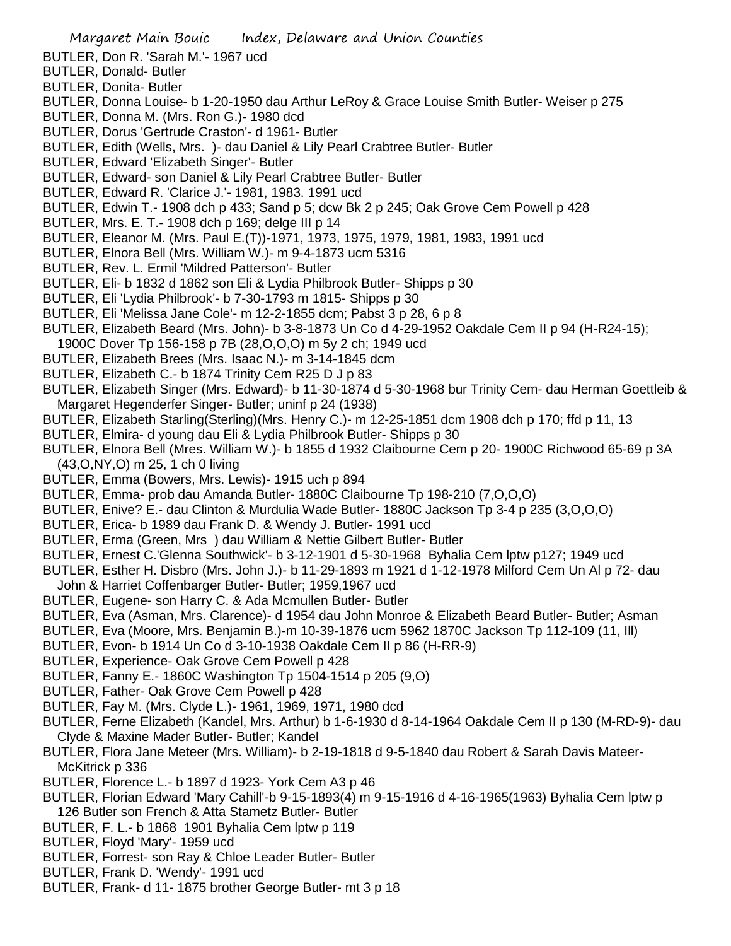- BUTLER, Don R. 'Sarah M.'- 1967 ucd
- BUTLER, Donald- Butler
- BUTLER, Donita- Butler
- BUTLER, Donna Louise- b 1-20-1950 dau Arthur LeRoy & Grace Louise Smith Butler- Weiser p 275
- BUTLER, Donna M. (Mrs. Ron G.)- 1980 dcd
- BUTLER, Dorus 'Gertrude Craston'- d 1961- Butler
- BUTLER, Edith (Wells, Mrs. )- dau Daniel & Lily Pearl Crabtree Butler- Butler
- BUTLER, Edward 'Elizabeth Singer'- Butler
- BUTLER, Edward- son Daniel & Lily Pearl Crabtree Butler- Butler
- BUTLER, Edward R. 'Clarice J.'- 1981, 1983. 1991 ucd
- BUTLER, Edwin T.- 1908 dch p 433; Sand p 5; dcw Bk 2 p 245; Oak Grove Cem Powell p 428
- BUTLER, Mrs. E. T.- 1908 dch p 169; delge III p 14
- BUTLER, Eleanor M. (Mrs. Paul E.(T))-1971, 1973, 1975, 1979, 1981, 1983, 1991 ucd
- BUTLER, Elnora Bell (Mrs. William W.)- m 9-4-1873 ucm 5316
- BUTLER, Rev. L. Ermil 'Mildred Patterson'- Butler
- BUTLER, Eli- b 1832 d 1862 son Eli & Lydia Philbrook Butler- Shipps p 30
- BUTLER, Eli 'Lydia Philbrook'- b 7-30-1793 m 1815- Shipps p 30
- BUTLER, Eli 'Melissa Jane Cole'- m 12-2-1855 dcm; Pabst 3 p 28, 6 p 8
- BUTLER, Elizabeth Beard (Mrs. John)- b 3-8-1873 Un Co d 4-29-1952 Oakdale Cem II p 94 (H-R24-15);
- 1900C Dover Tp 156-158 p 7B (28,O,O,O) m 5y 2 ch; 1949 ucd
- BUTLER, Elizabeth Brees (Mrs. Isaac N.)- m 3-14-1845 dcm
- BUTLER, Elizabeth C.- b 1874 Trinity Cem R25 D J p 83
- BUTLER, Elizabeth Singer (Mrs. Edward)- b 11-30-1874 d 5-30-1968 bur Trinity Cem- dau Herman Goettleib & Margaret Hegenderfer Singer- Butler; uninf p 24 (1938)
- BUTLER, Elizabeth Starling(Sterling)(Mrs. Henry C.)- m 12-25-1851 dcm 1908 dch p 170; ffd p 11, 13
- BUTLER, Elmira- d young dau Eli & Lydia Philbrook Butler- Shipps p 30
- BUTLER, Elnora Bell (Mres. William W.)- b 1855 d 1932 Claibourne Cem p 20- 1900C Richwood 65-69 p 3A (43,O,NY,O) m 25, 1 ch 0 living
- BUTLER, Emma (Bowers, Mrs. Lewis)- 1915 uch p 894
- BUTLER, Emma- prob dau Amanda Butler- 1880C Claibourne Tp 198-210 (7,O,O,O)
- BUTLER, Enive? E.- dau Clinton & Murdulia Wade Butler- 1880C Jackson Tp 3-4 p 235 (3,O,O,O)
- BUTLER, Erica- b 1989 dau Frank D. & Wendy J. Butler- 1991 ucd
- BUTLER, Erma (Green, Mrs ) dau William & Nettie Gilbert Butler- Butler
- BUTLER, Ernest C.'Glenna Southwick'- b 3-12-1901 d 5-30-1968 Byhalia Cem lptw p127; 1949 ucd
- BUTLER, Esther H. Disbro (Mrs. John J.)- b 11-29-1893 m 1921 d 1-12-1978 Milford Cem Un Al p 72- dau
- John & Harriet Coffenbarger Butler- Butler; 1959,1967 ucd
- BUTLER, Eugene- son Harry C. & Ada Mcmullen Butler- Butler
- BUTLER, Eva (Asman, Mrs. Clarence)- d 1954 dau John Monroe & Elizabeth Beard Butler- Butler; Asman
- BUTLER, Eva (Moore, Mrs. Benjamin B.)-m 10-39-1876 ucm 5962 1870C Jackson Tp 112-109 (11, Ill)
- BUTLER, Evon- b 1914 Un Co d 3-10-1938 Oakdale Cem II p 86 (H-RR-9)
- BUTLER, Experience- Oak Grove Cem Powell p 428
- BUTLER, Fanny E.- 1860C Washington Tp 1504-1514 p 205 (9,O)
- BUTLER, Father- Oak Grove Cem Powell p 428
- BUTLER, Fay M. (Mrs. Clyde L.)- 1961, 1969, 1971, 1980 dcd
- BUTLER, Ferne Elizabeth (Kandel, Mrs. Arthur) b 1-6-1930 d 8-14-1964 Oakdale Cem II p 130 (M-RD-9)- dau Clyde & Maxine Mader Butler- Butler; Kandel
- BUTLER, Flora Jane Meteer (Mrs. William)- b 2-19-1818 d 9-5-1840 dau Robert & Sarah Davis Mateer-McKitrick p 336
- BUTLER, Florence L.- b 1897 d 1923- York Cem A3 p 46
- BUTLER, Florian Edward 'Mary Cahill'-b 9-15-1893(4) m 9-15-1916 d 4-16-1965(1963) Byhalia Cem lptw p 126 Butler son French & Atta Stametz Butler- Butler
- BUTLER, F. L.- b 1868 1901 Byhalia Cem lptw p 119
- BUTLER, Floyd 'Mary'- 1959 ucd
- BUTLER, Forrest- son Ray & Chloe Leader Butler- Butler
- BUTLER, Frank D. 'Wendy'- 1991 ucd
- BUTLER, Frank- d 11- 1875 brother George Butler- mt 3 p 18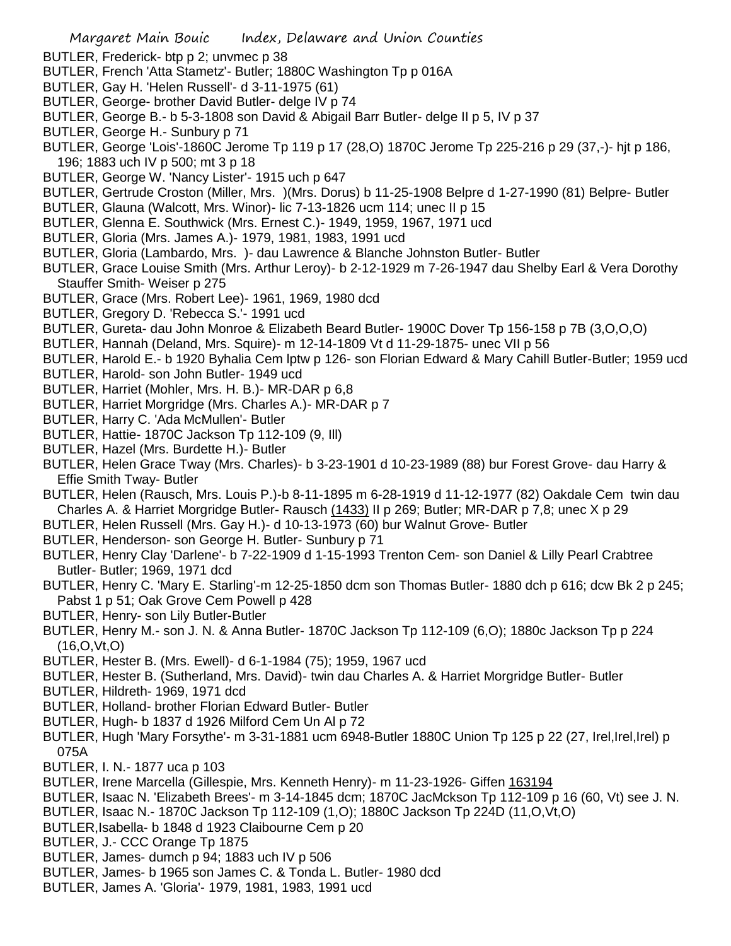- BUTLER, Frederick- btp p 2; unvmec p 38
- BUTLER, French 'Atta Stametz'- Butler; 1880C Washington Tp p 016A
- BUTLER, Gay H. 'Helen Russell'- d 3-11-1975 (61)
- BUTLER, George- brother David Butler- delge IV p 74
- BUTLER, George B.- b 5-3-1808 son David & Abigail Barr Butler- delge II p 5, IV p 37
- BUTLER, George H.- Sunbury p 71
- BUTLER, George 'Lois'-1860C Jerome Tp 119 p 17 (28,O) 1870C Jerome Tp 225-216 p 29 (37,-)- hjt p 186, 196; 1883 uch IV p 500; mt 3 p 18
- BUTLER, George W. 'Nancy Lister'- 1915 uch p 647
- BUTLER, Gertrude Croston (Miller, Mrs. )(Mrs. Dorus) b 11-25-1908 Belpre d 1-27-1990 (81) Belpre- Butler
- BUTLER, Glauna (Walcott, Mrs. Winor)- lic 7-13-1826 ucm 114; unec II p 15
- BUTLER, Glenna E. Southwick (Mrs. Ernest C.)- 1949, 1959, 1967, 1971 ucd
- BUTLER, Gloria (Mrs. James A.)- 1979, 1981, 1983, 1991 ucd
- BUTLER, Gloria (Lambardo, Mrs. )- dau Lawrence & Blanche Johnston Butler- Butler
- BUTLER, Grace Louise Smith (Mrs. Arthur Leroy)- b 2-12-1929 m 7-26-1947 dau Shelby Earl & Vera Dorothy Stauffer Smith- Weiser p 275
- BUTLER, Grace (Mrs. Robert Lee)- 1961, 1969, 1980 dcd
- BUTLER, Gregory D. 'Rebecca S.'- 1991 ucd
- BUTLER, Gureta- dau John Monroe & Elizabeth Beard Butler- 1900C Dover Tp 156-158 p 7B (3,O,O,O)
- BUTLER, Hannah (Deland, Mrs. Squire)- m 12-14-1809 Vt d 11-29-1875- unec VII p 56
- BUTLER, Harold E.- b 1920 Byhalia Cem lptw p 126- son Florian Edward & Mary Cahill Butler-Butler; 1959 ucd
- BUTLER, Harold- son John Butler- 1949 ucd
- BUTLER, Harriet (Mohler, Mrs. H. B.)- MR-DAR p 6,8
- BUTLER, Harriet Morgridge (Mrs. Charles A.)- MR-DAR p 7
- BUTLER, Harry C. 'Ada McMullen'- Butler
- BUTLER, Hattie- 1870C Jackson Tp 112-109 (9, Ill)
- BUTLER, Hazel (Mrs. Burdette H.)- Butler
- BUTLER, Helen Grace Tway (Mrs. Charles)- b 3-23-1901 d 10-23-1989 (88) bur Forest Grove- dau Harry & Effie Smith Tway- Butler
- BUTLER, Helen (Rausch, Mrs. Louis P.)-b 8-11-1895 m 6-28-1919 d 11-12-1977 (82) Oakdale Cem twin dau Charles A. & Harriet Morgridge Butler- Rausch (1433) II p 269; Butler; MR-DAR p 7,8; unec X p 29
- BUTLER, Helen Russell (Mrs. Gay H.)- d 10-13-1973 (60) bur Walnut Grove- Butler
- BUTLER, Henderson- son George H. Butler- Sunbury p 71
- BUTLER, Henry Clay 'Darlene'- b 7-22-1909 d 1-15-1993 Trenton Cem- son Daniel & Lilly Pearl Crabtree Butler- Butler; 1969, 1971 dcd
- BUTLER, Henry C. 'Mary E. Starling'-m 12-25-1850 dcm son Thomas Butler- 1880 dch p 616; dcw Bk 2 p 245; Pabst 1 p 51; Oak Grove Cem Powell p 428
- BUTLER, Henry- son Lily Butler-Butler
- BUTLER, Henry M.- son J. N. & Anna Butler- 1870C Jackson Tp 112-109 (6,O); 1880c Jackson Tp p 224 (16,O,Vt,O)
- BUTLER, Hester B. (Mrs. Ewell)- d 6-1-1984 (75); 1959, 1967 ucd
- BUTLER, Hester B. (Sutherland, Mrs. David)- twin dau Charles A. & Harriet Morgridge Butler- Butler
- BUTLER, Hildreth- 1969, 1971 dcd
- BUTLER, Holland- brother Florian Edward Butler- Butler
- BUTLER, Hugh- b 1837 d 1926 Milford Cem Un Al p 72
- BUTLER, Hugh 'Mary Forsythe'- m 3-31-1881 ucm 6948-Butler 1880C Union Tp 125 p 22 (27, Irel,Irel,Irel) p 075A
- BUTLER, I. N.- 1877 uca p 103
- BUTLER, Irene Marcella (Gillespie, Mrs. Kenneth Henry)- m 11-23-1926- Giffen 163194
- BUTLER, Isaac N. 'Elizabeth Brees'- m 3-14-1845 dcm; 1870C JacMckson Tp 112-109 p 16 (60, Vt) see J. N.
- BUTLER, Isaac N.- 1870C Jackson Tp 112-109 (1,O); 1880C Jackson Tp 224D (11,O,Vt,O)
- BUTLER,Isabella- b 1848 d 1923 Claibourne Cem p 20
- BUTLER, J.- CCC Orange Tp 1875
- BUTLER, James- dumch p 94; 1883 uch IV p 506
- BUTLER, James- b 1965 son James C. & Tonda L. Butler- 1980 dcd
- BUTLER, James A. 'Gloria'- 1979, 1981, 1983, 1991 ucd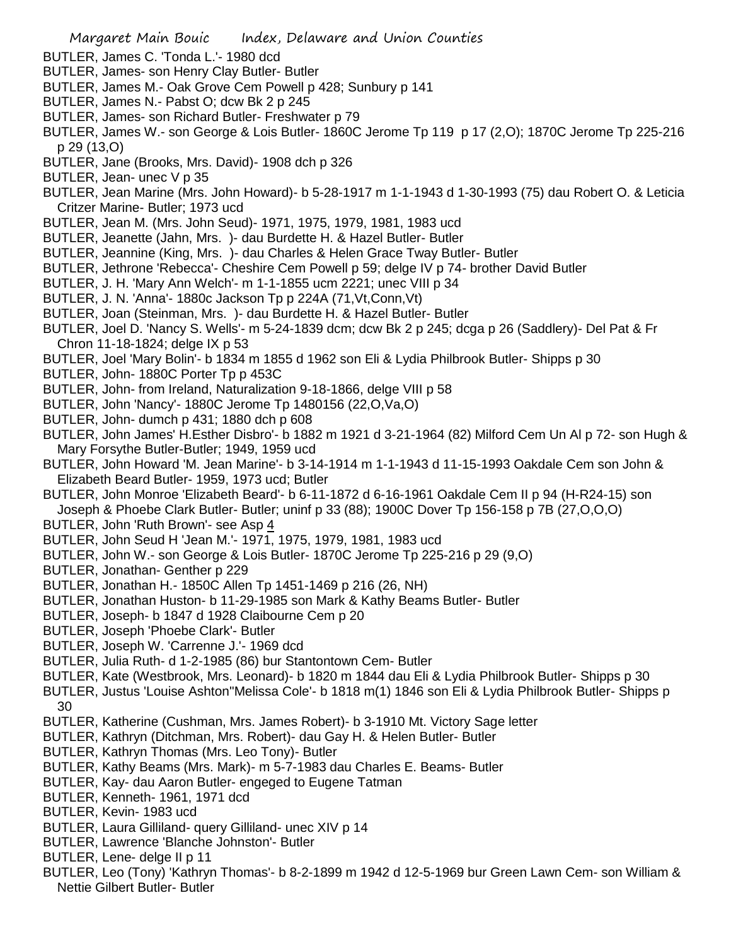- BUTLER, James C. 'Tonda L.'- 1980 dcd
- BUTLER, James- son Henry Clay Butler- Butler
- BUTLER, James M.- Oak Grove Cem Powell p 428; Sunbury p 141
- BUTLER, James N.- Pabst O; dcw Bk 2 p 245
- BUTLER, James- son Richard Butler- Freshwater p 79
- BUTLER, James W.- son George & Lois Butler- 1860C Jerome Tp 119 p 17 (2,O); 1870C Jerome Tp 225-216 p 29 (13,O)
- BUTLER, Jane (Brooks, Mrs. David)- 1908 dch p 326
- BUTLER, Jean- unec V p 35
- BUTLER, Jean Marine (Mrs. John Howard)- b 5-28-1917 m 1-1-1943 d 1-30-1993 (75) dau Robert O. & Leticia Critzer Marine- Butler; 1973 ucd
- BUTLER, Jean M. (Mrs. John Seud)- 1971, 1975, 1979, 1981, 1983 ucd
- BUTLER, Jeanette (Jahn, Mrs. )- dau Burdette H. & Hazel Butler- Butler
- BUTLER, Jeannine (King, Mrs. )- dau Charles & Helen Grace Tway Butler- Butler
- BUTLER, Jethrone 'Rebecca'- Cheshire Cem Powell p 59; delge IV p 74- brother David Butler
- BUTLER, J. H. 'Mary Ann Welch'- m 1-1-1855 ucm 2221; unec VIII p 34
- BUTLER, J. N. 'Anna'- 1880c Jackson Tp p 224A (71,Vt,Conn,Vt)
- BUTLER, Joan (Steinman, Mrs. )- dau Burdette H. & Hazel Butler- Butler
- BUTLER, Joel D. 'Nancy S. Wells'- m 5-24-1839 dcm; dcw Bk 2 p 245; dcga p 26 (Saddlery)- Del Pat & Fr Chron 11-18-1824; delge IX p 53
- BUTLER, Joel 'Mary Bolin'- b 1834 m 1855 d 1962 son Eli & Lydia Philbrook Butler- Shipps p 30
- BUTLER, John- 1880C Porter Tp p 453C
- BUTLER, John- from Ireland, Naturalization 9-18-1866, delge VIII p 58
- BUTLER, John 'Nancy'- 1880C Jerome Tp 1480156 (22,O,Va,O)
- BUTLER, John- dumch p 431; 1880 dch p 608
- BUTLER, John James' H.Esther Disbro'- b 1882 m 1921 d 3-21-1964 (82) Milford Cem Un Al p 72- son Hugh & Mary Forsythe Butler-Butler; 1949, 1959 ucd
- BUTLER, John Howard 'M. Jean Marine'- b 3-14-1914 m 1-1-1943 d 11-15-1993 Oakdale Cem son John & Elizabeth Beard Butler- 1959, 1973 ucd; Butler
- BUTLER, John Monroe 'Elizabeth Beard'- b 6-11-1872 d 6-16-1961 Oakdale Cem II p 94 (H-R24-15) son Joseph & Phoebe Clark Butler- Butler; uninf p 33 (88); 1900C Dover Tp 156-158 p 7B (27,O,O,O)
- BUTLER, John 'Ruth Brown'- see Asp 4
- BUTLER, John Seud H 'Jean M.'- 1971, 1975, 1979, 1981, 1983 ucd
- BUTLER, John W.- son George & Lois Butler- 1870C Jerome Tp 225-216 p 29 (9,O)
- BUTLER, Jonathan- Genther p 229
- BUTLER, Jonathan H.- 1850C Allen Tp 1451-1469 p 216 (26, NH)
- BUTLER, Jonathan Huston- b 11-29-1985 son Mark & Kathy Beams Butler- Butler
- BUTLER, Joseph- b 1847 d 1928 Claibourne Cem p 20
- BUTLER, Joseph 'Phoebe Clark'- Butler
- BUTLER, Joseph W. 'Carrenne J.'- 1969 dcd
- BUTLER, Julia Ruth- d 1-2-1985 (86) bur Stantontown Cem- Butler
- BUTLER, Kate (Westbrook, Mrs. Leonard)- b 1820 m 1844 dau Eli & Lydia Philbrook Butler- Shipps p 30
- BUTLER, Justus 'Louise Ashton''Melissa Cole'- b 1818 m(1) 1846 son Eli & Lydia Philbrook Butler- Shipps p 30
- BUTLER, Katherine (Cushman, Mrs. James Robert)- b 3-1910 Mt. Victory Sage letter
- BUTLER, Kathryn (Ditchman, Mrs. Robert)- dau Gay H. & Helen Butler- Butler
- BUTLER, Kathryn Thomas (Mrs. Leo Tony)- Butler
- BUTLER, Kathy Beams (Mrs. Mark)- m 5-7-1983 dau Charles E. Beams- Butler
- BUTLER, Kay- dau Aaron Butler- engeged to Eugene Tatman
- BUTLER, Kenneth- 1961, 1971 dcd
- BUTLER, Kevin- 1983 ucd
- BUTLER, Laura Gilliland- query Gilliland- unec XIV p 14
- BUTLER, Lawrence 'Blanche Johnston'- Butler
- BUTLER, Lene- delge II p 11
- BUTLER, Leo (Tony) 'Kathryn Thomas'- b 8-2-1899 m 1942 d 12-5-1969 bur Green Lawn Cem- son William & Nettie Gilbert Butler- Butler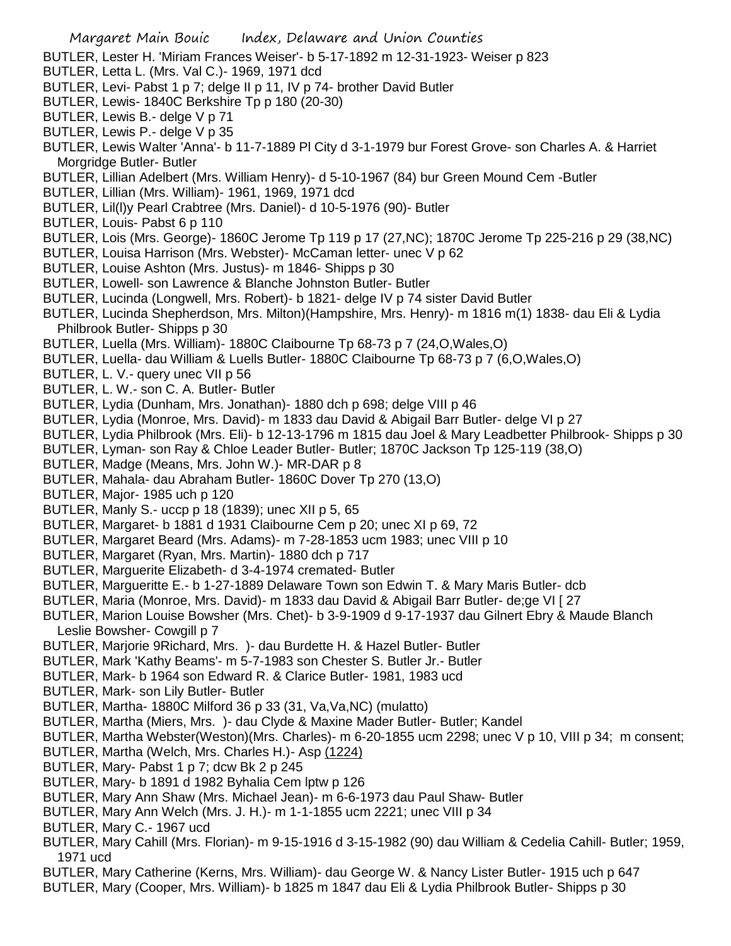- BUTLER, Lester H. 'Miriam Frances Weiser'- b 5-17-1892 m 12-31-1923- Weiser p 823
- BUTLER, Letta L. (Mrs. Val C.)- 1969, 1971 dcd
- BUTLER, Levi- Pabst 1 p 7; delge II p 11, IV p 74- brother David Butler
- BUTLER, Lewis- 1840C Berkshire Tp p 180 (20-30)
- BUTLER, Lewis B.- delge V p 71
- BUTLER, Lewis P.- delge V p 35
- BUTLER, Lewis Walter 'Anna'- b 11-7-1889 Pl City d 3-1-1979 bur Forest Grove- son Charles A. & Harriet Morgridge Butler- Butler
- BUTLER, Lillian Adelbert (Mrs. William Henry)- d 5-10-1967 (84) bur Green Mound Cem -Butler
- BUTLER, Lillian (Mrs. William)- 1961, 1969, 1971 dcd
- BUTLER, Lil(l)y Pearl Crabtree (Mrs. Daniel)- d 10-5-1976 (90)- Butler
- BUTLER, Louis- Pabst 6 p 110
- BUTLER, Lois (Mrs. George)- 1860C Jerome Tp 119 p 17 (27,NC); 1870C Jerome Tp 225-216 p 29 (38,NC)
- BUTLER, Louisa Harrison (Mrs. Webster)- McCaman letter- unec V p 62
- BUTLER, Louise Ashton (Mrs. Justus)- m 1846- Shipps p 30
- BUTLER, Lowell- son Lawrence & Blanche Johnston Butler- Butler
- BUTLER, Lucinda (Longwell, Mrs. Robert)- b 1821- delge IV p 74 sister David Butler
- BUTLER, Lucinda Shepherdson, Mrs. Milton)(Hampshire, Mrs. Henry)- m 1816 m(1) 1838- dau Eli & Lydia Philbrook Butler- Shipps p 30
- BUTLER, Luella (Mrs. William)- 1880C Claibourne Tp 68-73 p 7 (24,O,Wales,O)
- BUTLER, Luella- dau William & Luells Butler- 1880C Claibourne Tp 68-73 p 7 (6,O,Wales,O)
- BUTLER, L. V.- query unec VII p 56
- BUTLER, L. W.- son C. A. Butler- Butler
- BUTLER, Lydia (Dunham, Mrs. Jonathan)- 1880 dch p 698; delge VIII p 46
- BUTLER, Lydia (Monroe, Mrs. David)- m 1833 dau David & Abigail Barr Butler- delge VI p 27
- BUTLER, Lydia Philbrook (Mrs. Eli)- b 12-13-1796 m 1815 dau Joel & Mary Leadbetter Philbrook- Shipps p 30
- BUTLER, Lyman- son Ray & Chloe Leader Butler- Butler; 1870C Jackson Tp 125-119 (38,O)
- BUTLER, Madge (Means, Mrs. John W.)- MR-DAR p 8
- BUTLER, Mahala- dau Abraham Butler- 1860C Dover Tp 270 (13,O)
- BUTLER, Major- 1985 uch p 120
- BUTLER, Manly S.- uccp p 18 (1839); unec XII p 5, 65
- BUTLER, Margaret- b 1881 d 1931 Claibourne Cem p 20; unec XI p 69, 72
- BUTLER, Margaret Beard (Mrs. Adams)- m 7-28-1853 ucm 1983; unec VIII p 10
- BUTLER, Margaret (Ryan, Mrs. Martin)- 1880 dch p 717
- BUTLER, Marguerite Elizabeth- d 3-4-1974 cremated- Butler
- BUTLER, Margueritte E.- b 1-27-1889 Delaware Town son Edwin T. & Mary Maris Butler- dcb
- BUTLER, Maria (Monroe, Mrs. David)- m 1833 dau David & Abigail Barr Butler- de;ge VI [ 27
- BUTLER, Marion Louise Bowsher (Mrs. Chet)- b 3-9-1909 d 9-17-1937 dau Gilnert Ebry & Maude Blanch Leslie Bowsher- Cowgill p 7
- BUTLER, Marjorie 9Richard, Mrs. )- dau Burdette H. & Hazel Butler- Butler
- BUTLER, Mark 'Kathy Beams'- m 5-7-1983 son Chester S. Butler Jr.- Butler
- BUTLER, Mark- b 1964 son Edward R. & Clarice Butler- 1981, 1983 ucd
- BUTLER, Mark- son Lily Butler- Butler
- BUTLER, Martha- 1880C Milford 36 p 33 (31, Va,Va,NC) (mulatto)
- BUTLER, Martha (Miers, Mrs. )- dau Clyde & Maxine Mader Butler- Butler; Kandel
- BUTLER, Martha Webster(Weston)(Mrs. Charles)- m 6-20-1855 ucm 2298; unec V p 10, VIII p 34; m consent;
- BUTLER, Martha (Welch, Mrs. Charles H.)- Asp (1224)
- BUTLER, Mary- Pabst 1 p 7; dcw Bk 2 p 245
- BUTLER, Mary- b 1891 d 1982 Byhalia Cem lptw p 126
- BUTLER, Mary Ann Shaw (Mrs. Michael Jean)- m 6-6-1973 dau Paul Shaw- Butler
- BUTLER, Mary Ann Welch (Mrs. J. H.)- m 1-1-1855 ucm 2221; unec VIII p 34
- BUTLER, Mary C.- 1967 ucd
- BUTLER, Mary Cahill (Mrs. Florian)- m 9-15-1916 d 3-15-1982 (90) dau William & Cedelia Cahill- Butler; 1959, 1971 ucd
- BUTLER, Mary Catherine (Kerns, Mrs. William)- dau George W. & Nancy Lister Butler- 1915 uch p 647
- BUTLER, Mary (Cooper, Mrs. William)- b 1825 m 1847 dau Eli & Lydia Philbrook Butler- Shipps p 30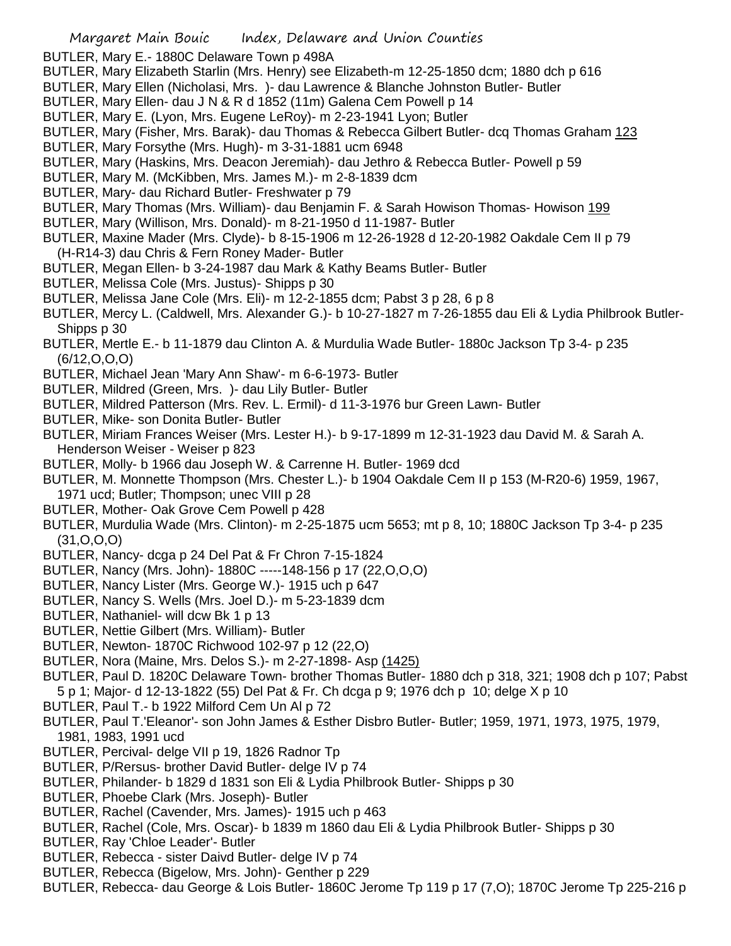BUTLER, Mary E.- 1880C Delaware Town p 498A

- BUTLER, Mary Elizabeth Starlin (Mrs. Henry) see Elizabeth-m 12-25-1850 dcm; 1880 dch p 616
- BUTLER, Mary Ellen (Nicholasi, Mrs. )- dau Lawrence & Blanche Johnston Butler- Butler
- BUTLER, Mary Ellen- dau J N & R d 1852 (11m) Galena Cem Powell p 14
- BUTLER, Mary E. (Lyon, Mrs. Eugene LeRoy)- m 2-23-1941 Lyon; Butler
- BUTLER, Mary (Fisher, Mrs. Barak)- dau Thomas & Rebecca Gilbert Butler- dcq Thomas Graham 123
- BUTLER, Mary Forsythe (Mrs. Hugh)- m 3-31-1881 ucm 6948
- BUTLER, Mary (Haskins, Mrs. Deacon Jeremiah)- dau Jethro & Rebecca Butler- Powell p 59
- BUTLER, Mary M. (McKibben, Mrs. James M.)- m 2-8-1839 dcm
- BUTLER, Mary- dau Richard Butler- Freshwater p 79
- BUTLER, Mary Thomas (Mrs. William)- dau Benjamin F. & Sarah Howison Thomas- Howison 199
- BUTLER, Mary (Willison, Mrs. Donald)- m 8-21-1950 d 11-1987- Butler
- BUTLER, Maxine Mader (Mrs. Clyde)- b 8-15-1906 m 12-26-1928 d 12-20-1982 Oakdale Cem II p 79 (H-R14-3) dau Chris & Fern Roney Mader- Butler
- BUTLER, Megan Ellen- b 3-24-1987 dau Mark & Kathy Beams Butler- Butler
- BUTLER, Melissa Cole (Mrs. Justus)- Shipps p 30
- BUTLER, Melissa Jane Cole (Mrs. Eli)- m 12-2-1855 dcm; Pabst 3 p 28, 6 p 8
- BUTLER, Mercy L. (Caldwell, Mrs. Alexander G.)- b 10-27-1827 m 7-26-1855 dau Eli & Lydia Philbrook Butler-Shipps p 30
- BUTLER, Mertle E.- b 11-1879 dau Clinton A. & Murdulia Wade Butler- 1880c Jackson Tp 3-4- p 235 (6/12,O,O,O)
- BUTLER, Michael Jean 'Mary Ann Shaw'- m 6-6-1973- Butler
- BUTLER, Mildred (Green, Mrs. )- dau Lily Butler- Butler
- BUTLER, Mildred Patterson (Mrs. Rev. L. Ermil)- d 11-3-1976 bur Green Lawn- Butler
- BUTLER, Mike- son Donita Butler- Butler
- BUTLER, Miriam Frances Weiser (Mrs. Lester H.)- b 9-17-1899 m 12-31-1923 dau David M. & Sarah A. Henderson Weiser - Weiser p 823
- BUTLER, Molly- b 1966 dau Joseph W. & Carrenne H. Butler- 1969 dcd
- BUTLER, M. Monnette Thompson (Mrs. Chester L.)- b 1904 Oakdale Cem II p 153 (M-R20-6) 1959, 1967, 1971 ucd; Butler; Thompson; unec VIII p 28
- BUTLER, Mother- Oak Grove Cem Powell p 428
- BUTLER, Murdulia Wade (Mrs. Clinton)- m 2-25-1875 ucm 5653; mt p 8, 10; 1880C Jackson Tp 3-4- p 235 (31,O,O,O)
- BUTLER, Nancy- dcga p 24 Del Pat & Fr Chron 7-15-1824
- BUTLER, Nancy (Mrs. John)- 1880C -----148-156 p 17 (22,O,O,O)
- BUTLER, Nancy Lister (Mrs. George W.)- 1915 uch p 647
- BUTLER, Nancy S. Wells (Mrs. Joel D.)- m 5-23-1839 dcm
- BUTLER, Nathaniel- will dcw Bk 1 p 13
- BUTLER, Nettie Gilbert (Mrs. William)- Butler
- BUTLER, Newton- 1870C Richwood 102-97 p 12 (22,O)
- BUTLER, Nora (Maine, Mrs. Delos S.)- m 2-27-1898- Asp (1425)
- BUTLER, Paul D. 1820C Delaware Town- brother Thomas Butler- 1880 dch p 318, 321; 1908 dch p 107; Pabst 5 p 1; Major- d 12-13-1822 (55) Del Pat & Fr. Ch dcga p 9; 1976 dch p 10; delge X p 10
- BUTLER, Paul T.- b 1922 Milford Cem Un Al p 72
- BUTLER, Paul T.'Eleanor'- son John James & Esther Disbro Butler- Butler; 1959, 1971, 1973, 1975, 1979, 1981, 1983, 1991 ucd
- BUTLER, Percival- delge VII p 19, 1826 Radnor Tp
- BUTLER, P/Rersus- brother David Butler- delge IV p 74
- BUTLER, Philander- b 1829 d 1831 son Eli & Lydia Philbrook Butler- Shipps p 30
- BUTLER, Phoebe Clark (Mrs. Joseph)- Butler
- BUTLER, Rachel (Cavender, Mrs. James)- 1915 uch p 463
- BUTLER, Rachel (Cole, Mrs. Oscar)- b 1839 m 1860 dau Eli & Lydia Philbrook Butler- Shipps p 30
- BUTLER, Ray 'Chloe Leader'- Butler
- BUTLER, Rebecca sister Daivd Butler- delge IV p 74
- BUTLER, Rebecca (Bigelow, Mrs. John)- Genther p 229
- BUTLER, Rebecca- dau George & Lois Butler- 1860C Jerome Tp 119 p 17 (7,O); 1870C Jerome Tp 225-216 p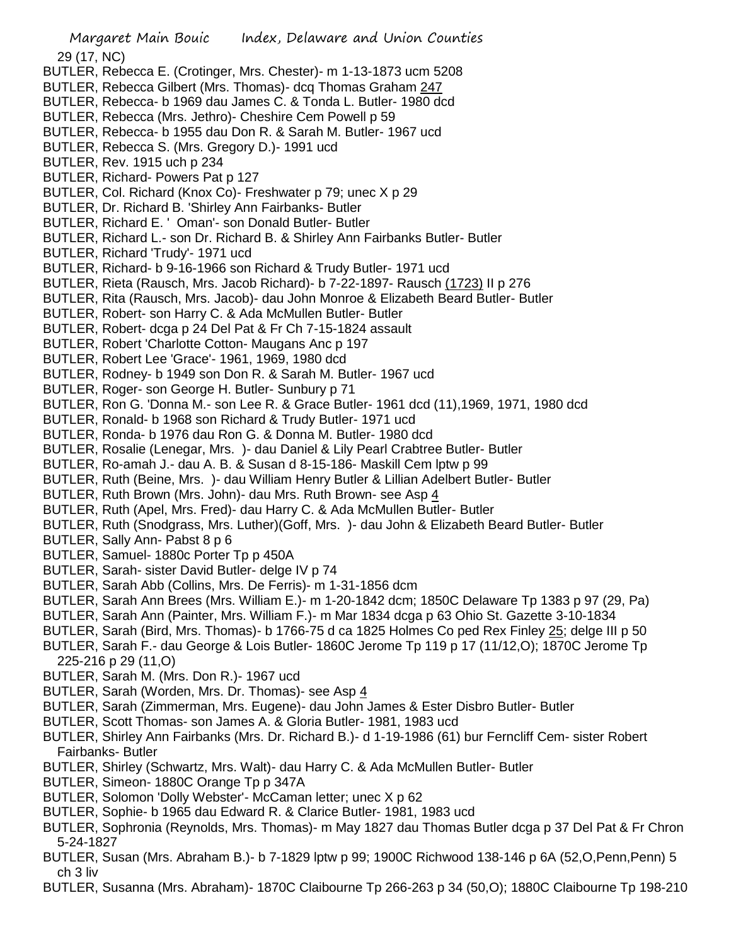- BUTLER, Rebecca E. (Crotinger, Mrs. Chester)- m 1-13-1873 ucm 5208
- BUTLER, Rebecca Gilbert (Mrs. Thomas)- dcq Thomas Graham 247
- BUTLER, Rebecca- b 1969 dau James C. & Tonda L. Butler- 1980 dcd
- BUTLER, Rebecca (Mrs. Jethro)- Cheshire Cem Powell p 59
- BUTLER, Rebecca- b 1955 dau Don R. & Sarah M. Butler- 1967 ucd
- BUTLER, Rebecca S. (Mrs. Gregory D.)- 1991 ucd
- BUTLER, Rev. 1915 uch p 234
- BUTLER, Richard- Powers Pat p 127
- BUTLER, Col. Richard (Knox Co)- Freshwater p 79; unec X p 29
- BUTLER, Dr. Richard B. 'Shirley Ann Fairbanks- Butler
- BUTLER, Richard E. ' Oman'- son Donald Butler- Butler
- BUTLER, Richard L.- son Dr. Richard B. & Shirley Ann Fairbanks Butler- Butler
- BUTLER, Richard 'Trudy'- 1971 ucd
- BUTLER, Richard- b 9-16-1966 son Richard & Trudy Butler- 1971 ucd
- BUTLER, Rieta (Rausch, Mrs. Jacob Richard)- b 7-22-1897- Rausch (1723) II p 276
- BUTLER, Rita (Rausch, Mrs. Jacob)- dau John Monroe & Elizabeth Beard Butler- Butler
- BUTLER, Robert- son Harry C. & Ada McMullen Butler- Butler
- BUTLER, Robert- dcga p 24 Del Pat & Fr Ch 7-15-1824 assault
- BUTLER, Robert 'Charlotte Cotton- Maugans Anc p 197
- BUTLER, Robert Lee 'Grace'- 1961, 1969, 1980 dcd
- BUTLER, Rodney- b 1949 son Don R. & Sarah M. Butler- 1967 ucd
- BUTLER, Roger- son George H. Butler- Sunbury p 71
- BUTLER, Ron G. 'Donna M.- son Lee R. & Grace Butler- 1961 dcd (11),1969, 1971, 1980 dcd
- BUTLER, Ronald- b 1968 son Richard & Trudy Butler- 1971 ucd
- BUTLER, Ronda- b 1976 dau Ron G. & Donna M. Butler- 1980 dcd
- BUTLER, Rosalie (Lenegar, Mrs. )- dau Daniel & Lily Pearl Crabtree Butler- Butler
- BUTLER, Ro-amah J.- dau A. B. & Susan d 8-15-186- Maskill Cem lptw p 99
- BUTLER, Ruth (Beine, Mrs. )- dau William Henry Butler & Lillian Adelbert Butler- Butler
- BUTLER, Ruth Brown (Mrs. John)- dau Mrs. Ruth Brown- see Asp 4
- BUTLER, Ruth (Apel, Mrs. Fred)- dau Harry C. & Ada McMullen Butler- Butler
- BUTLER, Ruth (Snodgrass, Mrs. Luther)(Goff, Mrs. )- dau John & Elizabeth Beard Butler- Butler
- BUTLER, Sally Ann- Pabst 8 p 6
- BUTLER, Samuel- 1880c Porter Tp p 450A
- BUTLER, Sarah- sister David Butler- delge IV p 74
- BUTLER, Sarah Abb (Collins, Mrs. De Ferris)- m 1-31-1856 dcm
- BUTLER, Sarah Ann Brees (Mrs. William E.)- m 1-20-1842 dcm; 1850C Delaware Tp 1383 p 97 (29, Pa)
- BUTLER, Sarah Ann (Painter, Mrs. William F.)- m Mar 1834 dcga p 63 Ohio St. Gazette 3-10-1834
- BUTLER, Sarah (Bird, Mrs. Thomas)- b 1766-75 d ca 1825 Holmes Co ped Rex Finley 25; delge III p 50
- BUTLER, Sarah F.- dau George & Lois Butler- 1860C Jerome Tp 119 p 17 (11/12,O); 1870C Jerome Tp 225-216 p 29 (11,O)
- BUTLER, Sarah M. (Mrs. Don R.)- 1967 ucd
- BUTLER, Sarah (Worden, Mrs. Dr. Thomas)- see Asp 4
- BUTLER, Sarah (Zimmerman, Mrs. Eugene)- dau John James & Ester Disbro Butler- Butler
- BUTLER, Scott Thomas- son James A. & Gloria Butler- 1981, 1983 ucd
- BUTLER, Shirley Ann Fairbanks (Mrs. Dr. Richard B.)- d 1-19-1986 (61) bur Ferncliff Cem- sister Robert Fairbanks- Butler
- BUTLER, Shirley (Schwartz, Mrs. Walt)- dau Harry C. & Ada McMullen Butler- Butler
- BUTLER, Simeon- 1880C Orange Tp p 347A
- BUTLER, Solomon 'Dolly Webster'- McCaman letter; unec X p 62
- BUTLER, Sophie- b 1965 dau Edward R. & Clarice Butler- 1981, 1983 ucd
- BUTLER, Sophronia (Reynolds, Mrs. Thomas)- m May 1827 dau Thomas Butler dcga p 37 Del Pat & Fr Chron 5-24-1827
- BUTLER, Susan (Mrs. Abraham B.)- b 7-1829 lptw p 99; 1900C Richwood 138-146 p 6A (52,O,Penn,Penn) 5 ch 3 liv
- BUTLER, Susanna (Mrs. Abraham)- 1870C Claibourne Tp 266-263 p 34 (50,O); 1880C Claibourne Tp 198-210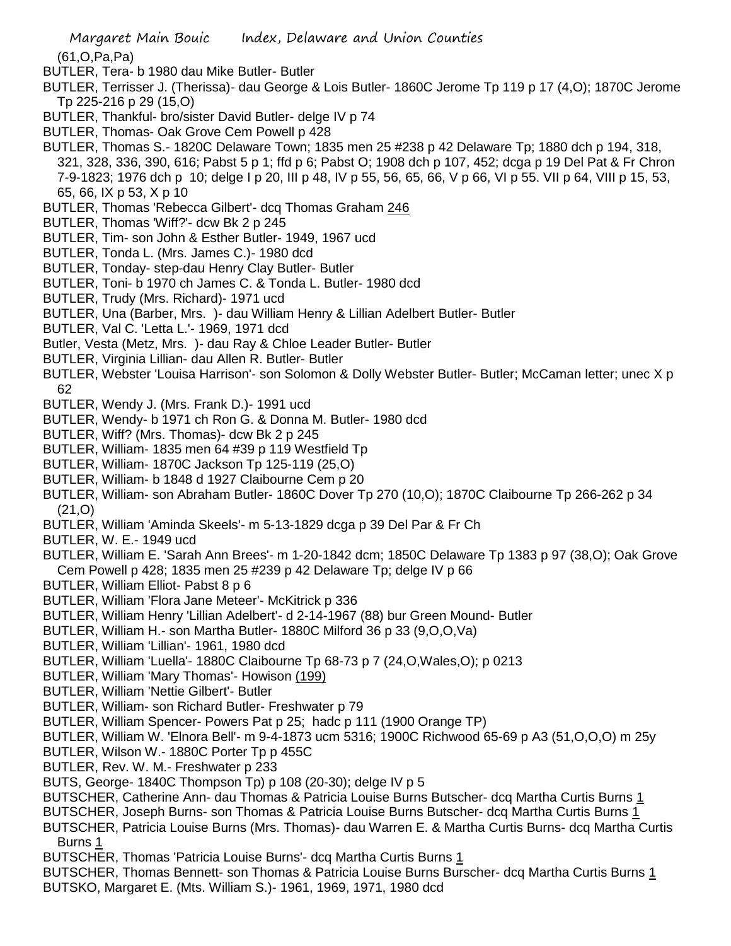(61,O,Pa,Pa)

- BUTLER, Tera- b 1980 dau Mike Butler- Butler
- BUTLER, Terrisser J. (Therissa)- dau George & Lois Butler- 1860C Jerome Tp 119 p 17 (4,O); 1870C Jerome Tp 225-216 p 29 (15,O)
- BUTLER, Thankful- bro/sister David Butler- delge IV p 74
- BUTLER, Thomas- Oak Grove Cem Powell p 428
- BUTLER, Thomas S.- 1820C Delaware Town; 1835 men 25 #238 p 42 Delaware Tp; 1880 dch p 194, 318, 321, 328, 336, 390, 616; Pabst 5 p 1; ffd p 6; Pabst O; 1908 dch p 107, 452; dcga p 19 Del Pat & Fr Chron 7-9-1823; 1976 dch p 10; delge I p 20, III p 48, IV p 55, 56, 65, 66, V p 66, VI p 55. VII p 64, VIII p 15, 53, 65, 66, IX p 53, X p 10
- BUTLER, Thomas 'Rebecca Gilbert'- dcq Thomas Graham 246
- BUTLER, Thomas 'Wiff?'- dcw Bk 2 p 245
- BUTLER, Tim- son John & Esther Butler- 1949, 1967 ucd
- BUTLER, Tonda L. (Mrs. James C.)- 1980 dcd
- BUTLER, Tonday- step-dau Henry Clay Butler- Butler
- BUTLER, Toni- b 1970 ch James C. & Tonda L. Butler- 1980 dcd
- BUTLER, Trudy (Mrs. Richard)- 1971 ucd
- BUTLER, Una (Barber, Mrs. )- dau William Henry & Lillian Adelbert Butler- Butler
- BUTLER, Val C. 'Letta L.'- 1969, 1971 dcd
- Butler, Vesta (Metz, Mrs. )- dau Ray & Chloe Leader Butler- Butler
- BUTLER, Virginia Lillian- dau Allen R. Butler- Butler
- BUTLER, Webster 'Louisa Harrison'- son Solomon & Dolly Webster Butler- Butler; McCaman letter; unec X p 62
- BUTLER, Wendy J. (Mrs. Frank D.)- 1991 ucd
- BUTLER, Wendy- b 1971 ch Ron G. & Donna M. Butler- 1980 dcd
- BUTLER, Wiff? (Mrs. Thomas)- dcw Bk 2 p 245
- BUTLER, William- 1835 men 64 #39 p 119 Westfield Tp
- BUTLER, William- 1870C Jackson Tp 125-119 (25,O)
- BUTLER, William- b 1848 d 1927 Claibourne Cem p 20
- BUTLER, William- son Abraham Butler- 1860C Dover Tp 270 (10,O); 1870C Claibourne Tp 266-262 p 34 (21,O)
- BUTLER, William 'Aminda Skeels'- m 5-13-1829 dcga p 39 Del Par & Fr Ch
- BUTLER, W. E.- 1949 ucd
- BUTLER, William E. 'Sarah Ann Brees'- m 1-20-1842 dcm; 1850C Delaware Tp 1383 p 97 (38,O); Oak Grove Cem Powell p 428; 1835 men 25 #239 p 42 Delaware Tp; delge IV p 66
- BUTLER, William Elliot- Pabst 8 p 6
- BUTLER, William 'Flora Jane Meteer'- McKitrick p 336
- BUTLER, William Henry 'Lillian Adelbert'- d 2-14-1967 (88) bur Green Mound- Butler
- BUTLER, William H.- son Martha Butler- 1880C Milford 36 p 33 (9,O,O,Va)
- BUTLER, William 'Lillian'- 1961, 1980 dcd
- BUTLER, William 'Luella'- 1880C Claibourne Tp 68-73 p 7 (24,O,Wales,O); p 0213
- BUTLER, William 'Mary Thomas'- Howison (199)
- BUTLER, William 'Nettie Gilbert'- Butler
- BUTLER, William- son Richard Butler- Freshwater p 79
- BUTLER, William Spencer- Powers Pat p 25; hadc p 111 (1900 Orange TP)
- BUTLER, William W. 'Elnora Bell'- m 9-4-1873 ucm 5316; 1900C Richwood 65-69 p A3 (51,O,O,O) m 25y
- BUTLER, Wilson W.- 1880C Porter Tp p 455C
- BUTLER, Rev. W. M.- Freshwater p 233
- BUTS, George- 1840C Thompson Tp) p 108 (20-30); delge IV p 5
- BUTSCHER, Catherine Ann- dau Thomas & Patricia Louise Burns Butscher- dcq Martha Curtis Burns 1
- BUTSCHER, Joseph Burns- son Thomas & Patricia Louise Burns Butscher- dcq Martha Curtis Burns 1
- BUTSCHER, Patricia Louise Burns (Mrs. Thomas)- dau Warren E. & Martha Curtis Burns- dcq Martha Curtis Burns 1
- BUTSCHER, Thomas 'Patricia Louise Burns'- dcq Martha Curtis Burns 1
- BUTSCHER, Thomas Bennett- son Thomas & Patricia Louise Burns Burscher- dcq Martha Curtis Burns 1
- BUTSKO, Margaret E. (Mts. William S.)- 1961, 1969, 1971, 1980 dcd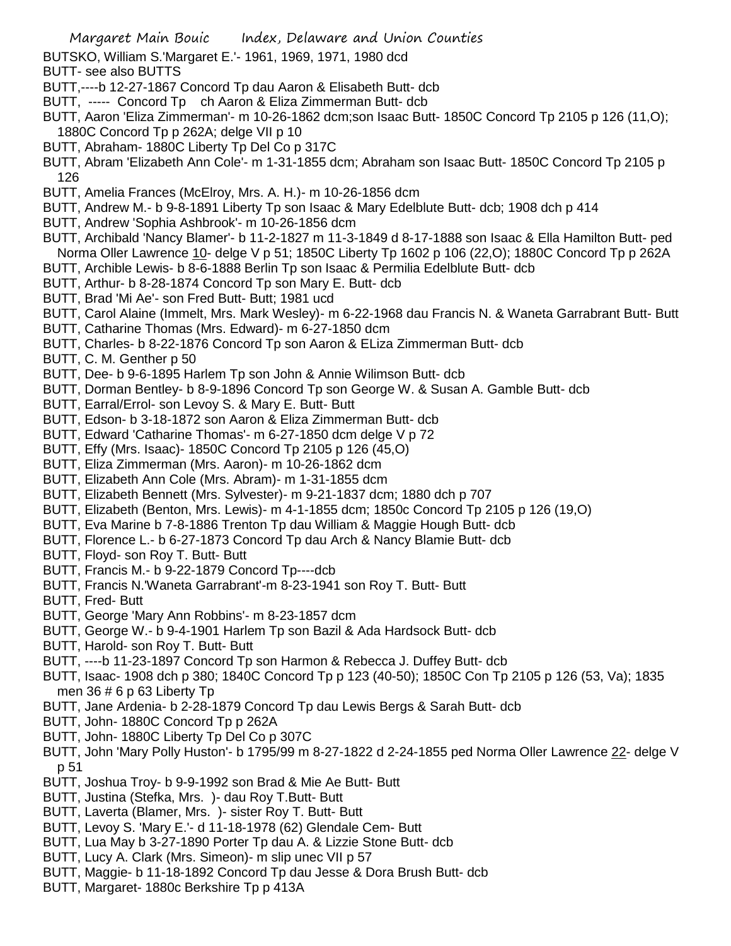BUTSKO, William S.'Margaret E.'- 1961, 1969, 1971, 1980 dcd

- BUTT- see also BUTTS
- BUTT,----b 12-27-1867 Concord Tp dau Aaron & Elisabeth Butt- dcb
- BUTT, ----- Concord Tp ch Aaron & Eliza Zimmerman Butt- dcb
- BUTT, Aaron 'Eliza Zimmerman'- m 10-26-1862 dcm;son Isaac Butt- 1850C Concord Tp 2105 p 126 (11,O); 1880C Concord Tp p 262A; delge VII p 10
- BUTT, Abraham- 1880C Liberty Tp Del Co p 317C
- BUTT, Abram 'Elizabeth Ann Cole'- m 1-31-1855 dcm; Abraham son Isaac Butt- 1850C Concord Tp 2105 p 126
- BUTT, Amelia Frances (McElroy, Mrs. A. H.)- m 10-26-1856 dcm
- BUTT, Andrew M.- b 9-8-1891 Liberty Tp son Isaac & Mary Edelblute Butt- dcb; 1908 dch p 414
- BUTT, Andrew 'Sophia Ashbrook'- m 10-26-1856 dcm
- BUTT, Archibald 'Nancy Blamer'- b 11-2-1827 m 11-3-1849 d 8-17-1888 son Isaac & Ella Hamilton Butt- ped Norma Oller Lawrence 10- delge V p 51; 1850C Liberty Tp 1602 p 106 (22,O); 1880C Concord Tp p 262A
- BUTT, Archible Lewis- b 8-6-1888 Berlin Tp son Isaac & Permilia Edelblute Butt- dcb
- BUTT, Arthur- b 8-28-1874 Concord Tp son Mary E. Butt- dcb
- BUTT, Brad 'Mi Ae'- son Fred Butt- Butt; 1981 ucd
- BUTT, Carol Alaine (Immelt, Mrs. Mark Wesley)- m 6-22-1968 dau Francis N. & Waneta Garrabrant Butt- Butt
- BUTT, Catharine Thomas (Mrs. Edward)- m 6-27-1850 dcm
- BUTT, Charles- b 8-22-1876 Concord Tp son Aaron & ELiza Zimmerman Butt- dcb
- BUTT, C. M. Genther p 50
- BUTT, Dee- b 9-6-1895 Harlem Tp son John & Annie Wilimson Butt- dcb
- BUTT, Dorman Bentley- b 8-9-1896 Concord Tp son George W. & Susan A. Gamble Butt- dcb
- BUTT, Earral/Errol- son Levoy S. & Mary E. Butt- Butt
- BUTT, Edson- b 3-18-1872 son Aaron & Eliza Zimmerman Butt- dcb
- BUTT, Edward 'Catharine Thomas'- m 6-27-1850 dcm delge V p 72
- BUTT, Effy (Mrs. Isaac)- 1850C Concord Tp 2105 p 126 (45,O)
- BUTT, Eliza Zimmerman (Mrs. Aaron)- m 10-26-1862 dcm
- BUTT, Elizabeth Ann Cole (Mrs. Abram)- m 1-31-1855 dcm
- BUTT, Elizabeth Bennett (Mrs. Sylvester)- m 9-21-1837 dcm; 1880 dch p 707
- BUTT, Elizabeth (Benton, Mrs. Lewis)- m 4-1-1855 dcm; 1850c Concord Tp 2105 p 126 (19,O)
- BUTT, Eva Marine b 7-8-1886 Trenton Tp dau William & Maggie Hough Butt- dcb
- BUTT, Florence L.- b 6-27-1873 Concord Tp dau Arch & Nancy Blamie Butt- dcb
- BUTT, Floyd- son Roy T. Butt- Butt
- BUTT, Francis M.- b 9-22-1879 Concord Tp----dcb
- BUTT, Francis N.'Waneta Garrabrant'-m 8-23-1941 son Roy T. Butt- Butt
- BUTT, Fred- Butt
- BUTT, George 'Mary Ann Robbins'- m 8-23-1857 dcm
- BUTT, George W.- b 9-4-1901 Harlem Tp son Bazil & Ada Hardsock Butt- dcb
- BUTT, Harold- son Roy T. Butt- Butt
- BUTT, ----b 11-23-1897 Concord Tp son Harmon & Rebecca J. Duffey Butt- dcb
- BUTT, Isaac- 1908 dch p 380; 1840C Concord Tp p 123 (40-50); 1850C Con Tp 2105 p 126 (53, Va); 1835 men  $36 \# 6$  p 63 Liberty Tp
- BUTT, Jane Ardenia- b 2-28-1879 Concord Tp dau Lewis Bergs & Sarah Butt- dcb
- BUTT, John- 1880C Concord Tp p 262A
- BUTT, John- 1880C Liberty Tp Del Co p 307C
- BUTT, John 'Mary Polly Huston'- b 1795/99 m 8-27-1822 d 2-24-1855 ped Norma Oller Lawrence 22- delge V p 51
- BUTT, Joshua Troy- b 9-9-1992 son Brad & Mie Ae Butt- Butt
- BUTT, Justina (Stefka, Mrs. )- dau Roy T.Butt- Butt
- BUTT, Laverta (Blamer, Mrs. )- sister Roy T. Butt- Butt
- BUTT, Levoy S. 'Mary E.'- d 11-18-1978 (62) Glendale Cem- Butt
- BUTT, Lua May b 3-27-1890 Porter Tp dau A. & Lizzie Stone Butt- dcb
- BUTT, Lucy A. Clark (Mrs. Simeon)- m slip unec VII p 57
- BUTT, Maggie- b 11-18-1892 Concord Tp dau Jesse & Dora Brush Butt- dcb
- BUTT, Margaret- 1880c Berkshire Tp p 413A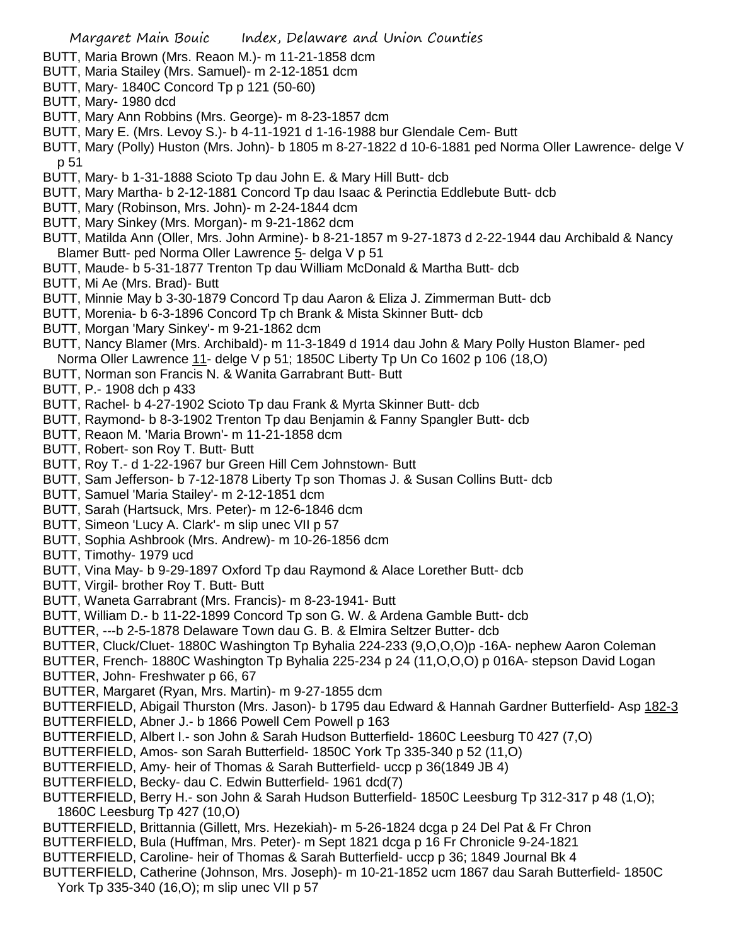- BUTT, Maria Brown (Mrs. Reaon M.)- m 11-21-1858 dcm
- BUTT, Maria Stailey (Mrs. Samuel)- m 2-12-1851 dcm
- BUTT, Mary- 1840C Concord Tp p 121 (50-60)
- BUTT, Mary- 1980 dcd
- BUTT, Mary Ann Robbins (Mrs. George)- m 8-23-1857 dcm
- BUTT, Mary E. (Mrs. Levoy S.)- b 4-11-1921 d 1-16-1988 bur Glendale Cem- Butt
- BUTT, Mary (Polly) Huston (Mrs. John)- b 1805 m 8-27-1822 d 10-6-1881 ped Norma Oller Lawrence- delge V p 51
- BUTT, Mary- b 1-31-1888 Scioto Tp dau John E. & Mary Hill Butt- dcb
- BUTT, Mary Martha- b 2-12-1881 Concord Tp dau Isaac & Perinctia Eddlebute Butt- dcb
- BUTT, Mary (Robinson, Mrs. John)- m 2-24-1844 dcm
- BUTT, Mary Sinkey (Mrs. Morgan)- m 9-21-1862 dcm
- BUTT, Matilda Ann (Oller, Mrs. John Armine)- b 8-21-1857 m 9-27-1873 d 2-22-1944 dau Archibald & Nancy Blamer Butt- ped Norma Oller Lawrence 5- delga V p 51
- BUTT, Maude- b 5-31-1877 Trenton Tp dau William McDonald & Martha Butt- dcb
- BUTT, Mi Ae (Mrs. Brad)- Butt
- BUTT, Minnie May b 3-30-1879 Concord Tp dau Aaron & Eliza J. Zimmerman Butt- dcb
- BUTT, Morenia- b 6-3-1896 Concord Tp ch Brank & Mista Skinner Butt- dcb
- BUTT, Morgan 'Mary Sinkey'- m 9-21-1862 dcm
- BUTT, Nancy Blamer (Mrs. Archibald)- m 11-3-1849 d 1914 dau John & Mary Polly Huston Blamer- ped Norma Oller Lawrence 11- delge V p 51; 1850C Liberty Tp Un Co 1602 p 106 (18,O)
- BUTT, Norman son Francis N. & Wanita Garrabrant Butt- Butt
- BUTT, P.- 1908 dch p 433
- BUTT, Rachel- b 4-27-1902 Scioto Tp dau Frank & Myrta Skinner Butt- dcb
- BUTT, Raymond- b 8-3-1902 Trenton Tp dau Benjamin & Fanny Spangler Butt- dcb
- BUTT, Reaon M. 'Maria Brown'- m 11-21-1858 dcm
- BUTT, Robert- son Roy T. Butt- Butt
- BUTT, Roy T.- d 1-22-1967 bur Green Hill Cem Johnstown- Butt
- BUTT, Sam Jefferson- b 7-12-1878 Liberty Tp son Thomas J. & Susan Collins Butt- dcb
- BUTT, Samuel 'Maria Stailey'- m 2-12-1851 dcm
- BUTT, Sarah (Hartsuck, Mrs. Peter)- m 12-6-1846 dcm
- BUTT, Simeon 'Lucy A. Clark'- m slip unec VII p 57
- BUTT, Sophia Ashbrook (Mrs. Andrew)- m 10-26-1856 dcm
- BUTT, Timothy- 1979 ucd
- BUTT, Vina May- b 9-29-1897 Oxford Tp dau Raymond & Alace Lorether Butt- dcb
- BUTT, Virgil- brother Roy T. Butt- Butt
- BUTT, Waneta Garrabrant (Mrs. Francis)- m 8-23-1941- Butt
- BUTT, William D.- b 11-22-1899 Concord Tp son G. W. & Ardena Gamble Butt- dcb
- BUTTER, ---b 2-5-1878 Delaware Town dau G. B. & Elmira Seltzer Butter- dcb
- BUTTER, Cluck/Cluet- 1880C Washington Tp Byhalia 224-233 (9,O,O,O)p -16A- nephew Aaron Coleman
- BUTTER, French- 1880C Washington Tp Byhalia 225-234 p 24 (11,O,O,O) p 016A- stepson David Logan
- BUTTER, John- Freshwater p 66, 67
- BUTTER, Margaret (Ryan, Mrs. Martin)- m 9-27-1855 dcm
- BUTTERFIELD, Abigail Thurston (Mrs. Jason)- b 1795 dau Edward & Hannah Gardner Butterfield- Asp 182-3
- BUTTERFIELD, Abner J.- b 1866 Powell Cem Powell p 163
- BUTTERFIELD, Albert I.- son John & Sarah Hudson Butterfield- 1860C Leesburg T0 427 (7,O)
- BUTTERFIELD, Amos- son Sarah Butterfield- 1850C York Tp 335-340 p 52 (11,O)
- BUTTERFIELD, Amy- heir of Thomas & Sarah Butterfield- uccp p 36(1849 JB 4)
- BUTTERFIELD, Becky- dau C. Edwin Butterfield- 1961 dcd(7)
- BUTTERFIELD, Berry H.- son John & Sarah Hudson Butterfield- 1850C Leesburg Tp 312-317 p 48 (1,O); 1860C Leesburg Tp 427 (10,O)
- BUTTERFIELD, Brittannia (Gillett, Mrs. Hezekiah)- m 5-26-1824 dcga p 24 Del Pat & Fr Chron
- BUTTERFIELD, Bula (Huffman, Mrs. Peter)- m Sept 1821 dcga p 16 Fr Chronicle 9-24-1821
- BUTTERFIELD, Caroline- heir of Thomas & Sarah Butterfield- uccp p 36; 1849 Journal Bk 4
- BUTTERFIELD, Catherine (Johnson, Mrs. Joseph)- m 10-21-1852 ucm 1867 dau Sarah Butterfield- 1850C York Tp 335-340 (16,O); m slip unec VII p 57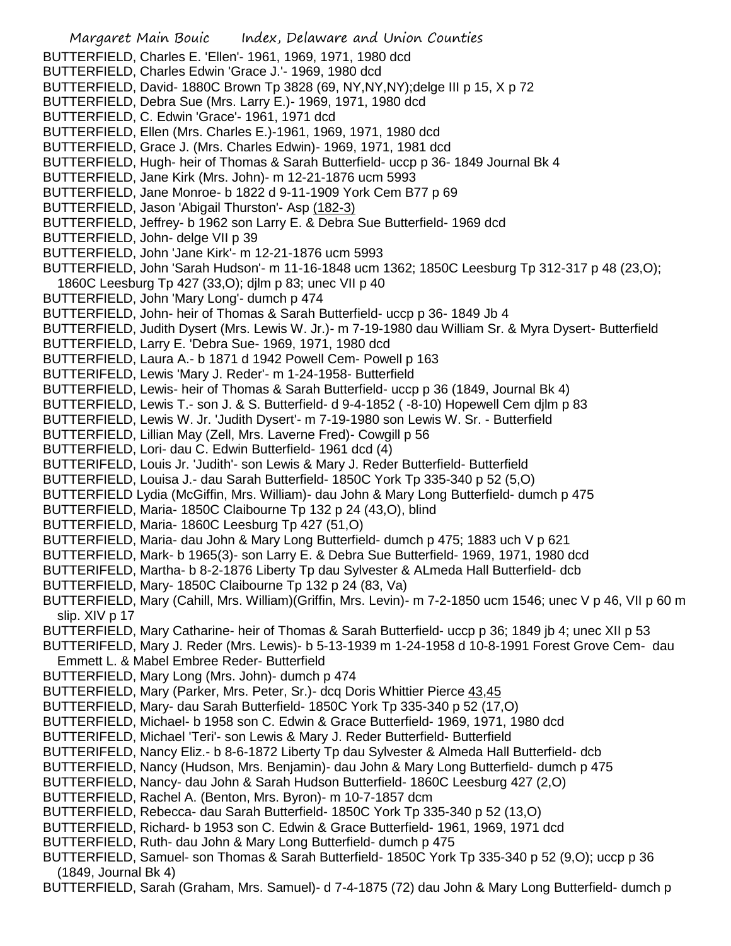Margaret Main Bouic Index, Delaware and Union Counties BUTTERFIELD, Charles E. 'Ellen'- 1961, 1969, 1971, 1980 dcd BUTTERFIELD, Charles Edwin 'Grace J.'- 1969, 1980 dcd BUTTERFIELD, David- 1880C Brown Tp 3828 (69, NY,NY,NY);delge III p 15, X p 72 BUTTERFIELD, Debra Sue (Mrs. Larry E.)- 1969, 1971, 1980 dcd BUTTERFIELD, C. Edwin 'Grace'- 1961, 1971 dcd BUTTERFIELD, Ellen (Mrs. Charles E.)-1961, 1969, 1971, 1980 dcd BUTTERFIELD, Grace J. (Mrs. Charles Edwin)- 1969, 1971, 1981 dcd BUTTERFIELD, Hugh- heir of Thomas & Sarah Butterfield- uccp p 36- 1849 Journal Bk 4 BUTTERFIELD, Jane Kirk (Mrs. John)- m 12-21-1876 ucm 5993 BUTTERFIELD, Jane Monroe- b 1822 d 9-11-1909 York Cem B77 p 69 BUTTERFIELD, Jason 'Abigail Thurston'- Asp (182-3) BUTTERFIELD, Jeffrey- b 1962 son Larry E. & Debra Sue Butterfield- 1969 dcd BUTTERFIELD, John- delge VII p 39 BUTTERFIELD, John 'Jane Kirk'- m 12-21-1876 ucm 5993 BUTTERFIELD, John 'Sarah Hudson'- m 11-16-1848 ucm 1362; 1850C Leesburg Tp 312-317 p 48 (23,O); 1860C Leesburg Tp 427 (33,O); djlm p 83; unec VII p 40 BUTTERFIELD, John 'Mary Long'- dumch p 474 BUTTERFIELD, John- heir of Thomas & Sarah Butterfield- uccp p 36- 1849 Jb 4 BUTTERFIELD, Judith Dysert (Mrs. Lewis W. Jr.)- m 7-19-1980 dau William Sr. & Myra Dysert- Butterfield BUTTERFIELD, Larry E. 'Debra Sue- 1969, 1971, 1980 dcd BUTTERFIELD, Laura A.- b 1871 d 1942 Powell Cem- Powell p 163 BUTTERIFELD, Lewis 'Mary J. Reder'- m 1-24-1958- Butterfield BUTTERFIELD, Lewis- heir of Thomas & Sarah Butterfield- uccp p 36 (1849, Journal Bk 4) BUTTERFIELD, Lewis T.- son J. & S. Butterfield- d 9-4-1852 ( -8-10) Hopewell Cem djlm p 83 BUTTERFIELD, Lewis W. Jr. 'Judith Dysert'- m 7-19-1980 son Lewis W. Sr. - Butterfield BUTTERFIELD, Lillian May (Zell, Mrs. Laverne Fred)- Cowgill p 56 BUTTERFIELD, Lori- dau C. Edwin Butterfield- 1961 dcd (4) BUTTERIFELD, Louis Jr. 'Judith'- son Lewis & Mary J. Reder Butterfield- Butterfield BUTTERFIELD, Louisa J.- dau Sarah Butterfield- 1850C York Tp 335-340 p 52 (5,O) BUTTERFIELD Lydia (McGiffin, Mrs. William)- dau John & Mary Long Butterfield- dumch p 475 BUTTERFIELD, Maria- 1850C Claibourne Tp 132 p 24 (43,O), blind BUTTERFIELD, Maria- 1860C Leesburg Tp 427 (51,O) BUTTERFIELD, Maria- dau John & Mary Long Butterfield- dumch p 475; 1883 uch V p 621 BUTTERFIELD, Mark- b 1965(3)- son Larry E. & Debra Sue Butterfield- 1969, 1971, 1980 dcd BUTTERIFELD, Martha- b 8-2-1876 Liberty Tp dau Sylvester & ALmeda Hall Butterfield- dcb BUTTERFIELD, Mary- 1850C Claibourne Tp 132 p 24 (83, Va) BUTTERFIELD, Mary (Cahill, Mrs. William)(Griffin, Mrs. Levin)- m 7-2-1850 ucm 1546; unec V p 46, VII p 60 m slip. XIV p 17 BUTTERFIELD, Mary Catharine- heir of Thomas & Sarah Butterfield- uccp p 36; 1849 jb 4; unec XII p 53 BUTTERIFELD, Mary J. Reder (Mrs. Lewis)- b 5-13-1939 m 1-24-1958 d 10-8-1991 Forest Grove Cem- dau Emmett L. & Mabel Embree Reder- Butterfield BUTTERFIELD, Mary Long (Mrs. John)- dumch p 474 BUTTERFIELD, Mary (Parker, Mrs. Peter, Sr.)- dcq Doris Whittier Pierce 43,45 BUTTERFIELD, Mary- dau Sarah Butterfield- 1850C York Tp 335-340 p 52 (17,O) BUTTERFIELD, Michael- b 1958 son C. Edwin & Grace Butterfield- 1969, 1971, 1980 dcd BUTTERIFELD, Michael 'Teri'- son Lewis & Mary J. Reder Butterfield- Butterfield BUTTERIFELD, Nancy Eliz.- b 8-6-1872 Liberty Tp dau Sylvester & Almeda Hall Butterfield- dcb BUTTERFIELD, Nancy (Hudson, Mrs. Benjamin)- dau John & Mary Long Butterfield- dumch p 475 BUTTERFIELD, Nancy- dau John & Sarah Hudson Butterfield- 1860C Leesburg 427 (2,O) BUTTERFIELD, Rachel A. (Benton, Mrs. Byron)- m 10-7-1857 dcm BUTTERFIELD, Rebecca- dau Sarah Butterfield- 1850C York Tp 335-340 p 52 (13,O) BUTTERFIELD, Richard- b 1953 son C. Edwin & Grace Butterfield- 1961, 1969, 1971 dcd BUTTERFIELD, Ruth- dau John & Mary Long Butterfield- dumch p 475 BUTTERFIELD, Samuel- son Thomas & Sarah Butterfield- 1850C York Tp 335-340 p 52 (9,O); uccp p 36 (1849, Journal Bk 4) BUTTERFIELD, Sarah (Graham, Mrs. Samuel)- d 7-4-1875 (72) dau John & Mary Long Butterfield- dumch p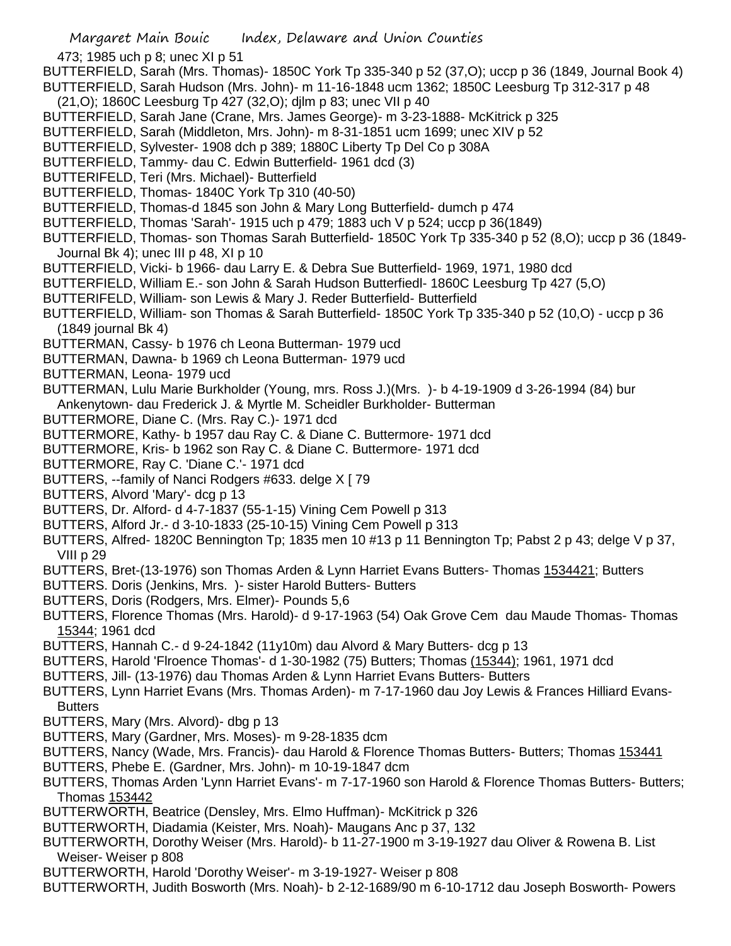473; 1985 uch p 8; unec XI p 51

BUTTERFIELD, Sarah (Mrs. Thomas)- 1850C York Tp 335-340 p 52 (37,O); uccp p 36 (1849, Journal Book 4) BUTTERFIELD, Sarah Hudson (Mrs. John)- m 11-16-1848 ucm 1362; 1850C Leesburg Tp 312-317 p 48

- 
- (21,O); 1860C Leesburg Tp 427 (32,O); djlm p 83; unec VII p 40
- BUTTERFIELD, Sarah Jane (Crane, Mrs. James George)- m 3-23-1888- McKitrick p 325
- BUTTERFIELD, Sarah (Middleton, Mrs. John)- m 8-31-1851 ucm 1699; unec XIV p 52
- BUTTERFIELD, Sylvester- 1908 dch p 389; 1880C Liberty Tp Del Co p 308A
- BUTTERFIELD, Tammy- dau C. Edwin Butterfield- 1961 dcd (3)
- BUTTERIFELD, Teri (Mrs. Michael)- Butterfield
- BUTTERFIELD, Thomas- 1840C York Tp 310 (40-50)
- BUTTERFIELD, Thomas-d 1845 son John & Mary Long Butterfield- dumch p 474
- BUTTERFIELD, Thomas 'Sarah'- 1915 uch p 479; 1883 uch V p 524; uccp p 36(1849)
- BUTTERFIELD, Thomas- son Thomas Sarah Butterfield- 1850C York Tp 335-340 p 52 (8,O); uccp p 36 (1849- Journal Bk 4); unec III p 48, XI p 10
- BUTTERFIELD, Vicki- b 1966- dau Larry E. & Debra Sue Butterfield- 1969, 1971, 1980 dcd
- BUTTERFIELD, William E.- son John & Sarah Hudson Butterfiedl- 1860C Leesburg Tp 427 (5,O)
- BUTTERIFELD, William- son Lewis & Mary J. Reder Butterfield- Butterfield
- BUTTERFIELD, William- son Thomas & Sarah Butterfield- 1850C York Tp 335-340 p 52 (10,O) uccp p 36 (1849 journal Bk 4)
- BUTTERMAN, Cassy- b 1976 ch Leona Butterman- 1979 ucd
- BUTTERMAN, Dawna- b 1969 ch Leona Butterman- 1979 ucd
- BUTTERMAN, Leona- 1979 ucd
- BUTTERMAN, Lulu Marie Burkholder (Young, mrs. Ross J.)(Mrs. )- b 4-19-1909 d 3-26-1994 (84) bur
- Ankenytown- dau Frederick J. & Myrtle M. Scheidler Burkholder- Butterman
- BUTTERMORE, Diane C. (Mrs. Ray C.)- 1971 dcd
- BUTTERMORE, Kathy- b 1957 dau Ray C. & Diane C. Buttermore- 1971 dcd
- BUTTERMORE, Kris- b 1962 son Ray C. & Diane C. Buttermore- 1971 dcd
- BUTTERMORE, Ray C. 'Diane C.'- 1971 dcd
- BUTTERS, --family of Nanci Rodgers #633. delge X [ 79
- BUTTERS, Alvord 'Mary'- dcg p 13
- BUTTERS, Dr. Alford- d 4-7-1837 (55-1-15) Vining Cem Powell p 313
- BUTTERS, Alford Jr.- d 3-10-1833 (25-10-15) Vining Cem Powell p 313
- BUTTERS, Alfred- 1820C Bennington Tp; 1835 men 10 #13 p 11 Bennington Tp; Pabst 2 p 43; delge V p 37, VIII p 29
- BUTTERS, Bret-(13-1976) son Thomas Arden & Lynn Harriet Evans Butters- Thomas 1534421; Butters
- BUTTERS. Doris (Jenkins, Mrs. )- sister Harold Butters- Butters
- BUTTERS, Doris (Rodgers, Mrs. Elmer)- Pounds 5,6
- BUTTERS, Florence Thomas (Mrs. Harold)- d 9-17-1963 (54) Oak Grove Cem dau Maude Thomas- Thomas 15344; 1961 dcd
- BUTTERS, Hannah C.- d 9-24-1842 (11y10m) dau Alvord & Mary Butters- dcg p 13
- BUTTERS, Harold 'Flroence Thomas'- d 1-30-1982 (75) Butters; Thomas (15344); 1961, 1971 dcd
- BUTTERS, Jill- (13-1976) dau Thomas Arden & Lynn Harriet Evans Butters- Butters
- BUTTERS, Lynn Harriet Evans (Mrs. Thomas Arden)- m 7-17-1960 dau Joy Lewis & Frances Hilliard Evans-Butters
- BUTTERS, Mary (Mrs. Alvord)- dbg p 13
- BUTTERS, Mary (Gardner, Mrs. Moses)- m 9-28-1835 dcm
- BUTTERS, Nancy (Wade, Mrs. Francis)- dau Harold & Florence Thomas Butters- Butters; Thomas 153441
- BUTTERS, Phebe E. (Gardner, Mrs. John)- m 10-19-1847 dcm
- BUTTERS, Thomas Arden 'Lynn Harriet Evans'- m 7-17-1960 son Harold & Florence Thomas Butters- Butters; Thomas 153442
- BUTTERWORTH, Beatrice (Densley, Mrs. Elmo Huffman)- McKitrick p 326
- BUTTERWORTH, Diadamia (Keister, Mrs. Noah)- Maugans Anc p 37, 132
- BUTTERWORTH, Dorothy Weiser (Mrs. Harold)- b 11-27-1900 m 3-19-1927 dau Oliver & Rowena B. List Weiser- Weiser p 808
- BUTTERWORTH, Harold 'Dorothy Weiser'- m 3-19-1927- Weiser p 808
- BUTTERWORTH, Judith Bosworth (Mrs. Noah)- b 2-12-1689/90 m 6-10-1712 dau Joseph Bosworth- Powers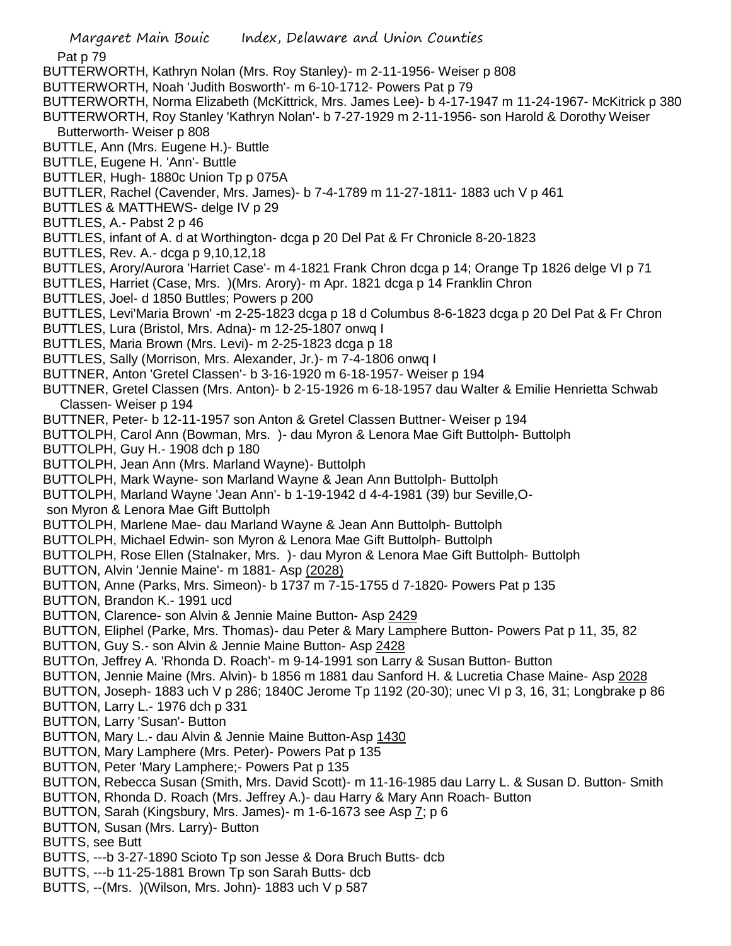- Margaret Main Bouic Index, Delaware and Union Counties Pat p 79 BUTTERWORTH, Kathryn Nolan (Mrs. Roy Stanley)- m 2-11-1956- Weiser p 808 BUTTERWORTH, Noah 'Judith Bosworth'- m 6-10-1712- Powers Pat p 79 BUTTERWORTH, Norma Elizabeth (McKittrick, Mrs. James Lee)- b 4-17-1947 m 11-24-1967- McKitrick p 380 BUTTERWORTH, Roy Stanley 'Kathryn Nolan'- b 7-27-1929 m 2-11-1956- son Harold & Dorothy Weiser Butterworth- Weiser p 808 BUTTLE, Ann (Mrs. Eugene H.)- Buttle BUTTLE, Eugene H. 'Ann'- Buttle BUTTLER, Hugh- 1880c Union Tp p 075A BUTTLER, Rachel (Cavender, Mrs. James)- b 7-4-1789 m 11-27-1811- 1883 uch V p 461 BUTTLES & MATTHEWS- delge IV p 29 BUTTLES, A.- Pabst 2 p 46 BUTTLES, infant of A. d at Worthington- dcga p 20 Del Pat & Fr Chronicle 8-20-1823 BUTTLES, Rev. A.- dcga p 9,10,12,18 BUTTLES, Arory/Aurora 'Harriet Case'- m 4-1821 Frank Chron dcga p 14; Orange Tp 1826 delge VI p 71 BUTTLES, Harriet (Case, Mrs. )(Mrs. Arory)- m Apr. 1821 dcga p 14 Franklin Chron BUTTLES, Joel- d 1850 Buttles; Powers p 200 BUTTLES, Levi'Maria Brown' -m 2-25-1823 dcga p 18 d Columbus 8-6-1823 dcga p 20 Del Pat & Fr Chron BUTTLES, Lura (Bristol, Mrs. Adna)- m 12-25-1807 onwq I BUTTLES, Maria Brown (Mrs. Levi)- m 2-25-1823 dcga p 18 BUTTLES, Sally (Morrison, Mrs. Alexander, Jr.)- m 7-4-1806 onwq I BUTTNER, Anton 'Gretel Classen'- b 3-16-1920 m 6-18-1957- Weiser p 194 BUTTNER, Gretel Classen (Mrs. Anton)- b 2-15-1926 m 6-18-1957 dau Walter & Emilie Henrietta Schwab Classen- Weiser p 194 BUTTNER, Peter- b 12-11-1957 son Anton & Gretel Classen Buttner- Weiser p 194 BUTTOLPH, Carol Ann (Bowman, Mrs. )- dau Myron & Lenora Mae Gift Buttolph- Buttolph BUTTOLPH, Guy H.- 1908 dch p 180 BUTTOLPH, Jean Ann (Mrs. Marland Wayne)- Buttolph BUTTOLPH, Mark Wayne- son Marland Wayne & Jean Ann Buttolph- Buttolph BUTTOLPH, Marland Wayne 'Jean Ann'- b 1-19-1942 d 4-4-1981 (39) bur Seville,Oson Myron & Lenora Mae Gift Buttolph BUTTOLPH, Marlene Mae- dau Marland Wayne & Jean Ann Buttolph- Buttolph BUTTOLPH, Michael Edwin- son Myron & Lenora Mae Gift Buttolph- Buttolph BUTTOLPH, Rose Ellen (Stalnaker, Mrs. )- dau Myron & Lenora Mae Gift Buttolph- Buttolph BUTTON, Alvin 'Jennie Maine'- m 1881- Asp (2028) BUTTON, Anne (Parks, Mrs. Simeon)- b 1737 m 7-15-1755 d 7-1820- Powers Pat p 135 BUTTON, Brandon K.- 1991 ucd BUTTON, Clarence- son Alvin & Jennie Maine Button- Asp 2429 BUTTON, Eliphel (Parke, Mrs. Thomas)- dau Peter & Mary Lamphere Button- Powers Pat p 11, 35, 82 BUTTON, Guy S.- son Alvin & Jennie Maine Button- Asp 2428 BUTTOn, Jeffrey A. 'Rhonda D. Roach'- m 9-14-1991 son Larry & Susan Button- Button BUTTON, Jennie Maine (Mrs. Alvin)- b 1856 m 1881 dau Sanford H. & Lucretia Chase Maine- Asp 2028 BUTTON, Joseph- 1883 uch V p 286; 1840C Jerome Tp 1192 (20-30); unec VI p 3, 16, 31; Longbrake p 86 BUTTON, Larry L.- 1976 dch p 331 BUTTON, Larry 'Susan'- Button BUTTON, Mary L.- dau Alvin & Jennie Maine Button-Asp 1430 BUTTON, Mary Lamphere (Mrs. Peter)- Powers Pat p 135 BUTTON, Peter 'Mary Lamphere;- Powers Pat p 135 BUTTON, Rebecca Susan (Smith, Mrs. David Scott)- m 11-16-1985 dau Larry L. & Susan D. Button- Smith BUTTON, Rhonda D. Roach (Mrs. Jeffrey A.)- dau Harry & Mary Ann Roach- Button BUTTON, Sarah (Kingsbury, Mrs. James)- m 1-6-1673 see Asp 7; p 6 BUTTON, Susan (Mrs. Larry)- Button BUTTS, see Butt BUTTS, ---b 3-27-1890 Scioto Tp son Jesse & Dora Bruch Butts- dcb BUTTS, ---b 11-25-1881 Brown Tp son Sarah Butts- dcb
- BUTTS, --(Mrs. )(Wilson, Mrs. John)- 1883 uch V p 587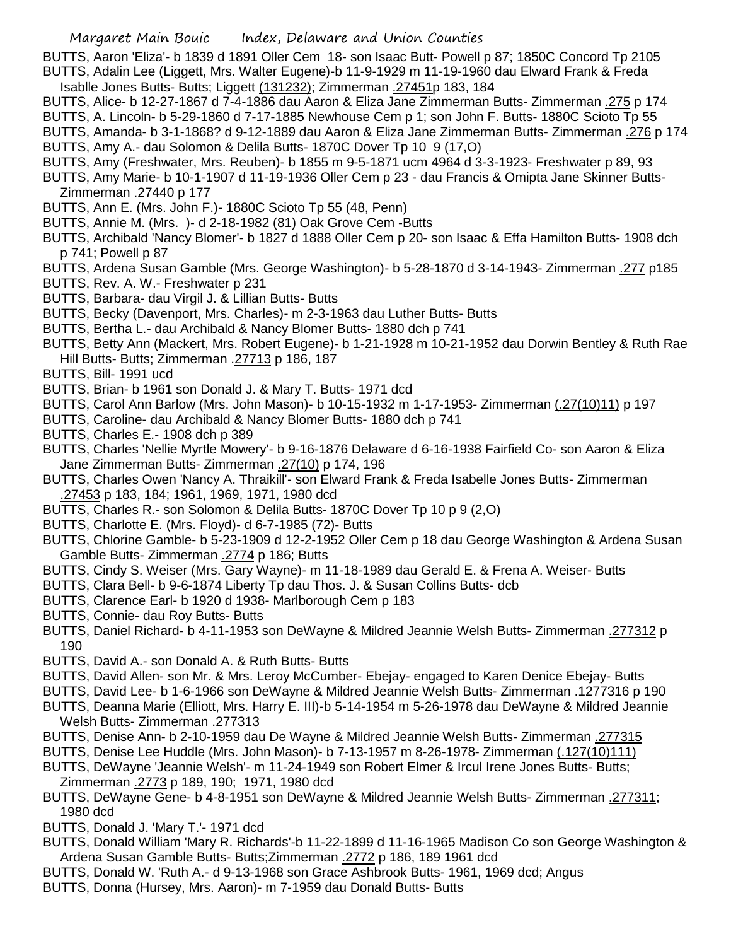BUTTS, Aaron 'Eliza'- b 1839 d 1891 Oller Cem 18- son Isaac Butt- Powell p 87; 1850C Concord Tp 2105 BUTTS, Adalin Lee (Liggett, Mrs. Walter Eugene)-b 11-9-1929 m 11-19-1960 dau Elward Frank & Freda

- Isablle Jones Butts- Butts; Liggett (131232); Zimmerman .27451p 183, 184 BUTTS, Alice- b 12-27-1867 d 7-4-1886 dau Aaron & Eliza Jane Zimmerman Butts- Zimmerman .275 p 174
- BUTTS, A. Lincoln- b 5-29-1860 d 7-17-1885 Newhouse Cem p 1; son John F. Butts- 1880C Scioto Tp 55
- BUTTS, Amanda- b 3-1-1868? d 9-12-1889 dau Aaron & Eliza Jane Zimmerman Butts- Zimmerman .276 p 174 BUTTS, Amy A.- dau Solomon & Delila Butts- 1870C Dover Tp 10 9 (17,O)
- BUTTS, Amy (Freshwater, Mrs. Reuben)- b 1855 m 9-5-1871 ucm 4964 d 3-3-1923- Freshwater p 89, 93
- BUTTS, Amy Marie- b 10-1-1907 d 11-19-1936 Oller Cem p 23 dau Francis & Omipta Jane Skinner Butts-Zimmerman .27440 p 177
- BUTTS, Ann E. (Mrs. John F.)- 1880C Scioto Tp 55 (48, Penn)
- BUTTS, Annie M. (Mrs. )- d 2-18-1982 (81) Oak Grove Cem -Butts
- BUTTS, Archibald 'Nancy Blomer'- b 1827 d 1888 Oller Cem p 20- son Isaac & Effa Hamilton Butts- 1908 dch p 741; Powell p 87
- BUTTS, Ardena Susan Gamble (Mrs. George Washington)- b 5-28-1870 d 3-14-1943- Zimmerman .277 p185
- BUTTS, Rev. A. W.- Freshwater p 231
- BUTTS, Barbara- dau Virgil J. & Lillian Butts- Butts
- BUTTS, Becky (Davenport, Mrs. Charles)- m 2-3-1963 dau Luther Butts- Butts
- BUTTS, Bertha L.- dau Archibald & Nancy Blomer Butts- 1880 dch p 741
- BUTTS, Betty Ann (Mackert, Mrs. Robert Eugene)- b 1-21-1928 m 10-21-1952 dau Dorwin Bentley & Ruth Rae Hill Butts- Butts; Zimmerman .27713 p 186, 187
- BUTTS, Bill- 1991 ucd
- BUTTS, Brian- b 1961 son Donald J. & Mary T. Butts- 1971 dcd
- BUTTS, Carol Ann Barlow (Mrs. John Mason)- b 10-15-1932 m 1-17-1953- Zimmerman (.27(10)11) p 197
- BUTTS, Caroline- dau Archibald & Nancy Blomer Butts- 1880 dch p 741
- BUTTS, Charles E.- 1908 dch p 389
- BUTTS, Charles 'Nellie Myrtle Mowery'- b 9-16-1876 Delaware d 6-16-1938 Fairfield Co- son Aaron & Eliza Jane Zimmerman Butts- Zimmerman .27(10) p 174, 196
- BUTTS, Charles Owen 'Nancy A. Thraikill'- son Elward Frank & Freda Isabelle Jones Butts- Zimmerman .27453 p 183, 184; 1961, 1969, 1971, 1980 dcd
- BUTTS, Charles R.- son Solomon & Delila Butts- 1870C Dover Tp 10 p 9 (2,O)
- BUTTS, Charlotte E. (Mrs. Floyd)- d 6-7-1985 (72)- Butts
- BUTTS, Chlorine Gamble- b 5-23-1909 d 12-2-1952 Oller Cem p 18 dau George Washington & Ardena Susan Gamble Butts- Zimmerman .2774 p 186; Butts
- BUTTS, Cindy S. Weiser (Mrs. Gary Wayne)- m 11-18-1989 dau Gerald E. & Frena A. Weiser- Butts
- BUTTS, Clara Bell- b 9-6-1874 Liberty Tp dau Thos. J. & Susan Collins Butts- dcb
- BUTTS, Clarence Earl- b 1920 d 1938- Marlborough Cem p 183
- BUTTS, Connie- dau Roy Butts- Butts
- BUTTS, Daniel Richard- b 4-11-1953 son DeWayne & Mildred Jeannie Welsh Butts- Zimmerman .277312 p 190
- BUTTS, David A.- son Donald A. & Ruth Butts- Butts
- BUTTS, David Allen- son Mr. & Mrs. Leroy McCumber- Ebejay- engaged to Karen Denice Ebejay- Butts
- BUTTS, David Lee- b 1-6-1966 son DeWayne & Mildred Jeannie Welsh Butts- Zimmerman .1277316 p 190
- BUTTS, Deanna Marie (Elliott, Mrs. Harry E. III)-b 5-14-1954 m 5-26-1978 dau DeWayne & Mildred Jeannie Welsh Butts- Zimmerman .277313
- BUTTS, Denise Ann- b 2-10-1959 dau De Wayne & Mildred Jeannie Welsh Butts- Zimmerman .277315
- BUTTS, Denise Lee Huddle (Mrs. John Mason)- b 7-13-1957 m 8-26-1978- Zimmerman (.127(10)111)
- BUTTS, DeWayne 'Jeannie Welsh'- m 11-24-1949 son Robert Elmer & Ircul Irene Jones Butts- Butts; Zimmerman .2773 p 189, 190; 1971, 1980 dcd
- BUTTS, DeWayne Gene- b 4-8-1951 son DeWayne & Mildred Jeannie Welsh Butts- Zimmerman .277311; 1980 dcd
- BUTTS, Donald J. 'Mary T.'- 1971 dcd
- BUTTS, Donald William 'Mary R. Richards'-b 11-22-1899 d 11-16-1965 Madison Co son George Washington & Ardena Susan Gamble Butts- Butts;Zimmerman .2772 p 186, 189 1961 dcd
- BUTTS, Donald W. 'Ruth A.- d 9-13-1968 son Grace Ashbrook Butts- 1961, 1969 dcd; Angus
- BUTTS, Donna (Hursey, Mrs. Aaron)- m 7-1959 dau Donald Butts- Butts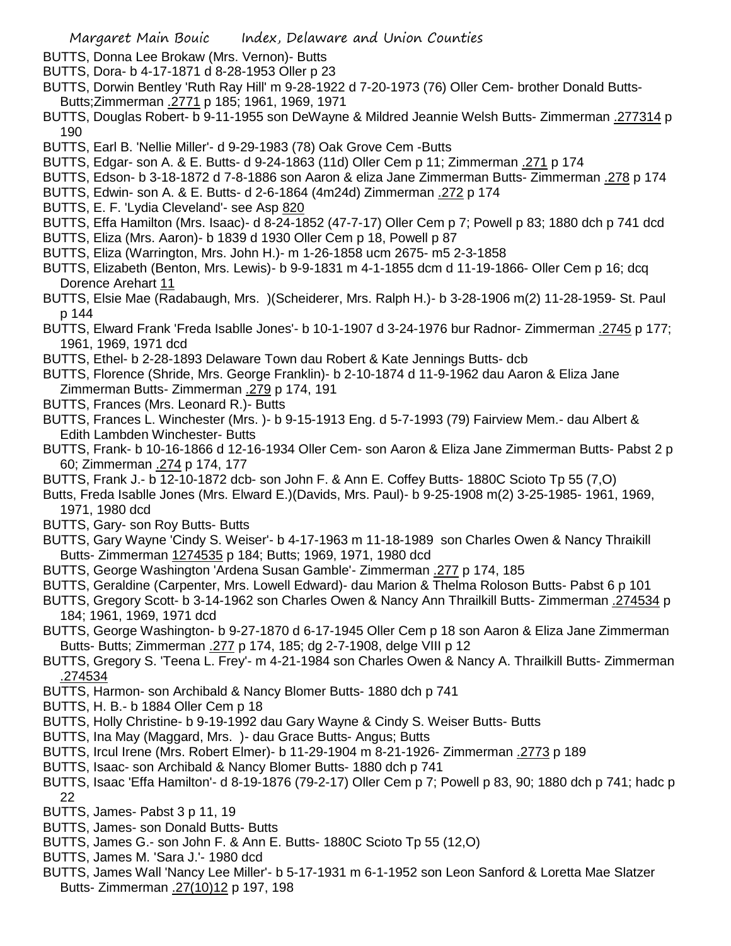- BUTTS, Donna Lee Brokaw (Mrs. Vernon)- Butts
- BUTTS, Dora- b 4-17-1871 d 8-28-1953 Oller p 23
- BUTTS, Dorwin Bentley 'Ruth Ray Hill' m 9-28-1922 d 7-20-1973 (76) Oller Cem- brother Donald Butts-Butts;Zimmerman .2771 p 185; 1961, 1969, 1971
- BUTTS, Douglas Robert- b 9-11-1955 son DeWayne & Mildred Jeannie Welsh Butts- Zimmerman .277314 p 190
- BUTTS, Earl B. 'Nellie Miller'- d 9-29-1983 (78) Oak Grove Cem -Butts
- BUTTS, Edgar- son A. & E. Butts- d 9-24-1863 (11d) Oller Cem p 11; Zimmerman .271 p 174
- BUTTS, Edson- b 3-18-1872 d 7-8-1886 son Aaron & eliza Jane Zimmerman Butts- Zimmerman .278 p 174
- BUTTS, Edwin- son A. & E. Butts- d 2-6-1864 (4m24d) Zimmerman .272 p 174
- BUTTS, E. F. 'Lydia Cleveland'- see Asp 820
- BUTTS, Effa Hamilton (Mrs. Isaac)- d 8-24-1852 (47-7-17) Oller Cem p 7; Powell p 83; 1880 dch p 741 dcd
- BUTTS, Eliza (Mrs. Aaron)- b 1839 d 1930 Oller Cem p 18, Powell p 87
- BUTTS, Eliza (Warrington, Mrs. John H.)- m 1-26-1858 ucm 2675- m5 2-3-1858
- BUTTS, Elizabeth (Benton, Mrs. Lewis)- b 9-9-1831 m 4-1-1855 dcm d 11-19-1866- Oller Cem p 16; dcq Dorence Arehart 11
- BUTTS, Elsie Mae (Radabaugh, Mrs. )(Scheiderer, Mrs. Ralph H.)- b 3-28-1906 m(2) 11-28-1959- St. Paul p 144
- BUTTS, Elward Frank 'Freda Isablle Jones'- b 10-1-1907 d 3-24-1976 bur Radnor- Zimmerman .2745 p 177; 1961, 1969, 1971 dcd
- BUTTS, Ethel- b 2-28-1893 Delaware Town dau Robert & Kate Jennings Butts- dcb
- BUTTS, Florence (Shride, Mrs. George Franklin)- b 2-10-1874 d 11-9-1962 dau Aaron & Eliza Jane Zimmerman Butts- Zimmerman .279 p 174, 191
- BUTTS, Frances (Mrs. Leonard R.)- Butts
- BUTTS, Frances L. Winchester (Mrs. )- b 9-15-1913 Eng. d 5-7-1993 (79) Fairview Mem.- dau Albert & Edith Lambden Winchester- Butts
- BUTTS, Frank- b 10-16-1866 d 12-16-1934 Oller Cem- son Aaron & Eliza Jane Zimmerman Butts- Pabst 2 p 60; Zimmerman .274 p 174, 177
- BUTTS, Frank J.- b 12-10-1872 dcb- son John F. & Ann E. Coffey Butts- 1880C Scioto Tp 55 (7,O)
- Butts, Freda Isablle Jones (Mrs. Elward E.)(Davids, Mrs. Paul)- b 9-25-1908 m(2) 3-25-1985- 1961, 1969, 1971, 1980 dcd
- BUTTS, Gary- son Roy Butts- Butts
- BUTTS, Gary Wayne 'Cindy S. Weiser'- b 4-17-1963 m 11-18-1989 son Charles Owen & Nancy Thraikill Butts- Zimmerman 1274535 p 184; Butts; 1969, 1971, 1980 dcd
- BUTTS, George Washington 'Ardena Susan Gamble'- Zimmerman .277 p 174, 185
- BUTTS, Geraldine (Carpenter, Mrs. Lowell Edward)- dau Marion & Thelma Roloson Butts- Pabst 6 p 101
- BUTTS, Gregory Scott- b 3-14-1962 son Charles Owen & Nancy Ann Thrailkill Butts- Zimmerman .274534 p 184; 1961, 1969, 1971 dcd
- BUTTS, George Washington- b 9-27-1870 d 6-17-1945 Oller Cem p 18 son Aaron & Eliza Jane Zimmerman Butts- Butts; Zimmerman .277 p 174, 185; dg 2-7-1908, delge VIII p 12
- BUTTS, Gregory S. 'Teena L. Frey'- m 4-21-1984 son Charles Owen & Nancy A. Thrailkill Butts- Zimmerman .274534
- BUTTS, Harmon- son Archibald & Nancy Blomer Butts- 1880 dch p 741
- BUTTS, H. B.- b 1884 Oller Cem p 18
- BUTTS, Holly Christine- b 9-19-1992 dau Gary Wayne & Cindy S. Weiser Butts- Butts
- BUTTS, Ina May (Maggard, Mrs. )- dau Grace Butts- Angus; Butts
- BUTTS, Ircul Irene (Mrs. Robert Elmer)- b 11-29-1904 m 8-21-1926- Zimmerman .2773 p 189
- BUTTS, Isaac- son Archibald & Nancy Blomer Butts- 1880 dch p 741
- BUTTS, Isaac 'Effa Hamilton'- d 8-19-1876 (79-2-17) Oller Cem p 7; Powell p 83, 90; 1880 dch p 741; hadc p 22
- BUTTS, James- Pabst 3 p 11, 19
- BUTTS, James- son Donald Butts- Butts
- BUTTS, James G.- son John F. & Ann E. Butts- 1880C Scioto Tp 55 (12,O)
- BUTTS, James M. 'Sara J.'- 1980 dcd
- BUTTS, James Wall 'Nancy Lee Miller'- b 5-17-1931 m 6-1-1952 son Leon Sanford & Loretta Mae Slatzer Butts- Zimmerman .27(10)12 p 197, 198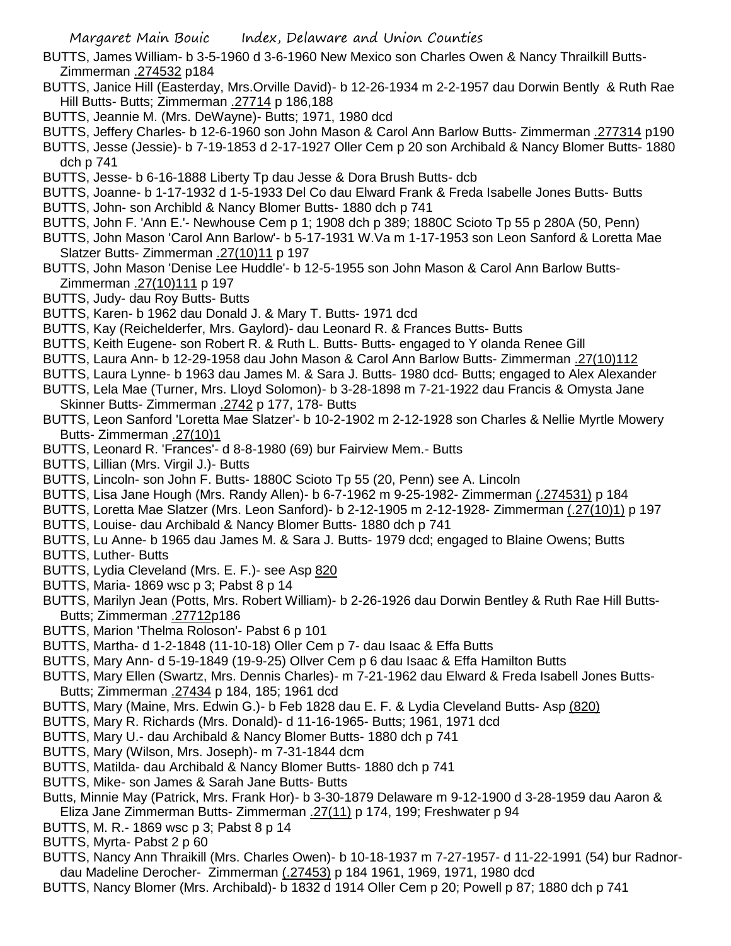- BUTTS, James William- b 3-5-1960 d 3-6-1960 New Mexico son Charles Owen & Nancy Thrailkill Butts-Zimmerman .274532 p184
- BUTTS, Janice Hill (Easterday, Mrs.Orville David)- b 12-26-1934 m 2-2-1957 dau Dorwin Bently & Ruth Rae Hill Butts- Butts; Zimmerman .27714 p 186,188
- BUTTS, Jeannie M. (Mrs. DeWayne)- Butts; 1971, 1980 dcd
- BUTTS, Jeffery Charles- b 12-6-1960 son John Mason & Carol Ann Barlow Butts- Zimmerman .277314 p190
- BUTTS, Jesse (Jessie)- b 7-19-1853 d 2-17-1927 Oller Cem p 20 son Archibald & Nancy Blomer Butts- 1880 dch p 741
- BUTTS, Jesse- b 6-16-1888 Liberty Tp dau Jesse & Dora Brush Butts- dcb
- BUTTS, Joanne- b 1-17-1932 d 1-5-1933 Del Co dau Elward Frank & Freda Isabelle Jones Butts- Butts BUTTS, John- son Archibld & Nancy Blomer Butts- 1880 dch p 741
- BUTTS, John F. 'Ann E.'- Newhouse Cem p 1; 1908 dch p 389; 1880C Scioto Tp 55 p 280A (50, Penn)
- BUTTS, John Mason 'Carol Ann Barlow'- b 5-17-1931 W.Va m 1-17-1953 son Leon Sanford & Loretta Mae Slatzer Butts- Zimmerman .27(10)11 p 197
- BUTTS, John Mason 'Denise Lee Huddle'- b 12-5-1955 son John Mason & Carol Ann Barlow Butts-Zimmerman .27(10)111 p 197
- BUTTS, Judy- dau Roy Butts- Butts
- BUTTS, Karen- b 1962 dau Donald J. & Mary T. Butts- 1971 dcd
- BUTTS, Kay (Reichelderfer, Mrs. Gaylord)- dau Leonard R. & Frances Butts- Butts
- BUTTS, Keith Eugene- son Robert R. & Ruth L. Butts- Butts- engaged to Y olanda Renee Gill
- BUTTS, Laura Ann- b 12-29-1958 dau John Mason & Carol Ann Barlow Butts- Zimmerman .27(10)112
- BUTTS, Laura Lynne- b 1963 dau James M. & Sara J. Butts- 1980 dcd- Butts; engaged to Alex Alexander
- BUTTS, Lela Mae (Turner, Mrs. Lloyd Solomon)- b 3-28-1898 m 7-21-1922 dau Francis & Omysta Jane Skinner Butts- Zimmerman .2742 p 177, 178- Butts
- BUTTS, Leon Sanford 'Loretta Mae Slatzer'- b 10-2-1902 m 2-12-1928 son Charles & Nellie Myrtle Mowery Butts- Zimmerman .27(10)1
- BUTTS, Leonard R. 'Frances'- d 8-8-1980 (69) bur Fairview Mem.- Butts
- BUTTS, Lillian (Mrs. Virgil J.)- Butts
- BUTTS, Lincoln- son John F. Butts- 1880C Scioto Tp 55 (20, Penn) see A. Lincoln
- BUTTS, Lisa Jane Hough (Mrs. Randy Allen)- b 6-7-1962 m 9-25-1982- Zimmerman (.274531) p 184
- BUTTS, Loretta Mae Slatzer (Mrs. Leon Sanford)- b 2-12-1905 m 2-12-1928- Zimmerman (.27(10)1) p 197
- BUTTS, Louise- dau Archibald & Nancy Blomer Butts- 1880 dch p 741
- BUTTS, Lu Anne- b 1965 dau James M. & Sara J. Butts- 1979 dcd; engaged to Blaine Owens; Butts
- BUTTS, Luther- Butts
- BUTTS, Lydia Cleveland (Mrs. E. F.)- see Asp 820
- BUTTS, Maria- 1869 wsc p 3; Pabst 8 p 14
- BUTTS, Marilyn Jean (Potts, Mrs. Robert William)- b 2-26-1926 dau Dorwin Bentley & Ruth Rae Hill Butts-Butts; Zimmerman .27712p186
- BUTTS, Marion 'Thelma Roloson'- Pabst 6 p 101
- BUTTS, Martha- d 1-2-1848 (11-10-18) Oller Cem p 7- dau Isaac & Effa Butts
- BUTTS, Mary Ann- d 5-19-1849 (19-9-25) Ollver Cem p 6 dau Isaac & Effa Hamilton Butts
- BUTTS, Mary Ellen (Swartz, Mrs. Dennis Charles)- m 7-21-1962 dau Elward & Freda Isabell Jones Butts-Butts; Zimmerman .27434 p 184, 185; 1961 dcd
- BUTTS, Mary (Maine, Mrs. Edwin G.)- b Feb 1828 dau E. F. & Lydia Cleveland Butts- Asp (820)
- BUTTS, Mary R. Richards (Mrs. Donald)- d 11-16-1965- Butts; 1961, 1971 dcd
- BUTTS, Mary U.- dau Archibald & Nancy Blomer Butts- 1880 dch p 741
- BUTTS, Mary (Wilson, Mrs. Joseph)- m 7-31-1844 dcm
- BUTTS, Matilda- dau Archibald & Nancy Blomer Butts- 1880 dch p 741
- BUTTS, Mike- son James & Sarah Jane Butts- Butts
- Butts, Minnie May (Patrick, Mrs. Frank Hor)- b 3-30-1879 Delaware m 9-12-1900 d 3-28-1959 dau Aaron & Eliza Jane Zimmerman Butts- Zimmerman .27(11) p 174, 199; Freshwater p 94
- BUTTS, M. R.- 1869 wsc p 3; Pabst 8 p 14
- BUTTS, Myrta- Pabst 2 p 60
- BUTTS, Nancy Ann Thraikill (Mrs. Charles Owen)- b 10-18-1937 m 7-27-1957- d 11-22-1991 (54) bur Radnordau Madeline Derocher- Zimmerman (.27453) p 184 1961, 1969, 1971, 1980 dcd
- BUTTS, Nancy Blomer (Mrs. Archibald)- b 1832 d 1914 Oller Cem p 20; Powell p 87; 1880 dch p 741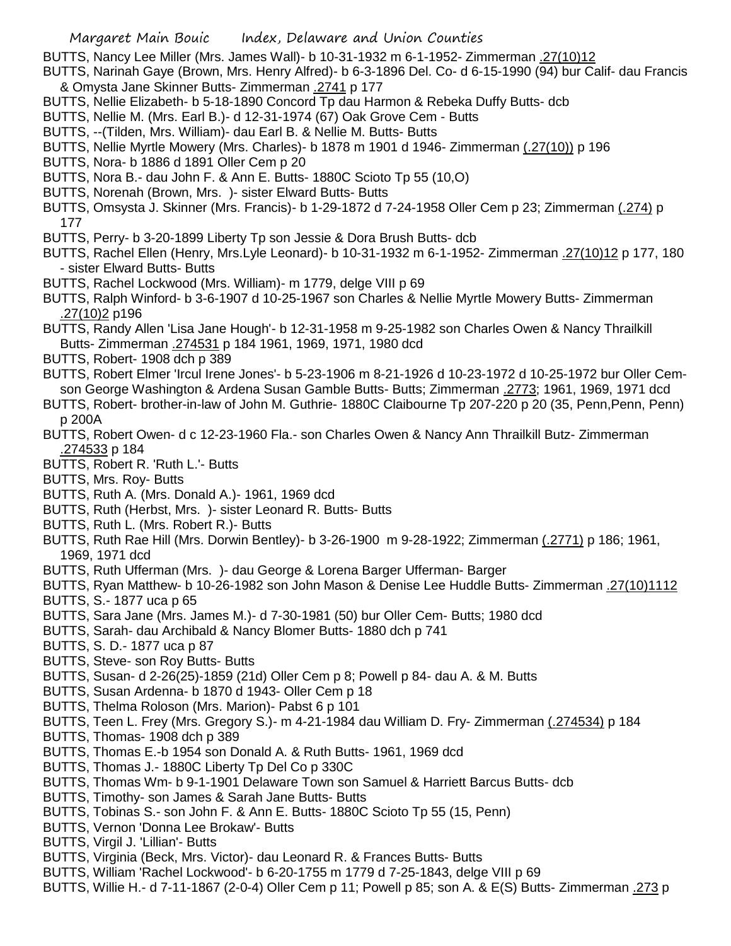- BUTTS, Nancy Lee Miller (Mrs. James Wall)- b 10-31-1932 m 6-1-1952- Zimmerman .27(10)12
- BUTTS, Narinah Gaye (Brown, Mrs. Henry Alfred)- b 6-3-1896 Del. Co- d 6-15-1990 (94) bur Calif- dau Francis & Omysta Jane Skinner Butts- Zimmerman .2741 p 177
- BUTTS, Nellie Elizabeth- b 5-18-1890 Concord Tp dau Harmon & Rebeka Duffy Butts- dcb
- BUTTS, Nellie M. (Mrs. Earl B.)- d 12-31-1974 (67) Oak Grove Cem Butts
- BUTTS, --(Tilden, Mrs. William)- dau Earl B. & Nellie M. Butts- Butts
- BUTTS, Nellie Myrtle Mowery (Mrs. Charles)- b 1878 m 1901 d 1946- Zimmerman (.27(10)) p 196
- BUTTS, Nora- b 1886 d 1891 Oller Cem p 20
- BUTTS, Nora B.- dau John F. & Ann E. Butts- 1880C Scioto Tp 55 (10,O)
- BUTTS, Norenah (Brown, Mrs. )- sister Elward Butts- Butts
- BUTTS, Omsysta J. Skinner (Mrs. Francis)- b 1-29-1872 d 7-24-1958 Oller Cem p 23; Zimmerman (.274) p 177
- BUTTS, Perry- b 3-20-1899 Liberty Tp son Jessie & Dora Brush Butts- dcb
- BUTTS, Rachel Ellen (Henry, Mrs.Lyle Leonard)- b 10-31-1932 m 6-1-1952- Zimmerman .27(10)12 p 177, 180 - sister Elward Butts- Butts
- BUTTS, Rachel Lockwood (Mrs. William)- m 1779, delge VIII p 69
- BUTTS, Ralph Winford- b 3-6-1907 d 10-25-1967 son Charles & Nellie Myrtle Mowery Butts- Zimmerman .27(10)2 p196
- BUTTS, Randy Allen 'Lisa Jane Hough'- b 12-31-1958 m 9-25-1982 son Charles Owen & Nancy Thrailkill Butts- Zimmerman .274531 p 184 1961, 1969, 1971, 1980 dcd
- BUTTS, Robert- 1908 dch p 389
- BUTTS, Robert Elmer 'Ircul Irene Jones'- b 5-23-1906 m 8-21-1926 d 10-23-1972 d 10-25-1972 bur Oller Cemson George Washington & Ardena Susan Gamble Butts- Butts; Zimmerman .2773; 1961, 1969, 1971 dcd
- BUTTS, Robert- brother-in-law of John M. Guthrie- 1880C Claibourne Tp 207-220 p 20 (35, Penn,Penn, Penn) p 200A
- BUTTS, Robert Owen- d c 12-23-1960 Fla.- son Charles Owen & Nancy Ann Thrailkill Butz- Zimmerman .274533 p 184
- BUTTS, Robert R. 'Ruth L.'- Butts
- BUTTS, Mrs. Roy- Butts
- BUTTS, Ruth A. (Mrs. Donald A.)- 1961, 1969 dcd
- BUTTS, Ruth (Herbst, Mrs. )- sister Leonard R. Butts- Butts
- BUTTS, Ruth L. (Mrs. Robert R.)- Butts
- BUTTS, Ruth Rae Hill (Mrs. Dorwin Bentley)- b 3-26-1900 m 9-28-1922; Zimmerman (.2771) p 186; 1961, 1969, 1971 dcd
- BUTTS, Ruth Ufferman (Mrs. )- dau George & Lorena Barger Ufferman- Barger
- BUTTS, Ryan Matthew- b 10-26-1982 son John Mason & Denise Lee Huddle Butts- Zimmerman .27(10)1112 BUTTS, S.- 1877 uca p 65
- BUTTS, Sara Jane (Mrs. James M.)- d 7-30-1981 (50) bur Oller Cem- Butts; 1980 dcd
- BUTTS, Sarah- dau Archibald & Nancy Blomer Butts- 1880 dch p 741
- BUTTS, S. D.- 1877 uca p 87
- BUTTS, Steve- son Roy Butts- Butts
- BUTTS, Susan- d 2-26(25)-1859 (21d) Oller Cem p 8; Powell p 84- dau A. & M. Butts
- BUTTS, Susan Ardenna- b 1870 d 1943- Oller Cem p 18
- BUTTS, Thelma Roloson (Mrs. Marion)- Pabst 6 p 101
- BUTTS, Teen L. Frey (Mrs. Gregory S.)- m 4-21-1984 dau William D. Fry- Zimmerman (.274534) p 184
- BUTTS, Thomas- 1908 dch p 389
- BUTTS, Thomas E.-b 1954 son Donald A. & Ruth Butts- 1961, 1969 dcd
- BUTTS, Thomas J.- 1880C Liberty Tp Del Co p 330C
- BUTTS, Thomas Wm- b 9-1-1901 Delaware Town son Samuel & Harriett Barcus Butts- dcb
- BUTTS, Timothy- son James & Sarah Jane Butts- Butts
- BUTTS, Tobinas S.- son John F. & Ann E. Butts- 1880C Scioto Tp 55 (15, Penn)
- BUTTS, Vernon 'Donna Lee Brokaw'- Butts
- BUTTS, Virgil J. 'Lillian'- Butts
- BUTTS, Virginia (Beck, Mrs. Victor)- dau Leonard R. & Frances Butts- Butts
- BUTTS, William 'Rachel Lockwood'- b 6-20-1755 m 1779 d 7-25-1843, delge VIII p 69
- BUTTS, Willie H.- d 7-11-1867 (2-0-4) Oller Cem p 11; Powell p 85; son A. & E(S) Butts- Zimmerman .273 p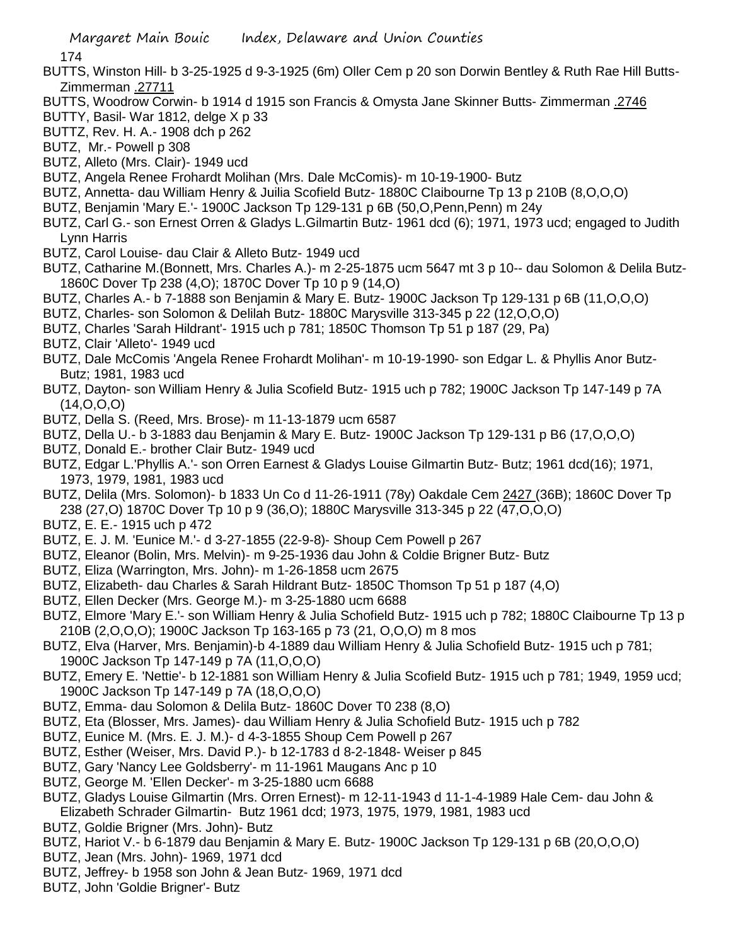174

- BUTTS, Winston Hill- b 3-25-1925 d 9-3-1925 (6m) Oller Cem p 20 son Dorwin Bentley & Ruth Rae Hill Butts-Zimmerman .27711
- BUTTS, Woodrow Corwin- b 1914 d 1915 son Francis & Omysta Jane Skinner Butts- Zimmerman .2746
- BUTTY, Basil- War 1812, delge X p 33
- BUTTZ, Rev. H. A.- 1908 dch p 262
- BUTZ, Mr.- Powell p 308
- BUTZ, Alleto (Mrs. Clair)- 1949 ucd
- BUTZ, Angela Renee Frohardt Molihan (Mrs. Dale McComis)- m 10-19-1900- Butz
- BUTZ, Annetta- dau William Henry & Juilia Scofield Butz- 1880C Claibourne Tp 13 p 210B (8,O,O,O)
- BUTZ, Benjamin 'Mary E.'- 1900C Jackson Tp 129-131 p 6B (50,O,Penn,Penn) m 24y
- BUTZ, Carl G.- son Ernest Orren & Gladys L.Gilmartin Butz- 1961 dcd (6); 1971, 1973 ucd; engaged to Judith Lynn Harris
- BUTZ, Carol Louise- dau Clair & Alleto Butz- 1949 ucd
- BUTZ, Catharine M.(Bonnett, Mrs. Charles A.)- m 2-25-1875 ucm 5647 mt 3 p 10-- dau Solomon & Delila Butz-1860C Dover Tp 238 (4,O); 1870C Dover Tp 10 p 9 (14,O)
- BUTZ, Charles A.- b 7-1888 son Benjamin & Mary E. Butz- 1900C Jackson Tp 129-131 p 6B (11,O,O,O)
- BUTZ, Charles- son Solomon & Delilah Butz- 1880C Marysville 313-345 p 22 (12,O,O,O)
- BUTZ, Charles 'Sarah Hildrant'- 1915 uch p 781; 1850C Thomson Tp 51 p 187 (29, Pa)
- BUTZ, Clair 'Alleto'- 1949 ucd
- BUTZ, Dale McComis 'Angela Renee Frohardt Molihan'- m 10-19-1990- son Edgar L. & Phyllis Anor Butz-Butz; 1981, 1983 ucd
- BUTZ, Dayton- son William Henry & Julia Scofield Butz- 1915 uch p 782; 1900C Jackson Tp 147-149 p 7A (14,O,O,O)
- BUTZ, Della S. (Reed, Mrs. Brose)- m 11-13-1879 ucm 6587
- BUTZ, Della U.- b 3-1883 dau Benjamin & Mary E. Butz- 1900C Jackson Tp 129-131 p B6 (17,O,O,O)
- BUTZ, Donald E.- brother Clair Butz- 1949 ucd
- BUTZ, Edgar L.'Phyllis A.'- son Orren Earnest & Gladys Louise Gilmartin Butz- Butz; 1961 dcd(16); 1971, 1973, 1979, 1981, 1983 ucd
- BUTZ, Delila (Mrs. Solomon)- b 1833 Un Co d 11-26-1911 (78y) Oakdale Cem 2427 (36B); 1860C Dover Tp 238 (27,O) 1870C Dover Tp 10 p 9 (36,O); 1880C Marysville 313-345 p 22 (47,O,O,O)
- BUTZ, E. E.- 1915 uch p 472
- BUTZ, E. J. M. 'Eunice M.'- d 3-27-1855 (22-9-8)- Shoup Cem Powell p 267
- BUTZ, Eleanor (Bolin, Mrs. Melvin)- m 9-25-1936 dau John & Coldie Brigner Butz- Butz
- BUTZ, Eliza (Warrington, Mrs. John)- m 1-26-1858 ucm 2675
- BUTZ, Elizabeth- dau Charles & Sarah Hildrant Butz- 1850C Thomson Tp 51 p 187 (4,O)
- BUTZ, Ellen Decker (Mrs. George M.)- m 3-25-1880 ucm 6688
- BUTZ, Elmore 'Mary E.'- son William Henry & Julia Schofield Butz- 1915 uch p 782; 1880C Claibourne Tp 13 p 210B (2,O,O,O); 1900C Jackson Tp 163-165 p 73 (21, O,O,O) m 8 mos
- BUTZ, Elva (Harver, Mrs. Benjamin)-b 4-1889 dau William Henry & Julia Schofield Butz- 1915 uch p 781; 1900C Jackson Tp 147-149 p 7A (11,O,O,O)
- BUTZ, Emery E. 'Nettie'- b 12-1881 son William Henry & Julia Scofield Butz- 1915 uch p 781; 1949, 1959 ucd; 1900C Jackson Tp 147-149 p 7A (18,O,O,O)
- BUTZ, Emma- dau Solomon & Delila Butz- 1860C Dover T0 238 (8,O)
- BUTZ, Eta (Blosser, Mrs. James)- dau William Henry & Julia Schofield Butz- 1915 uch p 782
- BUTZ, Eunice M. (Mrs. E. J. M.)- d 4-3-1855 Shoup Cem Powell p 267
- BUTZ, Esther (Weiser, Mrs. David P.)- b 12-1783 d 8-2-1848- Weiser p 845
- BUTZ, Gary 'Nancy Lee Goldsberry'- m 11-1961 Maugans Anc p 10
- BUTZ, George M. 'Ellen Decker'- m 3-25-1880 ucm 6688
- BUTZ, Gladys Louise Gilmartin (Mrs. Orren Ernest)- m 12-11-1943 d 11-1-4-1989 Hale Cem- dau John & Elizabeth Schrader Gilmartin- Butz 1961 dcd; 1973, 1975, 1979, 1981, 1983 ucd
- BUTZ, Goldie Brigner (Mrs. John)- Butz
- BUTZ, Hariot V.- b 6-1879 dau Benjamin & Mary E. Butz- 1900C Jackson Tp 129-131 p 6B (20,O,O,O)
- BUTZ, Jean (Mrs. John)- 1969, 1971 dcd
- BUTZ, Jeffrey- b 1958 son John & Jean Butz- 1969, 1971 dcd
- BUTZ, John 'Goldie Brigner'- Butz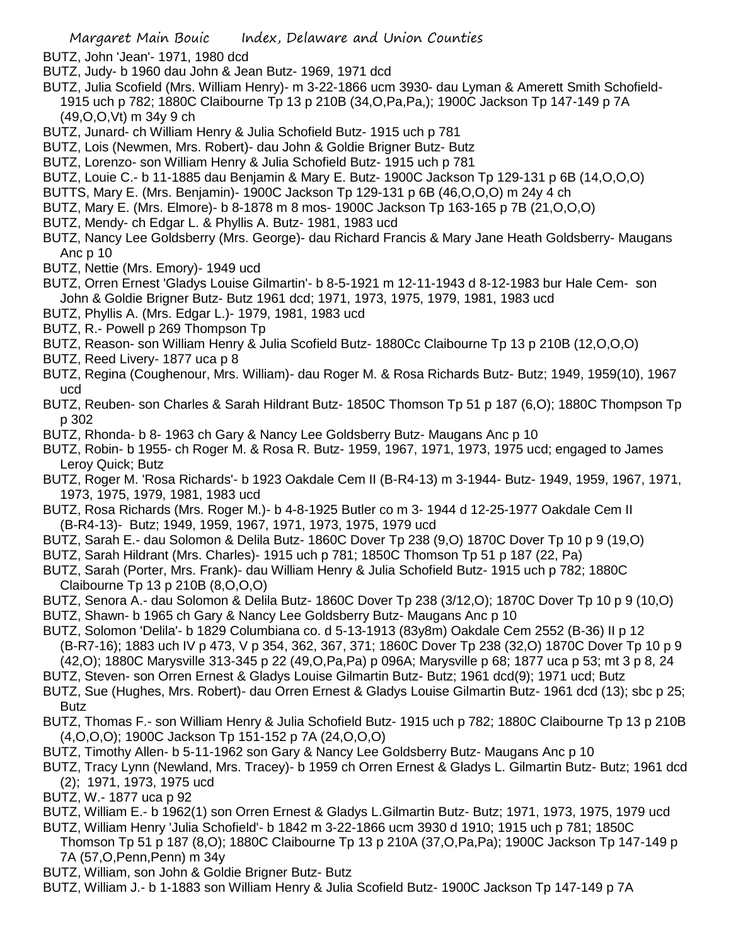- BUTZ, John 'Jean'- 1971, 1980 dcd
- BUTZ, Judy- b 1960 dau John & Jean Butz- 1969, 1971 dcd
- BUTZ, Julia Scofield (Mrs. William Henry)- m 3-22-1866 ucm 3930- dau Lyman & Amerett Smith Schofield-1915 uch p 782; 1880C Claibourne Tp 13 p 210B (34,O,Pa,Pa,); 1900C Jackson Tp 147-149 p 7A (49,O,O,Vt) m 34y 9 ch
- BUTZ, Junard- ch William Henry & Julia Schofield Butz- 1915 uch p 781
- BUTZ, Lois (Newmen, Mrs. Robert)- dau John & Goldie Brigner Butz- Butz
- BUTZ, Lorenzo- son William Henry & Julia Schofield Butz- 1915 uch p 781
- BUTZ, Louie C.- b 11-1885 dau Benjamin & Mary E. Butz- 1900C Jackson Tp 129-131 p 6B (14,O,O,O)
- BUTTS, Mary E. (Mrs. Benjamin)- 1900C Jackson Tp 129-131 p 6B (46,O,O,O) m 24y 4 ch
- BUTZ, Mary E. (Mrs. Elmore)- b 8-1878 m 8 mos- 1900C Jackson Tp 163-165 p 7B (21,O,O,O)
- BUTZ, Mendy- ch Edgar L. & Phyllis A. Butz- 1981, 1983 ucd
- BUTZ, Nancy Lee Goldsberry (Mrs. George)- dau Richard Francis & Mary Jane Heath Goldsberry- Maugans Anc p 10
- BUTZ, Nettie (Mrs. Emory)- 1949 ucd
- BUTZ, Orren Ernest 'Gladys Louise Gilmartin'- b 8-5-1921 m 12-11-1943 d 8-12-1983 bur Hale Cem- son John & Goldie Brigner Butz- Butz 1961 dcd; 1971, 1973, 1975, 1979, 1981, 1983 ucd
- BUTZ, Phyllis A. (Mrs. Edgar L.)- 1979, 1981, 1983 ucd
- BUTZ, R.- Powell p 269 Thompson Tp
- BUTZ, Reason- son William Henry & Julia Scofield Butz- 1880Cc Claibourne Tp 13 p 210B (12,O,O,O)
- BUTZ, Reed Livery- 1877 uca p 8
- BUTZ, Regina (Coughenour, Mrs. William)- dau Roger M. & Rosa Richards Butz- Butz; 1949, 1959(10), 1967 ucd
- BUTZ, Reuben- son Charles & Sarah Hildrant Butz- 1850C Thomson Tp 51 p 187 (6,O); 1880C Thompson Tp p 302
- BUTZ, Rhonda- b 8- 1963 ch Gary & Nancy Lee Goldsberry Butz- Maugans Anc p 10
- BUTZ, Robin- b 1955- ch Roger M. & Rosa R. Butz- 1959, 1967, 1971, 1973, 1975 ucd; engaged to James Leroy Quick; Butz
- BUTZ, Roger M. 'Rosa Richards'- b 1923 Oakdale Cem II (B-R4-13) m 3-1944- Butz- 1949, 1959, 1967, 1971, 1973, 1975, 1979, 1981, 1983 ucd
- BUTZ, Rosa Richards (Mrs. Roger M.)- b 4-8-1925 Butler co m 3- 1944 d 12-25-1977 Oakdale Cem II (B-R4-13)- Butz; 1949, 1959, 1967, 1971, 1973, 1975, 1979 ucd
- BUTZ, Sarah E.- dau Solomon & Delila Butz- 1860C Dover Tp 238 (9,O) 1870C Dover Tp 10 p 9 (19,O)
- BUTZ, Sarah Hildrant (Mrs. Charles)- 1915 uch p 781; 1850C Thomson Tp 51 p 187 (22, Pa)
- BUTZ, Sarah (Porter, Mrs. Frank)- dau William Henry & Julia Schofield Butz- 1915 uch p 782; 1880C Claibourne Tp 13 p 210B (8,O,O,O)
- BUTZ, Senora A.- dau Solomon & Delila Butz- 1860C Dover Tp 238 (3/12,O); 1870C Dover Tp 10 p 9 (10,O)
- BUTZ, Shawn- b 1965 ch Gary & Nancy Lee Goldsberry Butz- Maugans Anc p 10
- BUTZ, Solomon 'Delila'- b 1829 Columbiana co. d 5-13-1913 (83y8m) Oakdale Cem 2552 (B-36) II p 12 (B-R7-16); 1883 uch IV p 473, V p 354, 362, 367, 371; 1860C Dover Tp 238 (32,O) 1870C Dover Tp 10 p 9 (42,O); 1880C Marysville 313-345 p 22 (49,O,Pa,Pa) p 096A; Marysville p 68; 1877 uca p 53; mt 3 p 8, 24
- BUTZ, Steven- son Orren Ernest & Gladys Louise Gilmartin Butz- Butz; 1961 dcd(9); 1971 ucd; Butz
- BUTZ, Sue (Hughes, Mrs. Robert)- dau Orren Ernest & Gladys Louise Gilmartin Butz- 1961 dcd (13); sbc p 25;
- Butz BUTZ, Thomas F.- son William Henry & Julia Schofield Butz- 1915 uch p 782; 1880C Claibourne Tp 13 p 210B (4,O,O,O); 1900C Jackson Tp 151-152 p 7A (24,O,O,O)
- BUTZ, Timothy Allen- b 5-11-1962 son Gary & Nancy Lee Goldsberry Butz- Maugans Anc p 10
- BUTZ, Tracy Lynn (Newland, Mrs. Tracey)- b 1959 ch Orren Ernest & Gladys L. Gilmartin Butz- Butz; 1961 dcd (2); 1971, 1973, 1975 ucd
- BUTZ, W.- 1877 uca p 92
- BUTZ, William E.- b 1962(1) son Orren Ernest & Gladys L.Gilmartin Butz- Butz; 1971, 1973, 1975, 1979 ucd
- BUTZ, William Henry 'Julia Schofield'- b 1842 m 3-22-1866 ucm 3930 d 1910; 1915 uch p 781; 1850C Thomson Tp 51 p 187 (8,O); 1880C Claibourne Tp 13 p 210A (37,O,Pa,Pa); 1900C Jackson Tp 147-149 p 7A (57,O,Penn,Penn) m 34y
- BUTZ, William, son John & Goldie Brigner Butz- Butz
- BUTZ, William J.- b 1-1883 son William Henry & Julia Scofield Butz- 1900C Jackson Tp 147-149 p 7A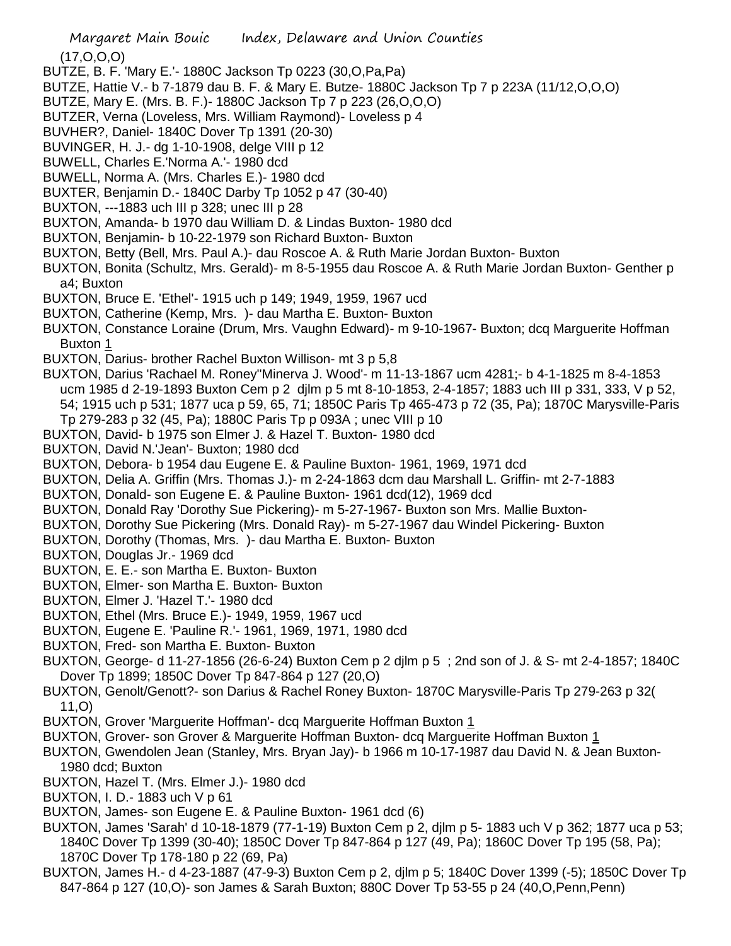(17,O,O,O)

- BUTZE, B. F. 'Mary E.'- 1880C Jackson Tp 0223 (30,O,Pa,Pa)
- BUTZE, Hattie V.- b 7-1879 dau B. F. & Mary E. Butze- 1880C Jackson Tp 7 p 223A (11/12,O,O,O)
- BUTZE, Mary E. (Mrs. B. F.)- 1880C Jackson Tp 7 p 223 (26,O,O,O)
- BUTZER, Verna (Loveless, Mrs. William Raymond)- Loveless p 4
- BUVHER?, Daniel- 1840C Dover Tp 1391 (20-30)
- BUVINGER, H. J.- dg 1-10-1908, delge VIII p 12
- BUWELL, Charles E.'Norma A.'- 1980 dcd
- BUWELL, Norma A. (Mrs. Charles E.)- 1980 dcd
- BUXTER, Benjamin D.- 1840C Darby Tp 1052 p 47 (30-40)
- BUXTON, ---1883 uch III p 328; unec III p 28
- BUXTON, Amanda- b 1970 dau William D. & Lindas Buxton- 1980 dcd
- BUXTON, Benjamin- b 10-22-1979 son Richard Buxton- Buxton
- BUXTON, Betty (Bell, Mrs. Paul A.)- dau Roscoe A. & Ruth Marie Jordan Buxton- Buxton
- BUXTON, Bonita (Schultz, Mrs. Gerald)- m 8-5-1955 dau Roscoe A. & Ruth Marie Jordan Buxton- Genther p a4; Buxton
- BUXTON, Bruce E. 'Ethel'- 1915 uch p 149; 1949, 1959, 1967 ucd
- BUXTON, Catherine (Kemp, Mrs. )- dau Martha E. Buxton- Buxton
- BUXTON, Constance Loraine (Drum, Mrs. Vaughn Edward)- m 9-10-1967- Buxton; dcq Marguerite Hoffman Buxton 1
- BUXTON, Darius- brother Rachel Buxton Willison- mt 3 p 5,8
- BUXTON, Darius 'Rachael M. Roney''Minerva J. Wood'- m 11-13-1867 ucm 4281;- b 4-1-1825 m 8-4-1853
	- ucm 1985 d 2-19-1893 Buxton Cem p 2 djlm p 5 mt 8-10-1853, 2-4-1857; 1883 uch III p 331, 333, V p 52, 54; 1915 uch p 531; 1877 uca p 59, 65, 71; 1850C Paris Tp 465-473 p 72 (35, Pa); 1870C Marysville-Paris Tp 279-283 p 32 (45, Pa); 1880C Paris Tp p 093A ; unec VIII p 10
- BUXTON, David- b 1975 son Elmer J. & Hazel T. Buxton- 1980 dcd
- BUXTON, David N.'Jean'- Buxton; 1980 dcd
- BUXTON, Debora- b 1954 dau Eugene E. & Pauline Buxton- 1961, 1969, 1971 dcd
- BUXTON, Delia A. Griffin (Mrs. Thomas J.)- m 2-24-1863 dcm dau Marshall L. Griffin- mt 2-7-1883
- BUXTON, Donald- son Eugene E. & Pauline Buxton- 1961 dcd(12), 1969 dcd
- BUXTON, Donald Ray 'Dorothy Sue Pickering)- m 5-27-1967- Buxton son Mrs. Mallie Buxton-
- BUXTON, Dorothy Sue Pickering (Mrs. Donald Ray)- m 5-27-1967 dau Windel Pickering- Buxton
- BUXTON, Dorothy (Thomas, Mrs. )- dau Martha E. Buxton- Buxton
- BUXTON, Douglas Jr.- 1969 dcd
- BUXTON, E. E.- son Martha E. Buxton- Buxton
- BUXTON, Elmer- son Martha E. Buxton- Buxton
- BUXTON, Elmer J. 'Hazel T.'- 1980 dcd
- BUXTON, Ethel (Mrs. Bruce E.)- 1949, 1959, 1967 ucd
- BUXTON, Eugene E. 'Pauline R.'- 1961, 1969, 1971, 1980 dcd
- BUXTON, Fred- son Martha E. Buxton- Buxton
- BUXTON, George- d 11-27-1856 (26-6-24) Buxton Cem p 2 djlm p 5 ; 2nd son of J. & S- mt 2-4-1857; 1840C Dover Tp 1899; 1850C Dover Tp 847-864 p 127 (20,O)
- BUXTON, Genolt/Genott?- son Darius & Rachel Roney Buxton- 1870C Marysville-Paris Tp 279-263 p 32( 11,O)
- BUXTON, Grover 'Marguerite Hoffman'- dcq Marguerite Hoffman Buxton 1
- BUXTON, Grover- son Grover & Marguerite Hoffman Buxton- dcq Marguerite Hoffman Buxton 1
- BUXTON, Gwendolen Jean (Stanley, Mrs. Bryan Jay)- b 1966 m 10-17-1987 dau David N. & Jean Buxton-1980 dcd; Buxton
- BUXTON, Hazel T. (Mrs. Elmer J.)- 1980 dcd
- BUXTON, I. D.- 1883 uch V p 61
- BUXTON, James- son Eugene E. & Pauline Buxton- 1961 dcd (6)
- BUXTON, James 'Sarah' d 10-18-1879 (77-1-19) Buxton Cem p 2, djlm p 5- 1883 uch V p 362; 1877 uca p 53; 1840C Dover Tp 1399 (30-40); 1850C Dover Tp 847-864 p 127 (49, Pa); 1860C Dover Tp 195 (58, Pa); 1870C Dover Tp 178-180 p 22 (69, Pa)
- BUXTON, James H.- d 4-23-1887 (47-9-3) Buxton Cem p 2, djlm p 5; 1840C Dover 1399 (-5); 1850C Dover Tp 847-864 p 127 (10,O)- son James & Sarah Buxton; 880C Dover Tp 53-55 p 24 (40,O,Penn,Penn)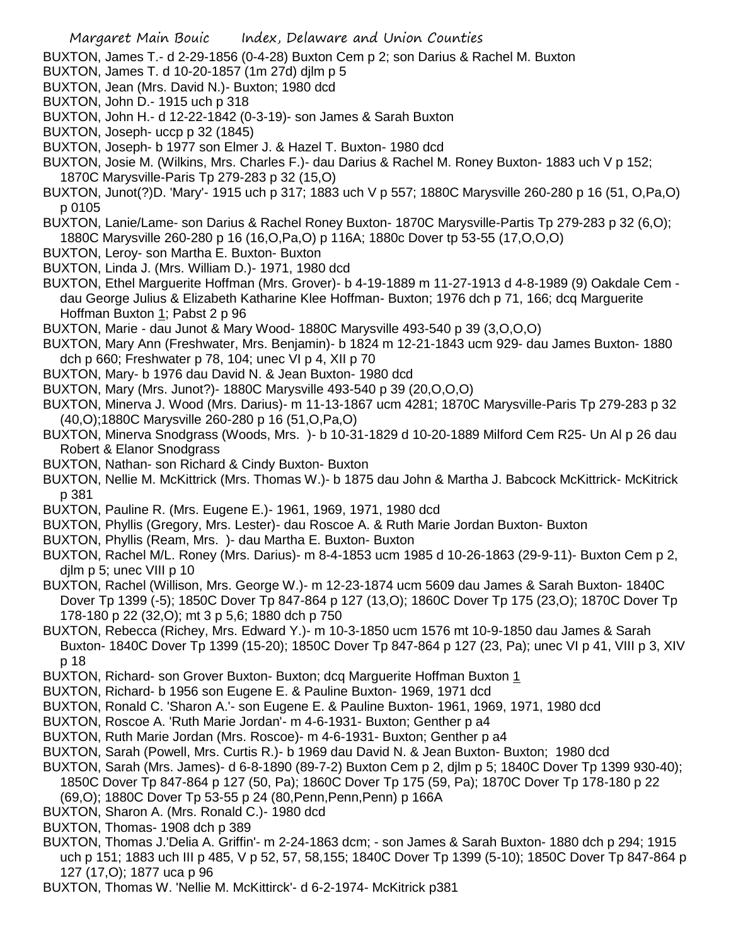BUXTON, James T.- d 2-29-1856 (0-4-28) Buxton Cem p 2; son Darius & Rachel M. Buxton

- BUXTON, James T. d 10-20-1857 (1m 27d) djlm p 5
- BUXTON, Jean (Mrs. David N.)- Buxton; 1980 dcd
- BUXTON, John D.- 1915 uch p 318
- BUXTON, John H.- d 12-22-1842 (0-3-19)- son James & Sarah Buxton
- BUXTON, Joseph- uccp p 32 (1845)
- BUXTON, Joseph- b 1977 son Elmer J. & Hazel T. Buxton- 1980 dcd
- BUXTON, Josie M. (Wilkins, Mrs. Charles F.)- dau Darius & Rachel M. Roney Buxton- 1883 uch V p 152; 1870C Marysville-Paris Tp 279-283 p 32 (15,O)
- BUXTON, Junot(?)D. 'Mary'- 1915 uch p 317; 1883 uch V p 557; 1880C Marysville 260-280 p 16 (51, O,Pa,O) p 0105
- BUXTON, Lanie/Lame- son Darius & Rachel Roney Buxton- 1870C Marysville-Partis Tp 279-283 p 32 (6,O); 1880C Marysville 260-280 p 16 (16,O,Pa,O) p 116A; 1880c Dover tp 53-55 (17,O,O,O)
- BUXTON, Leroy- son Martha E. Buxton- Buxton
- BUXTON, Linda J. (Mrs. William D.)- 1971, 1980 dcd
- BUXTON, Ethel Marguerite Hoffman (Mrs. Grover)- b 4-19-1889 m 11-27-1913 d 4-8-1989 (9) Oakdale Cem dau George Julius & Elizabeth Katharine Klee Hoffman- Buxton; 1976 dch p 71, 166; dcq Marguerite Hoffman Buxton 1; Pabst 2 p 96
- BUXTON, Marie dau Junot & Mary Wood- 1880C Marysville 493-540 p 39 (3,O,O,O)
- BUXTON, Mary Ann (Freshwater, Mrs. Benjamin)- b 1824 m 12-21-1843 ucm 929- dau James Buxton- 1880 dch p 660; Freshwater p 78, 104; unec VI p 4, XII p 70
- BUXTON, Mary- b 1976 dau David N. & Jean Buxton- 1980 dcd
- BUXTON, Mary (Mrs. Junot?)- 1880C Marysville 493-540 p 39 (20,O,O,O)
- BUXTON, Minerva J. Wood (Mrs. Darius)- m 11-13-1867 ucm 4281; 1870C Marysville-Paris Tp 279-283 p 32 (40,O);1880C Marysville 260-280 p 16 (51,O,Pa,O)
- BUXTON, Minerva Snodgrass (Woods, Mrs. )- b 10-31-1829 d 10-20-1889 Milford Cem R25- Un Al p 26 dau Robert & Elanor Snodgrass
- BUXTON, Nathan- son Richard & Cindy Buxton- Buxton
- BUXTON, Nellie M. McKittrick (Mrs. Thomas W.)- b 1875 dau John & Martha J. Babcock McKittrick- McKitrick p 381
- BUXTON, Pauline R. (Mrs. Eugene E.)- 1961, 1969, 1971, 1980 dcd
- BUXTON, Phyllis (Gregory, Mrs. Lester)- dau Roscoe A. & Ruth Marie Jordan Buxton- Buxton
- BUXTON, Phyllis (Ream, Mrs. )- dau Martha E. Buxton- Buxton
- BUXTON, Rachel M/L. Roney (Mrs. Darius)- m 8-4-1853 ucm 1985 d 10-26-1863 (29-9-11)- Buxton Cem p 2, dilm p 5; unec VIII p 10
- BUXTON, Rachel (Willison, Mrs. George W.)- m 12-23-1874 ucm 5609 dau James & Sarah Buxton- 1840C Dover Tp 1399 (-5); 1850C Dover Tp 847-864 p 127 (13,O); 1860C Dover Tp 175 (23,O); 1870C Dover Tp 178-180 p 22 (32,O); mt 3 p 5,6; 1880 dch p 750
- BUXTON, Rebecca (Richey, Mrs. Edward Y.)- m 10-3-1850 ucm 1576 mt 10-9-1850 dau James & Sarah Buxton- 1840C Dover Tp 1399 (15-20); 1850C Dover Tp 847-864 p 127 (23, Pa); unec VI p 41, VIII p 3, XIV p 18
- BUXTON, Richard- son Grover Buxton- Buxton; dcq Marguerite Hoffman Buxton 1
- BUXTON, Richard- b 1956 son Eugene E. & Pauline Buxton- 1969, 1971 dcd
- BUXTON, Ronald C. 'Sharon A.'- son Eugene E. & Pauline Buxton- 1961, 1969, 1971, 1980 dcd
- BUXTON, Roscoe A. 'Ruth Marie Jordan'- m 4-6-1931- Buxton; Genther p a4
- BUXTON, Ruth Marie Jordan (Mrs. Roscoe)- m 4-6-1931- Buxton; Genther p a4
- BUXTON, Sarah (Powell, Mrs. Curtis R.)- b 1969 dau David N. & Jean Buxton- Buxton; 1980 dcd
- BUXTON, Sarah (Mrs. James)- d 6-8-1890 (89-7-2) Buxton Cem p 2, djlm p 5; 1840C Dover Tp 1399 930-40); 1850C Dover Tp 847-864 p 127 (50, Pa); 1860C Dover Tp 175 (59, Pa); 1870C Dover Tp 178-180 p 22 (69,O); 1880C Dover Tp 53-55 p 24 (80,Penn,Penn,Penn) p 166A
- BUXTON, Sharon A. (Mrs. Ronald C.)- 1980 dcd
- BUXTON, Thomas- 1908 dch p 389
- BUXTON, Thomas J.'Delia A. Griffin'- m 2-24-1863 dcm; son James & Sarah Buxton- 1880 dch p 294; 1915 uch p 151; 1883 uch III p 485, V p 52, 57, 58,155; 1840C Dover Tp 1399 (5-10); 1850C Dover Tp 847-864 p 127 (17,O); 1877 uca p 96
- BUXTON, Thomas W. 'Nellie M. McKittirck'- d 6-2-1974- McKitrick p381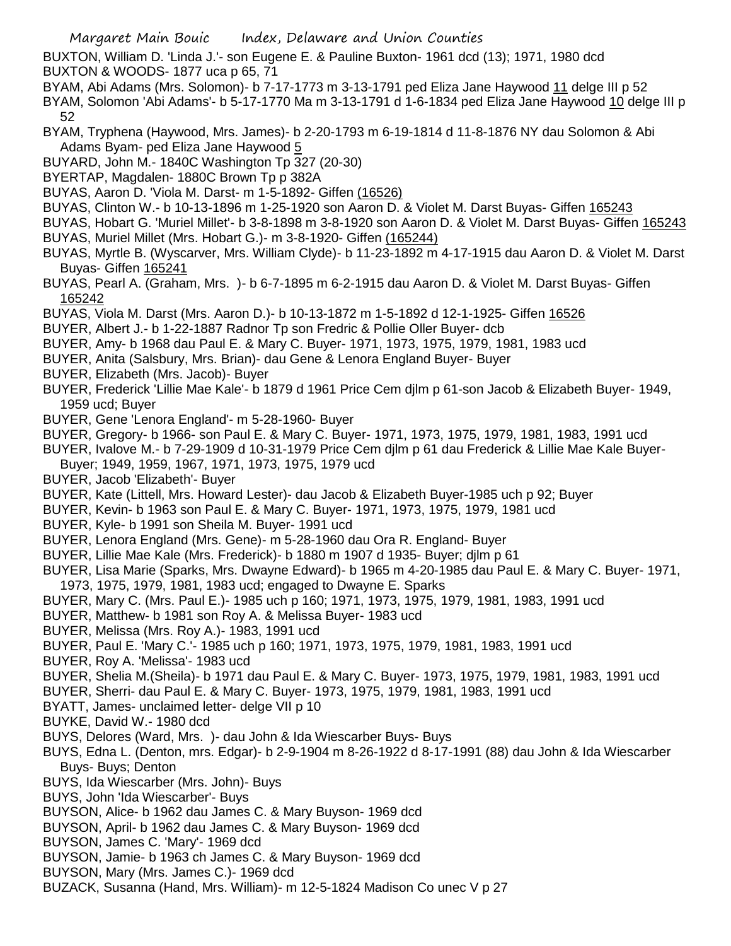BUXTON, William D. 'Linda J.'- son Eugene E. & Pauline Buxton- 1961 dcd (13); 1971, 1980 dcd BUXTON & WOODS- 1877 uca p 65, 71

- BYAM, Abi Adams (Mrs. Solomon)- b 7-17-1773 m 3-13-1791 ped Eliza Jane Haywood 11 delge III p 52
- BYAM, Solomon 'Abi Adams'- b 5-17-1770 Ma m 3-13-1791 d 1-6-1834 ped Eliza Jane Haywood 10 delge III p 52
- BYAM, Tryphena (Haywood, Mrs. James)- b 2-20-1793 m 6-19-1814 d 11-8-1876 NY dau Solomon & Abi Adams Byam- ped Eliza Jane Haywood 5
- BUYARD, John M.- 1840C Washington Tp 327 (20-30)
- BYERTAP, Magdalen- 1880C Brown Tp p 382A
- BUYAS, Aaron D. 'Viola M. Darst- m 1-5-1892- Giffen (16526)
- BUYAS, Clinton W.- b 10-13-1896 m 1-25-1920 son Aaron D. & Violet M. Darst Buyas- Giffen 165243
- BUYAS, Hobart G. 'Muriel Millet'- b 3-8-1898 m 3-8-1920 son Aaron D. & Violet M. Darst Buyas- Giffen 165243 BUYAS, Muriel Millet (Mrs. Hobart G.)- m 3-8-1920- Giffen (165244)
- BUYAS, Myrtle B. (Wyscarver, Mrs. William Clyde)- b 11-23-1892 m 4-17-1915 dau Aaron D. & Violet M. Darst Buyas- Giffen 165241
- BUYAS, Pearl A. (Graham, Mrs. )- b 6-7-1895 m 6-2-1915 dau Aaron D. & Violet M. Darst Buyas- Giffen 165242
- BUYAS, Viola M. Darst (Mrs. Aaron D.)- b 10-13-1872 m 1-5-1892 d 12-1-1925- Giffen 16526
- BUYER, Albert J.- b 1-22-1887 Radnor Tp son Fredric & Pollie Oller Buyer- dcb
- BUYER, Amy- b 1968 dau Paul E. & Mary C. Buyer- 1971, 1973, 1975, 1979, 1981, 1983 ucd
- BUYER, Anita (Salsbury, Mrs. Brian)- dau Gene & Lenora England Buyer- Buyer
- BUYER, Elizabeth (Mrs. Jacob)- Buyer
- BUYER, Frederick 'Lillie Mae Kale'- b 1879 d 1961 Price Cem djlm p 61-son Jacob & Elizabeth Buyer- 1949, 1959 ucd; Buyer
- BUYER, Gene 'Lenora England'- m 5-28-1960- Buyer
- BUYER, Gregory- b 1966- son Paul E. & Mary C. Buyer- 1971, 1973, 1975, 1979, 1981, 1983, 1991 ucd
- BUYER, Ivalove M.- b 7-29-1909 d 10-31-1979 Price Cem djlm p 61 dau Frederick & Lillie Mae Kale Buyer-Buyer; 1949, 1959, 1967, 1971, 1973, 1975, 1979 ucd
- BUYER, Jacob 'Elizabeth'- Buyer
- BUYER, Kate (Littell, Mrs. Howard Lester)- dau Jacob & Elizabeth Buyer-1985 uch p 92; Buyer
- BUYER, Kevin- b 1963 son Paul E. & Mary C. Buyer- 1971, 1973, 1975, 1979, 1981 ucd
- BUYER, Kyle- b 1991 son Sheila M. Buyer- 1991 ucd
- BUYER, Lenora England (Mrs. Gene)- m 5-28-1960 dau Ora R. England- Buyer
- BUYER, Lillie Mae Kale (Mrs. Frederick)- b 1880 m 1907 d 1935- Buyer; djlm p 61
- BUYER, Lisa Marie (Sparks, Mrs. Dwayne Edward)- b 1965 m 4-20-1985 dau Paul E. & Mary C. Buyer- 1971, 1973, 1975, 1979, 1981, 1983 ucd; engaged to Dwayne E. Sparks
- BUYER, Mary C. (Mrs. Paul E.)- 1985 uch p 160; 1971, 1973, 1975, 1979, 1981, 1983, 1991 ucd
- BUYER, Matthew- b 1981 son Roy A. & Melissa Buyer- 1983 ucd
- BUYER, Melissa (Mrs. Roy A.)- 1983, 1991 ucd
- BUYER, Paul E. 'Mary C.'- 1985 uch p 160; 1971, 1973, 1975, 1979, 1981, 1983, 1991 ucd
- BUYER, Roy A. 'Melissa'- 1983 ucd
- BUYER, Shelia M.(Sheila)- b 1971 dau Paul E. & Mary C. Buyer- 1973, 1975, 1979, 1981, 1983, 1991 ucd
- BUYER, Sherri- dau Paul E. & Mary C. Buyer- 1973, 1975, 1979, 1981, 1983, 1991 ucd
- BYATT, James- unclaimed letter- delge VII p 10
- BUYKE, David W.- 1980 dcd
- BUYS, Delores (Ward, Mrs. )- dau John & Ida Wiescarber Buys- Buys
- BUYS, Edna L. (Denton, mrs. Edgar)- b 2-9-1904 m 8-26-1922 d 8-17-1991 (88) dau John & Ida Wiescarber Buys- Buys; Denton
- BUYS, Ida Wiescarber (Mrs. John)- Buys
- BUYS, John 'Ida Wiescarber'- Buys
- BUYSON, Alice- b 1962 dau James C. & Mary Buyson- 1969 dcd
- BUYSON, April- b 1962 dau James C. & Mary Buyson- 1969 dcd
- BUYSON, James C. 'Mary'- 1969 dcd
- BUYSON, Jamie- b 1963 ch James C. & Mary Buyson- 1969 dcd
- BUYSON, Mary (Mrs. James C.)- 1969 dcd
- BUZACK, Susanna (Hand, Mrs. William)- m 12-5-1824 Madison Co unec V p 27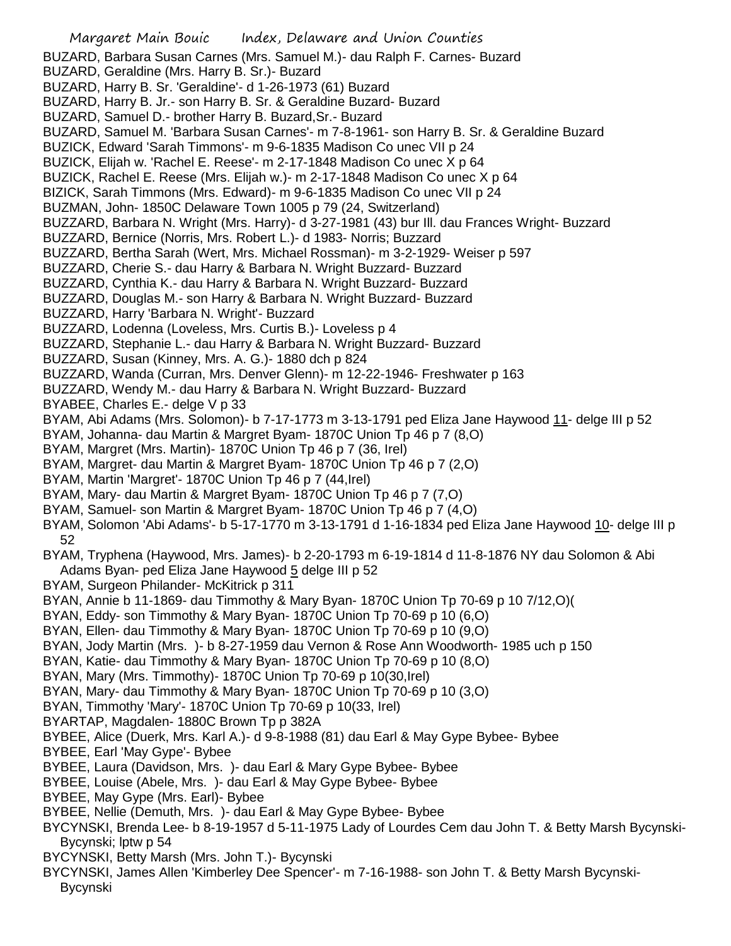|                                                                                                                                                                          | Margaret Main Bouic lndex, Delaware and Union Counties                                                                                                        |
|--------------------------------------------------------------------------------------------------------------------------------------------------------------------------|---------------------------------------------------------------------------------------------------------------------------------------------------------------|
| BUZARD, Geraldine (Mrs. Harry B. Sr.)- Buzard                                                                                                                            | BUZARD, Barbara Susan Carnes (Mrs. Samuel M.) - dau Ralph F. Carnes - Buzard                                                                                  |
| BUZARD, Harry B. Sr. 'Geraldine'- d 1-26-1973 (61) Buzard                                                                                                                |                                                                                                                                                               |
|                                                                                                                                                                          | BUZARD, Harry B. Jr.- son Harry B. Sr. & Geraldine Buzard- Buzard                                                                                             |
| BUZARD, Samuel D.- brother Harry B. Buzard, Sr.- Buzard<br>BUZARD, Samuel M. 'Barbara Susan Carnes'- m 7-8-1961- son Harry B. Sr. & Geraldine Buzard                     |                                                                                                                                                               |
| BUZICK, Edward 'Sarah Timmons'- m 9-6-1835 Madison Co unec VII p 24                                                                                                      |                                                                                                                                                               |
| BUZICK, Elijah w. 'Rachel E. Reese'- m 2-17-1848 Madison Co unec X p 64                                                                                                  |                                                                                                                                                               |
| BUZICK, Rachel E. Reese (Mrs. Elijah w.) - m 2-17-1848 Madison Co unec X p 64                                                                                            |                                                                                                                                                               |
| BIZICK, Sarah Timmons (Mrs. Edward) - m 9-6-1835 Madison Co unec VII p 24                                                                                                |                                                                                                                                                               |
| BUZMAN, John-1850C Delaware Town 1005 p 79 (24, Switzerland)<br>BUZZARD, Barbara N. Wright (Mrs. Harry)- d 3-27-1981 (43) bur III. dau Frances Wright- Buzzard           |                                                                                                                                                               |
| BUZZARD, Bernice (Norris, Mrs. Robert L.)- d 1983- Norris; Buzzard                                                                                                       |                                                                                                                                                               |
| BUZZARD, Bertha Sarah (Wert, Mrs. Michael Rossman)- m 3-2-1929- Weiser p 597                                                                                             |                                                                                                                                                               |
| BUZZARD, Cherie S.- dau Harry & Barbara N. Wright Buzzard- Buzzard                                                                                                       |                                                                                                                                                               |
|                                                                                                                                                                          | BUZZARD, Cynthia K.- dau Harry & Barbara N. Wright Buzzard- Buzzard                                                                                           |
|                                                                                                                                                                          | BUZZARD, Douglas M.- son Harry & Barbara N. Wright Buzzard- Buzzard                                                                                           |
| BUZZARD, Harry 'Barbara N. Wright'- Buzzard<br>BUZZARD, Lodenna (Loveless, Mrs. Curtis B.)- Loveless p 4                                                                 |                                                                                                                                                               |
|                                                                                                                                                                          | BUZZARD, Stephanie L.- dau Harry & Barbara N. Wright Buzzard- Buzzard                                                                                         |
| BUZZARD, Susan (Kinney, Mrs. A. G.)- 1880 dch p 824                                                                                                                      |                                                                                                                                                               |
|                                                                                                                                                                          | BUZZARD, Wanda (Curran, Mrs. Denver Glenn) - m 12-22-1946 - Freshwater p 163                                                                                  |
|                                                                                                                                                                          | BUZZARD, Wendy M.- dau Harry & Barbara N. Wright Buzzard-Buzzard                                                                                              |
| BYABEE, Charles E.- delge V p 33                                                                                                                                         | BYAM, Abi Adams (Mrs. Solomon)- b 7-17-1773 m 3-13-1791 ped Eliza Jane Haywood 11- delge III p 52                                                             |
|                                                                                                                                                                          | BYAM, Johanna- dau Martin & Margret Byam- 1870C Union Tp 46 p 7 (8,O)                                                                                         |
| BYAM, Margret (Mrs. Martin)- 1870C Union Tp 46 p 7 (36, Irel)                                                                                                            |                                                                                                                                                               |
|                                                                                                                                                                          | BYAM, Margret- dau Martin & Margret Byam- 1870C Union Tp 46 p 7 (2,0)                                                                                         |
| BYAM, Martin 'Margret'- 1870C Union Tp 46 p 7 (44, Irel)                                                                                                                 |                                                                                                                                                               |
|                                                                                                                                                                          | BYAM, Mary- dau Martin & Margret Byam- 1870C Union Tp 46 p 7 (7,0)<br>BYAM, Samuel- son Martin & Margret Byam- 1870C Union Tp 46 p 7 (4, O)                   |
|                                                                                                                                                                          | BYAM, Solomon 'Abi Adams'- b 5-17-1770 m 3-13-1791 d 1-16-1834 ped Eliza Jane Haywood 10- delge III p                                                         |
| 52                                                                                                                                                                       |                                                                                                                                                               |
|                                                                                                                                                                          | BYAM, Tryphena (Haywood, Mrs. James)- b 2-20-1793 m 6-19-1814 d 11-8-1876 NY dau Solomon & Abi                                                                |
| Adams Byan- ped Eliza Jane Haywood 5 delge III p 52                                                                                                                      |                                                                                                                                                               |
| BYAM, Surgeon Philander- McKitrick p 311                                                                                                                                 |                                                                                                                                                               |
|                                                                                                                                                                          | BYAN, Annie b 11-1869- dau Timmothy & Mary Byan- 1870C Union Tp 70-69 p 10 7/12, O)(<br>BYAN, Eddy- son Timmothy & Mary Byan- 1870C Union Tp 70-69 p 10 (6,O) |
|                                                                                                                                                                          | BYAN, Ellen- dau Timmothy & Mary Byan- 1870C Union Tp 70-69 p 10 (9,O)                                                                                        |
|                                                                                                                                                                          | BYAN, Jody Martin (Mrs.)- b 8-27-1959 dau Vernon & Rose Ann Woodworth- 1985 uch p 150                                                                         |
|                                                                                                                                                                          | BYAN, Katie- dau Timmothy & Mary Byan- 1870C Union Tp 70-69 p 10 (8,O)                                                                                        |
| BYAN, Mary (Mrs. Timmothy) - 1870C Union Tp 70-69 p 10(30, Irel)                                                                                                         |                                                                                                                                                               |
| BYAN, Timmothy 'Mary'- 1870C Union Tp 70-69 p 10(33, Irel)                                                                                                               | BYAN, Mary- dau Timmothy & Mary Byan- 1870C Union Tp 70-69 p 10 (3,O)                                                                                         |
| BYARTAP, Magdalen-1880C Brown Tp p 382A                                                                                                                                  |                                                                                                                                                               |
|                                                                                                                                                                          | BYBEE, Alice (Duerk, Mrs. Karl A.)- d 9-8-1988 (81) dau Earl & May Gype Bybee- Bybee                                                                          |
| BYBEE, Earl 'May Gype'- Bybee                                                                                                                                            |                                                                                                                                                               |
| BYBEE, Laura (Davidson, Mrs. ) - dau Earl & Mary Gype Bybee- Bybee                                                                                                       |                                                                                                                                                               |
| BYBEE, Louise (Abele, Mrs.) - dau Earl & May Gype Bybee- Bybee<br>BYBEE, May Gype (Mrs. Earl)- Bybee                                                                     |                                                                                                                                                               |
|                                                                                                                                                                          |                                                                                                                                                               |
| BYBEE, Nellie (Demuth, Mrs.) - dau Earl & May Gype Bybee- Bybee<br>BYCYNSKI, Brenda Lee- b 8-19-1957 d 5-11-1975 Lady of Lourdes Cem dau John T. & Betty Marsh Bycynski- |                                                                                                                                                               |
| Bycynski; lptw p 54                                                                                                                                                      |                                                                                                                                                               |
| BYCYNSKI, Betty Marsh (Mrs. John T.)- Bycynski                                                                                                                           |                                                                                                                                                               |
| Bycynski                                                                                                                                                                 | BYCYNSKI, James Allen 'Kimberley Dee Spencer'- m 7-16-1988- son John T. & Betty Marsh Bycynski-                                                               |
|                                                                                                                                                                          |                                                                                                                                                               |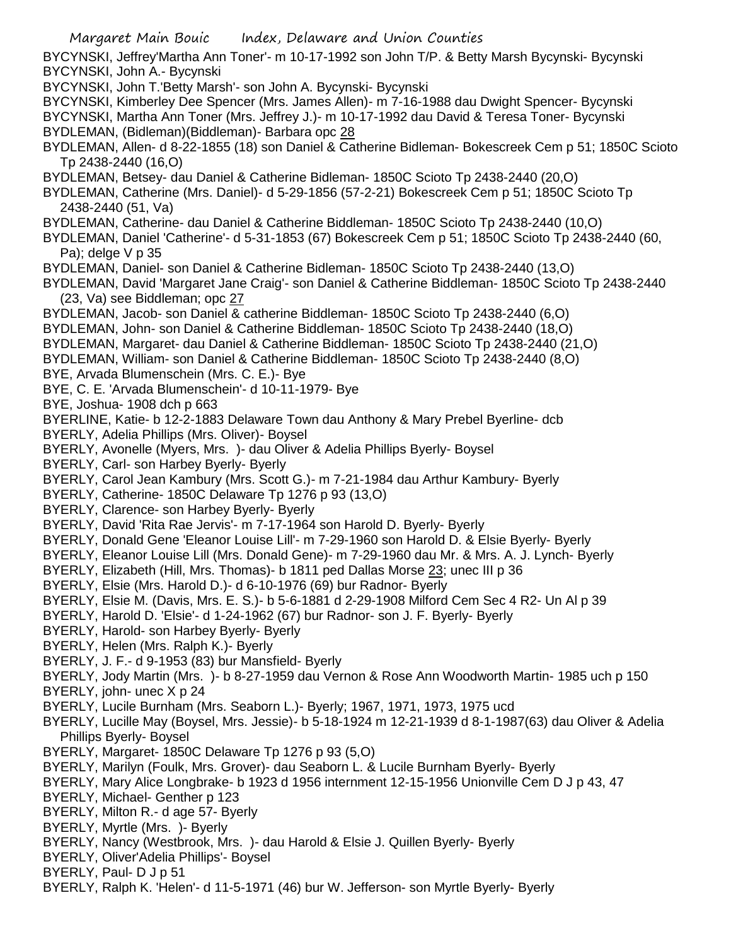Margaret Main Bouic Index, Delaware and Union Counties BYCYNSKI, Jeffrey'Martha Ann Toner'- m 10-17-1992 son John T/P. & Betty Marsh Bycynski- Bycynski BYCYNSKI, John A.- Bycynski BYCYNSKI, John T.'Betty Marsh'- son John A. Bycynski- Bycynski BYCYNSKI, Kimberley Dee Spencer (Mrs. James Allen)- m 7-16-1988 dau Dwight Spencer- Bycynski BYCYNSKI, Martha Ann Toner (Mrs. Jeffrey J.)- m 10-17-1992 dau David & Teresa Toner- Bycynski BYDLEMAN, (Bidleman)(Biddleman)- Barbara opc 28 BYDLEMAN, Allen- d 8-22-1855 (18) son Daniel & Catherine Bidleman- Bokescreek Cem p 51; 1850C Scioto Tp 2438-2440 (16,O) BYDLEMAN, Betsey- dau Daniel & Catherine Bidleman- 1850C Scioto Tp 2438-2440 (20,O) BYDLEMAN, Catherine (Mrs. Daniel)- d 5-29-1856 (57-2-21) Bokescreek Cem p 51; 1850C Scioto Tp 2438-2440 (51, Va) BYDLEMAN, Catherine- dau Daniel & Catherine Biddleman- 1850C Scioto Tp 2438-2440 (10,O) BYDLEMAN, Daniel 'Catherine'- d 5-31-1853 (67) Bokescreek Cem p 51; 1850C Scioto Tp 2438-2440 (60, Pa); delge  $V$  p 35 BYDLEMAN, Daniel- son Daniel & Catherine Bidleman- 1850C Scioto Tp 2438-2440 (13,O) BYDLEMAN, David 'Margaret Jane Craig'- son Daniel & Catherine Biddleman- 1850C Scioto Tp 2438-2440 (23, Va) see Biddleman; opc 27 BYDLEMAN, Jacob- son Daniel & catherine Biddleman- 1850C Scioto Tp 2438-2440 (6,O) BYDLEMAN, John- son Daniel & Catherine Biddleman- 1850C Scioto Tp 2438-2440 (18,O) BYDLEMAN, Margaret- dau Daniel & Catherine Biddleman- 1850C Scioto Tp 2438-2440 (21,O) BYDLEMAN, William- son Daniel & Catherine Biddleman- 1850C Scioto Tp 2438-2440 (8,O) BYE, Arvada Blumenschein (Mrs. C. E.)- Bye BYE, C. E. 'Arvada Blumenschein'- d 10-11-1979- Bye BYE, Joshua- 1908 dch p 663 BYERLINE, Katie- b 12-2-1883 Delaware Town dau Anthony & Mary Prebel Byerline- dcb BYERLY, Adelia Phillips (Mrs. Oliver)- Boysel BYERLY, Avonelle (Myers, Mrs. )- dau Oliver & Adelia Phillips Byerly- Boysel BYERLY, Carl- son Harbey Byerly- Byerly BYERLY, Carol Jean Kambury (Mrs. Scott G.)- m 7-21-1984 dau Arthur Kambury- Byerly BYERLY, Catherine- 1850C Delaware Tp 1276 p 93 (13,O) BYERLY, Clarence- son Harbey Byerly- Byerly BYERLY, David 'Rita Rae Jervis'- m 7-17-1964 son Harold D. Byerly- Byerly BYERLY, Donald Gene 'Eleanor Louise Lill'- m 7-29-1960 son Harold D. & Elsie Byerly- Byerly BYERLY, Eleanor Louise Lill (Mrs. Donald Gene)- m 7-29-1960 dau Mr. & Mrs. A. J. Lynch- Byerly BYERLY, Elizabeth (Hill, Mrs. Thomas)- b 1811 ped Dallas Morse 23; unec III p 36 BYERLY, Elsie (Mrs. Harold D.)- d 6-10-1976 (69) bur Radnor- Byerly BYERLY, Elsie M. (Davis, Mrs. E. S.)- b 5-6-1881 d 2-29-1908 Milford Cem Sec 4 R2- Un Al p 39 BYERLY, Harold D. 'Elsie'- d 1-24-1962 (67) bur Radnor- son J. F. Byerly- Byerly BYERLY, Harold- son Harbey Byerly- Byerly BYERLY, Helen (Mrs. Ralph K.)- Byerly BYERLY, J. F.- d 9-1953 (83) bur Mansfield- Byerly BYERLY, Jody Martin (Mrs. )- b 8-27-1959 dau Vernon & Rose Ann Woodworth Martin- 1985 uch p 150 BYERLY, john- unec X p 24 BYERLY, Lucile Burnham (Mrs. Seaborn L.)- Byerly; 1967, 1971, 1973, 1975 ucd BYERLY, Lucille May (Boysel, Mrs. Jessie)- b 5-18-1924 m 12-21-1939 d 8-1-1987(63) dau Oliver & Adelia Phillips Byerly- Boysel BYERLY, Margaret- 1850C Delaware Tp 1276 p 93 (5,O) BYERLY, Marilyn (Foulk, Mrs. Grover)- dau Seaborn L. & Lucile Burnham Byerly- Byerly BYERLY, Mary Alice Longbrake- b 1923 d 1956 internment 12-15-1956 Unionville Cem D J p 43, 47 BYERLY, Michael- Genther p 123 BYERLY, Milton R.- d age 57- Byerly BYERLY, Myrtle (Mrs. )- Byerly BYERLY, Nancy (Westbrook, Mrs. )- dau Harold & Elsie J. Quillen Byerly- Byerly BYERLY, Oliver'Adelia Phillips'- Boysel BYERLY, Paul- D J p 51 BYERLY, Ralph K. 'Helen'- d 11-5-1971 (46) bur W. Jefferson- son Myrtle Byerly- Byerly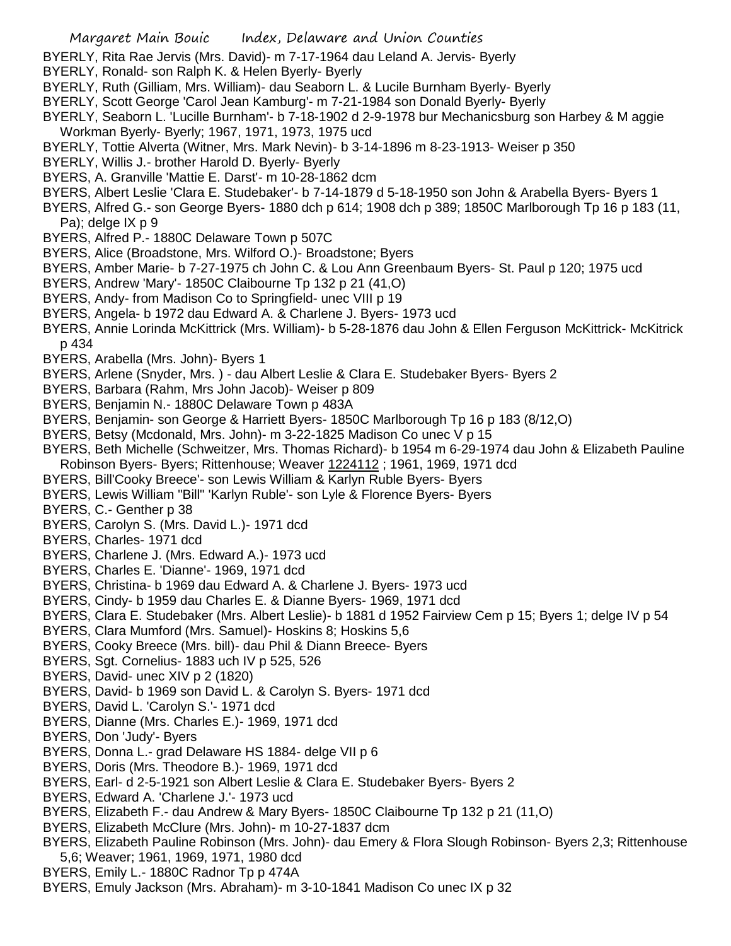- BYERLY, Rita Rae Jervis (Mrs. David)- m 7-17-1964 dau Leland A. Jervis- Byerly
- BYERLY, Ronald- son Ralph K. & Helen Byerly- Byerly
- BYERLY, Ruth (Gilliam, Mrs. William)- dau Seaborn L. & Lucile Burnham Byerly- Byerly
- BYERLY, Scott George 'Carol Jean Kamburg'- m 7-21-1984 son Donald Byerly- Byerly
- BYERLY, Seaborn L. 'Lucille Burnham'- b 7-18-1902 d 2-9-1978 bur Mechanicsburg son Harbey & M aggie Workman Byerly- Byerly; 1967, 1971, 1973, 1975 ucd
- BYERLY, Tottie Alverta (Witner, Mrs. Mark Nevin)- b 3-14-1896 m 8-23-1913- Weiser p 350
- BYERLY, Willis J.- brother Harold D. Byerly- Byerly
- BYERS, A. Granville 'Mattie E. Darst'- m 10-28-1862 dcm
- BYERS, Albert Leslie 'Clara E. Studebaker'- b 7-14-1879 d 5-18-1950 son John & Arabella Byers- Byers 1
- BYERS, Alfred G.- son George Byers- 1880 dch p 614; 1908 dch p 389; 1850C Marlborough Tp 16 p 183 (11, Pa); delge IX p 9
- BYERS, Alfred P.- 1880C Delaware Town p 507C
- BYERS, Alice (Broadstone, Mrs. Wilford O.)- Broadstone; Byers
- BYERS, Amber Marie- b 7-27-1975 ch John C. & Lou Ann Greenbaum Byers- St. Paul p 120; 1975 ucd
- BYERS, Andrew 'Mary'- 1850C Claibourne Tp 132 p 21 (41,O)
- BYERS, Andy- from Madison Co to Springfield- unec VIII p 19
- BYERS, Angela- b 1972 dau Edward A. & Charlene J. Byers- 1973 ucd
- BYERS, Annie Lorinda McKittrick (Mrs. William)- b 5-28-1876 dau John & Ellen Ferguson McKittrick- McKitrick p 434
- BYERS, Arabella (Mrs. John)- Byers 1
- BYERS, Arlene (Snyder, Mrs. ) dau Albert Leslie & Clara E. Studebaker Byers- Byers 2
- BYERS, Barbara (Rahm, Mrs John Jacob)- Weiser p 809
- BYERS, Benjamin N.- 1880C Delaware Town p 483A
- BYERS, Benjamin- son George & Harriett Byers- 1850C Marlborough Tp 16 p 183 (8/12,O)
- BYERS, Betsy (Mcdonald, Mrs. John)- m 3-22-1825 Madison Co unec V p 15
- BYERS, Beth Michelle (Schweitzer, Mrs. Thomas Richard)- b 1954 m 6-29-1974 dau John & Elizabeth Pauline Robinson Byers- Byers; Rittenhouse; Weaver 1224112; 1961, 1969, 1971 dcd
- BYERS, Bill'Cooky Breece'- son Lewis William & Karlyn Ruble Byers- Byers
- BYERS, Lewis William "Bill" 'Karlyn Ruble'- son Lyle & Florence Byers- Byers
- BYERS, C.- Genther p 38
- BYERS, Carolyn S. (Mrs. David L.)- 1971 dcd
- BYERS, Charles- 1971 dcd
- BYERS, Charlene J. (Mrs. Edward A.)- 1973 ucd
- BYERS, Charles E. 'Dianne'- 1969, 1971 dcd
- BYERS, Christina- b 1969 dau Edward A. & Charlene J. Byers- 1973 ucd
- BYERS, Cindy- b 1959 dau Charles E. & Dianne Byers- 1969, 1971 dcd
- BYERS, Clara E. Studebaker (Mrs. Albert Leslie)- b 1881 d 1952 Fairview Cem p 15; Byers 1; delge IV p 54
- BYERS, Clara Mumford (Mrs. Samuel)- Hoskins 8; Hoskins 5,6
- BYERS, Cooky Breece (Mrs. bill)- dau Phil & Diann Breece- Byers
- BYERS, Sgt. Cornelius- 1883 uch IV p 525, 526
- BYERS, David- unec XIV p 2 (1820)
- BYERS, David- b 1969 son David L. & Carolyn S. Byers- 1971 dcd
- BYERS, David L. 'Carolyn S.'- 1971 dcd
- BYERS, Dianne (Mrs. Charles E.)- 1969, 1971 dcd
- BYERS, Don 'Judy'- Byers
- BYERS, Donna L.- grad Delaware HS 1884- delge VII p 6
- BYERS, Doris (Mrs. Theodore B.)- 1969, 1971 dcd
- BYERS, Earl- d 2-5-1921 son Albert Leslie & Clara E. Studebaker Byers- Byers 2
- BYERS, Edward A. 'Charlene J.'- 1973 ucd
- BYERS, Elizabeth F.- dau Andrew & Mary Byers- 1850C Claibourne Tp 132 p 21 (11,O)
- BYERS, Elizabeth McClure (Mrs. John)- m 10-27-1837 dcm
- BYERS, Elizabeth Pauline Robinson (Mrs. John)- dau Emery & Flora Slough Robinson- Byers 2,3; Rittenhouse 5,6; Weaver; 1961, 1969, 1971, 1980 dcd
- BYERS, Emily L.- 1880C Radnor Tp p 474A
- BYERS, Emuly Jackson (Mrs. Abraham)- m 3-10-1841 Madison Co unec IX p 32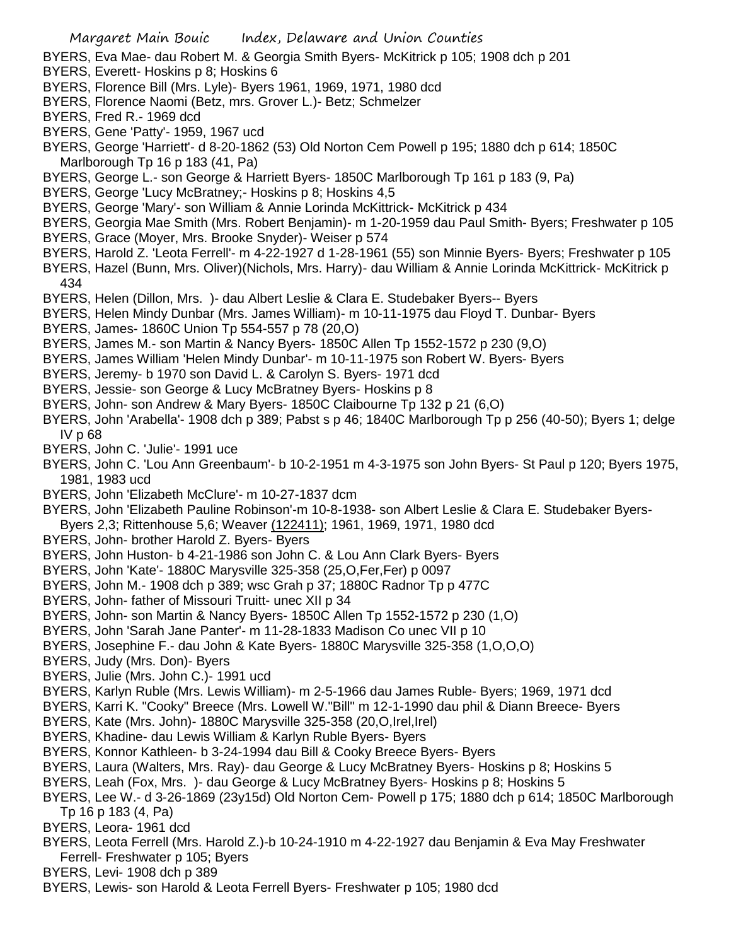- BYERS, Eva Mae- dau Robert M. & Georgia Smith Byers- McKitrick p 105; 1908 dch p 201
- BYERS, Everett- Hoskins p 8; Hoskins 6
- BYERS, Florence Bill (Mrs. Lyle)- Byers 1961, 1969, 1971, 1980 dcd
- BYERS, Florence Naomi (Betz, mrs. Grover L.)- Betz; Schmelzer
- BYERS, Fred R.- 1969 dcd
- BYERS, Gene 'Patty'- 1959, 1967 ucd
- BYERS, George 'Harriett'- d 8-20-1862 (53) Old Norton Cem Powell p 195; 1880 dch p 614; 1850C Marlborough Tp 16 p 183 (41, Pa)
- BYERS, George L.- son George & Harriett Byers- 1850C Marlborough Tp 161 p 183 (9, Pa)
- BYERS, George 'Lucy McBratney;- Hoskins p 8; Hoskins 4,5
- BYERS, George 'Mary'- son William & Annie Lorinda McKittrick- McKitrick p 434
- BYERS, Georgia Mae Smith (Mrs. Robert Benjamin)- m 1-20-1959 dau Paul Smith- Byers; Freshwater p 105
- BYERS, Grace (Moyer, Mrs. Brooke Snyder)- Weiser p 574
- BYERS, Harold Z. 'Leota Ferrell'- m 4-22-1927 d 1-28-1961 (55) son Minnie Byers- Byers; Freshwater p 105
- BYERS, Hazel (Bunn, Mrs. Oliver)(Nichols, Mrs. Harry)- dau William & Annie Lorinda McKittrick- McKitrick p 434
- BYERS, Helen (Dillon, Mrs. )- dau Albert Leslie & Clara E. Studebaker Byers-- Byers
- BYERS, Helen Mindy Dunbar (Mrs. James William)- m 10-11-1975 dau Floyd T. Dunbar- Byers
- BYERS, James- 1860C Union Tp 554-557 p 78 (20,O)
- BYERS, James M.- son Martin & Nancy Byers- 1850C Allen Tp 1552-1572 p 230 (9,O)
- BYERS, James William 'Helen Mindy Dunbar'- m 10-11-1975 son Robert W. Byers- Byers
- BYERS, Jeremy- b 1970 son David L. & Carolyn S. Byers- 1971 dcd
- BYERS, Jessie- son George & Lucy McBratney Byers- Hoskins p 8
- BYERS, John- son Andrew & Mary Byers- 1850C Claibourne Tp 132 p 21 (6,O)
- BYERS, John 'Arabella'- 1908 dch p 389; Pabst s p 46; 1840C Marlborough Tp p 256 (40-50); Byers 1; delge IV p 68
- BYERS, John C. 'Julie'- 1991 uce
- BYERS, John C. 'Lou Ann Greenbaum'- b 10-2-1951 m 4-3-1975 son John Byers- St Paul p 120; Byers 1975, 1981, 1983 ucd
- BYERS, John 'Elizabeth McClure'- m 10-27-1837 dcm
- BYERS, John 'Elizabeth Pauline Robinson'-m 10-8-1938- son Albert Leslie & Clara E. Studebaker Byers-Byers 2,3; Rittenhouse 5,6; Weaver (122411); 1961, 1969, 1971, 1980 dcd
- BYERS, John- brother Harold Z. Byers- Byers
- BYERS, John Huston- b 4-21-1986 son John C. & Lou Ann Clark Byers- Byers
- BYERS, John 'Kate'- 1880C Marysville 325-358 (25,O,Fer,Fer) p 0097
- BYERS, John M.- 1908 dch p 389; wsc Grah p 37; 1880C Radnor Tp p 477C
- BYERS, John- father of Missouri Truitt- unec XII p 34
- BYERS, John- son Martin & Nancy Byers- 1850C Allen Tp 1552-1572 p 230 (1,O)
- BYERS, John 'Sarah Jane Panter'- m 11-28-1833 Madison Co unec VII p 10
- BYERS, Josephine F.- dau John & Kate Byers- 1880C Marysville 325-358 (1,O,O,O)
- BYERS, Judy (Mrs. Don)- Byers
- BYERS, Julie (Mrs. John C.)- 1991 ucd
- BYERS, Karlyn Ruble (Mrs. Lewis William)- m 2-5-1966 dau James Ruble- Byers; 1969, 1971 dcd
- BYERS, Karri K. "Cooky" Breece (Mrs. Lowell W."Bill" m 12-1-1990 dau phil & Diann Breece- Byers
- BYERS, Kate (Mrs. John)- 1880C Marysville 325-358 (20,O,Irel,Irel)
- BYERS, Khadine- dau Lewis William & Karlyn Ruble Byers- Byers
- BYERS, Konnor Kathleen- b 3-24-1994 dau Bill & Cooky Breece Byers- Byers
- BYERS, Laura (Walters, Mrs. Ray)- dau George & Lucy McBratney Byers- Hoskins p 8; Hoskins 5
- BYERS, Leah (Fox, Mrs. )- dau George & Lucy McBratney Byers- Hoskins p 8; Hoskins 5
- BYERS, Lee W.- d 3-26-1869 (23y15d) Old Norton Cem- Powell p 175; 1880 dch p 614; 1850C Marlborough Tp 16 p 183 (4, Pa)
- BYERS, Leora- 1961 dcd
- BYERS, Leota Ferrell (Mrs. Harold Z.)-b 10-24-1910 m 4-22-1927 dau Benjamin & Eva May Freshwater Ferrell- Freshwater p 105; Byers
- BYERS, Levi- 1908 dch p 389
- BYERS, Lewis- son Harold & Leota Ferrell Byers- Freshwater p 105; 1980 dcd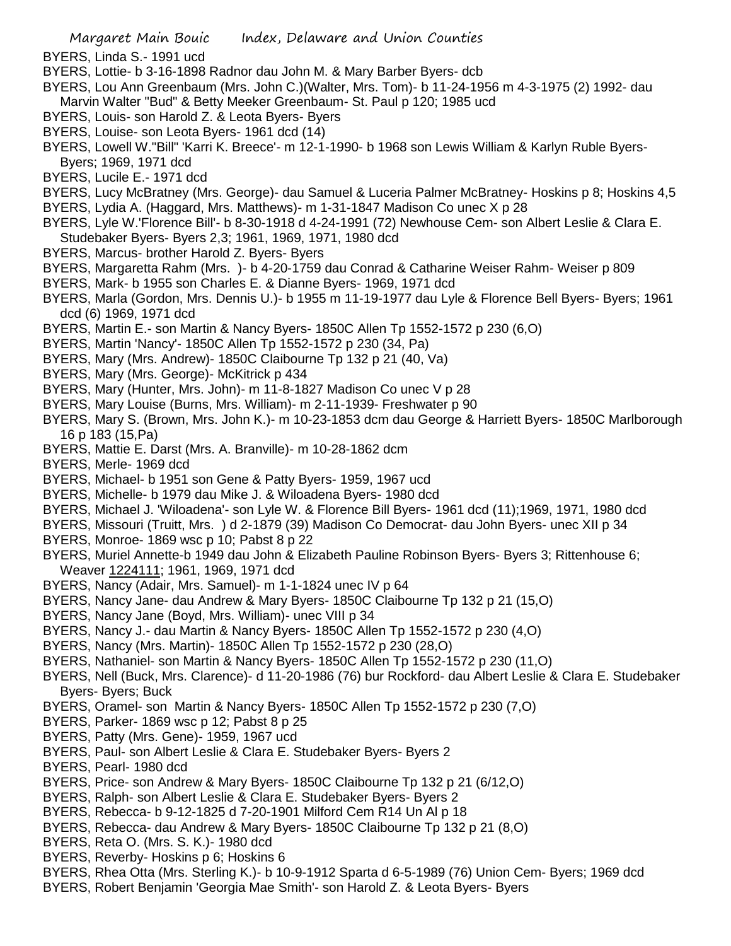- BYERS, Linda S.- 1991 ucd
- BYERS, Lottie- b 3-16-1898 Radnor dau John M. & Mary Barber Byers- dcb
- BYERS, Lou Ann Greenbaum (Mrs. John C.)(Walter, Mrs. Tom)- b 11-24-1956 m 4-3-1975 (2) 1992- dau Marvin Walter "Bud" & Betty Meeker Greenbaum- St. Paul p 120; 1985 ucd
- BYERS, Louis- son Harold Z. & Leota Byers- Byers
- BYERS, Louise- son Leota Byers- 1961 dcd (14)
- BYERS, Lowell W."Bill" 'Karri K. Breece'- m 12-1-1990- b 1968 son Lewis William & Karlyn Ruble Byers-Byers; 1969, 1971 dcd
- BYERS, Lucile E.- 1971 dcd
- BYERS, Lucy McBratney (Mrs. George)- dau Samuel & Luceria Palmer McBratney- Hoskins p 8; Hoskins 4,5
- BYERS, Lydia A. (Haggard, Mrs. Matthews)- m 1-31-1847 Madison Co unec X p 28
- BYERS, Lyle W.'Florence Bill'- b 8-30-1918 d 4-24-1991 (72) Newhouse Cem- son Albert Leslie & Clara E. Studebaker Byers- Byers 2,3; 1961, 1969, 1971, 1980 dcd
- BYERS, Marcus- brother Harold Z. Byers- Byers
- BYERS, Margaretta Rahm (Mrs. )- b 4-20-1759 dau Conrad & Catharine Weiser Rahm- Weiser p 809
- BYERS, Mark- b 1955 son Charles E. & Dianne Byers- 1969, 1971 dcd
- BYERS, Marla (Gordon, Mrs. Dennis U.)- b 1955 m 11-19-1977 dau Lyle & Florence Bell Byers- Byers; 1961 dcd (6) 1969, 1971 dcd
- BYERS, Martin E.- son Martin & Nancy Byers- 1850C Allen Tp 1552-1572 p 230 (6,O)
- BYERS, Martin 'Nancy'- 1850C Allen Tp 1552-1572 p 230 (34, Pa)
- BYERS, Mary (Mrs. Andrew)- 1850C Claibourne Tp 132 p 21 (40, Va)
- BYERS, Mary (Mrs. George)- McKitrick p 434
- BYERS, Mary (Hunter, Mrs. John)- m 11-8-1827 Madison Co unec V p 28
- BYERS, Mary Louise (Burns, Mrs. William)- m 2-11-1939- Freshwater p 90
- BYERS, Mary S. (Brown, Mrs. John K.)- m 10-23-1853 dcm dau George & Harriett Byers- 1850C Marlborough 16 p 183 (15,Pa)
- BYERS, Mattie E. Darst (Mrs. A. Branville)- m 10-28-1862 dcm
- BYERS, Merle- 1969 dcd
- BYERS, Michael- b 1951 son Gene & Patty Byers- 1959, 1967 ucd
- BYERS, Michelle- b 1979 dau Mike J. & Wiloadena Byers- 1980 dcd
- BYERS, Michael J. 'Wiloadena'- son Lyle W. & Florence Bill Byers- 1961 dcd (11);1969, 1971, 1980 dcd
- BYERS, Missouri (Truitt, Mrs. ) d 2-1879 (39) Madison Co Democrat- dau John Byers- unec XII p 34
- BYERS, Monroe- 1869 wsc p 10; Pabst 8 p 22
- BYERS, Muriel Annette-b 1949 dau John & Elizabeth Pauline Robinson Byers- Byers 3; Rittenhouse 6; Weaver 1224111; 1961, 1969, 1971 dcd
- BYERS, Nancy (Adair, Mrs. Samuel)- m 1-1-1824 unec IV p 64
- BYERS, Nancy Jane- dau Andrew & Mary Byers- 1850C Claibourne Tp 132 p 21 (15,O)
- BYERS, Nancy Jane (Boyd, Mrs. William)- unec VIII p 34
- BYERS, Nancy J.- dau Martin & Nancy Byers- 1850C Allen Tp 1552-1572 p 230 (4,O)
- BYERS, Nancy (Mrs. Martin)- 1850C Allen Tp 1552-1572 p 230 (28,O)
- BYERS, Nathaniel- son Martin & Nancy Byers- 1850C Allen Tp 1552-1572 p 230 (11,O)
- BYERS, Nell (Buck, Mrs. Clarence)- d 11-20-1986 (76) bur Rockford- dau Albert Leslie & Clara E. Studebaker Byers- Byers; Buck
- BYERS, Oramel- son Martin & Nancy Byers- 1850C Allen Tp 1552-1572 p 230 (7,O)
- BYERS, Parker- 1869 wsc p 12; Pabst 8 p 25
- BYERS, Patty (Mrs. Gene)- 1959, 1967 ucd
- BYERS, Paul- son Albert Leslie & Clara E. Studebaker Byers- Byers 2
- BYERS, Pearl- 1980 dcd
- BYERS, Price- son Andrew & Mary Byers- 1850C Claibourne Tp 132 p 21 (6/12,O)
- BYERS, Ralph- son Albert Leslie & Clara E. Studebaker Byers- Byers 2
- BYERS, Rebecca- b 9-12-1825 d 7-20-1901 Milford Cem R14 Un Al p 18
- BYERS, Rebecca- dau Andrew & Mary Byers- 1850C Claibourne Tp 132 p 21 (8,O)
- BYERS, Reta O. (Mrs. S. K.)- 1980 dcd
- BYERS, Reverby- Hoskins p 6; Hoskins 6
- BYERS, Rhea Otta (Mrs. Sterling K.)- b 10-9-1912 Sparta d 6-5-1989 (76) Union Cem- Byers; 1969 dcd
- BYERS, Robert Benjamin 'Georgia Mae Smith'- son Harold Z. & Leota Byers- Byers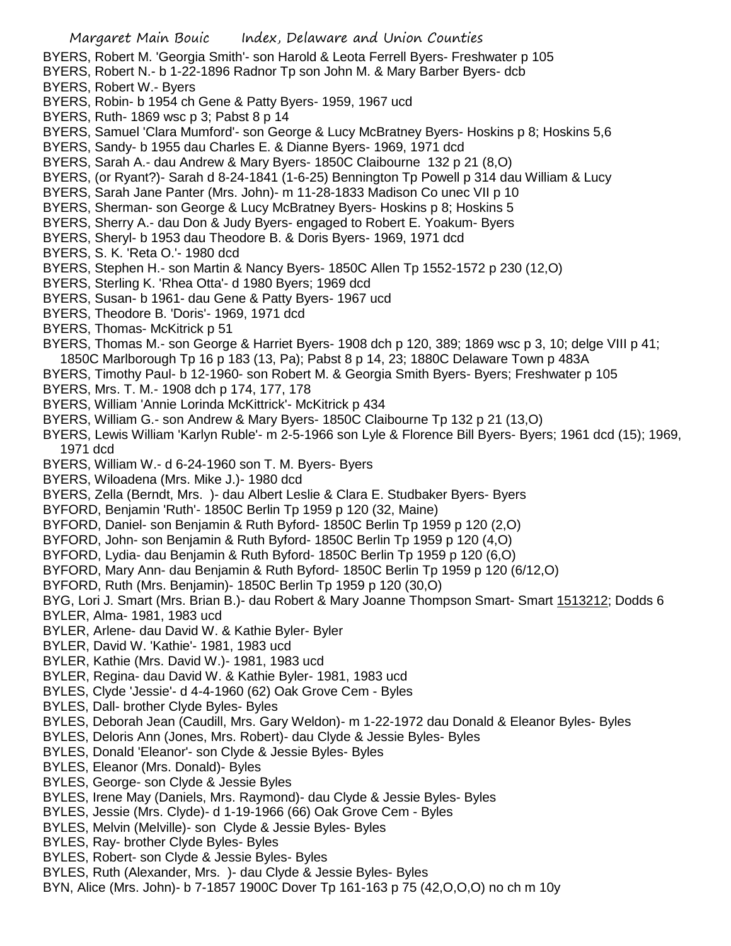- BYERS, Robert M. 'Georgia Smith'- son Harold & Leota Ferrell Byers- Freshwater p 105
- BYERS, Robert N.- b 1-22-1896 Radnor Tp son John M. & Mary Barber Byers- dcb
- BYERS, Robert W.- Byers
- BYERS, Robin- b 1954 ch Gene & Patty Byers- 1959, 1967 ucd
- BYERS, Ruth- 1869 wsc p 3; Pabst 8 p 14
- BYERS, Samuel 'Clara Mumford'- son George & Lucy McBratney Byers- Hoskins p 8; Hoskins 5,6
- BYERS, Sandy- b 1955 dau Charles E. & Dianne Byers- 1969, 1971 dcd
- BYERS, Sarah A.- dau Andrew & Mary Byers- 1850C Claibourne 132 p 21 (8,O)
- BYERS, (or Ryant?)- Sarah d 8-24-1841 (1-6-25) Bennington Tp Powell p 314 dau William & Lucy
- BYERS, Sarah Jane Panter (Mrs. John)- m 11-28-1833 Madison Co unec VII p 10
- BYERS, Sherman- son George & Lucy McBratney Byers- Hoskins p 8; Hoskins 5
- BYERS, Sherry A.- dau Don & Judy Byers- engaged to Robert E. Yoakum- Byers
- BYERS, Sheryl- b 1953 dau Theodore B. & Doris Byers- 1969, 1971 dcd
- BYERS, S. K. 'Reta O.'- 1980 dcd
- BYERS, Stephen H.- son Martin & Nancy Byers- 1850C Allen Tp 1552-1572 p 230 (12,O)
- BYERS, Sterling K. 'Rhea Otta'- d 1980 Byers; 1969 dcd
- BYERS, Susan- b 1961- dau Gene & Patty Byers- 1967 ucd
- BYERS, Theodore B. 'Doris'- 1969, 1971 dcd
- BYERS, Thomas- McKitrick p 51
- BYERS, Thomas M.- son George & Harriet Byers- 1908 dch p 120, 389; 1869 wsc p 3, 10; delge VIII p 41; 1850C Marlborough Tp 16 p 183 (13, Pa); Pabst 8 p 14, 23; 1880C Delaware Town p 483A
- BYERS, Timothy Paul- b 12-1960- son Robert M. & Georgia Smith Byers- Byers; Freshwater p 105
- BYERS, Mrs. T. M.- 1908 dch p 174, 177, 178
- BYERS, William 'Annie Lorinda McKittrick'- McKitrick p 434
- BYERS, William G.- son Andrew & Mary Byers- 1850C Claibourne Tp 132 p 21 (13,O)
- BYERS, Lewis William 'Karlyn Ruble'- m 2-5-1966 son Lyle & Florence Bill Byers- Byers; 1961 dcd (15); 1969, 1971 dcd
- BYERS, William W.- d 6-24-1960 son T. M. Byers- Byers
- BYERS, Wiloadena (Mrs. Mike J.)- 1980 dcd
- BYERS, Zella (Berndt, Mrs. )- dau Albert Leslie & Clara E. Studbaker Byers- Byers
- BYFORD, Benjamin 'Ruth'- 1850C Berlin Tp 1959 p 120 (32, Maine)
- BYFORD, Daniel- son Benjamin & Ruth Byford- 1850C Berlin Tp 1959 p 120 (2,O)
- BYFORD, John- son Benjamin & Ruth Byford- 1850C Berlin Tp 1959 p 120 (4,O)
- BYFORD, Lydia- dau Benjamin & Ruth Byford- 1850C Berlin Tp 1959 p 120 (6,O)
- BYFORD, Mary Ann- dau Benjamin & Ruth Byford- 1850C Berlin Tp 1959 p 120 (6/12,O)
- BYFORD, Ruth (Mrs. Benjamin)- 1850C Berlin Tp 1959 p 120 (30,O)
- BYG, Lori J. Smart (Mrs. Brian B.)- dau Robert & Mary Joanne Thompson Smart- Smart 1513212; Dodds 6
- BYLER, Alma- 1981, 1983 ucd
- BYLER, Arlene- dau David W. & Kathie Byler- Byler
- BYLER, David W. 'Kathie'- 1981, 1983 ucd
- BYLER, Kathie (Mrs. David W.)- 1981, 1983 ucd
- BYLER, Regina- dau David W. & Kathie Byler- 1981, 1983 ucd
- BYLES, Clyde 'Jessie'- d 4-4-1960 (62) Oak Grove Cem Byles
- BYLES, Dall- brother Clyde Byles- Byles
- BYLES, Deborah Jean (Caudill, Mrs. Gary Weldon)- m 1-22-1972 dau Donald & Eleanor Byles- Byles
- BYLES, Deloris Ann (Jones, Mrs. Robert)- dau Clyde & Jessie Byles- Byles
- BYLES, Donald 'Eleanor'- son Clyde & Jessie Byles- Byles
- BYLES, Eleanor (Mrs. Donald)- Byles
- BYLES, George- son Clyde & Jessie Byles
- BYLES, Irene May (Daniels, Mrs. Raymond)- dau Clyde & Jessie Byles- Byles
- BYLES, Jessie (Mrs. Clyde)- d 1-19-1966 (66) Oak Grove Cem Byles
- BYLES, Melvin (Melville)- son Clyde & Jessie Byles- Byles
- BYLES, Ray- brother Clyde Byles- Byles
- BYLES, Robert- son Clyde & Jessie Byles- Byles
- BYLES, Ruth (Alexander, Mrs. )- dau Clyde & Jessie Byles- Byles
- BYN, Alice (Mrs. John)- b 7-1857 1900C Dover Tp 161-163 p 75 (42,O,O,O) no ch m 10y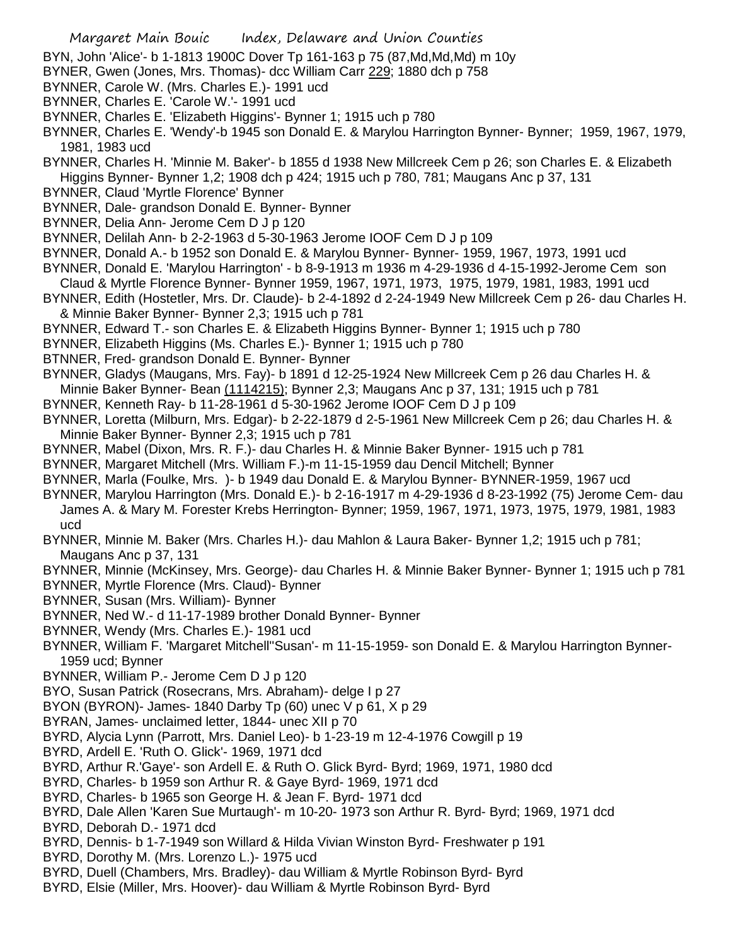- Margaret Main Bouic Index, Delaware and Union Counties
- BYN, John 'Alice'- b 1-1813 1900C Dover Tp 161-163 p 75 (87,Md,Md,Md) m 10y
- BYNER, Gwen (Jones, Mrs. Thomas)- dcc William Carr 229; 1880 dch p 758
- BYNNER, Carole W. (Mrs. Charles E.)- 1991 ucd
- BYNNER, Charles E. 'Carole W.'- 1991 ucd
- BYNNER, Charles E. 'Elizabeth Higgins'- Bynner 1; 1915 uch p 780
- BYNNER, Charles E. 'Wendy'-b 1945 son Donald E. & Marylou Harrington Bynner- Bynner; 1959, 1967, 1979, 1981, 1983 ucd
- BYNNER, Charles H. 'Minnie M. Baker'- b 1855 d 1938 New Millcreek Cem p 26; son Charles E. & Elizabeth Higgins Bynner- Bynner 1,2; 1908 dch p 424; 1915 uch p 780, 781; Maugans Anc p 37, 131
- BYNNER, Claud 'Myrtle Florence' Bynner
- BYNNER, Dale- grandson Donald E. Bynner- Bynner
- BYNNER, Delia Ann- Jerome Cem D J p 120
- BYNNER, Delilah Ann- b 2-2-1963 d 5-30-1963 Jerome IOOF Cem D J p 109
- BYNNER, Donald A.- b 1952 son Donald E. & Marylou Bynner- Bynner- 1959, 1967, 1973, 1991 ucd
- BYNNER, Donald E. 'Marylou Harrington' b 8-9-1913 m 1936 m 4-29-1936 d 4-15-1992-Jerome Cem son
- Claud & Myrtle Florence Bynner- Bynner 1959, 1967, 1971, 1973, 1975, 1979, 1981, 1983, 1991 ucd
- BYNNER, Edith (Hostetler, Mrs. Dr. Claude)- b 2-4-1892 d 2-24-1949 New Millcreek Cem p 26- dau Charles H. & Minnie Baker Bynner- Bynner 2,3; 1915 uch p 781
- BYNNER, Edward T.- son Charles E. & Elizabeth Higgins Bynner- Bynner 1; 1915 uch p 780
- BYNNER, Elizabeth Higgins (Ms. Charles E.)- Bynner 1; 1915 uch p 780
- BTNNER, Fred- grandson Donald E. Bynner- Bynner
- BYNNER, Gladys (Maugans, Mrs. Fay)- b 1891 d 12-25-1924 New Millcreek Cem p 26 dau Charles H. &
- Minnie Baker Bynner- Bean (1114215); Bynner 2,3; Maugans Anc p 37, 131; 1915 uch p 781
- BYNNER, Kenneth Ray- b 11-28-1961 d 5-30-1962 Jerome IOOF Cem D J p 109
- BYNNER, Loretta (Milburn, Mrs. Edgar)- b 2-22-1879 d 2-5-1961 New Millcreek Cem p 26; dau Charles H. & Minnie Baker Bynner- Bynner 2,3; 1915 uch p 781
- BYNNER, Mabel (Dixon, Mrs. R. F.)- dau Charles H. & Minnie Baker Bynner- 1915 uch p 781
- BYNNER, Margaret Mitchell (Mrs. William F.)-m 11-15-1959 dau Dencil Mitchell; Bynner
- BYNNER, Marla (Foulke, Mrs. )- b 1949 dau Donald E. & Marylou Bynner- BYNNER-1959, 1967 ucd
- BYNNER, Marylou Harrington (Mrs. Donald E.)- b 2-16-1917 m 4-29-1936 d 8-23-1992 (75) Jerome Cem- dau James A. & Mary M. Forester Krebs Herrington- Bynner; 1959, 1967, 1971, 1973, 1975, 1979, 1981, 1983 ucd
- BYNNER, Minnie M. Baker (Mrs. Charles H.)- dau Mahlon & Laura Baker- Bynner 1,2; 1915 uch p 781; Maugans Anc p 37, 131
- BYNNER, Minnie (McKinsey, Mrs. George)- dau Charles H. & Minnie Baker Bynner- Bynner 1; 1915 uch p 781
- BYNNER, Myrtle Florence (Mrs. Claud)- Bynner
- BYNNER, Susan (Mrs. William)- Bynner
- BYNNER, Ned W.- d 11-17-1989 brother Donald Bynner- Bynner
- BYNNER, Wendy (Mrs. Charles E.)- 1981 ucd
- BYNNER, William F. 'Margaret Mitchell''Susan'- m 11-15-1959- son Donald E. & Marylou Harrington Bynner-1959 ucd; Bynner
- BYNNER, William P.- Jerome Cem D J p 120
- BYO, Susan Patrick (Rosecrans, Mrs. Abraham)- delge I p 27
- BYON (BYRON)- James- 1840 Darby Tp (60) unec V p 61, X p 29
- BYRAN, James- unclaimed letter, 1844- unec XII p 70
- BYRD, Alycia Lynn (Parrott, Mrs. Daniel Leo)- b 1-23-19 m 12-4-1976 Cowgill p 19
- BYRD, Ardell E. 'Ruth O. Glick'- 1969, 1971 dcd
- BYRD, Arthur R.'Gaye'- son Ardell E. & Ruth O. Glick Byrd- Byrd; 1969, 1971, 1980 dcd
- BYRD, Charles- b 1959 son Arthur R. & Gaye Byrd- 1969, 1971 dcd
- BYRD, Charles- b 1965 son George H. & Jean F. Byrd- 1971 dcd
- BYRD, Dale Allen 'Karen Sue Murtaugh'- m 10-20- 1973 son Arthur R. Byrd- Byrd; 1969, 1971 dcd
- BYRD, Deborah D.- 1971 dcd
- BYRD, Dennis- b 1-7-1949 son Willard & Hilda Vivian Winston Byrd- Freshwater p 191
- BYRD, Dorothy M. (Mrs. Lorenzo L.)- 1975 ucd
- BYRD, Duell (Chambers, Mrs. Bradley)- dau William & Myrtle Robinson Byrd- Byrd
- BYRD, Elsie (Miller, Mrs. Hoover)- dau William & Myrtle Robinson Byrd- Byrd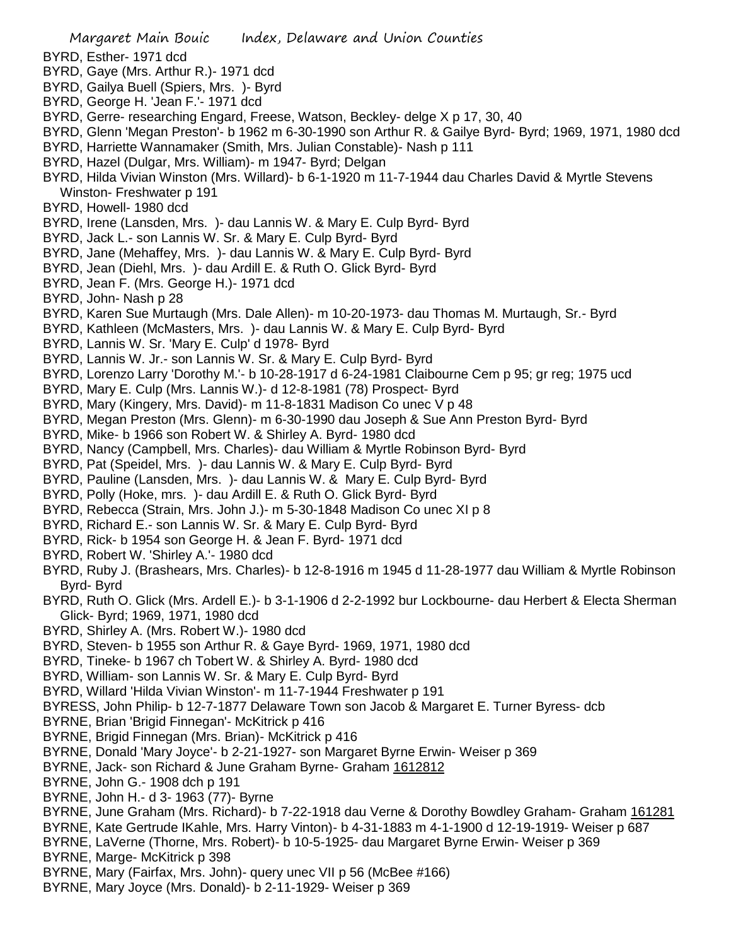Margaret Main Bouic Index, Delaware and Union Counties BYRD, Esther- 1971 dcd BYRD, Gaye (Mrs. Arthur R.)- 1971 dcd BYRD, Gailya Buell (Spiers, Mrs. )- Byrd BYRD, George H. 'Jean F.'- 1971 dcd BYRD, Gerre- researching Engard, Freese, Watson, Beckley- delge X p 17, 30, 40 BYRD, Glenn 'Megan Preston'- b 1962 m 6-30-1990 son Arthur R. & Gailye Byrd- Byrd; 1969, 1971, 1980 dcd BYRD, Harriette Wannamaker (Smith, Mrs. Julian Constable)- Nash p 111 BYRD, Hazel (Dulgar, Mrs. William)- m 1947- Byrd; Delgan BYRD, Hilda Vivian Winston (Mrs. Willard)- b 6-1-1920 m 11-7-1944 dau Charles David & Myrtle Stevens Winston- Freshwater p 191 BYRD, Howell- 1980 dcd BYRD, Irene (Lansden, Mrs. )- dau Lannis W. & Mary E. Culp Byrd- Byrd BYRD, Jack L.- son Lannis W. Sr. & Mary E. Culp Byrd- Byrd BYRD, Jane (Mehaffey, Mrs. )- dau Lannis W. & Mary E. Culp Byrd- Byrd BYRD, Jean (Diehl, Mrs. )- dau Ardill E. & Ruth O. Glick Byrd- Byrd BYRD, Jean F. (Mrs. George H.)- 1971 dcd BYRD, John- Nash p 28 BYRD, Karen Sue Murtaugh (Mrs. Dale Allen)- m 10-20-1973- dau Thomas M. Murtaugh, Sr.- Byrd BYRD, Kathleen (McMasters, Mrs. )- dau Lannis W. & Mary E. Culp Byrd- Byrd BYRD, Lannis W. Sr. 'Mary E. Culp' d 1978- Byrd BYRD, Lannis W. Jr.- son Lannis W. Sr. & Mary E. Culp Byrd- Byrd BYRD, Lorenzo Larry 'Dorothy M.'- b 10-28-1917 d 6-24-1981 Claibourne Cem p 95; gr reg; 1975 ucd BYRD, Mary E. Culp (Mrs. Lannis W.)- d 12-8-1981 (78) Prospect- Byrd BYRD, Mary (Kingery, Mrs. David)- m 11-8-1831 Madison Co unec V p 48 BYRD, Megan Preston (Mrs. Glenn)- m 6-30-1990 dau Joseph & Sue Ann Preston Byrd- Byrd BYRD, Mike- b 1966 son Robert W. & Shirley A. Byrd- 1980 dcd BYRD, Nancy (Campbell, Mrs. Charles)- dau William & Myrtle Robinson Byrd- Byrd BYRD, Pat (Speidel, Mrs. )- dau Lannis W. & Mary E. Culp Byrd- Byrd BYRD, Pauline (Lansden, Mrs. )- dau Lannis W. & Mary E. Culp Byrd- Byrd BYRD, Polly (Hoke, mrs. )- dau Ardill E. & Ruth O. Glick Byrd- Byrd BYRD, Rebecca (Strain, Mrs. John J.)- m 5-30-1848 Madison Co unec XI p 8 BYRD, Richard E.- son Lannis W. Sr. & Mary E. Culp Byrd- Byrd BYRD, Rick- b 1954 son George H. & Jean F. Byrd- 1971 dcd BYRD, Robert W. 'Shirley A.'- 1980 dcd BYRD, Ruby J. (Brashears, Mrs. Charles)- b 12-8-1916 m 1945 d 11-28-1977 dau William & Myrtle Robinson Byrd- Byrd BYRD, Ruth O. Glick (Mrs. Ardell E.)- b 3-1-1906 d 2-2-1992 bur Lockbourne- dau Herbert & Electa Sherman Glick- Byrd; 1969, 1971, 1980 dcd BYRD, Shirley A. (Mrs. Robert W.)- 1980 dcd BYRD, Steven- b 1955 son Arthur R. & Gaye Byrd- 1969, 1971, 1980 dcd BYRD, Tineke- b 1967 ch Tobert W. & Shirley A. Byrd- 1980 dcd BYRD, William- son Lannis W. Sr. & Mary E. Culp Byrd- Byrd BYRD, Willard 'Hilda Vivian Winston'- m 11-7-1944 Freshwater p 191 BYRESS, John Philip- b 12-7-1877 Delaware Town son Jacob & Margaret E. Turner Byress- dcb BYRNE, Brian 'Brigid Finnegan'- McKitrick p 416 BYRNE, Brigid Finnegan (Mrs. Brian)- McKitrick p 416 BYRNE, Donald 'Mary Joyce'- b 2-21-1927- son Margaret Byrne Erwin- Weiser p 369 BYRNE, Jack- son Richard & June Graham Byrne- Graham 1612812 BYRNE, John G.- 1908 dch p 191 BYRNE, John H.- d 3- 1963 (77)- Byrne BYRNE, June Graham (Mrs. Richard)- b 7-22-1918 dau Verne & Dorothy Bowdley Graham- Graham 161281 BYRNE, Kate Gertrude IKahle, Mrs. Harry Vinton)- b 4-31-1883 m 4-1-1900 d 12-19-1919- Weiser p 687 BYRNE, LaVerne (Thorne, Mrs. Robert)- b 10-5-1925- dau Margaret Byrne Erwin- Weiser p 369 BYRNE, Marge- McKitrick p 398 BYRNE, Mary (Fairfax, Mrs. John)- query unec VII p 56 (McBee #166) BYRNE, Mary Joyce (Mrs. Donald)- b 2-11-1929- Weiser p 369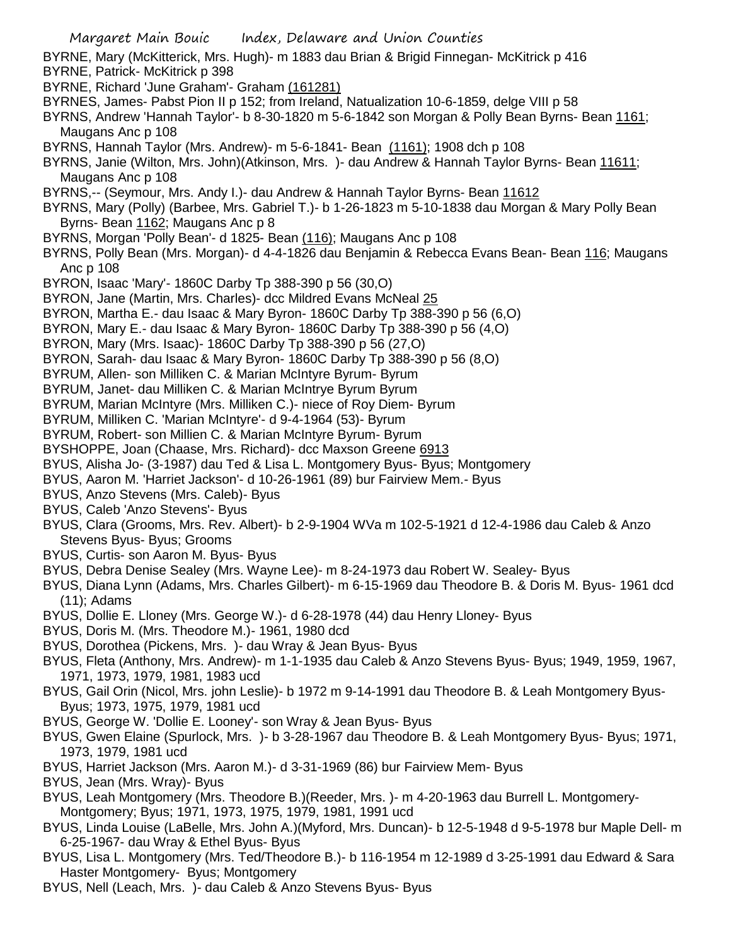- Margaret Main Bouic Index, Delaware and Union Counties BYRNE, Mary (McKitterick, Mrs. Hugh)- m 1883 dau Brian & Brigid Finnegan- McKitrick p 416 BYRNE, Patrick- McKitrick p 398 BYRNE, Richard 'June Graham'- Graham (161281) BYRNES, James- Pabst Pion II p 152; from Ireland, Natualization 10-6-1859, delge VIII p 58 BYRNS, Andrew 'Hannah Taylor'- b 8-30-1820 m 5-6-1842 son Morgan & Polly Bean Byrns- Bean 1161; Maugans Anc p 108 BYRNS, Hannah Taylor (Mrs. Andrew)- m 5-6-1841- Bean (1161); 1908 dch p 108 BYRNS, Janie (Wilton, Mrs. John)(Atkinson, Mrs. )- dau Andrew & Hannah Taylor Byrns- Bean 11611; Maugans Anc p 108 BYRNS,-- (Seymour, Mrs. Andy I.)- dau Andrew & Hannah Taylor Byrns- Bean 11612 BYRNS, Mary (Polly) (Barbee, Mrs. Gabriel T.)- b 1-26-1823 m 5-10-1838 dau Morgan & Mary Polly Bean Byrns- Bean 1162; Maugans Anc p 8 BYRNS, Morgan 'Polly Bean'- d 1825- Bean (116); Maugans Anc p 108 BYRNS, Polly Bean (Mrs. Morgan)- d 4-4-1826 dau Benjamin & Rebecca Evans Bean- Bean 116; Maugans Anc p 108 BYRON, Isaac 'Mary'- 1860C Darby Tp 388-390 p 56 (30,O) BYRON, Jane (Martin, Mrs. Charles)- dcc Mildred Evans McNeal 25 BYRON, Martha E.- dau Isaac & Mary Byron- 1860C Darby Tp 388-390 p 56 (6,O) BYRON, Mary E.- dau Isaac & Mary Byron- 1860C Darby Tp 388-390 p 56 (4,O) BYRON, Mary (Mrs. Isaac)- 1860C Darby Tp 388-390 p 56 (27,O) BYRON, Sarah- dau Isaac & Mary Byron- 1860C Darby Tp 388-390 p 56 (8,O) BYRUM, Allen- son Milliken C. & Marian McIntyre Byrum- Byrum BYRUM, Janet- dau Milliken C. & Marian McIntrye Byrum Byrum BYRUM, Marian McIntyre (Mrs. Milliken C.)- niece of Roy Diem- Byrum BYRUM, Milliken C. 'Marian McIntyre'- d 9-4-1964 (53)- Byrum BYRUM, Robert- son Millien C. & Marian McIntyre Byrum- Byrum BYSHOPPE, Joan (Chaase, Mrs. Richard)- dcc Maxson Greene 6913 BYUS, Alisha Jo- (3-1987) dau Ted & Lisa L. Montgomery Byus- Byus; Montgomery BYUS, Aaron M. 'Harriet Jackson'- d 10-26-1961 (89) bur Fairview Mem.- Byus BYUS, Anzo Stevens (Mrs. Caleb)- Byus BYUS, Caleb 'Anzo Stevens'- Byus BYUS, Clara (Grooms, Mrs. Rev. Albert)- b 2-9-1904 WVa m 102-5-1921 d 12-4-1986 dau Caleb & Anzo Stevens Byus- Byus; Grooms BYUS, Curtis- son Aaron M. Byus- Byus BYUS, Debra Denise Sealey (Mrs. Wayne Lee)- m 8-24-1973 dau Robert W. Sealey- Byus BYUS, Diana Lynn (Adams, Mrs. Charles Gilbert)- m 6-15-1969 dau Theodore B. & Doris M. Byus- 1961 dcd (11); Adams BYUS, Dollie E. Lloney (Mrs. George W.)- d 6-28-1978 (44) dau Henry Lloney- Byus BYUS, Doris M. (Mrs. Theodore M.)- 1961, 1980 dcd BYUS, Dorothea (Pickens, Mrs. )- dau Wray & Jean Byus- Byus BYUS, Fleta (Anthony, Mrs. Andrew)- m 1-1-1935 dau Caleb & Anzo Stevens Byus- Byus; 1949, 1959, 1967, 1971, 1973, 1979, 1981, 1983 ucd BYUS, Gail Orin (Nicol, Mrs. john Leslie)- b 1972 m 9-14-1991 dau Theodore B. & Leah Montgomery Byus-Byus; 1973, 1975, 1979, 1981 ucd BYUS, George W. 'Dollie E. Looney'- son Wray & Jean Byus- Byus BYUS, Gwen Elaine (Spurlock, Mrs. )- b 3-28-1967 dau Theodore B. & Leah Montgomery Byus- Byus; 1971, 1973, 1979, 1981 ucd BYUS, Harriet Jackson (Mrs. Aaron M.)- d 3-31-1969 (86) bur Fairview Mem- Byus BYUS, Jean (Mrs. Wray)- Byus BYUS, Leah Montgomery (Mrs. Theodore B.)(Reeder, Mrs. )- m 4-20-1963 dau Burrell L. Montgomery-
	- Montgomery; Byus; 1971, 1973, 1975, 1979, 1981, 1991 ucd
	- BYUS, Linda Louise (LaBelle, Mrs. John A.)(Myford, Mrs. Duncan)- b 12-5-1948 d 9-5-1978 bur Maple Dell- m 6-25-1967- dau Wray & Ethel Byus- Byus
	- BYUS, Lisa L. Montgomery (Mrs. Ted/Theodore B.)- b 116-1954 m 12-1989 d 3-25-1991 dau Edward & Sara Haster Montgomery- Byus; Montgomery
	- BYUS, Nell (Leach, Mrs. )- dau Caleb & Anzo Stevens Byus- Byus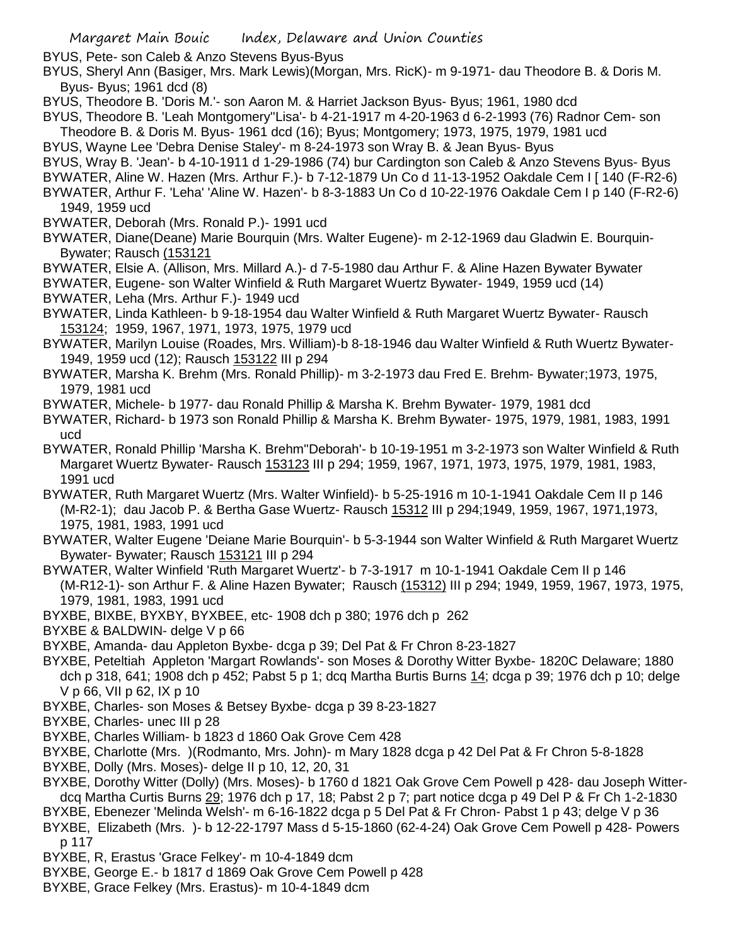BYUS, Pete- son Caleb & Anzo Stevens Byus-Byus

BYUS, Sheryl Ann (Basiger, Mrs. Mark Lewis)(Morgan, Mrs. RicK)- m 9-1971- dau Theodore B. & Doris M. Byus- Byus; 1961 dcd (8)

BYUS, Theodore B. 'Doris M.'- son Aaron M. & Harriet Jackson Byus- Byus; 1961, 1980 dcd

BYUS, Theodore B. 'Leah Montgomery''Lisa'- b 4-21-1917 m 4-20-1963 d 6-2-1993 (76) Radnor Cem- son Theodore B. & Doris M. Byus- 1961 dcd (16); Byus; Montgomery; 1973, 1975, 1979, 1981 ucd

BYUS, Wayne Lee 'Debra Denise Staley'- m 8-24-1973 son Wray B. & Jean Byus- Byus

BYUS, Wray B. 'Jean'- b 4-10-1911 d 1-29-1986 (74) bur Cardington son Caleb & Anzo Stevens Byus- Byus

- BYWATER, Aline W. Hazen (Mrs. Arthur F.)- b 7-12-1879 Un Co d 11-13-1952 Oakdale Cem I [ 140 (F-R2-6)
- BYWATER, Arthur F. 'Leha' 'Aline W. Hazen'- b 8-3-1883 Un Co d 10-22-1976 Oakdale Cem I p 140 (F-R2-6) 1949, 1959 ucd

BYWATER, Deborah (Mrs. Ronald P.)- 1991 ucd

- BYWATER, Diane(Deane) Marie Bourquin (Mrs. Walter Eugene)- m 2-12-1969 dau Gladwin E. Bourquin-Bywater; Rausch (153121
- BYWATER, Elsie A. (Allison, Mrs. Millard A.)- d 7-5-1980 dau Arthur F. & Aline Hazen Bywater Bywater

BYWATER, Eugene- son Walter Winfield & Ruth Margaret Wuertz Bywater- 1949, 1959 ucd (14)

- BYWATER, Leha (Mrs. Arthur F.)- 1949 ucd
- BYWATER, Linda Kathleen- b 9-18-1954 dau Walter Winfield & Ruth Margaret Wuertz Bywater- Rausch 153124; 1959, 1967, 1971, 1973, 1975, 1979 ucd
- BYWATER, Marilyn Louise (Roades, Mrs. William)-b 8-18-1946 dau Walter Winfield & Ruth Wuertz Bywater-1949, 1959 ucd (12); Rausch 153122 III p 294
- BYWATER, Marsha K. Brehm (Mrs. Ronald Phillip)- m 3-2-1973 dau Fred E. Brehm- Bywater;1973, 1975, 1979, 1981 ucd
- BYWATER, Michele- b 1977- dau Ronald Phillip & Marsha K. Brehm Bywater- 1979, 1981 dcd

BYWATER, Richard- b 1973 son Ronald Phillip & Marsha K. Brehm Bywater- 1975, 1979, 1981, 1983, 1991 ucd

- BYWATER, Ronald Phillip 'Marsha K. Brehm''Deborah'- b 10-19-1951 m 3-2-1973 son Walter Winfield & Ruth Margaret Wuertz Bywater- Rausch 153123 III p 294; 1959, 1967, 1971, 1973, 1975, 1979, 1981, 1983, 1991 ucd
- BYWATER, Ruth Margaret Wuertz (Mrs. Walter Winfield)- b 5-25-1916 m 10-1-1941 Oakdale Cem II p 146 (M-R2-1); dau Jacob P. & Bertha Gase Wuertz- Rausch 15312 III p 294;1949, 1959, 1967, 1971,1973, 1975, 1981, 1983, 1991 ucd
- BYWATER, Walter Eugene 'Deiane Marie Bourquin'- b 5-3-1944 son Walter Winfield & Ruth Margaret Wuertz Bywater- Bywater; Rausch 153121 III p 294
- BYWATER, Walter Winfield 'Ruth Margaret Wuertz'- b 7-3-1917 m 10-1-1941 Oakdale Cem II p 146 (M-R12-1)- son Arthur F. & Aline Hazen Bywater; Rausch (15312) III p 294; 1949, 1959, 1967, 1973, 1975, 1979, 1981, 1983, 1991 ucd
- BYXBE, BIXBE, BYXBY, BYXBEE, etc- 1908 dch p 380; 1976 dch p 262
- BYXBE & BALDWIN- delge V p 66
- BYXBE, Amanda- dau Appleton Byxbe- dcga p 39; Del Pat & Fr Chron 8-23-1827
- BYXBE, Peteltiah Appleton 'Margart Rowlands'- son Moses & Dorothy Witter Byxbe- 1820C Delaware; 1880 dch p 318, 641; 1908 dch p 452; Pabst 5 p 1; dcq Martha Burtis Burns 14; dcga p 39; 1976 dch p 10; delge V p 66, VII p 62, IX p 10
- BYXBE, Charles- son Moses & Betsey Byxbe- dcga p 39 8-23-1827
- BYXBE, Charles- unec III p 28
- BYXBE, Charles William- b 1823 d 1860 Oak Grove Cem 428
- BYXBE, Charlotte (Mrs. )(Rodmanto, Mrs. John)- m Mary 1828 dcga p 42 Del Pat & Fr Chron 5-8-1828
- BYXBE, Dolly (Mrs. Moses)- delge II p 10, 12, 20, 31
- BYXBE, Dorothy Witter (Dolly) (Mrs. Moses)- b 1760 d 1821 Oak Grove Cem Powell p 428- dau Joseph Witterdcq Martha Curtis Burns 29; 1976 dch p 17, 18; Pabst 2 p 7; part notice dcga p 49 Del P & Fr Ch 1-2-1830
- BYXBE, Ebenezer 'Melinda Welsh'- m 6-16-1822 dcga p 5 Del Pat & Fr Chron- Pabst 1 p 43; delge V p 36
- BYXBE, Elizabeth (Mrs. )- b 12-22-1797 Mass d 5-15-1860 (62-4-24) Oak Grove Cem Powell p 428- Powers p 117
- BYXBE, R, Erastus 'Grace Felkey'- m 10-4-1849 dcm
- BYXBE, George E.- b 1817 d 1869 Oak Grove Cem Powell p 428
- BYXBE, Grace Felkey (Mrs. Erastus)- m 10-4-1849 dcm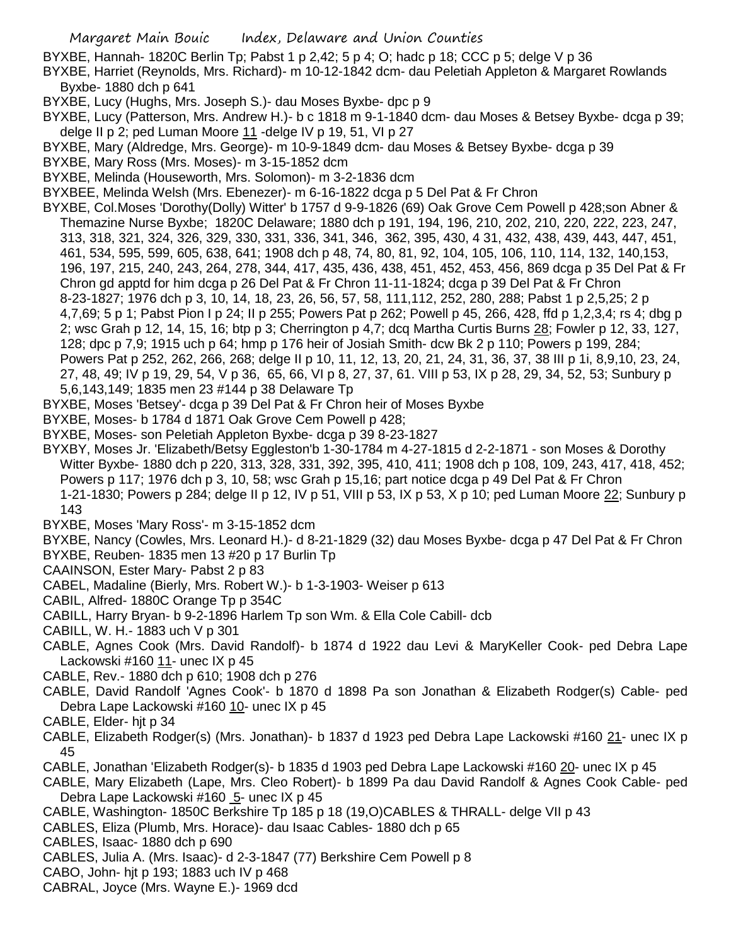- BYXBE, Hannah- 1820C Berlin Tp; Pabst 1 p 2,42; 5 p 4; O; hadc p 18; CCC p 5; delge V p 36
- BYXBE, Harriet (Reynolds, Mrs. Richard)- m 10-12-1842 dcm- dau Peletiah Appleton & Margaret Rowlands Byxbe- 1880 dch p 641
- BYXBE, Lucy (Hughs, Mrs. Joseph S.)- dau Moses Byxbe- dpc p 9
- BYXBE, Lucy (Patterson, Mrs. Andrew H.)- b c 1818 m 9-1-1840 dcm- dau Moses & Betsey Byxbe- dcga p 39; delge II p 2; ped Luman Moore 11 -delge IV p 19, 51, VI p 27
- BYXBE, Mary (Aldredge, Mrs. George)- m 10-9-1849 dcm- dau Moses & Betsey Byxbe- dcga p 39
- BYXBE, Mary Ross (Mrs. Moses)- m 3-15-1852 dcm
- BYXBE, Melinda (Houseworth, Mrs. Solomon)- m 3-2-1836 dcm
- BYXBEE, Melinda Welsh (Mrs. Ebenezer)- m 6-16-1822 dcga p 5 Del Pat & Fr Chron
- BYXBE, Col.Moses 'Dorothy(Dolly) Witter' b 1757 d 9-9-1826 (69) Oak Grove Cem Powell p 428;son Abner & Themazine Nurse Byxbe; 1820C Delaware; 1880 dch p 191, 194, 196, 210, 202, 210, 220, 222, 223, 247, 313, 318, 321, 324, 326, 329, 330, 331, 336, 341, 346, 362, 395, 430, 4 31, 432, 438, 439, 443, 447, 451, 461, 534, 595, 599, 605, 638, 641; 1908 dch p 48, 74, 80, 81, 92, 104, 105, 106, 110, 114, 132, 140,153, 196, 197, 215, 240, 243, 264, 278, 344, 417, 435, 436, 438, 451, 452, 453, 456, 869 dcga p 35 Del Pat & Fr Chron gd apptd for him dcga p 26 Del Pat & Fr Chron 11-11-1824; dcga p 39 Del Pat & Fr Chron 8-23-1827; 1976 dch p 3, 10, 14, 18, 23, 26, 56, 57, 58, 111,112, 252, 280, 288; Pabst 1 p 2,5,25; 2 p 4,7,69; 5 p 1; Pabst Pion I p 24; II p 255; Powers Pat p 262; Powell p 45, 266, 428, ffd p 1,2,3,4; rs 4; dbg p 2; wsc Grah p 12, 14, 15, 16; btp p 3; Cherrington p 4,7; dcq Martha Curtis Burns 28; Fowler p 12, 33, 127, 128; dpc p 7,9; 1915 uch p 64; hmp p 176 heir of Josiah Smith- dcw Bk 2 p 110; Powers p 199, 284; Powers Pat p 252, 262, 266, 268; delge II p 10, 11, 12, 13, 20, 21, 24, 31, 36, 37, 38 III p 1i, 8,9,10, 23, 24, 27, 48, 49; IV p 19, 29, 54, V p 36, 65, 66, VI p 8, 27, 37, 61. VIII p 53, IX p 28, 29, 34, 52, 53; Sunbury p
- 5,6,143,149; 1835 men 23 #144 p 38 Delaware Tp
- BYXBE, Moses 'Betsey'- dcga p 39 Del Pat & Fr Chron heir of Moses Byxbe
- BYXBE, Moses- b 1784 d 1871 Oak Grove Cem Powell p 428;
- BYXBE, Moses- son Peletiah Appleton Byxbe- dcga p 39 8-23-1827
- BYXBY, Moses Jr. 'Elizabeth/Betsy Eggleston'b 1-30-1784 m 4-27-1815 d 2-2-1871 son Moses & Dorothy Witter Byxbe- 1880 dch p 220, 313, 328, 331, 392, 395, 410, 411; 1908 dch p 108, 109, 243, 417, 418, 452; Powers p 117; 1976 dch p 3, 10, 58; wsc Grah p 15,16; part notice dcga p 49 Del Pat & Fr Chron 1-21-1830; Powers p 284; delge II p 12, IV p 51, VIII p 53, IX p 53, X p 10; ped Luman Moore 22; Sunbury p 143
- BYXBE, Moses 'Mary Ross'- m 3-15-1852 dcm
- BYXBE, Nancy (Cowles, Mrs. Leonard H.)- d 8-21-1829 (32) dau Moses Byxbe- dcga p 47 Del Pat & Fr Chron BYXBE, Reuben- 1835 men 13 #20 p 17 Burlin Tp
- CAAINSON, Ester Mary- Pabst 2 p 83
- CABEL, Madaline (Bierly, Mrs. Robert W.)- b 1-3-1903- Weiser p 613
- CABIL, Alfred- 1880C Orange Tp p 354C
- CABILL, Harry Bryan- b 9-2-1896 Harlem Tp son Wm. & Ella Cole Cabill- dcb
- CABILL, W. H.- 1883 uch V p 301
- CABLE, Agnes Cook (Mrs. David Randolf)- b 1874 d 1922 dau Levi & MaryKeller Cook- ped Debra Lape Lackowski #160 11- unec IX p 45
- CABLE, Rev.- 1880 dch p 610; 1908 dch p 276
- CABLE, David Randolf 'Agnes Cook'- b 1870 d 1898 Pa son Jonathan & Elizabeth Rodger(s) Cable- ped Debra Lape Lackowski #160 10- unec IX p 45
- CABLE, Elder- hjt p 34
- CABLE, Elizabeth Rodger(s) (Mrs. Jonathan)- b 1837 d 1923 ped Debra Lape Lackowski #160 21- unec IX p 45
- CABLE, Jonathan 'Elizabeth Rodger(s)- b 1835 d 1903 ped Debra Lape Lackowski #160 20- unec IX p 45
- CABLE, Mary Elizabeth (Lape, Mrs. Cleo Robert)- b 1899 Pa dau David Randolf & Agnes Cook Cable- ped Debra Lape Lackowski #160 5- unec IX p 45
- CABLE, Washington- 1850C Berkshire Tp 185 p 18 (19,O)CABLES & THRALL- delge VII p 43
- CABLES, Eliza (Plumb, Mrs. Horace)- dau Isaac Cables- 1880 dch p 65
- CABLES, Isaac- 1880 dch p 690
- CABLES, Julia A. (Mrs. Isaac)- d 2-3-1847 (77) Berkshire Cem Powell p 8
- CABO, John- hjt p 193; 1883 uch IV p 468
- CABRAL, Joyce (Mrs. Wayne E.)- 1969 dcd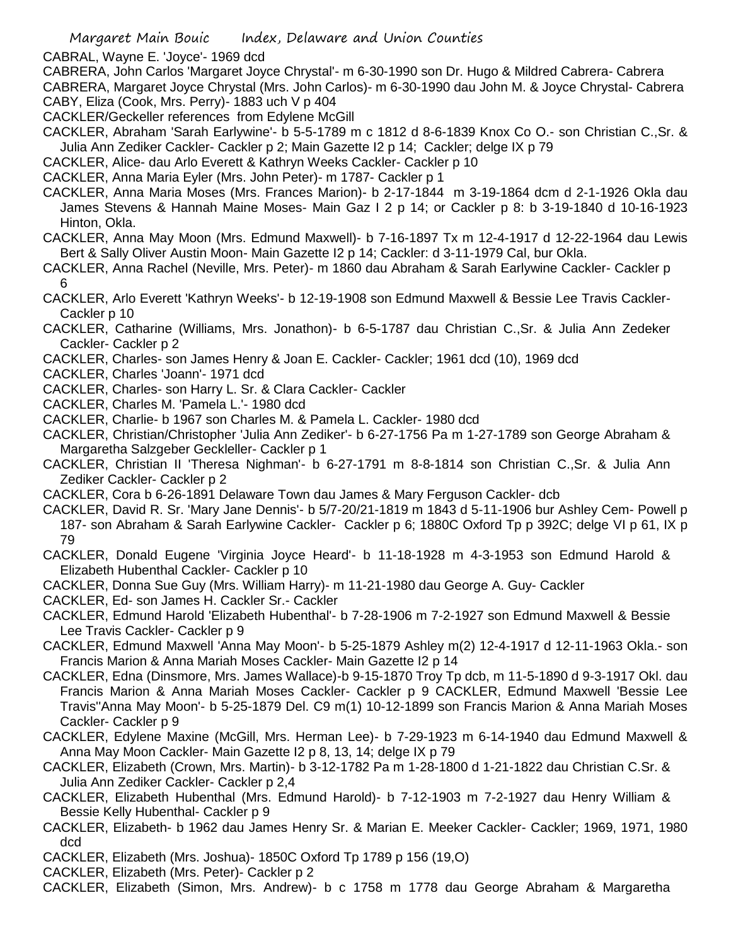CABRAL, Wayne E. 'Joyce'- 1969 dcd

CABRERA, John Carlos 'Margaret Joyce Chrystal'- m 6-30-1990 son Dr. Hugo & Mildred Cabrera- Cabrera CABRERA, Margaret Joyce Chrystal (Mrs. John Carlos)- m 6-30-1990 dau John M. & Joyce Chrystal- Cabrera CABY, Eliza (Cook, Mrs. Perry)- 1883 uch V p 404

CACKLER/Geckeller references from Edylene McGill

CACKLER, Abraham 'Sarah Earlywine'- b 5-5-1789 m c 1812 d 8-6-1839 Knox Co O.- son Christian C.,Sr. & Julia Ann Zediker Cackler- Cackler p 2; Main Gazette I2 p 14; Cackler; delge IX p 79

CACKLER, Alice- dau Arlo Everett & Kathryn Weeks Cackler- Cackler p 10

CACKLER, Anna Maria Eyler (Mrs. John Peter)- m 1787- Cackler p 1

CACKLER, Anna Maria Moses (Mrs. Frances Marion)- b 2-17-1844 m 3-19-1864 dcm d 2-1-1926 Okla dau James Stevens & Hannah Maine Moses- Main Gaz I 2 p 14; or Cackler p 8: b 3-19-1840 d 10-16-1923 Hinton, Okla.

CACKLER, Anna May Moon (Mrs. Edmund Maxwell)- b 7-16-1897 Tx m 12-4-1917 d 12-22-1964 dau Lewis Bert & Sally Oliver Austin Moon- Main Gazette I2 p 14; Cackler: d 3-11-1979 Cal, bur Okla.

CACKLER, Anna Rachel (Neville, Mrs. Peter)- m 1860 dau Abraham & Sarah Earlywine Cackler- Cackler p 6

CACKLER, Arlo Everett 'Kathryn Weeks'- b 12-19-1908 son Edmund Maxwell & Bessie Lee Travis Cackler-Cackler p 10

CACKLER, Catharine (Williams, Mrs. Jonathon)- b 6-5-1787 dau Christian C.,Sr. & Julia Ann Zedeker Cackler- Cackler p 2

CACKLER, Charles- son James Henry & Joan E. Cackler- Cackler; 1961 dcd (10), 1969 dcd

CACKLER, Charles 'Joann'- 1971 dcd

CACKLER, Charles- son Harry L. Sr. & Clara Cackler- Cackler

CACKLER, Charles M. 'Pamela L.'- 1980 dcd

CACKLER, Charlie- b 1967 son Charles M. & Pamela L. Cackler- 1980 dcd

CACKLER, Christian/Christopher 'Julia Ann Zediker'- b 6-27-1756 Pa m 1-27-1789 son George Abraham & Margaretha Salzgeber Geckleller- Cackler p 1

CACKLER, Christian II 'Theresa Nighman'- b 6-27-1791 m 8-8-1814 son Christian C.,Sr. & Julia Ann Zediker Cackler- Cackler p 2

CACKLER, Cora b 6-26-1891 Delaware Town dau James & Mary Ferguson Cackler- dcb

CACKLER, David R. Sr. 'Mary Jane Dennis'- b 5/7-20/21-1819 m 1843 d 5-11-1906 bur Ashley Cem- Powell p 187- son Abraham & Sarah Earlywine Cackler- Cackler p 6; 1880C Oxford Tp p 392C; delge VI p 61, IX p 79

CACKLER, Donald Eugene 'Virginia Joyce Heard'- b 11-18-1928 m 4-3-1953 son Edmund Harold & Elizabeth Hubenthal Cackler- Cackler p 10

CACKLER, Donna Sue Guy (Mrs. William Harry)- m 11-21-1980 dau George A. Guy- Cackler

CACKLER, Ed- son James H. Cackler Sr.- Cackler

CACKLER, Edmund Harold 'Elizabeth Hubenthal'- b 7-28-1906 m 7-2-1927 son Edmund Maxwell & Bessie Lee Travis Cackler- Cackler p 9

CACKLER, Edmund Maxwell 'Anna May Moon'- b 5-25-1879 Ashley m(2) 12-4-1917 d 12-11-1963 Okla.- son Francis Marion & Anna Mariah Moses Cackler- Main Gazette I2 p 14

CACKLER, Edna (Dinsmore, Mrs. James Wallace)-b 9-15-1870 Troy Tp dcb, m 11-5-1890 d 9-3-1917 Okl. dau Francis Marion & Anna Mariah Moses Cackler- Cackler p 9 CACKLER, Edmund Maxwell 'Bessie Lee Travis''Anna May Moon'- b 5-25-1879 Del. C9 m(1) 10-12-1899 son Francis Marion & Anna Mariah Moses Cackler- Cackler p 9

CACKLER, Edylene Maxine (McGill, Mrs. Herman Lee)- b 7-29-1923 m 6-14-1940 dau Edmund Maxwell & Anna May Moon Cackler- Main Gazette I2 p 8, 13, 14; delge IX p 79

CACKLER, Elizabeth (Crown, Mrs. Martin)- b 3-12-1782 Pa m 1-28-1800 d 1-21-1822 dau Christian C.Sr. & Julia Ann Zediker Cackler- Cackler p 2,4

CACKLER, Elizabeth Hubenthal (Mrs. Edmund Harold)- b 7-12-1903 m 7-2-1927 dau Henry William & Bessie Kelly Hubenthal- Cackler p 9

CACKLER, Elizabeth- b 1962 dau James Henry Sr. & Marian E. Meeker Cackler- Cackler; 1969, 1971, 1980 dcd

CACKLER, Elizabeth (Mrs. Joshua)- 1850C Oxford Tp 1789 p 156 (19,O)

CACKLER, Elizabeth (Mrs. Peter)- Cackler p 2

CACKLER, Elizabeth (Simon, Mrs. Andrew)- b c 1758 m 1778 dau George Abraham & Margaretha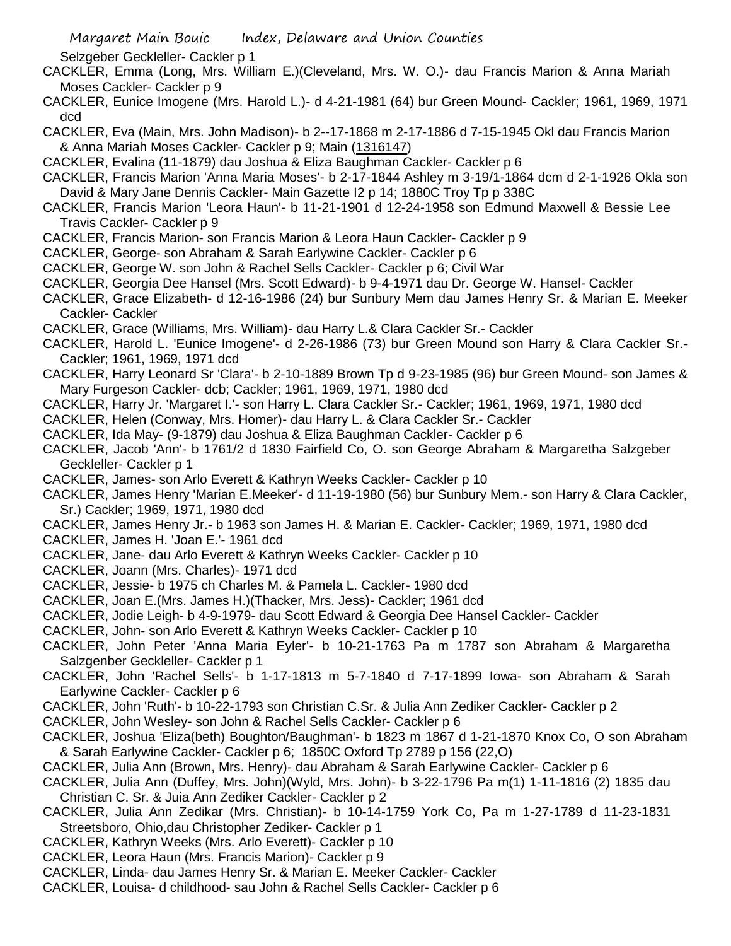Selzgeber Geckleller- Cackler p 1

- CACKLER, Emma (Long, Mrs. William E.)(Cleveland, Mrs. W. O.)- dau Francis Marion & Anna Mariah Moses Cackler- Cackler p 9
- CACKLER, Eunice Imogene (Mrs. Harold L.)- d 4-21-1981 (64) bur Green Mound- Cackler; 1961, 1969, 1971 dcd
- CACKLER, Eva (Main, Mrs. John Madison)- b 2--17-1868 m 2-17-1886 d 7-15-1945 Okl dau Francis Marion & Anna Mariah Moses Cackler- Cackler p 9; Main (1316147)
- CACKLER, Evalina (11-1879) dau Joshua & Eliza Baughman Cackler- Cackler p 6
- CACKLER, Francis Marion 'Anna Maria Moses'- b 2-17-1844 Ashley m 3-19/1-1864 dcm d 2-1-1926 Okla son David & Mary Jane Dennis Cackler- Main Gazette I2 p 14; 1880C Troy Tp p 338C
- CACKLER, Francis Marion 'Leora Haun'- b 11-21-1901 d 12-24-1958 son Edmund Maxwell & Bessie Lee Travis Cackler- Cackler p 9
- CACKLER, Francis Marion- son Francis Marion & Leora Haun Cackler- Cackler p 9
- CACKLER, George- son Abraham & Sarah Earlywine Cackler- Cackler p 6
- CACKLER, George W. son John & Rachel Sells Cackler- Cackler p 6; Civil War
- CACKLER, Georgia Dee Hansel (Mrs. Scott Edward)- b 9-4-1971 dau Dr. George W. Hansel- Cackler
- CACKLER, Grace Elizabeth- d 12-16-1986 (24) bur Sunbury Mem dau James Henry Sr. & Marian E. Meeker Cackler- Cackler
- CACKLER, Grace (Williams, Mrs. William)- dau Harry L.& Clara Cackler Sr.- Cackler
- CACKLER, Harold L. 'Eunice Imogene'- d 2-26-1986 (73) bur Green Mound son Harry & Clara Cackler Sr.- Cackler; 1961, 1969, 1971 dcd
- CACKLER, Harry Leonard Sr 'Clara'- b 2-10-1889 Brown Tp d 9-23-1985 (96) bur Green Mound- son James & Mary Furgeson Cackler- dcb; Cackler; 1961, 1969, 1971, 1980 dcd
- CACKLER, Harry Jr. 'Margaret I.'- son Harry L. Clara Cackler Sr.- Cackler; 1961, 1969, 1971, 1980 dcd
- CACKLER, Helen (Conway, Mrs. Homer)- dau Harry L. & Clara Cackler Sr.- Cackler
- CACKLER, Ida May- (9-1879) dau Joshua & Eliza Baughman Cackler- Cackler p 6
- CACKLER, Jacob 'Ann'- b 1761/2 d 1830 Fairfield Co, O. son George Abraham & Margaretha Salzgeber Geckleller- Cackler p 1
- CACKLER, James- son Arlo Everett & Kathryn Weeks Cackler- Cackler p 10
- CACKLER, James Henry 'Marian E.Meeker'- d 11-19-1980 (56) bur Sunbury Mem.- son Harry & Clara Cackler, Sr.) Cackler; 1969, 1971, 1980 dcd
- CACKLER, James Henry Jr.- b 1963 son James H. & Marian E. Cackler- Cackler; 1969, 1971, 1980 dcd
- CACKLER, James H. 'Joan E.'- 1961 dcd
- CACKLER, Jane- dau Arlo Everett & Kathryn Weeks Cackler- Cackler p 10
- CACKLER, Joann (Mrs. Charles)- 1971 dcd
- CACKLER, Jessie- b 1975 ch Charles M. & Pamela L. Cackler- 1980 dcd
- CACKLER, Joan E.(Mrs. James H.)(Thacker, Mrs. Jess)- Cackler; 1961 dcd
- CACKLER, Jodie Leigh- b 4-9-1979- dau Scott Edward & Georgia Dee Hansel Cackler- Cackler
- CACKLER, John- son Arlo Everett & Kathryn Weeks Cackler- Cackler p 10
- CACKLER, John Peter 'Anna Maria Eyler'- b 10-21-1763 Pa m 1787 son Abraham & Margaretha Salzgenber Geckleller- Cackler p 1
- CACKLER, John 'Rachel Sells'- b 1-17-1813 m 5-7-1840 d 7-17-1899 Iowa- son Abraham & Sarah Earlywine Cackler- Cackler p 6
- CACKLER, John 'Ruth'- b 10-22-1793 son Christian C.Sr. & Julia Ann Zediker Cackler- Cackler p 2
- CACKLER, John Wesley- son John & Rachel Sells Cackler- Cackler p 6
- CACKLER, Joshua 'Eliza(beth) Boughton/Baughman'- b 1823 m 1867 d 1-21-1870 Knox Co, O son Abraham & Sarah Earlywine Cackler- Cackler p 6; 1850C Oxford Tp 2789 p 156 (22,O)
- CACKLER, Julia Ann (Brown, Mrs. Henry)- dau Abraham & Sarah Earlywine Cackler- Cackler p 6
- CACKLER, Julia Ann (Duffey, Mrs. John)(Wyld, Mrs. John)- b 3-22-1796 Pa m(1) 1-11-1816 (2) 1835 dau Christian C. Sr. & Juia Ann Zediker Cackler- Cackler p 2
- CACKLER, Julia Ann Zedikar (Mrs. Christian)- b 10-14-1759 York Co, Pa m 1-27-1789 d 11-23-1831 Streetsboro, Ohio,dau Christopher Zediker- Cackler p 1
- CACKLER, Kathryn Weeks (Mrs. Arlo Everett)- Cackler p 10
- CACKLER, Leora Haun (Mrs. Francis Marion)- Cackler p 9
- CACKLER, Linda- dau James Henry Sr. & Marian E. Meeker Cackler- Cackler
- CACKLER, Louisa- d childhood- sau John & Rachel Sells Cackler- Cackler p 6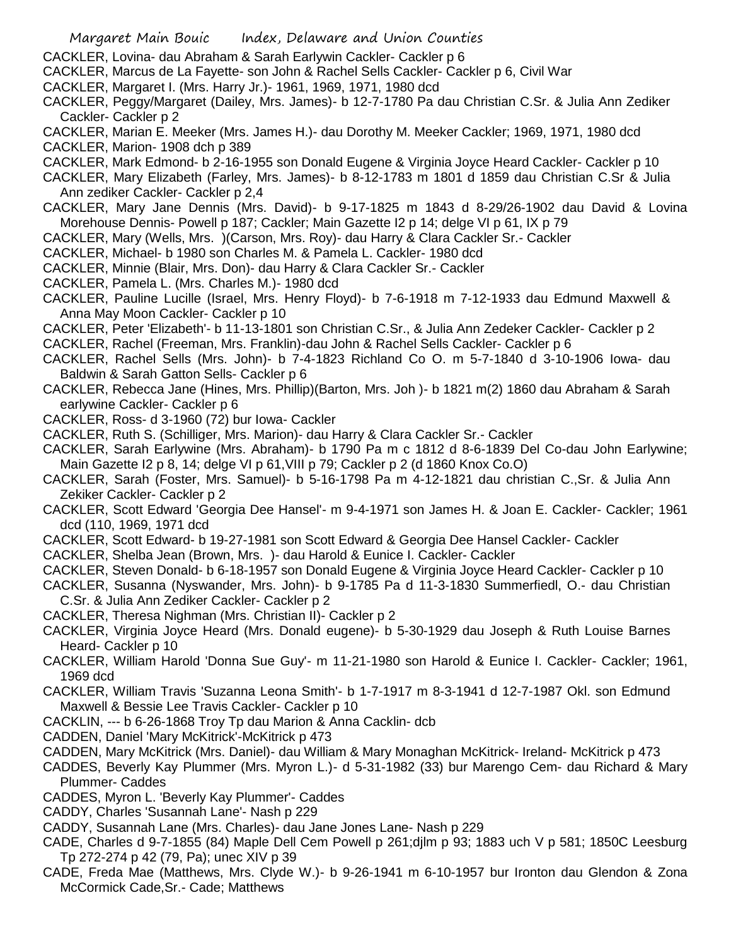- CACKLER, Lovina- dau Abraham & Sarah Earlywin Cackler- Cackler p 6
- CACKLER, Marcus de La Fayette- son John & Rachel Sells Cackler- Cackler p 6, Civil War
- CACKLER, Margaret I. (Mrs. Harry Jr.)- 1961, 1969, 1971, 1980 dcd
- CACKLER, Peggy/Margaret (Dailey, Mrs. James)- b 12-7-1780 Pa dau Christian C.Sr. & Julia Ann Zediker Cackler- Cackler p 2
- CACKLER, Marian E. Meeker (Mrs. James H.)- dau Dorothy M. Meeker Cackler; 1969, 1971, 1980 dcd CACKLER, Marion- 1908 dch p 389
- CACKLER, Mark Edmond- b 2-16-1955 son Donald Eugene & Virginia Joyce Heard Cackler- Cackler p 10
- CACKLER, Mary Elizabeth (Farley, Mrs. James)- b 8-12-1783 m 1801 d 1859 dau Christian C.Sr & Julia Ann zediker Cackler- Cackler p 2,4
- CACKLER, Mary Jane Dennis (Mrs. David)- b 9-17-1825 m 1843 d 8-29/26-1902 dau David & Lovina Morehouse Dennis- Powell p 187; Cackler; Main Gazette I2 p 14; delge VI p 61, IX p 79
- CACKLER, Mary (Wells, Mrs. )(Carson, Mrs. Roy)- dau Harry & Clara Cackler Sr.- Cackler
- CACKLER, Michael- b 1980 son Charles M. & Pamela L. Cackler- 1980 dcd
- CACKLER, Minnie (Blair, Mrs. Don)- dau Harry & Clara Cackler Sr.- Cackler
- CACKLER, Pamela L. (Mrs. Charles M.)- 1980 dcd
- CACKLER, Pauline Lucille (Israel, Mrs. Henry Floyd)- b 7-6-1918 m 7-12-1933 dau Edmund Maxwell & Anna May Moon Cackler- Cackler p 10
- CACKLER, Peter 'Elizabeth'- b 11-13-1801 son Christian C.Sr., & Julia Ann Zedeker Cackler- Cackler p 2
- CACKLER, Rachel (Freeman, Mrs. Franklin)-dau John & Rachel Sells Cackler- Cackler p 6
- CACKLER, Rachel Sells (Mrs. John)- b 7-4-1823 Richland Co O. m 5-7-1840 d 3-10-1906 Iowa- dau Baldwin & Sarah Gatton Sells- Cackler p 6
- CACKLER, Rebecca Jane (Hines, Mrs. Phillip)(Barton, Mrs. Joh )- b 1821 m(2) 1860 dau Abraham & Sarah earlywine Cackler- Cackler p 6
- CACKLER, Ross- d 3-1960 (72) bur Iowa- Cackler
- CACKLER, Ruth S. (Schilliger, Mrs. Marion)- dau Harry & Clara Cackler Sr.- Cackler
- CACKLER, Sarah Earlywine (Mrs. Abraham)- b 1790 Pa m c 1812 d 8-6-1839 Del Co-dau John Earlywine; Main Gazette I2 p 8, 14; delge VI p 61,VIII p 79; Cackler p 2 (d 1860 Knox Co.O)
- CACKLER, Sarah (Foster, Mrs. Samuel)- b 5-16-1798 Pa m 4-12-1821 dau christian C.,Sr. & Julia Ann Zekiker Cackler- Cackler p 2
- CACKLER, Scott Edward 'Georgia Dee Hansel'- m 9-4-1971 son James H. & Joan E. Cackler- Cackler; 1961 dcd (110, 1969, 1971 dcd
- CACKLER, Scott Edward- b 19-27-1981 son Scott Edward & Georgia Dee Hansel Cackler- Cackler
- CACKLER, Shelba Jean (Brown, Mrs. )- dau Harold & Eunice I. Cackler- Cackler
- CACKLER, Steven Donald- b 6-18-1957 son Donald Eugene & Virginia Joyce Heard Cackler- Cackler p 10
- CACKLER, Susanna (Nyswander, Mrs. John)- b 9-1785 Pa d 11-3-1830 Summerfiedl, O.- dau Christian C.Sr. & Julia Ann Zediker Cackler- Cackler p 2
- CACKLER, Theresa Nighman (Mrs. Christian II)- Cackler p 2
- CACKLER, Virginia Joyce Heard (Mrs. Donald eugene)- b 5-30-1929 dau Joseph & Ruth Louise Barnes Heard- Cackler p 10
- CACKLER, William Harold 'Donna Sue Guy'- m 11-21-1980 son Harold & Eunice I. Cackler- Cackler; 1961, 1969 dcd
- CACKLER, William Travis 'Suzanna Leona Smith'- b 1-7-1917 m 8-3-1941 d 12-7-1987 Okl. son Edmund Maxwell & Bessie Lee Travis Cackler- Cackler p 10
- CACKLIN, --- b 6-26-1868 Troy Tp dau Marion & Anna Cacklin- dcb
- CADDEN, Daniel 'Mary McKitrick'-McKitrick p 473
- CADDEN, Mary McKitrick (Mrs. Daniel)- dau William & Mary Monaghan McKitrick- Ireland- McKitrick p 473
- CADDES, Beverly Kay Plummer (Mrs. Myron L.)- d 5-31-1982 (33) bur Marengo Cem- dau Richard & Mary Plummer- Caddes
- CADDES, Myron L. 'Beverly Kay Plummer'- Caddes
- CADDY, Charles 'Susannah Lane'- Nash p 229
- CADDY, Susannah Lane (Mrs. Charles)- dau Jane Jones Lane- Nash p 229
- CADE, Charles d 9-7-1855 (84) Maple Dell Cem Powell p 261;djlm p 93; 1883 uch V p 581; 1850C Leesburg Tp 272-274 p 42 (79, Pa); unec XIV p 39
- CADE, Freda Mae (Matthews, Mrs. Clyde W.)- b 9-26-1941 m 6-10-1957 bur Ironton dau Glendon & Zona McCormick Cade,Sr.- Cade; Matthews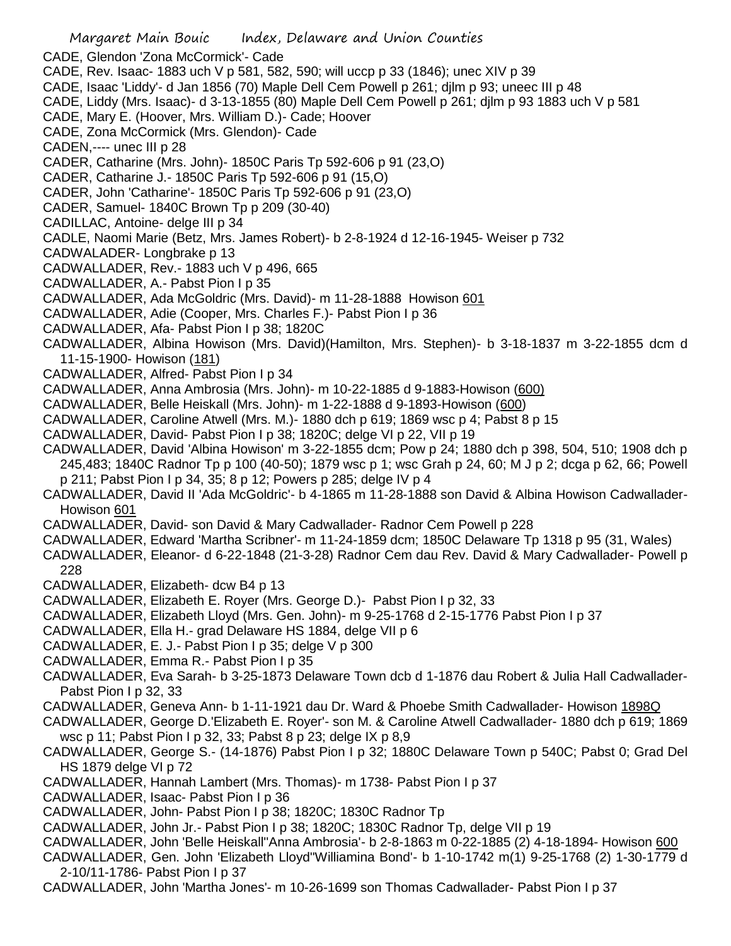- Margaret Main Bouic Index, Delaware and Union Counties CADE, Glendon 'Zona McCormick'- Cade CADE, Rev. Isaac- 1883 uch V p 581, 582, 590; will uccp p 33 (1846); unec XIV p 39 CADE, Isaac 'Liddy'- d Jan 1856 (70) Maple Dell Cem Powell p 261; djlm p 93; uneec III p 48 CADE, Liddy (Mrs. Isaac)- d 3-13-1855 (80) Maple Dell Cem Powell p 261; djlm p 93 1883 uch V p 581 CADE, Mary E. (Hoover, Mrs. William D.)- Cade; Hoover CADE, Zona McCormick (Mrs. Glendon)- Cade CADEN,---- unec III p 28 CADER, Catharine (Mrs. John)- 1850C Paris Tp 592-606 p 91 (23,O) CADER, Catharine J.- 1850C Paris Tp 592-606 p 91 (15,O) CADER, John 'Catharine'- 1850C Paris Tp 592-606 p 91 (23,O) CADER, Samuel- 1840C Brown Tp p 209 (30-40) CADILLAC, Antoine- delge III p 34 CADLE, Naomi Marie (Betz, Mrs. James Robert)- b 2-8-1924 d 12-16-1945- Weiser p 732 CADWALADER- Longbrake p 13 CADWALLADER, Rev.- 1883 uch V p 496, 665 CADWALLADER, A.- Pabst Pion I p 35 CADWALLADER, Ada McGoldric (Mrs. David)- m 11-28-1888 Howison 601 CADWALLADER, Adie (Cooper, Mrs. Charles F.)- Pabst Pion I p 36 CADWALLADER, Afa- Pabst Pion I p 38; 1820C CADWALLADER, Albina Howison (Mrs. David)(Hamilton, Mrs. Stephen)- b 3-18-1837 m 3-22-1855 dcm d 11-15-1900- Howison (181) CADWALLADER, Alfred- Pabst Pion I p 34 CADWALLADER, Anna Ambrosia (Mrs. John)- m 10-22-1885 d 9-1883-Howison (600) CADWALLADER, Belle Heiskall (Mrs. John)- m 1-22-1888 d 9-1893-Howison (600) CADWALLADER, Caroline Atwell (Mrs. M.)- 1880 dch p 619; 1869 wsc p 4; Pabst 8 p 15 CADWALLADER, David- Pabst Pion I p 38; 1820C; delge VI p 22, VII p 19 CADWALLADER, David 'Albina Howison' m 3-22-1855 dcm; Pow p 24; 1880 dch p 398, 504, 510; 1908 dch p 245,483; 1840C Radnor Tp p 100 (40-50); 1879 wsc p 1; wsc Grah p 24, 60; M J p 2; dcga p 62, 66; Powell p 211; Pabst Pion I p 34, 35; 8 p 12; Powers p 285; delge IV p 4 CADWALLADER, David II 'Ada McGoldric'- b 4-1865 m 11-28-1888 son David & Albina Howison Cadwallader-Howison 601 CADWALLADER, David- son David & Mary Cadwallader- Radnor Cem Powell p 228 CADWALLADER, Edward 'Martha Scribner'- m 11-24-1859 dcm; 1850C Delaware Tp 1318 p 95 (31, Wales) CADWALLADER, Eleanor- d 6-22-1848 (21-3-28) Radnor Cem dau Rev. David & Mary Cadwallader- Powell p 228 CADWALLADER, Elizabeth- dcw B4 p 13 CADWALLADER, Elizabeth E. Royer (Mrs. George D.)- Pabst Pion I p 32, 33 CADWALLADER, Elizabeth Lloyd (Mrs. Gen. John)- m 9-25-1768 d 2-15-1776 Pabst Pion I p 37 CADWALLADER, Ella H.- grad Delaware HS 1884, delge VII p 6 CADWALLADER, E. J.- Pabst Pion I p 35; delge V p 300 CADWALLADER, Emma R.- Pabst Pion I p 35 CADWALLADER, Eva Sarah- b 3-25-1873 Delaware Town dcb d 1-1876 dau Robert & Julia Hall Cadwallader-Pabst Pion I p 32, 33 CADWALLADER, Geneva Ann- b 1-11-1921 dau Dr. Ward & Phoebe Smith Cadwallader- Howison 1898Q CADWALLADER, George D.'Elizabeth E. Royer'- son M. & Caroline Atwell Cadwallader- 1880 dch p 619; 1869 wsc p 11; Pabst Pion I p 32, 33; Pabst 8 p 23; delge IX p 8,9 CADWALLADER, George S.- (14-1876) Pabst Pion I p 32; 1880C Delaware Town p 540C; Pabst 0; Grad Del HS 1879 delge VI p 72 CADWALLADER, Hannah Lambert (Mrs. Thomas)- m 1738- Pabst Pion I p 37 CADWALLADER, Isaac- Pabst Pion I p 36 CADWALLADER, John- Pabst Pion I p 38; 1820C; 1830C Radnor Tp CADWALLADER, John Jr.- Pabst Pion I p 38; 1820C; 1830C Radnor Tp, delge VII p 19 CADWALLADER, John 'Belle Heiskall''Anna Ambrosia'- b 2-8-1863 m 0-22-1885 (2) 4-18-1894- Howison 600 CADWALLADER, Gen. John 'Elizabeth Lloyd''Williamina Bond'- b 1-10-1742 m(1) 9-25-1768 (2) 1-30-1779 d
- 2-10/11-1786- Pabst Pion I p 37
- CADWALLADER, John 'Martha Jones'- m 10-26-1699 son Thomas Cadwallader- Pabst Pion I p 37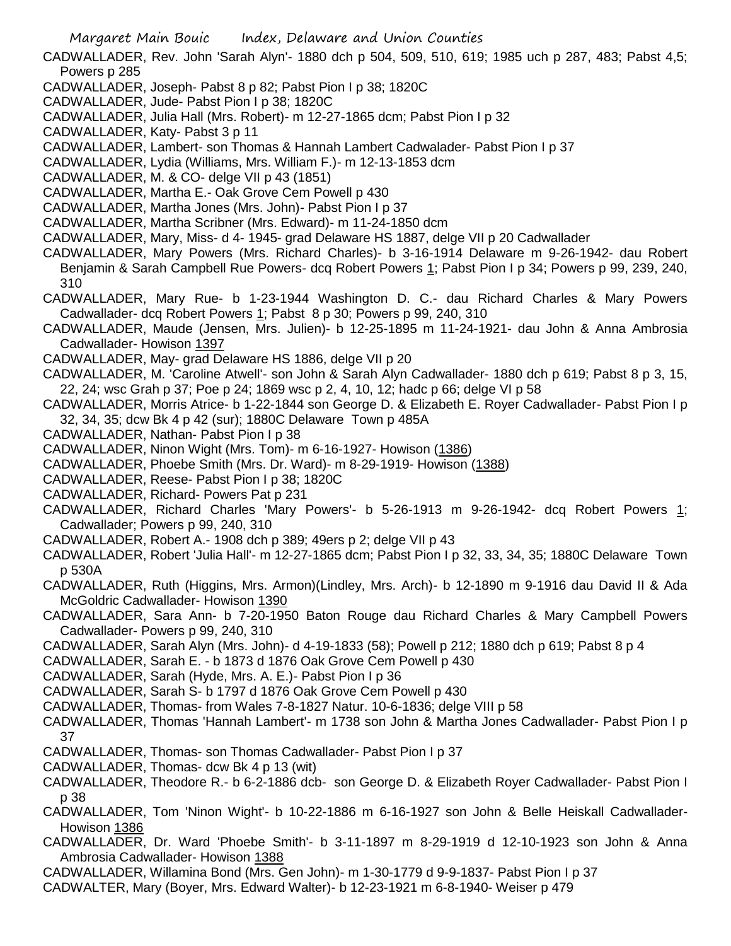- CADWALLADER, Rev. John 'Sarah Alyn'- 1880 dch p 504, 509, 510, 619; 1985 uch p 287, 483; Pabst 4,5; Powers p 285
- CADWALLADER, Joseph- Pabst 8 p 82; Pabst Pion I p 38; 1820C
- CADWALLADER, Jude- Pabst Pion I p 38; 1820C
- CADWALLADER, Julia Hall (Mrs. Robert)- m 12-27-1865 dcm; Pabst Pion I p 32
- CADWALLADER, Katy- Pabst 3 p 11
- CADWALLADER, Lambert- son Thomas & Hannah Lambert Cadwalader- Pabst Pion I p 37
- CADWALLADER, Lydia (Williams, Mrs. William F.)- m 12-13-1853 dcm
- CADWALLADER, M. & CO- delge VII p 43 (1851)
- CADWALLADER, Martha E.- Oak Grove Cem Powell p 430
- CADWALLADER, Martha Jones (Mrs. John)- Pabst Pion I p 37
- CADWALLADER, Martha Scribner (Mrs. Edward)- m 11-24-1850 dcm
- CADWALLADER, Mary, Miss- d 4- 1945- grad Delaware HS 1887, delge VII p 20 Cadwallader
- CADWALLADER, Mary Powers (Mrs. Richard Charles)- b 3-16-1914 Delaware m 9-26-1942- dau Robert Benjamin & Sarah Campbell Rue Powers- dcq Robert Powers 1; Pabst Pion I p 34; Powers p 99, 239, 240, 310
- CADWALLADER, Mary Rue- b 1-23-1944 Washington D. C.- dau Richard Charles & Mary Powers Cadwallader- dcq Robert Powers 1; Pabst 8 p 30; Powers p 99, 240, 310
- CADWALLADER, Maude (Jensen, Mrs. Julien)- b 12-25-1895 m 11-24-1921- dau John & Anna Ambrosia Cadwallader- Howison 1397
- CADWALLADER, May- grad Delaware HS 1886, delge VII p 20
- CADWALLADER, M. 'Caroline Atwell'- son John & Sarah Alyn Cadwallader- 1880 dch p 619; Pabst 8 p 3, 15, 22, 24; wsc Grah p 37; Poe p 24; 1869 wsc p 2, 4, 10, 12; hadc p 66; delge VI p 58
- CADWALLADER, Morris Atrice- b 1-22-1844 son George D. & Elizabeth E. Royer Cadwallader- Pabst Pion I p 32, 34, 35; dcw Bk 4 p 42 (sur); 1880C Delaware Town p 485A
- CADWALLADER, Nathan- Pabst Pion I p 38
- CADWALLADER, Ninon Wight (Mrs. Tom)- m 6-16-1927- Howison (1386)
- CADWALLADER, Phoebe Smith (Mrs. Dr. Ward)- m 8-29-1919- Howison (1388)
- CADWALLADER, Reese- Pabst Pion I p 38; 1820C
- CADWALLADER, Richard- Powers Pat p 231
- CADWALLADER, Richard Charles 'Mary Powers'- b 5-26-1913 m 9-26-1942- dcq Robert Powers 1; Cadwallader; Powers p 99, 240, 310
- CADWALLADER, Robert A.- 1908 dch p 389; 49ers p 2; delge VII p 43
- CADWALLADER, Robert 'Julia Hall'- m 12-27-1865 dcm; Pabst Pion I p 32, 33, 34, 35; 1880C Delaware Town p 530A
- CADWALLADER, Ruth (Higgins, Mrs. Armon)(Lindley, Mrs. Arch)- b 12-1890 m 9-1916 dau David II & Ada McGoldric Cadwallader- Howison 1390
- CADWALLADER, Sara Ann- b 7-20-1950 Baton Rouge dau Richard Charles & Mary Campbell Powers Cadwallader- Powers p 99, 240, 310
- CADWALLADER, Sarah Alyn (Mrs. John)- d 4-19-1833 (58); Powell p 212; 1880 dch p 619; Pabst 8 p 4
- CADWALLADER, Sarah E. b 1873 d 1876 Oak Grove Cem Powell p 430
- CADWALLADER, Sarah (Hyde, Mrs. A. E.)- Pabst Pion I p 36
- CADWALLADER, Sarah S- b 1797 d 1876 Oak Grove Cem Powell p 430
- CADWALLADER, Thomas- from Wales 7-8-1827 Natur. 10-6-1836; delge VIII p 58
- CADWALLADER, Thomas 'Hannah Lambert'- m 1738 son John & Martha Jones Cadwallader- Pabst Pion I p 37
- CADWALLADER, Thomas- son Thomas Cadwallader- Pabst Pion I p 37
- CADWALLADER, Thomas- dcw Bk 4 p 13 (wit)
- CADWALLADER, Theodore R.- b 6-2-1886 dcb- son George D. & Elizabeth Royer Cadwallader- Pabst Pion I p 38
- CADWALLADER, Tom 'Ninon Wight'- b 10-22-1886 m 6-16-1927 son John & Belle Heiskall Cadwallader-Howison 1386
- CADWALLADER, Dr. Ward 'Phoebe Smith'- b 3-11-1897 m 8-29-1919 d 12-10-1923 son John & Anna Ambrosia Cadwallader- Howison 1388
- CADWALLADER, Willamina Bond (Mrs. Gen John)- m 1-30-1779 d 9-9-1837- Pabst Pion I p 37
- CADWALTER, Mary (Boyer, Mrs. Edward Walter)- b 12-23-1921 m 6-8-1940- Weiser p 479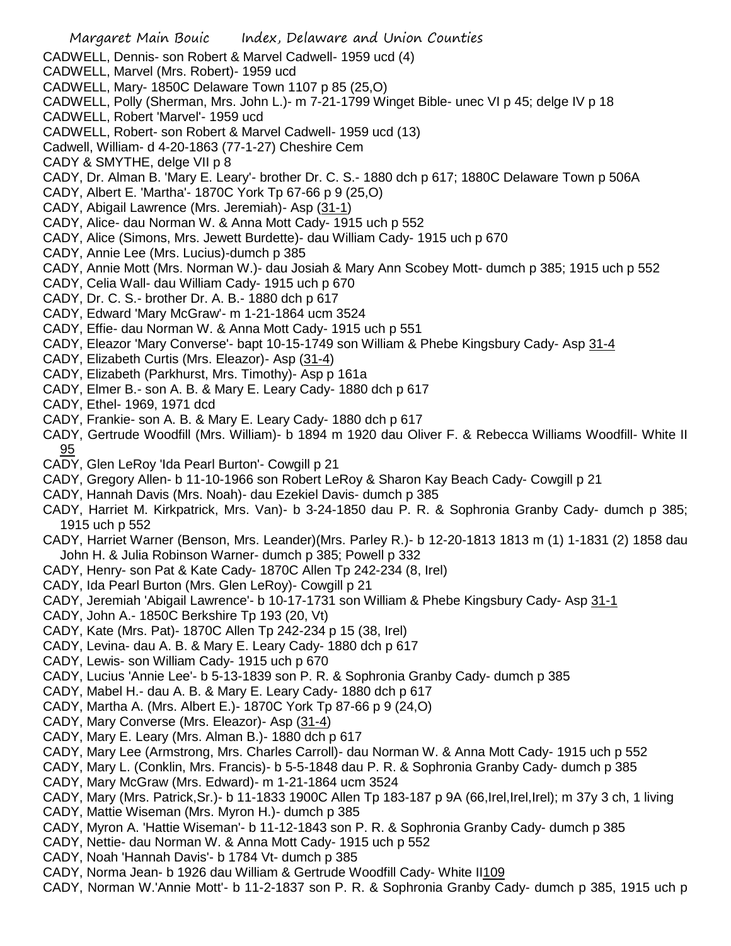- Margaret Main Bouic Index, Delaware and Union Counties CADWELL, Dennis- son Robert & Marvel Cadwell- 1959 ucd (4) CADWELL, Marvel (Mrs. Robert)- 1959 ucd CADWELL, Mary- 1850C Delaware Town 1107 p 85 (25,O) CADWELL, Polly (Sherman, Mrs. John L.)- m 7-21-1799 Winget Bible- unec VI p 45; delge IV p 18 CADWELL, Robert 'Marvel'- 1959 ucd CADWELL, Robert- son Robert & Marvel Cadwell- 1959 ucd (13) Cadwell, William- d 4-20-1863 (77-1-27) Cheshire Cem CADY & SMYTHE, delge VII p 8 CADY, Dr. Alman B. 'Mary E. Leary'- brother Dr. C. S.- 1880 dch p 617; 1880C Delaware Town p 506A CADY, Albert E. 'Martha'- 1870C York Tp 67-66 p 9 (25,O) CADY, Abigail Lawrence (Mrs. Jeremiah)- Asp (31-1) CADY, Alice- dau Norman W. & Anna Mott Cady- 1915 uch p 552 CADY, Alice (Simons, Mrs. Jewett Burdette)- dau William Cady- 1915 uch p 670 CADY, Annie Lee (Mrs. Lucius)-dumch p 385 CADY, Annie Mott (Mrs. Norman W.)- dau Josiah & Mary Ann Scobey Mott- dumch p 385; 1915 uch p 552 CADY, Celia Wall- dau William Cady- 1915 uch p 670 CADY, Dr. C. S.- brother Dr. A. B.- 1880 dch p 617 CADY, Edward 'Mary McGraw'- m 1-21-1864 ucm 3524 CADY, Effie- dau Norman W. & Anna Mott Cady- 1915 uch p 551 CADY, Eleazor 'Mary Converse'- bapt 10-15-1749 son William & Phebe Kingsbury Cady- Asp 31-4 CADY, Elizabeth Curtis (Mrs. Eleazor)- Asp (31-4) CADY, Elizabeth (Parkhurst, Mrs. Timothy)- Asp p 161a CADY, Elmer B.- son A. B. & Mary E. Leary Cady- 1880 dch p 617 CADY, Ethel- 1969, 1971 dcd CADY, Frankie- son A. B. & Mary E. Leary Cady- 1880 dch p 617 CADY, Gertrude Woodfill (Mrs. William)- b 1894 m 1920 dau Oliver F. & Rebecca Williams Woodfill- White II 95 CADY, Glen LeRoy 'Ida Pearl Burton'- Cowgill p 21 CADY, Gregory Allen- b 11-10-1966 son Robert LeRoy & Sharon Kay Beach Cady- Cowgill p 21 CADY, Hannah Davis (Mrs. Noah)- dau Ezekiel Davis- dumch p 385 CADY, Harriet M. Kirkpatrick, Mrs. Van)- b 3-24-1850 dau P. R. & Sophronia Granby Cady- dumch p 385; 1915 uch p 552 CADY, Harriet Warner (Benson, Mrs. Leander)(Mrs. Parley R.)- b 12-20-1813 1813 m (1) 1-1831 (2) 1858 dau John H. & Julia Robinson Warner- dumch p 385; Powell p 332 CADY, Henry- son Pat & Kate Cady- 1870C Allen Tp 242-234 (8, Irel) CADY, Ida Pearl Burton (Mrs. Glen LeRoy)- Cowgill p 21 CADY, Jeremiah 'Abigail Lawrence'- b 10-17-1731 son William & Phebe Kingsbury Cady- Asp 31-1 CADY, John A.- 1850C Berkshire Tp 193 (20, Vt) CADY, Kate (Mrs. Pat)- 1870C Allen Tp 242-234 p 15 (38, Irel) CADY, Levina- dau A. B. & Mary E. Leary Cady- 1880 dch p 617 CADY, Lewis- son William Cady- 1915 uch p 670 CADY, Lucius 'Annie Lee'- b 5-13-1839 son P. R. & Sophronia Granby Cady- dumch p 385 CADY, Mabel H.- dau A. B. & Mary E. Leary Cady- 1880 dch p 617 CADY, Martha A. (Mrs. Albert E.)- 1870C York Tp 87-66 p 9 (24,O) CADY, Mary Converse (Mrs. Eleazor)- Asp (31-4) CADY, Mary E. Leary (Mrs. Alman B.)- 1880 dch p 617 CADY, Mary Lee (Armstrong, Mrs. Charles Carroll)- dau Norman W. & Anna Mott Cady- 1915 uch p 552 CADY, Mary L. (Conklin, Mrs. Francis)- b 5-5-1848 dau P. R. & Sophronia Granby Cady- dumch p 385 CADY, Mary McGraw (Mrs. Edward)- m 1-21-1864 ucm 3524
- CADY, Mary (Mrs. Patrick,Sr.)- b 11-1833 1900C Allen Tp 183-187 p 9A (66,Irel,Irel,Irel); m 37y 3 ch, 1 living CADY, Mattie Wiseman (Mrs. Myron H.)- dumch p 385
- CADY, Myron A. 'Hattie Wiseman'- b 11-12-1843 son P. R. & Sophronia Granby Cady- dumch p 385
- CADY, Nettie- dau Norman W. & Anna Mott Cady- 1915 uch p 552
- CADY, Noah 'Hannah Davis'- b 1784 Vt- dumch p 385
- CADY, Norma Jean- b 1926 dau William & Gertrude Woodfill Cady- White II109
- CADY, Norman W.'Annie Mott'- b 11-2-1837 son P. R. & Sophronia Granby Cady- dumch p 385, 1915 uch p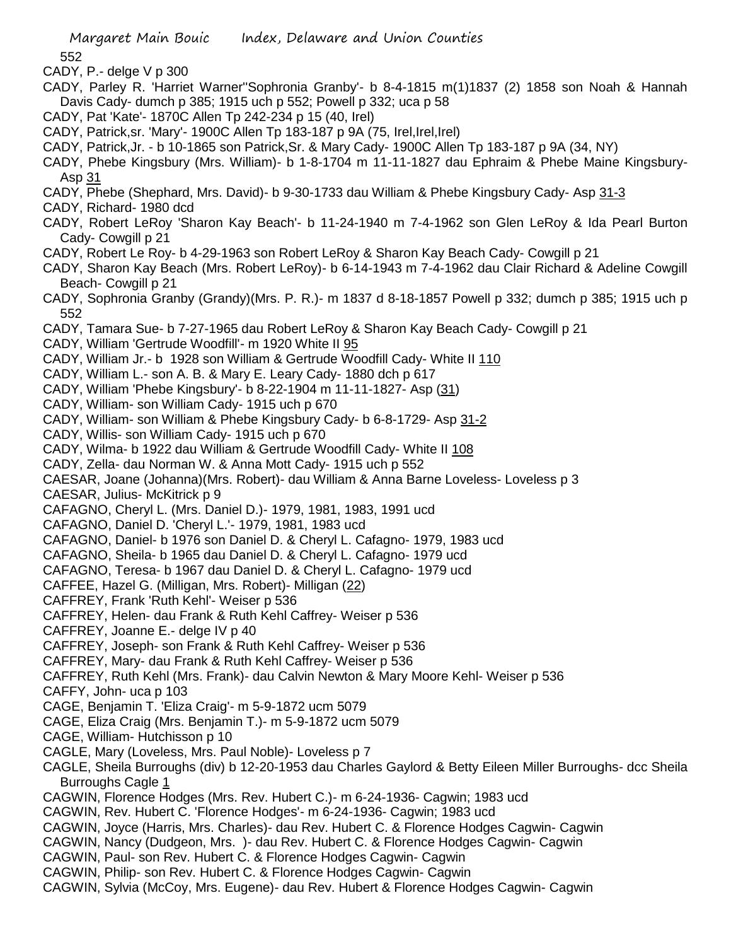CADY, P.- delge V p 300

- CADY, Parley R. 'Harriet Warner''Sophronia Granby'- b 8-4-1815 m(1)1837 (2) 1858 son Noah & Hannah Davis Cady- dumch p 385; 1915 uch p 552; Powell p 332; uca p 58
- CADY, Pat 'Kate'- 1870C Allen Tp 242-234 p 15 (40, Irel)
- CADY, Patrick,sr. 'Mary'- 1900C Allen Tp 183-187 p 9A (75, Irel,Irel,Irel)
- CADY, Patrick,Jr. b 10-1865 son Patrick,Sr. & Mary Cady- 1900C Allen Tp 183-187 p 9A (34, NY)
- CADY, Phebe Kingsbury (Mrs. William)- b 1-8-1704 m 11-11-1827 dau Ephraim & Phebe Maine Kingsbury-Asp 31
- CADY, Phebe (Shephard, Mrs. David)- b 9-30-1733 dau William & Phebe Kingsbury Cady- Asp 31-3
- CADY, Richard- 1980 dcd
- CADY, Robert LeRoy 'Sharon Kay Beach'- b 11-24-1940 m 7-4-1962 son Glen LeRoy & Ida Pearl Burton Cady- Cowgill p 21
- CADY, Robert Le Roy- b 4-29-1963 son Robert LeRoy & Sharon Kay Beach Cady- Cowgill p 21
- CADY, Sharon Kay Beach (Mrs. Robert LeRoy)- b 6-14-1943 m 7-4-1962 dau Clair Richard & Adeline Cowgill Beach- Cowgill p 21
- CADY, Sophronia Granby (Grandy)(Mrs. P. R.)- m 1837 d 8-18-1857 Powell p 332; dumch p 385; 1915 uch p 552
- CADY, Tamara Sue- b 7-27-1965 dau Robert LeRoy & Sharon Kay Beach Cady- Cowgill p 21
- CADY, William 'Gertrude Woodfill'- m 1920 White II 95
- CADY, William Jr.- b 1928 son William & Gertrude Woodfill Cady- White II 110
- CADY, William L.- son A. B. & Mary E. Leary Cady- 1880 dch p 617
- CADY, William 'Phebe Kingsbury'- b 8-22-1904 m 11-11-1827- Asp (31)
- CADY, William- son William Cady- 1915 uch p 670
- CADY, William- son William & Phebe Kingsbury Cady- b 6-8-1729- Asp 31-2
- CADY, Willis- son William Cady- 1915 uch p 670
- CADY, Wilma- b 1922 dau William & Gertrude Woodfill Cady- White II 108
- CADY, Zella- dau Norman W. & Anna Mott Cady- 1915 uch p 552
- CAESAR, Joane (Johanna)(Mrs. Robert)- dau William & Anna Barne Loveless- Loveless p 3
- CAESAR, Julius- McKitrick p 9
- CAFAGNO, Cheryl L. (Mrs. Daniel D.)- 1979, 1981, 1983, 1991 ucd
- CAFAGNO, Daniel D. 'Cheryl L.'- 1979, 1981, 1983 ucd
- CAFAGNO, Daniel- b 1976 son Daniel D. & Cheryl L. Cafagno- 1979, 1983 ucd
- CAFAGNO, Sheila- b 1965 dau Daniel D. & Cheryl L. Cafagno- 1979 ucd
- CAFAGNO, Teresa- b 1967 dau Daniel D. & Cheryl L. Cafagno- 1979 ucd
- CAFFEE, Hazel G. (Milligan, Mrs. Robert)- Milligan (22)
- CAFFREY, Frank 'Ruth Kehl'- Weiser p 536
- CAFFREY, Helen- dau Frank & Ruth Kehl Caffrey- Weiser p 536
- CAFFREY, Joanne E.- delge IV p 40
- CAFFREY, Joseph- son Frank & Ruth Kehl Caffrey- Weiser p 536
- CAFFREY, Mary- dau Frank & Ruth Kehl Caffrey- Weiser p 536
- CAFFREY, Ruth Kehl (Mrs. Frank)- dau Calvin Newton & Mary Moore Kehl- Weiser p 536
- CAFFY, John- uca p 103
- CAGE, Benjamin T. 'Eliza Craig'- m 5-9-1872 ucm 5079
- CAGE, Eliza Craig (Mrs. Benjamin T.)- m 5-9-1872 ucm 5079
- CAGE, William- Hutchisson p 10
- CAGLE, Mary (Loveless, Mrs. Paul Noble)- Loveless p 7
- CAGLE, Sheila Burroughs (div) b 12-20-1953 dau Charles Gaylord & Betty Eileen Miller Burroughs- dcc Sheila Burroughs Cagle 1
- CAGWIN, Florence Hodges (Mrs. Rev. Hubert C.)- m 6-24-1936- Cagwin; 1983 ucd
- CAGWIN, Rev. Hubert C. 'Florence Hodges'- m 6-24-1936- Cagwin; 1983 ucd
- CAGWIN, Joyce (Harris, Mrs. Charles)- dau Rev. Hubert C. & Florence Hodges Cagwin- Cagwin
- CAGWIN, Nancy (Dudgeon, Mrs. )- dau Rev. Hubert C. & Florence Hodges Cagwin- Cagwin
- CAGWIN, Paul- son Rev. Hubert C. & Florence Hodges Cagwin- Cagwin
- CAGWIN, Philip- son Rev. Hubert C. & Florence Hodges Cagwin- Cagwin
- CAGWIN, Sylvia (McCoy, Mrs. Eugene)- dau Rev. Hubert & Florence Hodges Cagwin- Cagwin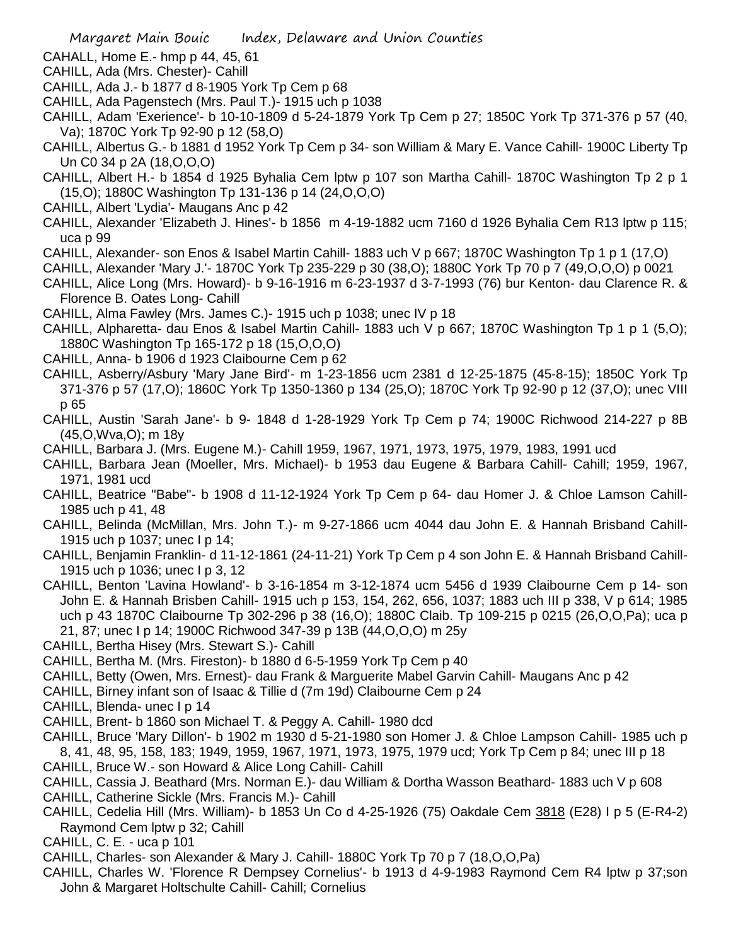- CAHALL, Home E.- hmp p 44, 45, 61
- CAHILL, Ada (Mrs. Chester)- Cahill
- CAHILL, Ada J.- b 1877 d 8-1905 York Tp Cem p 68
- CAHILL, Ada Pagenstech (Mrs. Paul T.)- 1915 uch p 1038
- CAHILL, Adam 'Exerience'- b 10-10-1809 d 5-24-1879 York Tp Cem p 27; 1850C York Tp 371-376 p 57 (40, Va); 1870C York Tp 92-90 p 12 (58,O)
- CAHILL, Albertus G.- b 1881 d 1952 York Tp Cem p 34- son William & Mary E. Vance Cahill- 1900C Liberty Tp Un C0 34 p 2A (18,O,O,O)
- CAHILL, Albert H.- b 1854 d 1925 Byhalia Cem lptw p 107 son Martha Cahill- 1870C Washington Tp 2 p 1 (15,O); 1880C Washington Tp 131-136 p 14 (24,O,O,O)
- CAHILL, Albert 'Lydia'- Maugans Anc p 42
- CAHILL, Alexander 'Elizabeth J. Hines'- b 1856 m 4-19-1882 ucm 7160 d 1926 Byhalia Cem R13 lptw p 115; uca p 99
- CAHILL, Alexander- son Enos & Isabel Martin Cahill- 1883 uch V p 667; 1870C Washington Tp 1 p 1 (17,O)
- CAHILL, Alexander 'Mary J.'- 1870C York Tp 235-229 p 30 (38,O); 1880C York Tp 70 p 7 (49,O,O,O) p 0021
- CAHILL, Alice Long (Mrs. Howard)- b 9-16-1916 m 6-23-1937 d 3-7-1993 (76) bur Kenton- dau Clarence R. & Florence B. Oates Long- Cahill
- CAHILL, Alma Fawley (Mrs. James C.)- 1915 uch p 1038; unec IV p 18
- CAHILL, Alpharetta- dau Enos & Isabel Martin Cahill- 1883 uch V p 667; 1870C Washington Tp 1 p 1 (5,O); 1880C Washington Tp 165-172 p 18 (15,O,O,O)
- CAHILL, Anna- b 1906 d 1923 Claibourne Cem p 62
- CAHILL, Asberry/Asbury 'Mary Jane Bird'- m 1-23-1856 ucm 2381 d 12-25-1875 (45-8-15); 1850C York Tp 371-376 p 57 (17,O); 1860C York Tp 1350-1360 p 134 (25,O); 1870C York Tp 92-90 p 12 (37,O); unec VIII p 65
- CAHILL, Austin 'Sarah Jane'- b 9- 1848 d 1-28-1929 York Tp Cem p 74; 1900C Richwood 214-227 p 8B (45,O,Wva,O); m 18y
- CAHILL, Barbara J. (Mrs. Eugene M.)- Cahill 1959, 1967, 1971, 1973, 1975, 1979, 1983, 1991 ucd
- CAHILL, Barbara Jean (Moeller, Mrs. Michael)- b 1953 dau Eugene & Barbara Cahill- Cahill; 1959, 1967, 1971, 1981 ucd
- CAHILL, Beatrice "Babe"- b 1908 d 11-12-1924 York Tp Cem p 64- dau Homer J. & Chloe Lamson Cahill-1985 uch p 41, 48
- CAHILL, Belinda (McMillan, Mrs. John T.)- m 9-27-1866 ucm 4044 dau John E. & Hannah Brisband Cahill-1915 uch p 1037; unec I p 14;
- CAHILL, Benjamin Franklin- d 11-12-1861 (24-11-21) York Tp Cem p 4 son John E. & Hannah Brisband Cahill-1915 uch p 1036; unec I p 3, 12
- CAHILL, Benton 'Lavina Howland'- b 3-16-1854 m 3-12-1874 ucm 5456 d 1939 Claibourne Cem p 14- son John E. & Hannah Brisben Cahill- 1915 uch p 153, 154, 262, 656, 1037; 1883 uch III p 338, V p 614; 1985 uch p 43 1870C Claibourne Tp 302-296 p 38 (16,O); 1880C Claib. Tp 109-215 p 0215 (26,O,O,Pa); uca p 21, 87; unec I p 14; 1900C Richwood 347-39 p 13B (44,O,O,O) m 25y
- CAHILL, Bertha Hisey (Mrs. Stewart S.)- Cahill
- CAHILL, Bertha M. (Mrs. Fireston)- b 1880 d 6-5-1959 York Tp Cem p 40
- CAHILL, Betty (Owen, Mrs. Ernest)- dau Frank & Marguerite Mabel Garvin Cahill- Maugans Anc p 42
- CAHILL, Birney infant son of Isaac & Tillie d (7m 19d) Claibourne Cem p 24
- CAHILL, Blenda- unec I p 14
- CAHILL, Brent- b 1860 son Michael T. & Peggy A. Cahill- 1980 dcd
- CAHILL, Bruce 'Mary Dillon'- b 1902 m 1930 d 5-21-1980 son Homer J. & Chloe Lampson Cahill- 1985 uch p 8, 41, 48, 95, 158, 183; 1949, 1959, 1967, 1971, 1973, 1975, 1979 ucd; York Tp Cem p 84; unec III p 18
- CAHILL, Bruce W.- son Howard & Alice Long Cahill- Cahill
- CAHILL, Cassia J. Beathard (Mrs. Norman E.)- dau William & Dortha Wasson Beathard- 1883 uch V p 608
- CAHILL, Catherine Sickle (Mrs. Francis M.)- Cahill
- CAHILL, Cedelia Hill (Mrs. William)- b 1853 Un Co d 4-25-1926 (75) Oakdale Cem 3818 (E28) I p 5 (E-R4-2) Raymond Cem lptw p 32; Cahill
- CAHILL, C. E. uca p 101
- CAHILL, Charles- son Alexander & Mary J. Cahill- 1880C York Tp 70 p 7 (18,O,O,Pa)
- CAHILL, Charles W. 'Florence R Dempsey Cornelius'- b 1913 d 4-9-1983 Raymond Cem R4 lptw p 37;son John & Margaret Holtschulte Cahill- Cahill; Cornelius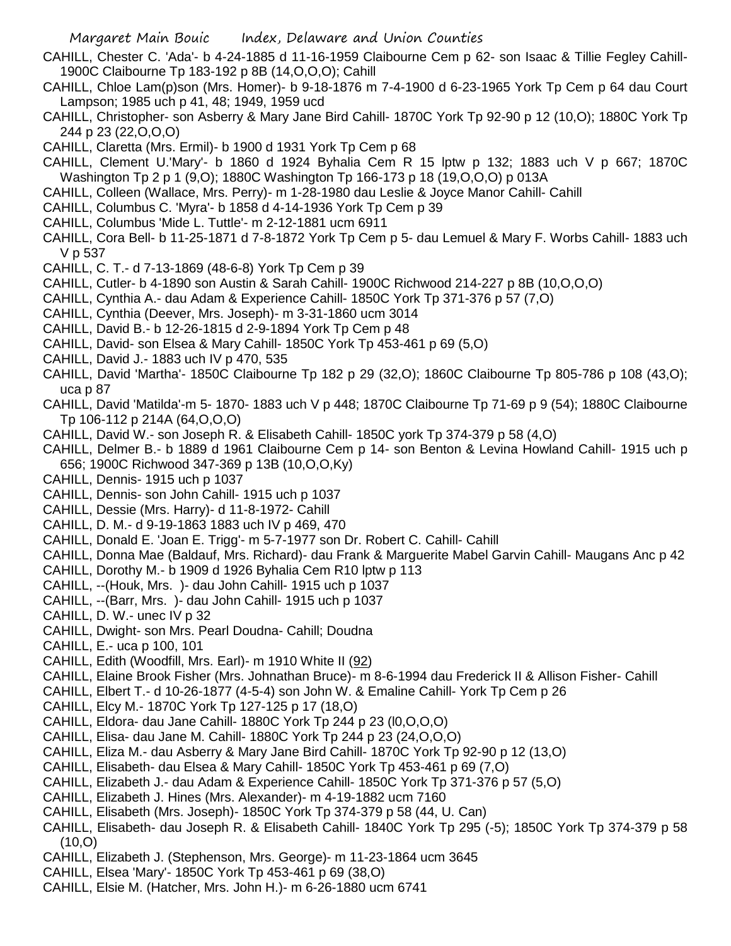- CAHILL, Chester C. 'Ada'- b 4-24-1885 d 11-16-1959 Claibourne Cem p 62- son Isaac & Tillie Fegley Cahill-1900C Claibourne Tp 183-192 p 8B (14,O,O,O); Cahill
- CAHILL, Chloe Lam(p)son (Mrs. Homer)- b 9-18-1876 m 7-4-1900 d 6-23-1965 York Tp Cem p 64 dau Court Lampson; 1985 uch p 41, 48; 1949, 1959 ucd
- CAHILL, Christopher- son Asberry & Mary Jane Bird Cahill- 1870C York Tp 92-90 p 12 (10,O); 1880C York Tp 244 p 23 (22,O,O,O)
- CAHILL, Claretta (Mrs. Ermil)- b 1900 d 1931 York Tp Cem p 68
- CAHILL, Clement U.'Mary'- b 1860 d 1924 Byhalia Cem R 15 lptw p 132; 1883 uch V p 667; 1870C Washington Tp 2 p 1 (9,O); 1880C Washington Tp 166-173 p 18 (19,O,O,O) p 013A
- CAHILL, Colleen (Wallace, Mrs. Perry)- m 1-28-1980 dau Leslie & Joyce Manor Cahill- Cahill
- CAHILL, Columbus C. 'Myra'- b 1858 d 4-14-1936 York Tp Cem p 39
- CAHILL, Columbus 'Mide L. Tuttle'- m 2-12-1881 ucm 6911
- CAHILL, Cora Bell- b 11-25-1871 d 7-8-1872 York Tp Cem p 5- dau Lemuel & Mary F. Worbs Cahill- 1883 uch V p 537
- CAHILL, C. T.- d 7-13-1869 (48-6-8) York Tp Cem p 39
- CAHILL, Cutler- b 4-1890 son Austin & Sarah Cahill- 1900C Richwood 214-227 p 8B (10,O,O,O)
- CAHILL, Cynthia A.- dau Adam & Experience Cahill- 1850C York Tp 371-376 p 57 (7,O)
- CAHILL, Cynthia (Deever, Mrs. Joseph)- m 3-31-1860 ucm 3014
- CAHILL, David B.- b 12-26-1815 d 2-9-1894 York Tp Cem p 48
- CAHILL, David- son Elsea & Mary Cahill- 1850C York Tp 453-461 p 69 (5,O)
- CAHILL, David J.- 1883 uch IV p 470, 535
- CAHILL, David 'Martha'- 1850C Claibourne Tp 182 p 29 (32,O); 1860C Claibourne Tp 805-786 p 108 (43,O); uca p 87
- CAHILL, David 'Matilda'-m 5- 1870- 1883 uch V p 448; 1870C Claibourne Tp 71-69 p 9 (54); 1880C Claibourne Tp 106-112 p 214A (64,O,O,O)
- CAHILL, David W.- son Joseph R. & Elisabeth Cahill- 1850C york Tp 374-379 p 58 (4,O)
- CAHILL, Delmer B.- b 1889 d 1961 Claibourne Cem p 14- son Benton & Levina Howland Cahill- 1915 uch p 656; 1900C Richwood 347-369 p 13B (10,O,O,Ky)
- CAHILL, Dennis- 1915 uch p 1037
- CAHILL, Dennis- son John Cahill- 1915 uch p 1037
- CAHILL, Dessie (Mrs. Harry)- d 11-8-1972- Cahill
- CAHILL, D. M.- d 9-19-1863 1883 uch IV p 469, 470
- CAHILL, Donald E. 'Joan E. Trigg'- m 5-7-1977 son Dr. Robert C. Cahill- Cahill
- CAHILL, Donna Mae (Baldauf, Mrs. Richard)- dau Frank & Marguerite Mabel Garvin Cahill- Maugans Anc p 42
- CAHILL, Dorothy M.- b 1909 d 1926 Byhalia Cem R10 lptw p 113
- CAHILL, --(Houk, Mrs. )- dau John Cahill- 1915 uch p 1037
- CAHILL, --(Barr, Mrs. )- dau John Cahill- 1915 uch p 1037
- CAHILL, D. W.- unec IV p 32
- CAHILL, Dwight- son Mrs. Pearl Doudna- Cahill; Doudna
- CAHILL, E.- uca p 100, 101
- CAHILL, Edith (Woodfill, Mrs. Earl)- m 1910 White II (92)
- CAHILL, Elaine Brook Fisher (Mrs. Johnathan Bruce)- m 8-6-1994 dau Frederick II & Allison Fisher- Cahill
- CAHILL, Elbert T.- d 10-26-1877 (4-5-4) son John W. & Emaline Cahill- York Tp Cem p 26
- CAHILL, Elcy M.- 1870C York Tp 127-125 p 17 (18,O)
- CAHILL, Eldora- dau Jane Cahill- 1880C York Tp 244 p 23 (l0,O,O,O)
- CAHILL, Elisa- dau Jane M. Cahill- 1880C York Tp 244 p 23 (24,O,O,O)
- CAHILL, Eliza M.- dau Asberry & Mary Jane Bird Cahill- 1870C York Tp 92-90 p 12 (13,O)
- CAHILL, Elisabeth- dau Elsea & Mary Cahill- 1850C York Tp 453-461 p 69 (7,O)
- CAHILL, Elizabeth J.- dau Adam & Experience Cahill- 1850C York Tp 371-376 p 57 (5,O)
- CAHILL, Elizabeth J. Hines (Mrs. Alexander)- m 4-19-1882 ucm 7160
- CAHILL, Elisabeth (Mrs. Joseph)- 1850C York Tp 374-379 p 58 (44, U. Can)
- CAHILL, Elisabeth- dau Joseph R. & Elisabeth Cahill- 1840C York Tp 295 (-5); 1850C York Tp 374-379 p 58  $(10, 0)$
- CAHILL, Elizabeth J. (Stephenson, Mrs. George)- m 11-23-1864 ucm 3645
- CAHILL, Elsea 'Mary'- 1850C York Tp 453-461 p 69 (38,O)
- CAHILL, Elsie M. (Hatcher, Mrs. John H.)- m 6-26-1880 ucm 6741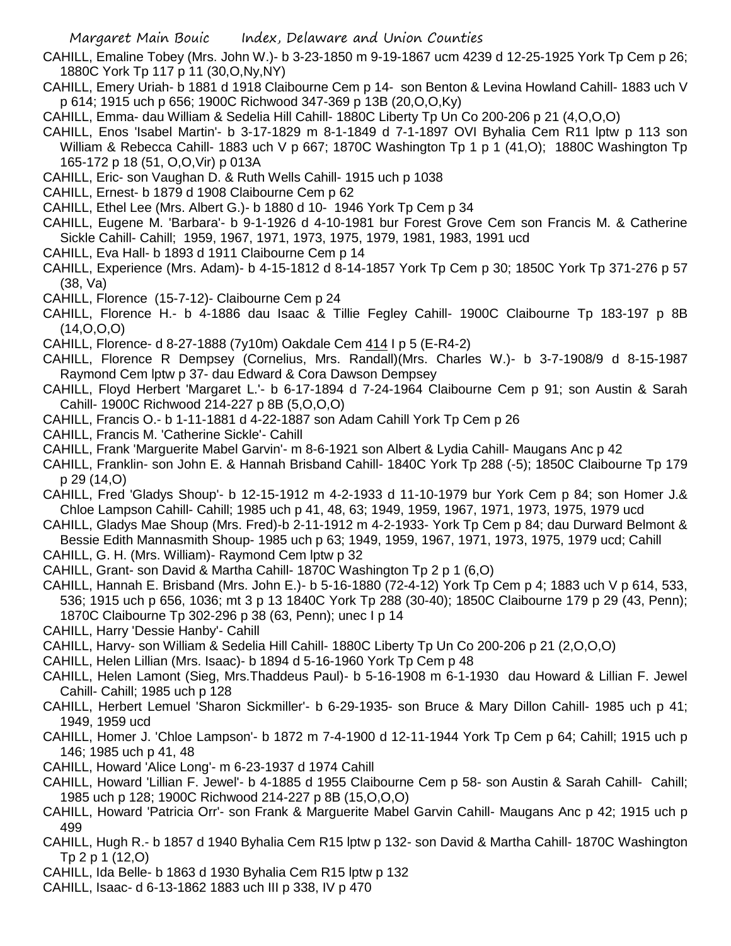- CAHILL, Emaline Tobey (Mrs. John W.)- b 3-23-1850 m 9-19-1867 ucm 4239 d 12-25-1925 York Tp Cem p 26; 1880C York Tp 117 p 11 (30,O,Ny,NY)
- CAHILL, Emery Uriah- b 1881 d 1918 Claibourne Cem p 14- son Benton & Levina Howland Cahill- 1883 uch V p 614; 1915 uch p 656; 1900C Richwood 347-369 p 13B (20,O,O,Ky)
- CAHILL, Emma- dau William & Sedelia Hill Cahill- 1880C Liberty Tp Un Co 200-206 p 21 (4,O,O,O)
- CAHILL, Enos 'Isabel Martin'- b 3-17-1829 m 8-1-1849 d 7-1-1897 OVI Byhalia Cem R11 lptw p 113 son William & Rebecca Cahill- 1883 uch V p 667; 1870C Washington Tp 1 p 1 (41,O); 1880C Washington Tp 165-172 p 18 (51, O,O,Vir) p 013A
- CAHILL, Eric- son Vaughan D. & Ruth Wells Cahill- 1915 uch p 1038
- CAHILL, Ernest- b 1879 d 1908 Claibourne Cem p 62
- CAHILL, Ethel Lee (Mrs. Albert G.)- b 1880 d 10- 1946 York Tp Cem p 34
- CAHILL, Eugene M. 'Barbara'- b 9-1-1926 d 4-10-1981 bur Forest Grove Cem son Francis M. & Catherine Sickle Cahill- Cahill; 1959, 1967, 1971, 1973, 1975, 1979, 1981, 1983, 1991 ucd
- CAHILL, Eva Hall- b 1893 d 1911 Claibourne Cem p 14
- CAHILL, Experience (Mrs. Adam)- b 4-15-1812 d 8-14-1857 York Tp Cem p 30; 1850C York Tp 371-276 p 57 (38, Va)
- CAHILL, Florence (15-7-12)- Claibourne Cem p 24
- CAHILL, Florence H.- b 4-1886 dau Isaac & Tillie Fegley Cahill- 1900C Claibourne Tp 183-197 p 8B (14,O,O,O)
- CAHILL, Florence- d 8-27-1888 (7y10m) Oakdale Cem 414 I p 5 (E-R4-2)
- CAHILL, Florence R Dempsey (Cornelius, Mrs. Randall)(Mrs. Charles W.)- b 3-7-1908/9 d 8-15-1987 Raymond Cem lptw p 37- dau Edward & Cora Dawson Dempsey
- CAHILL, Floyd Herbert 'Margaret L.'- b 6-17-1894 d 7-24-1964 Claibourne Cem p 91; son Austin & Sarah Cahill- 1900C Richwood 214-227 p 8B (5,O,O,O)
- CAHILL, Francis O.- b 1-11-1881 d 4-22-1887 son Adam Cahill York Tp Cem p 26
- CAHILL, Francis M. 'Catherine Sickle'- Cahill
- CAHILL, Frank 'Marguerite Mabel Garvin'- m 8-6-1921 son Albert & Lydia Cahill- Maugans Anc p 42
- CAHILL, Franklin- son John E. & Hannah Brisband Cahill- 1840C York Tp 288 (-5); 1850C Claibourne Tp 179 p 29 (14,O)
- CAHILL, Fred 'Gladys Shoup'- b 12-15-1912 m 4-2-1933 d 11-10-1979 bur York Cem p 84; son Homer J.& Chloe Lampson Cahill- Cahill; 1985 uch p 41, 48, 63; 1949, 1959, 1967, 1971, 1973, 1975, 1979 ucd
- CAHILL, Gladys Mae Shoup (Mrs. Fred)-b 2-11-1912 m 4-2-1933- York Tp Cem p 84; dau Durward Belmont & Bessie Edith Mannasmith Shoup- 1985 uch p 63; 1949, 1959, 1967, 1971, 1973, 1975, 1979 ucd; Cahill
- CAHILL, G. H. (Mrs. William)- Raymond Cem lptw p 32
- CAHILL, Grant- son David & Martha Cahill- 1870C Washington Tp 2 p 1 (6,O)
- CAHILL, Hannah E. Brisband (Mrs. John E.)- b 5-16-1880 (72-4-12) York Tp Cem p 4; 1883 uch V p 614, 533, 536; 1915 uch p 656, 1036; mt 3 p 13 1840C York Tp 288 (30-40); 1850C Claibourne 179 p 29 (43, Penn); 1870C Claibourne Tp 302-296 p 38 (63, Penn); unec I p 14
- CAHILL, Harry 'Dessie Hanby'- Cahill
- CAHILL, Harvy- son William & Sedelia Hill Cahill- 1880C Liberty Tp Un Co 200-206 p 21 (2,O,O,O)
- CAHILL, Helen Lillian (Mrs. Isaac)- b 1894 d 5-16-1960 York Tp Cem p 48
- CAHILL, Helen Lamont (Sieg, Mrs.Thaddeus Paul)- b 5-16-1908 m 6-1-1930 dau Howard & Lillian F. Jewel Cahill- Cahill; 1985 uch p 128
- CAHILL, Herbert Lemuel 'Sharon Sickmiller'- b 6-29-1935- son Bruce & Mary Dillon Cahill- 1985 uch p 41; 1949, 1959 ucd
- CAHILL, Homer J. 'Chloe Lampson'- b 1872 m 7-4-1900 d 12-11-1944 York Tp Cem p 64; Cahill; 1915 uch p 146; 1985 uch p 41, 48
- CAHILL, Howard 'Alice Long'- m 6-23-1937 d 1974 Cahill
- CAHILL, Howard 'Lillian F. Jewel'- b 4-1885 d 1955 Claibourne Cem p 58- son Austin & Sarah Cahill- Cahill; 1985 uch p 128; 1900C Richwood 214-227 p 8B (15,O,O,O)
- CAHILL, Howard 'Patricia Orr'- son Frank & Marguerite Mabel Garvin Cahill- Maugans Anc p 42; 1915 uch p 499
- CAHILL, Hugh R.- b 1857 d 1940 Byhalia Cem R15 lptw p 132- son David & Martha Cahill- 1870C Washington Tp 2 p 1 (12,O)
- CAHILL, Ida Belle- b 1863 d 1930 Byhalia Cem R15 lptw p 132
- CAHILL, Isaac- d 6-13-1862 1883 uch III p 338, IV p 470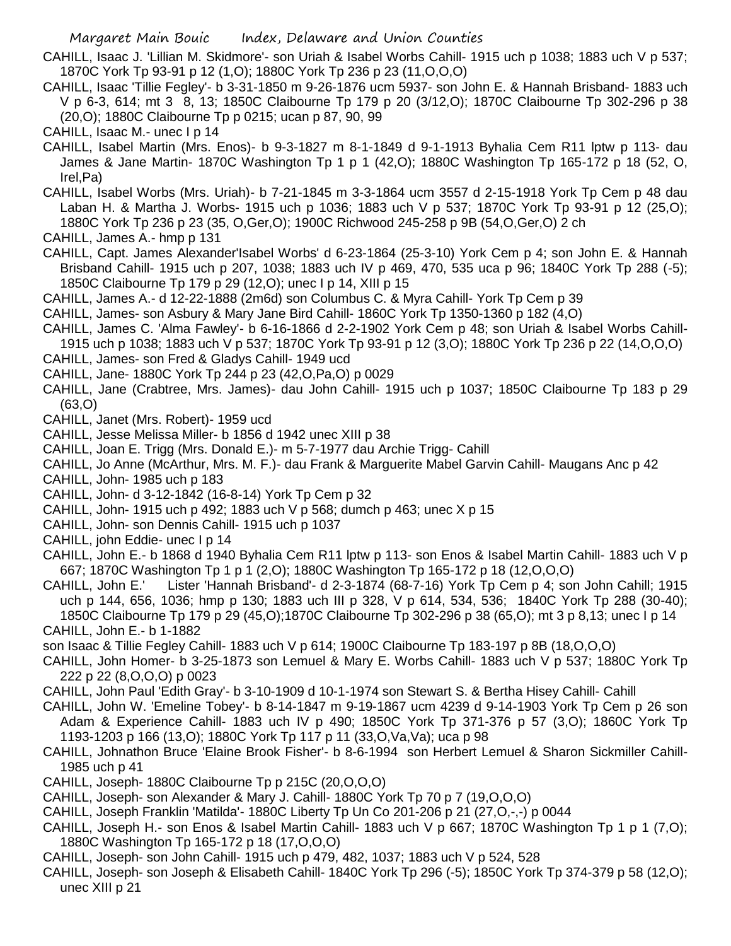- CAHILL, Isaac J. 'Lillian M. Skidmore'- son Uriah & Isabel Worbs Cahill- 1915 uch p 1038; 1883 uch V p 537; 1870C York Tp 93-91 p 12 (1,O); 1880C York Tp 236 p 23 (11,O,O,O)
- CAHILL, Isaac 'Tillie Fegley'- b 3-31-1850 m 9-26-1876 ucm 5937- son John E. & Hannah Brisband- 1883 uch V p 6-3, 614; mt 3 8, 13; 1850C Claibourne Tp 179 p 20 (3/12,O); 1870C Claibourne Tp 302-296 p 38 (20,O); 1880C Claibourne Tp p 0215; ucan p 87, 90, 99
- CAHILL, Isaac M.- unec I p 14
- CAHILL, Isabel Martin (Mrs. Enos)- b 9-3-1827 m 8-1-1849 d 9-1-1913 Byhalia Cem R11 lptw p 113- dau James & Jane Martin- 1870C Washington Tp 1 p 1 (42,O); 1880C Washington Tp 165-172 p 18 (52, O, Irel,Pa)
- CAHILL, Isabel Worbs (Mrs. Uriah)- b 7-21-1845 m 3-3-1864 ucm 3557 d 2-15-1918 York Tp Cem p 48 dau Laban H. & Martha J. Worbs- 1915 uch p 1036; 1883 uch V p 537; 1870C York Tp 93-91 p 12 (25,O); 1880C York Tp 236 p 23 (35, O,Ger,O); 1900C Richwood 245-258 p 9B (54,O,Ger,O) 2 ch
- CAHILL, James A.- hmp p 131
- CAHILL, Capt. James Alexander'Isabel Worbs' d 6-23-1864 (25-3-10) York Cem p 4; son John E. & Hannah Brisband Cahill- 1915 uch p 207, 1038; 1883 uch IV p 469, 470, 535 uca p 96; 1840C York Tp 288 (-5); 1850C Claibourne Tp 179 p 29 (12,O); unec I p 14, XIII p 15
- CAHILL, James A.- d 12-22-1888 (2m6d) son Columbus C. & Myra Cahill- York Tp Cem p 39
- CAHILL, James- son Asbury & Mary Jane Bird Cahill- 1860C York Tp 1350-1360 p 182 (4,O)
- CAHILL, James C. 'Alma Fawley'- b 6-16-1866 d 2-2-1902 York Cem p 48; son Uriah & Isabel Worbs Cahill-1915 uch p 1038; 1883 uch V p 537; 1870C York Tp 93-91 p 12 (3,O); 1880C York Tp 236 p 22 (14,O,O,O)
- CAHILL, James- son Fred & Gladys Cahill- 1949 ucd
- CAHILL, Jane- 1880C York Tp 244 p 23 (42,O,Pa,O) p 0029
- CAHILL, Jane (Crabtree, Mrs. James)- dau John Cahill- 1915 uch p 1037; 1850C Claibourne Tp 183 p 29 (63,O)
- CAHILL, Janet (Mrs. Robert)- 1959 ucd
- CAHILL, Jesse Melissa Miller- b 1856 d 1942 unec XIII p 38
- CAHILL, Joan E. Trigg (Mrs. Donald E.)- m 5-7-1977 dau Archie Trigg- Cahill
- CAHILL, Jo Anne (McArthur, Mrs. M. F.)- dau Frank & Marguerite Mabel Garvin Cahill- Maugans Anc p 42
- CAHILL, John- 1985 uch p 183
- CAHILL, John- d 3-12-1842 (16-8-14) York Tp Cem p 32
- CAHILL, John- 1915 uch p 492; 1883 uch V p 568; dumch p 463; unec X p 15
- CAHILL, John- son Dennis Cahill- 1915 uch p 1037
- CAHILL, john Eddie- unec I p 14
- CAHILL, John E.- b 1868 d 1940 Byhalia Cem R11 lptw p 113- son Enos & Isabel Martin Cahill- 1883 uch V p 667; 1870C Washington Tp 1 p 1 (2,O); 1880C Washington Tp 165-172 p 18 (12,O,O,O)
- CAHILL, John E.' Lister 'Hannah Brisband'- d 2-3-1874 (68-7-16) York Tp Cem p 4; son John Cahill; 1915 uch p 144, 656, 1036; hmp p 130; 1883 uch III p 328, V p 614, 534, 536; 1840C York Tp 288 (30-40); 1850C Claibourne Tp 179 p 29 (45,O);1870C Claibourne Tp 302-296 p 38 (65,O); mt 3 p 8,13; unec I p 14
- CAHILL, John E.- b 1-1882
- son Isaac & Tillie Fegley Cahill- 1883 uch V p 614; 1900C Claibourne Tp 183-197 p 8B (18,O,O,O)
- CAHILL, John Homer- b 3-25-1873 son Lemuel & Mary E. Worbs Cahill- 1883 uch V p 537; 1880C York Tp 222 p 22 (8,O,O,O) p 0023
- CAHILL, John Paul 'Edith Gray'- b 3-10-1909 d 10-1-1974 son Stewart S. & Bertha Hisey Cahill- Cahill
- CAHILL, John W. 'Emeline Tobey'- b 8-14-1847 m 9-19-1867 ucm 4239 d 9-14-1903 York Tp Cem p 26 son Adam & Experience Cahill- 1883 uch IV p 490; 1850C York Tp 371-376 p 57 (3,O); 1860C York Tp 1193-1203 p 166 (13,O); 1880C York Tp 117 p 11 (33,O,Va,Va); uca p 98
- CAHILL, Johnathon Bruce 'Elaine Brook Fisher'- b 8-6-1994 son Herbert Lemuel & Sharon Sickmiller Cahill-1985 uch p 41
- CAHILL, Joseph- 1880C Claibourne Tp p 215C (20,O,O,O)
- CAHILL, Joseph- son Alexander & Mary J. Cahill- 1880C York Tp 70 p 7 (19,O,O,O)
- CAHILL, Joseph Franklin 'Matilda'- 1880C Liberty Tp Un Co 201-206 p 21 (27,O,-,-) p 0044
- CAHILL, Joseph H.- son Enos & Isabel Martin Cahill- 1883 uch V p 667; 1870C Washington Tp 1 p 1 (7,O); 1880C Washington Tp 165-172 p 18 (17,O,O,O)
- CAHILL, Joseph- son John Cahill- 1915 uch p 479, 482, 1037; 1883 uch V p 524, 528
- CAHILL, Joseph- son Joseph & Elisabeth Cahill- 1840C York Tp 296 (-5); 1850C York Tp 374-379 p 58 (12,O); unec XIII p 21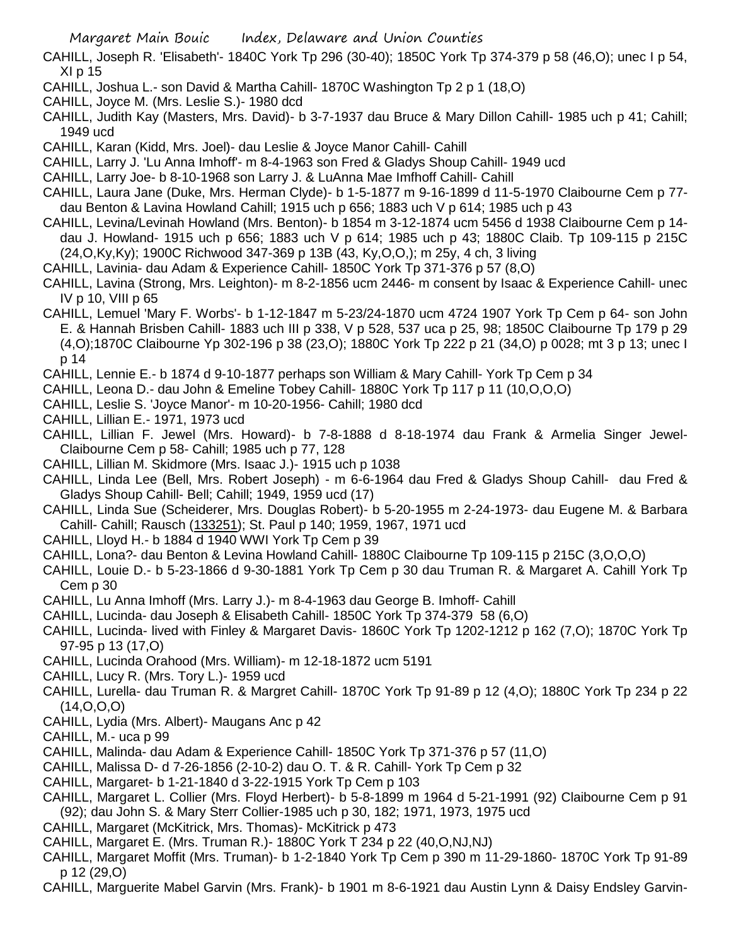- CAHILL, Joseph R. 'Elisabeth'- 1840C York Tp 296 (30-40); 1850C York Tp 374-379 p 58 (46,O); unec I p 54, XI p 15
- CAHILL, Joshua L.- son David & Martha Cahill- 1870C Washington Tp 2 p 1 (18,O)
- CAHILL, Joyce M. (Mrs. Leslie S.)- 1980 dcd
- CAHILL, Judith Kay (Masters, Mrs. David)- b 3-7-1937 dau Bruce & Mary Dillon Cahill- 1985 uch p 41; Cahill; 1949 ucd
- CAHILL, Karan (Kidd, Mrs. Joel)- dau Leslie & Joyce Manor Cahill- Cahill
- CAHILL, Larry J. 'Lu Anna Imhoff'- m 8-4-1963 son Fred & Gladys Shoup Cahill- 1949 ucd
- CAHILL, Larry Joe- b 8-10-1968 son Larry J. & LuAnna Mae Imfhoff Cahill- Cahill
- CAHILL, Laura Jane (Duke, Mrs. Herman Clyde)- b 1-5-1877 m 9-16-1899 d 11-5-1970 Claibourne Cem p 77 dau Benton & Lavina Howland Cahill; 1915 uch p 656; 1883 uch V p 614; 1985 uch p 43
- CAHILL, Levina/Levinah Howland (Mrs. Benton)- b 1854 m 3-12-1874 ucm 5456 d 1938 Claibourne Cem p 14 dau J. Howland- 1915 uch p 656; 1883 uch V p 614; 1985 uch p 43; 1880C Claib. Tp 109-115 p 215C (24,O,Ky,Ky); 1900C Richwood 347-369 p 13B (43, Ky,O,O,); m 25y, 4 ch, 3 living
- CAHILL, Lavinia- dau Adam & Experience Cahill- 1850C York Tp 371-376 p 57 (8,O)
- CAHILL, Lavina (Strong, Mrs. Leighton)- m 8-2-1856 ucm 2446- m consent by Isaac & Experience Cahill- unec IV p 10, VIII p 65
- CAHILL, Lemuel 'Mary F. Worbs'- b 1-12-1847 m 5-23/24-1870 ucm 4724 1907 York Tp Cem p 64- son John E. & Hannah Brisben Cahill- 1883 uch III p 338, V p 528, 537 uca p 25, 98; 1850C Claibourne Tp 179 p 29 (4,O);1870C Claibourne Yp 302-196 p 38 (23,O); 1880C York Tp 222 p 21 (34,O) p 0028; mt 3 p 13; unec I p 14
- CAHILL, Lennie E.- b 1874 d 9-10-1877 perhaps son William & Mary Cahill- York Tp Cem p 34
- CAHILL, Leona D.- dau John & Emeline Tobey Cahill- 1880C York Tp 117 p 11 (10,O,O,O)
- CAHILL, Leslie S. 'Joyce Manor'- m 10-20-1956- Cahill; 1980 dcd
- CAHILL, Lillian E.- 1971, 1973 ucd
- CAHILL, Lillian F. Jewel (Mrs. Howard)- b 7-8-1888 d 8-18-1974 dau Frank & Armelia Singer Jewel-Claibourne Cem p 58- Cahill; 1985 uch p 77, 128
- CAHILL, Lillian M. Skidmore (Mrs. Isaac J.)- 1915 uch p 1038
- CAHILL, Linda Lee (Bell, Mrs. Robert Joseph) m 6-6-1964 dau Fred & Gladys Shoup Cahill- dau Fred & Gladys Shoup Cahill- Bell; Cahill; 1949, 1959 ucd (17)
- CAHILL, Linda Sue (Scheiderer, Mrs. Douglas Robert)- b 5-20-1955 m 2-24-1973- dau Eugene M. & Barbara Cahill- Cahill; Rausch (133251); St. Paul p 140; 1959, 1967, 1971 ucd
- CAHILL, Lloyd H.- b 1884 d 1940 WWI York Tp Cem p 39
- CAHILL, Lona?- dau Benton & Levina Howland Cahill- 1880C Claibourne Tp 109-115 p 215C (3,O,O,O)
- CAHILL, Louie D.- b 5-23-1866 d 9-30-1881 York Tp Cem p 30 dau Truman R. & Margaret A. Cahill York Tp Cem p 30
- CAHILL, Lu Anna Imhoff (Mrs. Larry J.)- m 8-4-1963 dau George B. Imhoff- Cahill
- CAHILL, Lucinda- dau Joseph & Elisabeth Cahill- 1850C York Tp 374-379 58 (6,O)
- CAHILL, Lucinda- lived with Finley & Margaret Davis- 1860C York Tp 1202-1212 p 162 (7,O); 1870C York Tp 97-95 p 13 (17,O)
- CAHILL, Lucinda Orahood (Mrs. William)- m 12-18-1872 ucm 5191
- CAHILL, Lucy R. (Mrs. Tory L.)- 1959 ucd
- CAHILL, Lurella- dau Truman R. & Margret Cahill- 1870C York Tp 91-89 p 12 (4,O); 1880C York Tp 234 p 22 (14,O,O,O)
- CAHILL, Lydia (Mrs. Albert)- Maugans Anc p 42
- CAHILL, M.- uca p 99
- CAHILL, Malinda- dau Adam & Experience Cahill- 1850C York Tp 371-376 p 57 (11,O)
- CAHILL, Malissa D- d 7-26-1856 (2-10-2) dau O. T. & R. Cahill- York Tp Cem p 32
- CAHILL, Margaret- b 1-21-1840 d 3-22-1915 York Tp Cem p 103
- CAHILL, Margaret L. Collier (Mrs. Floyd Herbert)- b 5-8-1899 m 1964 d 5-21-1991 (92) Claibourne Cem p 91 (92); dau John S. & Mary Sterr Collier-1985 uch p 30, 182; 1971, 1973, 1975 ucd
- CAHILL, Margaret (McKitrick, Mrs. Thomas)- McKitrick p 473
- CAHILL, Margaret E. (Mrs. Truman R.)- 1880C York T 234 p 22 (40,O,NJ,NJ)
- CAHILL, Margaret Moffit (Mrs. Truman)- b 1-2-1840 York Tp Cem p 390 m 11-29-1860- 1870C York Tp 91-89 p 12 (29,O)
- CAHILL, Marguerite Mabel Garvin (Mrs. Frank)- b 1901 m 8-6-1921 dau Austin Lynn & Daisy Endsley Garvin-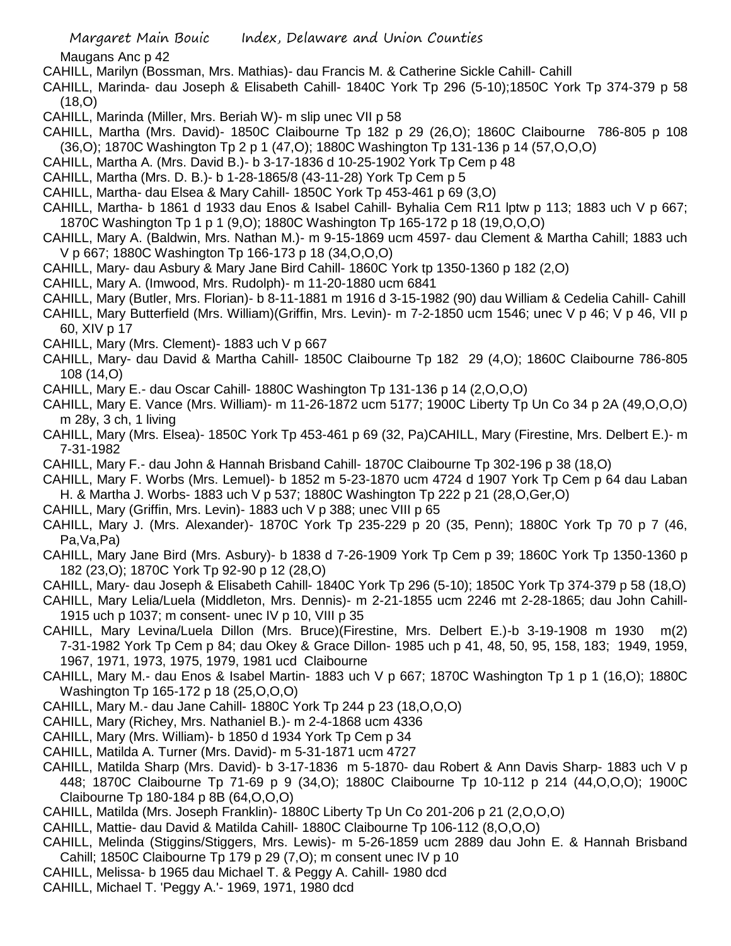Maugans Anc p 42

- CAHILL, Marilyn (Bossman, Mrs. Mathias)- dau Francis M. & Catherine Sickle Cahill- Cahill
- CAHILL, Marinda- dau Joseph & Elisabeth Cahill- 1840C York Tp 296 (5-10);1850C York Tp 374-379 p 58 (18,O)
- CAHILL, Marinda (Miller, Mrs. Beriah W)- m slip unec VII p 58
- CAHILL, Martha (Mrs. David)- 1850C Claibourne Tp 182 p 29 (26,O); 1860C Claibourne 786-805 p 108 (36,O); 1870C Washington Tp 2 p 1 (47,O); 1880C Washington Tp 131-136 p 14 (57,O,O,O)
- CAHILL, Martha A. (Mrs. David B.)- b 3-17-1836 d 10-25-1902 York Tp Cem p 48
- CAHILL, Martha (Mrs. D. B.)- b 1-28-1865/8 (43-11-28) York Tp Cem p 5
- CAHILL, Martha- dau Elsea & Mary Cahill- 1850C York Tp 453-461 p 69 (3,O)
- CAHILL, Martha- b 1861 d 1933 dau Enos & Isabel Cahill- Byhalia Cem R11 lptw p 113; 1883 uch V p 667; 1870C Washington Tp 1 p 1 (9,O); 1880C Washington Tp 165-172 p 18 (19,O,O,O)
- CAHILL, Mary A. (Baldwin, Mrs. Nathan M.)- m 9-15-1869 ucm 4597- dau Clement & Martha Cahill; 1883 uch V p 667; 1880C Washington Tp 166-173 p 18 (34,O,O,O)
- CAHILL, Mary- dau Asbury & Mary Jane Bird Cahill- 1860C York tp 1350-1360 p 182 (2,O)
- CAHILL, Mary A. (Imwood, Mrs. Rudolph)- m 11-20-1880 ucm 6841
- CAHILL, Mary (Butler, Mrs. Florian)- b 8-11-1881 m 1916 d 3-15-1982 (90) dau William & Cedelia Cahill- Cahill
- CAHILL, Mary Butterfield (Mrs. William)(Griffin, Mrs. Levin)- m 7-2-1850 ucm 1546; unec V p 46; V p 46, VII p 60, XIV p 17
- CAHILL, Mary (Mrs. Clement)- 1883 uch V p 667
- CAHILL, Mary- dau David & Martha Cahill- 1850C Claibourne Tp 182 29 (4,O); 1860C Claibourne 786-805 108 (14,O)
- CAHILL, Mary E.- dau Oscar Cahill- 1880C Washington Tp 131-136 p 14 (2,O,O,O)
- CAHILL, Mary E. Vance (Mrs. William)- m 11-26-1872 ucm 5177; 1900C Liberty Tp Un Co 34 p 2A (49,O,O,O) m 28y, 3 ch, 1 living
- CAHILL, Mary (Mrs. Elsea)- 1850C York Tp 453-461 p 69 (32, Pa)CAHILL, Mary (Firestine, Mrs. Delbert E.)- m 7-31-1982
- CAHILL, Mary F.- dau John & Hannah Brisband Cahill- 1870C Claibourne Tp 302-196 p 38 (18,O)
- CAHILL, Mary F. Worbs (Mrs. Lemuel)- b 1852 m 5-23-1870 ucm 4724 d 1907 York Tp Cem p 64 dau Laban H. & Martha J. Worbs- 1883 uch V p 537; 1880C Washington Tp 222 p 21 (28,O,Ger,O)
- CAHILL, Mary (Griffin, Mrs. Levin)- 1883 uch V p 388; unec VIII p 65
- CAHILL, Mary J. (Mrs. Alexander)- 1870C York Tp 235-229 p 20 (35, Penn); 1880C York Tp 70 p 7 (46, Pa,Va,Pa)
- CAHILL, Mary Jane Bird (Mrs. Asbury)- b 1838 d 7-26-1909 York Tp Cem p 39; 1860C York Tp 1350-1360 p 182 (23,O); 1870C York Tp 92-90 p 12 (28,O)
- CAHILL, Mary- dau Joseph & Elisabeth Cahill- 1840C York Tp 296 (5-10); 1850C York Tp 374-379 p 58 (18,O)
- CAHILL, Mary Lelia/Luela (Middleton, Mrs. Dennis)- m 2-21-1855 ucm 2246 mt 2-28-1865; dau John Cahill-1915 uch p 1037; m consent- unec IV p 10, VIII p 35
- CAHILL, Mary Levina/Luela Dillon (Mrs. Bruce)(Firestine, Mrs. Delbert E.)-b 3-19-1908 m 1930 m(2) 7-31-1982 York Tp Cem p 84; dau Okey & Grace Dillon- 1985 uch p 41, 48, 50, 95, 158, 183; 1949, 1959, 1967, 1971, 1973, 1975, 1979, 1981 ucd Claibourne
- CAHILL, Mary M.- dau Enos & Isabel Martin- 1883 uch V p 667; 1870C Washington Tp 1 p 1 (16,O); 1880C Washington Tp 165-172 p 18 (25,O,O,O)
- CAHILL, Mary M.- dau Jane Cahill- 1880C York Tp 244 p 23 (18,O,O,O)
- CAHILL, Mary (Richey, Mrs. Nathaniel B.)- m 2-4-1868 ucm 4336
- CAHILL, Mary (Mrs. William)- b 1850 d 1934 York Tp Cem p 34
- CAHILL, Matilda A. Turner (Mrs. David)- m 5-31-1871 ucm 4727
- CAHILL, Matilda Sharp (Mrs. David)- b 3-17-1836 m 5-1870- dau Robert & Ann Davis Sharp- 1883 uch V p 448; 1870C Claibourne Tp 71-69 p 9 (34,O); 1880C Claibourne Tp 10-112 p 214 (44,O,O,O); 1900C Claibourne Tp 180-184 p 8B (64,O,O,O)
- CAHILL, Matilda (Mrs. Joseph Franklin)- 1880C Liberty Tp Un Co 201-206 p 21 (2,O,O,O)
- CAHILL, Mattie- dau David & Matilda Cahill- 1880C Claibourne Tp 106-112 (8,O,O,O)
- CAHILL, Melinda (Stiggins/Stiggers, Mrs. Lewis)- m 5-26-1859 ucm 2889 dau John E. & Hannah Brisband Cahill; 1850C Claibourne Tp 179 p 29 (7,O); m consent unec IV p 10
- CAHILL, Melissa- b 1965 dau Michael T. & Peggy A. Cahill- 1980 dcd
- CAHILL, Michael T. 'Peggy A.'- 1969, 1971, 1980 dcd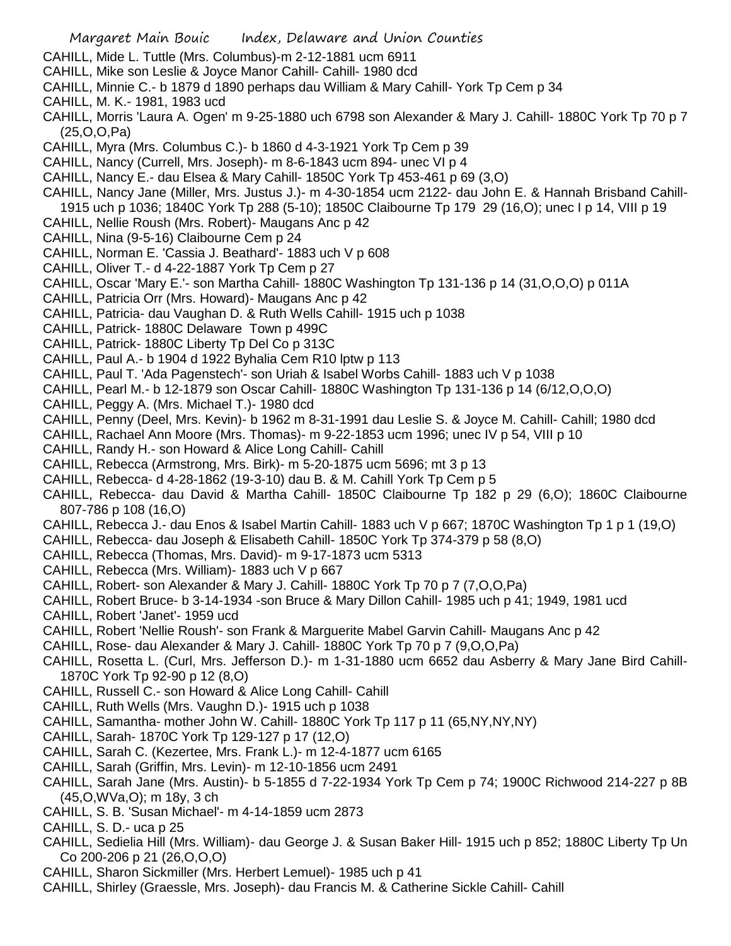- CAHILL, Mide L. Tuttle (Mrs. Columbus)-m 2-12-1881 ucm 6911
- CAHILL, Mike son Leslie & Joyce Manor Cahill- Cahill- 1980 dcd
- CAHILL, Minnie C.- b 1879 d 1890 perhaps dau William & Mary Cahill- York Tp Cem p 34
- CAHILL, M. K.- 1981, 1983 ucd
- CAHILL, Morris 'Laura A. Ogen' m 9-25-1880 uch 6798 son Alexander & Mary J. Cahill- 1880C York Tp 70 p 7 (25,O,O,Pa)
- CAHILL, Myra (Mrs. Columbus C.)- b 1860 d 4-3-1921 York Tp Cem p 39
- CAHILL, Nancy (Currell, Mrs. Joseph)- m 8-6-1843 ucm 894- unec VI p 4
- CAHILL, Nancy E.- dau Elsea & Mary Cahill- 1850C York Tp 453-461 p 69 (3,O)
- CAHILL, Nancy Jane (Miller, Mrs. Justus J.)- m 4-30-1854 ucm 2122- dau John E. & Hannah Brisband Cahill-1915 uch p 1036; 1840C York Tp 288 (5-10); 1850C Claibourne Tp 179 29 (16,O); unec I p 14, VIII p 19
- CAHILL, Nellie Roush (Mrs. Robert)- Maugans Anc p 42
- CAHILL, Nina (9-5-16) Claibourne Cem p 24
- CAHILL, Norman E. 'Cassia J. Beathard'- 1883 uch V p 608
- CAHILL, Oliver T.- d 4-22-1887 York Tp Cem p 27
- CAHILL, Oscar 'Mary E.'- son Martha Cahill- 1880C Washington Tp 131-136 p 14 (31,O,O,O) p 011A
- CAHILL, Patricia Orr (Mrs. Howard)- Maugans Anc p 42
- CAHILL, Patricia- dau Vaughan D. & Ruth Wells Cahill- 1915 uch p 1038
- CAHILL, Patrick- 1880C Delaware Town p 499C
- CAHILL, Patrick- 1880C Liberty Tp Del Co p 313C
- CAHILL, Paul A.- b 1904 d 1922 Byhalia Cem R10 lptw p 113
- CAHILL, Paul T. 'Ada Pagenstech'- son Uriah & Isabel Worbs Cahill- 1883 uch V p 1038
- CAHILL, Pearl M.- b 12-1879 son Oscar Cahill- 1880C Washington Tp 131-136 p 14 (6/12,O,O,O)
- CAHILL, Peggy A. (Mrs. Michael T.)- 1980 dcd
- CAHILL, Penny (Deel, Mrs. Kevin)- b 1962 m 8-31-1991 dau Leslie S. & Joyce M. Cahill- Cahill; 1980 dcd
- CAHILL, Rachael Ann Moore (Mrs. Thomas)- m 9-22-1853 ucm 1996; unec IV p 54, VIII p 10
- CAHILL, Randy H.- son Howard & Alice Long Cahill- Cahill
- CAHILL, Rebecca (Armstrong, Mrs. Birk)- m 5-20-1875 ucm 5696; mt 3 p 13
- CAHILL, Rebecca- d 4-28-1862 (19-3-10) dau B. & M. Cahill York Tp Cem p 5
- CAHILL, Rebecca- dau David & Martha Cahill- 1850C Claibourne Tp 182 p 29 (6,O); 1860C Claibourne 807-786 p 108 (16,O)
- CAHILL, Rebecca J.- dau Enos & Isabel Martin Cahill- 1883 uch V p 667; 1870C Washington Tp 1 p 1 (19,O)
- CAHILL, Rebecca- dau Joseph & Elisabeth Cahill- 1850C York Tp 374-379 p 58 (8,O)
- CAHILL, Rebecca (Thomas, Mrs. David)- m 9-17-1873 ucm 5313
- CAHILL, Rebecca (Mrs. William)- 1883 uch V p 667
- CAHILL, Robert- son Alexander & Mary J. Cahill- 1880C York Tp 70 p 7 (7,O,O,Pa)
- CAHILL, Robert Bruce- b 3-14-1934 -son Bruce & Mary Dillon Cahill- 1985 uch p 41; 1949, 1981 ucd
- CAHILL, Robert 'Janet'- 1959 ucd
- CAHILL, Robert 'Nellie Roush'- son Frank & Marguerite Mabel Garvin Cahill- Maugans Anc p 42
- CAHILL, Rose- dau Alexander & Mary J. Cahill- 1880C York Tp 70 p 7 (9,O,O,Pa)
- CAHILL, Rosetta L. (Curl, Mrs. Jefferson D.)- m 1-31-1880 ucm 6652 dau Asberry & Mary Jane Bird Cahill-1870C York Tp 92-90 p 12 (8,O)
- CAHILL, Russell C.- son Howard & Alice Long Cahill- Cahill
- CAHILL, Ruth Wells (Mrs. Vaughn D.)- 1915 uch p 1038
- CAHILL, Samantha- mother John W. Cahill- 1880C York Tp 117 p 11 (65,NY,NY,NY)
- CAHILL, Sarah- 1870C York Tp 129-127 p 17 (12,O)
- CAHILL, Sarah C. (Kezertee, Mrs. Frank L.)- m 12-4-1877 ucm 6165
- CAHILL, Sarah (Griffin, Mrs. Levin)- m 12-10-1856 ucm 2491
- CAHILL, Sarah Jane (Mrs. Austin)- b 5-1855 d 7-22-1934 York Tp Cem p 74; 1900C Richwood 214-227 p 8B (45,O,WVa,O); m 18y, 3 ch
- CAHILL, S. B. 'Susan Michael'- m 4-14-1859 ucm 2873
- CAHILL, S. D.- uca p 25
- CAHILL, Sedielia Hill (Mrs. William)- dau George J. & Susan Baker Hill- 1915 uch p 852; 1880C Liberty Tp Un Co 200-206 p 21 (26,O,O,O)
- CAHILL, Sharon Sickmiller (Mrs. Herbert Lemuel)- 1985 uch p 41
- CAHILL, Shirley (Graessle, Mrs. Joseph)- dau Francis M. & Catherine Sickle Cahill- Cahill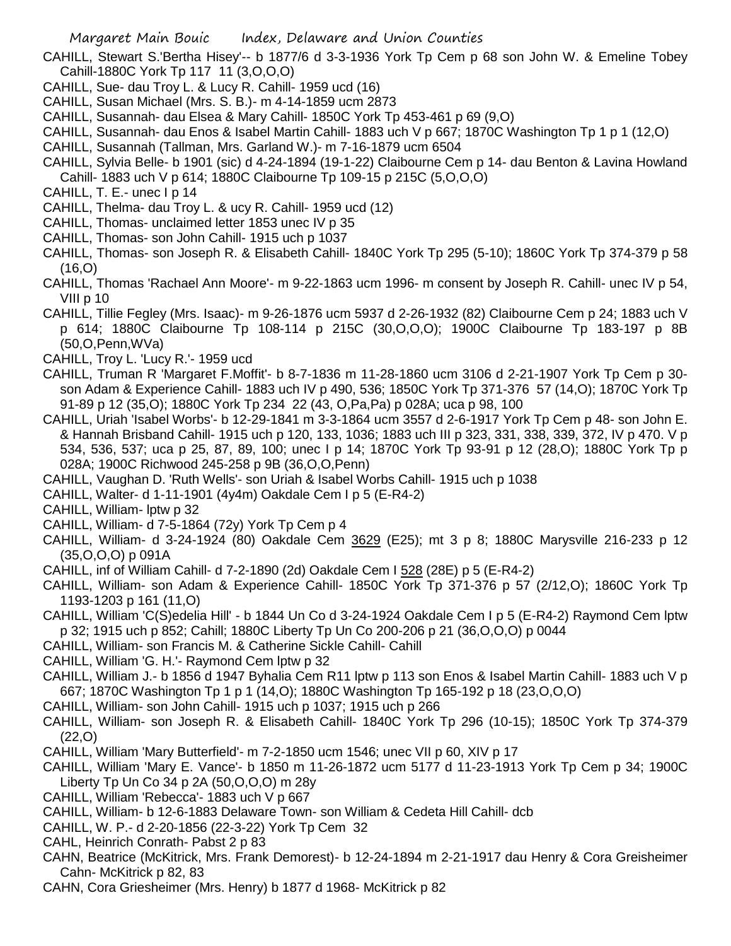- CAHILL, Stewart S.'Bertha Hisey'-- b 1877/6 d 3-3-1936 York Tp Cem p 68 son John W. & Emeline Tobey Cahill-1880C York Tp 117 11 (3,O,O,O)
- CAHILL, Sue- dau Troy L. & Lucy R. Cahill- 1959 ucd (16)
- CAHILL, Susan Michael (Mrs. S. B.)- m 4-14-1859 ucm 2873
- CAHILL, Susannah- dau Elsea & Mary Cahill- 1850C York Tp 453-461 p 69 (9,O)
- CAHILL, Susannah- dau Enos & Isabel Martin Cahill- 1883 uch V p 667; 1870C Washington Tp 1 p 1 (12,O)
- CAHILL, Susannah (Tallman, Mrs. Garland W.)- m 7-16-1879 ucm 6504
- CAHILL, Sylvia Belle- b 1901 (sic) d 4-24-1894 (19-1-22) Claibourne Cem p 14- dau Benton & Lavina Howland Cahill- 1883 uch V p 614; 1880C Claibourne Tp 109-15 p 215C (5,O,O,O)
- CAHILL, T. E.- unec I p 14
- CAHILL, Thelma- dau Troy L. & ucy R. Cahill- 1959 ucd (12)
- CAHILL, Thomas- unclaimed letter 1853 unec IV p 35
- CAHILL, Thomas- son John Cahill- 1915 uch p 1037
- CAHILL, Thomas- son Joseph R. & Elisabeth Cahill- 1840C York Tp 295 (5-10); 1860C York Tp 374-379 p 58 (16,O)
- CAHILL, Thomas 'Rachael Ann Moore'- m 9-22-1863 ucm 1996- m consent by Joseph R. Cahill- unec IV p 54, VIII p 10
- CAHILL, Tillie Fegley (Mrs. Isaac)- m 9-26-1876 ucm 5937 d 2-26-1932 (82) Claibourne Cem p 24; 1883 uch V p 614; 1880C Claibourne Tp 108-114 p 215C (30,O,O,O); 1900C Claibourne Tp 183-197 p 8B (50,O,Penn,WVa)
- CAHILL, Troy L. 'Lucy R.'- 1959 ucd
- CAHILL, Truman R 'Margaret F.Moffit'- b 8-7-1836 m 11-28-1860 ucm 3106 d 2-21-1907 York Tp Cem p 30 son Adam & Experience Cahill- 1883 uch IV p 490, 536; 1850C York Tp 371-376 57 (14,O); 1870C York Tp 91-89 p 12 (35,O); 1880C York Tp 234 22 (43, O,Pa,Pa) p 028A; uca p 98, 100
- CAHILL, Uriah 'Isabel Worbs'- b 12-29-1841 m 3-3-1864 ucm 3557 d 2-6-1917 York Tp Cem p 48- son John E. & Hannah Brisband Cahill- 1915 uch p 120, 133, 1036; 1883 uch III p 323, 331, 338, 339, 372, IV p 470. V p 534, 536, 537; uca p 25, 87, 89, 100; unec I p 14; 1870C York Tp 93-91 p 12 (28,O); 1880C York Tp p 028A; 1900C Richwood 245-258 p 9B (36,O,O,Penn)
- CAHILL, Vaughan D. 'Ruth Wells'- son Uriah & Isabel Worbs Cahill- 1915 uch p 1038
- CAHILL, Walter- d 1-11-1901 (4y4m) Oakdale Cem I p 5 (E-R4-2)
- CAHILL, William- lptw p 32
- CAHILL, William- d 7-5-1864 (72y) York Tp Cem p 4
- CAHILL, William- d 3-24-1924 (80) Oakdale Cem 3629 (E25); mt 3 p 8; 1880C Marysville 216-233 p 12 (35,O,O,O) p 091A
- CAHILL, inf of William Cahill- d 7-2-1890 (2d) Oakdale Cem I 528 (28E) p 5 (E-R4-2)
- CAHILL, William- son Adam & Experience Cahill- 1850C York Tp 371-376 p 57 (2/12,O); 1860C York Tp 1193-1203 p 161 (11,O)
- CAHILL, William 'C(S)edelia Hill' b 1844 Un Co d 3-24-1924 Oakdale Cem I p 5 (E-R4-2) Raymond Cem lptw p 32; 1915 uch p 852; Cahill; 1880C Liberty Tp Un Co 200-206 p 21 (36,O,O,O) p 0044
- CAHILL, William- son Francis M. & Catherine Sickle Cahill- Cahill
- CAHILL, William 'G. H.'- Raymond Cem lptw p 32
- CAHILL, William J.- b 1856 d 1947 Byhalia Cem R11 lptw p 113 son Enos & Isabel Martin Cahill- 1883 uch V p 667; 1870C Washington Tp 1 p 1 (14,O); 1880C Washington Tp 165-192 p 18 (23,O,O,O)
- CAHILL, William- son John Cahill- 1915 uch p 1037; 1915 uch p 266
- CAHILL, William- son Joseph R. & Elisabeth Cahill- 1840C York Tp 296 (10-15); 1850C York Tp 374-379 (22,O)
- CAHILL, William 'Mary Butterfield'- m 7-2-1850 ucm 1546; unec VII p 60, XIV p 17
- CAHILL, William 'Mary E. Vance'- b 1850 m 11-26-1872 ucm 5177 d 11-23-1913 York Tp Cem p 34; 1900C Liberty Tp Un Co 34 p 2A (50,O,O,O) m 28y
- CAHILL, William 'Rebecca'- 1883 uch V p 667
- CAHILL, William- b 12-6-1883 Delaware Town- son William & Cedeta Hill Cahill- dcb
- CAHILL, W. P.- d 2-20-1856 (22-3-22) York Tp Cem 32
- CAHL, Heinrich Conrath- Pabst 2 p 83
- CAHN, Beatrice (McKitrick, Mrs. Frank Demorest)- b 12-24-1894 m 2-21-1917 dau Henry & Cora Greisheimer Cahn- McKitrick p 82, 83
- CAHN, Cora Griesheimer (Mrs. Henry) b 1877 d 1968- McKitrick p 82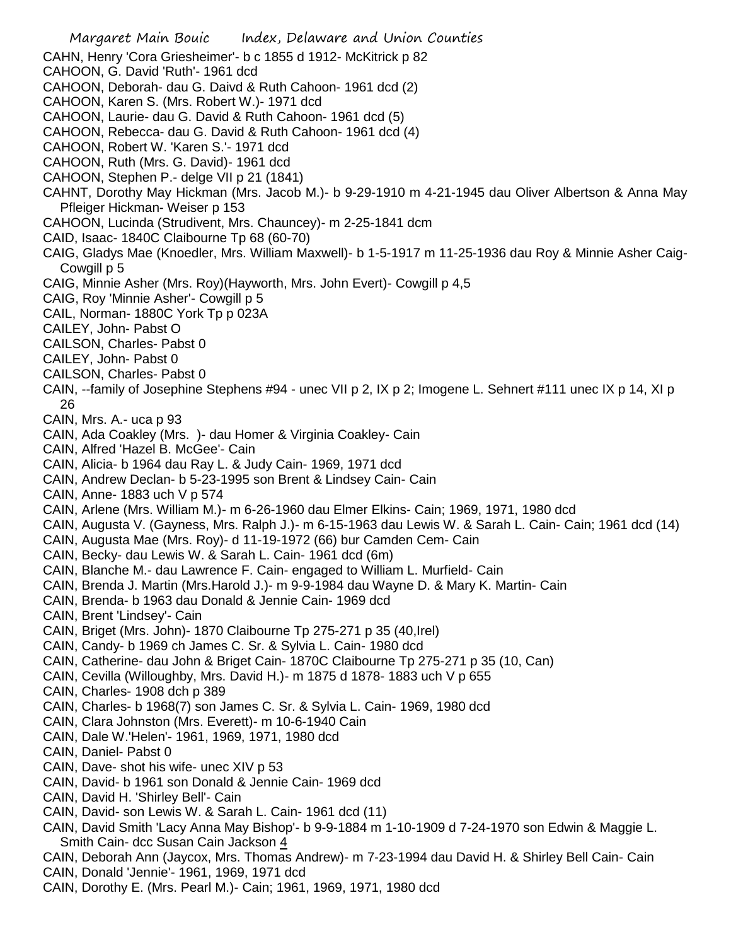Margaret Main Bouic Index, Delaware and Union Counties CAHN, Henry 'Cora Griesheimer'- b c 1855 d 1912- McKitrick p 82 CAHOON, G. David 'Ruth'- 1961 dcd CAHOON, Deborah- dau G. Daivd & Ruth Cahoon- 1961 dcd (2) CAHOON, Karen S. (Mrs. Robert W.)- 1971 dcd CAHOON, Laurie- dau G. David & Ruth Cahoon- 1961 dcd (5) CAHOON, Rebecca- dau G. David & Ruth Cahoon- 1961 dcd (4) CAHOON, Robert W. 'Karen S.'- 1971 dcd CAHOON, Ruth (Mrs. G. David)- 1961 dcd CAHOON, Stephen P.- delge VII p 21 (1841) CAHNT, Dorothy May Hickman (Mrs. Jacob M.)- b 9-29-1910 m 4-21-1945 dau Oliver Albertson & Anna May Pfleiger Hickman- Weiser p 153 CAHOON, Lucinda (Strudivent, Mrs. Chauncey)- m 2-25-1841 dcm CAID, Isaac- 1840C Claibourne Tp 68 (60-70) CAIG, Gladys Mae (Knoedler, Mrs. William Maxwell)- b 1-5-1917 m 11-25-1936 dau Roy & Minnie Asher Caig-Cowgill p 5 CAIG, Minnie Asher (Mrs. Roy)(Hayworth, Mrs. John Evert)- Cowgill p 4,5 CAIG, Roy 'Minnie Asher'- Cowgill p 5 CAIL, Norman- 1880C York Tp p 023A CAILEY, John- Pabst O CAILSON, Charles- Pabst 0 CAILEY, John- Pabst 0 CAILSON, Charles- Pabst 0 CAIN, --family of Josephine Stephens #94 - unec VII p 2, IX p 2; Imogene L. Sehnert #111 unec IX p 14, XI p 26 CAIN, Mrs. A.- uca p 93 CAIN, Ada Coakley (Mrs. )- dau Homer & Virginia Coakley- Cain CAIN, Alfred 'Hazel B. McGee'- Cain CAIN, Alicia- b 1964 dau Ray L. & Judy Cain- 1969, 1971 dcd CAIN, Andrew Declan- b 5-23-1995 son Brent & Lindsey Cain- Cain CAIN, Anne- 1883 uch V p 574 CAIN, Arlene (Mrs. William M.)- m 6-26-1960 dau Elmer Elkins- Cain; 1969, 1971, 1980 dcd CAIN, Augusta V. (Gayness, Mrs. Ralph J.)- m 6-15-1963 dau Lewis W. & Sarah L. Cain- Cain; 1961 dcd (14) CAIN, Augusta Mae (Mrs. Roy)- d 11-19-1972 (66) bur Camden Cem- Cain CAIN, Becky- dau Lewis W. & Sarah L. Cain- 1961 dcd (6m) CAIN, Blanche M.- dau Lawrence F. Cain- engaged to William L. Murfield- Cain CAIN, Brenda J. Martin (Mrs.Harold J.)- m 9-9-1984 dau Wayne D. & Mary K. Martin- Cain CAIN, Brenda- b 1963 dau Donald & Jennie Cain- 1969 dcd CAIN, Brent 'Lindsey'- Cain CAIN, Briget (Mrs. John)- 1870 Claibourne Tp 275-271 p 35 (40,Irel) CAIN, Candy- b 1969 ch James C. Sr. & Sylvia L. Cain- 1980 dcd CAIN, Catherine- dau John & Briget Cain- 1870C Claibourne Tp 275-271 p 35 (10, Can) CAIN, Cevilla (Willoughby, Mrs. David H.)- m 1875 d 1878- 1883 uch V p 655 CAIN, Charles- 1908 dch p 389 CAIN, Charles- b 1968(7) son James C. Sr. & Sylvia L. Cain- 1969, 1980 dcd CAIN, Clara Johnston (Mrs. Everett)- m 10-6-1940 Cain CAIN, Dale W.'Helen'- 1961, 1969, 1971, 1980 dcd CAIN, Daniel- Pabst 0 CAIN, Dave- shot his wife- unec XIV p 53 CAIN, David- b 1961 son Donald & Jennie Cain- 1969 dcd CAIN, David H. 'Shirley Bell'- Cain CAIN, David- son Lewis W. & Sarah L. Cain- 1961 dcd (11) CAIN, David Smith 'Lacy Anna May Bishop'- b 9-9-1884 m 1-10-1909 d 7-24-1970 son Edwin & Maggie L. Smith Cain- dcc Susan Cain Jackson 4 CAIN, Deborah Ann (Jaycox, Mrs. Thomas Andrew)- m 7-23-1994 dau David H. & Shirley Bell Cain- Cain CAIN, Donald 'Jennie'- 1961, 1969, 1971 dcd CAIN, Dorothy E. (Mrs. Pearl M.)- Cain; 1961, 1969, 1971, 1980 dcd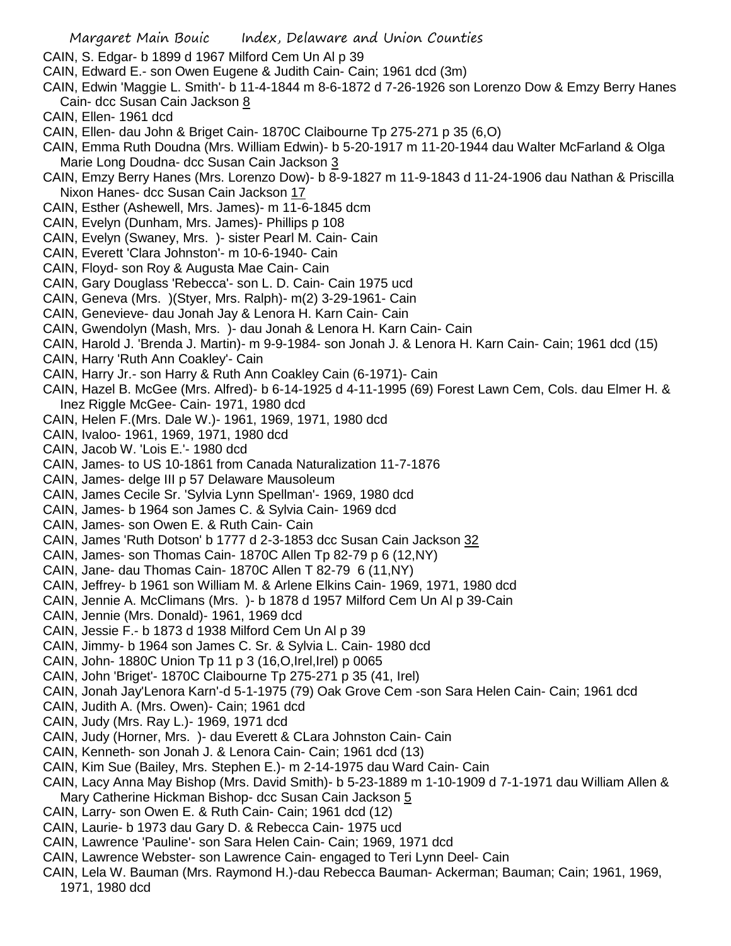Margaret Main Bouic Index, Delaware and Union Counties CAIN, S. Edgar- b 1899 d 1967 Milford Cem Un Al p 39 CAIN, Edward E.- son Owen Eugene & Judith Cain- Cain; 1961 dcd (3m) CAIN, Edwin 'Maggie L. Smith'- b 11-4-1844 m 8-6-1872 d 7-26-1926 son Lorenzo Dow & Emzy Berry Hanes Cain- dcc Susan Cain Jackson 8 CAIN, Ellen- 1961 dcd CAIN, Ellen- dau John & Briget Cain- 1870C Claibourne Tp 275-271 p 35 (6,O) CAIN, Emma Ruth Doudna (Mrs. William Edwin)- b 5-20-1917 m 11-20-1944 dau Walter McFarland & Olga Marie Long Doudna- dcc Susan Cain Jackson 3 CAIN, Emzy Berry Hanes (Mrs. Lorenzo Dow)- b 8-9-1827 m 11-9-1843 d 11-24-1906 dau Nathan & Priscilla Nixon Hanes- dcc Susan Cain Jackson 17 CAIN, Esther (Ashewell, Mrs. James)- m 11-6-1845 dcm CAIN, Evelyn (Dunham, Mrs. James)- Phillips p 108 CAIN, Evelyn (Swaney, Mrs. )- sister Pearl M. Cain- Cain CAIN, Everett 'Clara Johnston'- m 10-6-1940- Cain CAIN, Floyd- son Roy & Augusta Mae Cain- Cain CAIN, Gary Douglass 'Rebecca'- son L. D. Cain- Cain 1975 ucd CAIN, Geneva (Mrs. )(Styer, Mrs. Ralph)- m(2) 3-29-1961- Cain CAIN, Genevieve- dau Jonah Jay & Lenora H. Karn Cain- Cain CAIN, Gwendolyn (Mash, Mrs. )- dau Jonah & Lenora H. Karn Cain- Cain CAIN, Harold J. 'Brenda J. Martin)- m 9-9-1984- son Jonah J. & Lenora H. Karn Cain- Cain; 1961 dcd (15) CAIN, Harry 'Ruth Ann Coakley'- Cain CAIN, Harry Jr.- son Harry & Ruth Ann Coakley Cain (6-1971)- Cain CAIN, Hazel B. McGee (Mrs. Alfred)- b 6-14-1925 d 4-11-1995 (69) Forest Lawn Cem, Cols. dau Elmer H. & Inez Riggle McGee- Cain- 1971, 1980 dcd CAIN, Helen F.(Mrs. Dale W.)- 1961, 1969, 1971, 1980 dcd CAIN, Ivaloo- 1961, 1969, 1971, 1980 dcd CAIN, Jacob W. 'Lois E.'- 1980 dcd CAIN, James- to US 10-1861 from Canada Naturalization 11-7-1876 CAIN, James- delge III p 57 Delaware Mausoleum CAIN, James Cecile Sr. 'Sylvia Lynn Spellman'- 1969, 1980 dcd CAIN, James- b 1964 son James C. & Sylvia Cain- 1969 dcd CAIN, James- son Owen E. & Ruth Cain- Cain CAIN, James 'Ruth Dotson' b 1777 d 2-3-1853 dcc Susan Cain Jackson 32 CAIN, James- son Thomas Cain- 1870C Allen Tp 82-79 p 6 (12,NY) CAIN, Jane- dau Thomas Cain- 1870C Allen T 82-79 6 (11,NY) CAIN, Jeffrey- b 1961 son William M. & Arlene Elkins Cain- 1969, 1971, 1980 dcd CAIN, Jennie A. McClimans (Mrs. )- b 1878 d 1957 Milford Cem Un Al p 39-Cain CAIN, Jennie (Mrs. Donald)- 1961, 1969 dcd CAIN, Jessie F.- b 1873 d 1938 Milford Cem Un Al p 39 CAIN, Jimmy- b 1964 son James C. Sr. & Sylvia L. Cain- 1980 dcd CAIN, John- 1880C Union Tp 11 p 3 (16,O,Irel,Irel) p 0065 CAIN, John 'Briget'- 1870C Claibourne Tp 275-271 p 35 (41, Irel) CAIN, Jonah Jay'Lenora Karn'-d 5-1-1975 (79) Oak Grove Cem -son Sara Helen Cain- Cain; 1961 dcd CAIN, Judith A. (Mrs. Owen)- Cain; 1961 dcd CAIN, Judy (Mrs. Ray L.)- 1969, 1971 dcd CAIN, Judy (Horner, Mrs. )- dau Everett & CLara Johnston Cain- Cain CAIN, Kenneth- son Jonah J. & Lenora Cain- Cain; 1961 dcd (13) CAIN, Kim Sue (Bailey, Mrs. Stephen E.)- m 2-14-1975 dau Ward Cain- Cain CAIN, Lacy Anna May Bishop (Mrs. David Smith)- b 5-23-1889 m 1-10-1909 d 7-1-1971 dau William Allen & Mary Catherine Hickman Bishop- dcc Susan Cain Jackson 5 CAIN, Larry- son Owen E. & Ruth Cain- Cain; 1961 dcd (12) CAIN, Laurie- b 1973 dau Gary D. & Rebecca Cain- 1975 ucd CAIN, Lawrence 'Pauline'- son Sara Helen Cain- Cain; 1969, 1971 dcd CAIN, Lawrence Webster- son Lawrence Cain- engaged to Teri Lynn Deel- Cain CAIN, Lela W. Bauman (Mrs. Raymond H.)-dau Rebecca Bauman- Ackerman; Bauman; Cain; 1961, 1969, 1971, 1980 dcd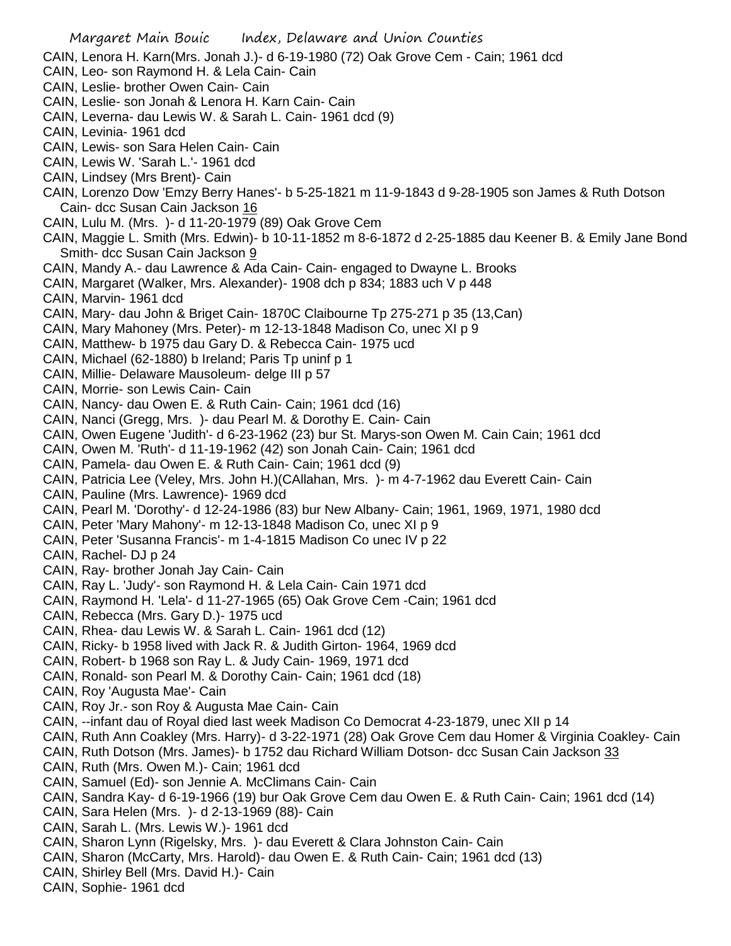- Margaret Main Bouic Index, Delaware and Union Counties CAIN, Lenora H. Karn(Mrs. Jonah J.)- d 6-19-1980 (72) Oak Grove Cem - Cain; 1961 dcd CAIN, Leo- son Raymond H. & Lela Cain- Cain CAIN, Leslie- brother Owen Cain- Cain CAIN, Leslie- son Jonah & Lenora H. Karn Cain- Cain CAIN, Leverna- dau Lewis W. & Sarah L. Cain- 1961 dcd (9) CAIN, Levinia- 1961 dcd CAIN, Lewis- son Sara Helen Cain- Cain CAIN, Lewis W. 'Sarah L.'- 1961 dcd CAIN, Lindsey (Mrs Brent)- Cain CAIN, Lorenzo Dow 'Emzy Berry Hanes'- b 5-25-1821 m 11-9-1843 d 9-28-1905 son James & Ruth Dotson Cain- dcc Susan Cain Jackson 16 CAIN, Lulu M. (Mrs. )- d 11-20-1979 (89) Oak Grove Cem CAIN, Maggie L. Smith (Mrs. Edwin)- b 10-11-1852 m 8-6-1872 d 2-25-1885 dau Keener B. & Emily Jane Bond Smith- dcc Susan Cain Jackson 9 CAIN, Mandy A.- dau Lawrence & Ada Cain- Cain- engaged to Dwayne L. Brooks CAIN, Margaret (Walker, Mrs. Alexander)- 1908 dch p 834; 1883 uch V p 448 CAIN, Marvin- 1961 dcd CAIN, Mary- dau John & Briget Cain- 1870C Claibourne Tp 275-271 p 35 (13,Can) CAIN, Mary Mahoney (Mrs. Peter)- m 12-13-1848 Madison Co, unec XI p 9 CAIN, Matthew- b 1975 dau Gary D. & Rebecca Cain- 1975 ucd CAIN, Michael (62-1880) b Ireland; Paris Tp uninf p 1 CAIN, Millie- Delaware Mausoleum- delge III p 57 CAIN, Morrie- son Lewis Cain- Cain CAIN, Nancy- dau Owen E. & Ruth Cain- Cain; 1961 dcd (16) CAIN, Nanci (Gregg, Mrs. )- dau Pearl M. & Dorothy E. Cain- Cain CAIN, Owen Eugene 'Judith'- d 6-23-1962 (23) bur St. Marys-son Owen M. Cain Cain; 1961 dcd CAIN, Owen M. 'Ruth'- d 11-19-1962 (42) son Jonah Cain- Cain; 1961 dcd CAIN, Pamela- dau Owen E. & Ruth Cain- Cain; 1961 dcd (9) CAIN, Patricia Lee (Veley, Mrs. John H.)(CAllahan, Mrs. )- m 4-7-1962 dau Everett Cain- Cain CAIN, Pauline (Mrs. Lawrence)- 1969 dcd CAIN, Pearl M. 'Dorothy'- d 12-24-1986 (83) bur New Albany- Cain; 1961, 1969, 1971, 1980 dcd CAIN, Peter 'Mary Mahony'- m 12-13-1848 Madison Co, unec XI p 9 CAIN, Peter 'Susanna Francis'- m 1-4-1815 Madison Co unec IV p 22 CAIN, Rachel- DJ p 24 CAIN, Ray- brother Jonah Jay Cain- Cain CAIN, Ray L. 'Judy'- son Raymond H. & Lela Cain- Cain 1971 dcd CAIN, Raymond H. 'Lela'- d 11-27-1965 (65) Oak Grove Cem -Cain; 1961 dcd CAIN, Rebecca (Mrs. Gary D.)- 1975 ucd CAIN, Rhea- dau Lewis W. & Sarah L. Cain- 1961 dcd (12) CAIN, Ricky- b 1958 lived with Jack R. & Judith Girton- 1964, 1969 dcd CAIN, Robert- b 1968 son Ray L. & Judy Cain- 1969, 1971 dcd CAIN, Ronald- son Pearl M. & Dorothy Cain- Cain; 1961 dcd (18) CAIN, Roy 'Augusta Mae'- Cain CAIN, Roy Jr.- son Roy & Augusta Mae Cain- Cain CAIN, --infant dau of Royal died last week Madison Co Democrat 4-23-1879, unec XII p 14 CAIN, Ruth Ann Coakley (Mrs. Harry)- d 3-22-1971 (28) Oak Grove Cem dau Homer & Virginia Coakley- Cain CAIN, Ruth Dotson (Mrs. James)- b 1752 dau Richard William Dotson- dcc Susan Cain Jackson 33 CAIN, Ruth (Mrs. Owen M.)- Cain; 1961 dcd CAIN, Samuel (Ed)- son Jennie A. McClimans Cain- Cain CAIN, Sandra Kay- d 6-19-1966 (19) bur Oak Grove Cem dau Owen E. & Ruth Cain- Cain; 1961 dcd (14) CAIN, Sara Helen (Mrs. )- d 2-13-1969 (88)- Cain CAIN, Sarah L. (Mrs. Lewis W.)- 1961 dcd CAIN, Sharon Lynn (Rigelsky, Mrs. )- dau Everett & Clara Johnston Cain- Cain CAIN, Sharon (McCarty, Mrs. Harold)- dau Owen E. & Ruth Cain- Cain; 1961 dcd (13) CAIN, Shirley Bell (Mrs. David H.)- Cain
- CAIN, Sophie- 1961 dcd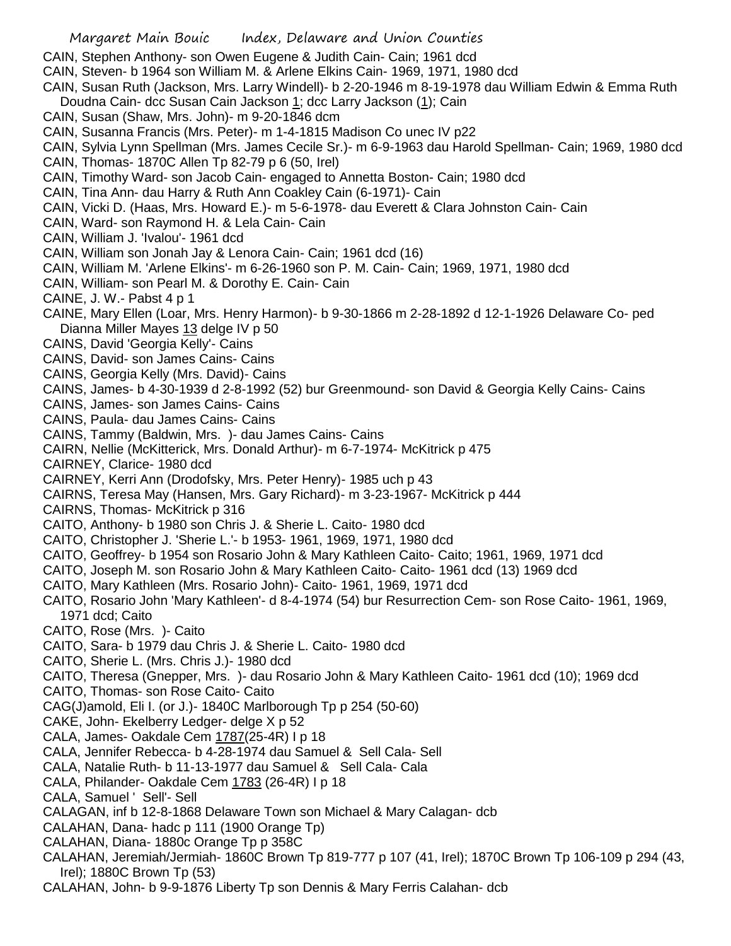- CAIN, Stephen Anthony- son Owen Eugene & Judith Cain- Cain; 1961 dcd
- CAIN, Steven- b 1964 son William M. & Arlene Elkins Cain- 1969, 1971, 1980 dcd
- CAIN, Susan Ruth (Jackson, Mrs. Larry Windell)- b 2-20-1946 m 8-19-1978 dau William Edwin & Emma Ruth Doudna Cain- dcc Susan Cain Jackson 1; dcc Larry Jackson (1); Cain
- CAIN, Susan (Shaw, Mrs. John)- m 9-20-1846 dcm
- CAIN, Susanna Francis (Mrs. Peter)- m 1-4-1815 Madison Co unec IV p22
- CAIN, Sylvia Lynn Spellman (Mrs. James Cecile Sr.)- m 6-9-1963 dau Harold Spellman- Cain; 1969, 1980 dcd CAIN, Thomas- 1870C Allen Tp 82-79 p 6 (50, Irel)
- CAIN, Timothy Ward- son Jacob Cain- engaged to Annetta Boston- Cain; 1980 dcd
- CAIN, Tina Ann- dau Harry & Ruth Ann Coakley Cain (6-1971)- Cain
- CAIN, Vicki D. (Haas, Mrs. Howard E.)- m 5-6-1978- dau Everett & Clara Johnston Cain- Cain
- CAIN, Ward- son Raymond H. & Lela Cain- Cain
- CAIN, William J. 'Ivalou'- 1961 dcd
- CAIN, William son Jonah Jay & Lenora Cain- Cain; 1961 dcd (16)
- CAIN, William M. 'Arlene Elkins'- m 6-26-1960 son P. M. Cain- Cain; 1969, 1971, 1980 dcd
- CAIN, William- son Pearl M. & Dorothy E. Cain- Cain
- CAINE, J. W.- Pabst 4 p 1
- CAINE, Mary Ellen (Loar, Mrs. Henry Harmon)- b 9-30-1866 m 2-28-1892 d 12-1-1926 Delaware Co- ped Dianna Miller Mayes 13 delge IV p 50
- CAINS, David 'Georgia Kelly'- Cains
- CAINS, David- son James Cains- Cains
- CAINS, Georgia Kelly (Mrs. David)- Cains
- CAINS, James- b 4-30-1939 d 2-8-1992 (52) bur Greenmound- son David & Georgia Kelly Cains- Cains
- CAINS, James- son James Cains- Cains
- CAINS, Paula- dau James Cains- Cains
- CAINS, Tammy (Baldwin, Mrs. )- dau James Cains- Cains
- CAIRN, Nellie (McKitterick, Mrs. Donald Arthur)- m 6-7-1974- McKitrick p 475
- CAIRNEY, Clarice- 1980 dcd
- CAIRNEY, Kerri Ann (Drodofsky, Mrs. Peter Henry)- 1985 uch p 43
- CAIRNS, Teresa May (Hansen, Mrs. Gary Richard)- m 3-23-1967- McKitrick p 444
- CAIRNS, Thomas- McKitrick p 316
- CAITO, Anthony- b 1980 son Chris J. & Sherie L. Caito- 1980 dcd
- CAITO, Christopher J. 'Sherie L.'- b 1953- 1961, 1969, 1971, 1980 dcd
- CAITO, Geoffrey- b 1954 son Rosario John & Mary Kathleen Caito- Caito; 1961, 1969, 1971 dcd
- CAITO, Joseph M. son Rosario John & Mary Kathleen Caito- Caito- 1961 dcd (13) 1969 dcd
- CAITO, Mary Kathleen (Mrs. Rosario John)- Caito- 1961, 1969, 1971 dcd
- CAITO, Rosario John 'Mary Kathleen'- d 8-4-1974 (54) bur Resurrection Cem- son Rose Caito- 1961, 1969, 1971 dcd; Caito
- CAITO, Rose (Mrs. )- Caito
- CAITO, Sara- b 1979 dau Chris J. & Sherie L. Caito- 1980 dcd
- CAITO, Sherie L. (Mrs. Chris J.)- 1980 dcd
- CAITO, Theresa (Gnepper, Mrs. )- dau Rosario John & Mary Kathleen Caito- 1961 dcd (10); 1969 dcd
- CAITO, Thomas- son Rose Caito- Caito
- CAG(J)amold, Eli I. (or J.)- 1840C Marlborough Tp p 254 (50-60)
- CAKE, John- Ekelberry Ledger- delge X p 52
- CALA, James- Oakdale Cem 1787(25-4R) I p 18
- CALA, Jennifer Rebecca- b 4-28-1974 dau Samuel & Sell Cala- Sell
- CALA, Natalie Ruth- b 11-13-1977 dau Samuel & Sell Cala- Cala
- CALA, Philander- Oakdale Cem 1783 (26-4R) I p 18
- CALA, Samuel ' Sell'- Sell
- CALAGAN, inf b 12-8-1868 Delaware Town son Michael & Mary Calagan- dcb
- CALAHAN, Dana- hadc p 111 (1900 Orange Tp)
- CALAHAN, Diana- 1880c Orange Tp p 358C
- CALAHAN, Jeremiah/Jermiah- 1860C Brown Tp 819-777 p 107 (41, Irel); 1870C Brown Tp 106-109 p 294 (43, Irel); 1880C Brown Tp (53)
- CALAHAN, John- b 9-9-1876 Liberty Tp son Dennis & Mary Ferris Calahan- dcb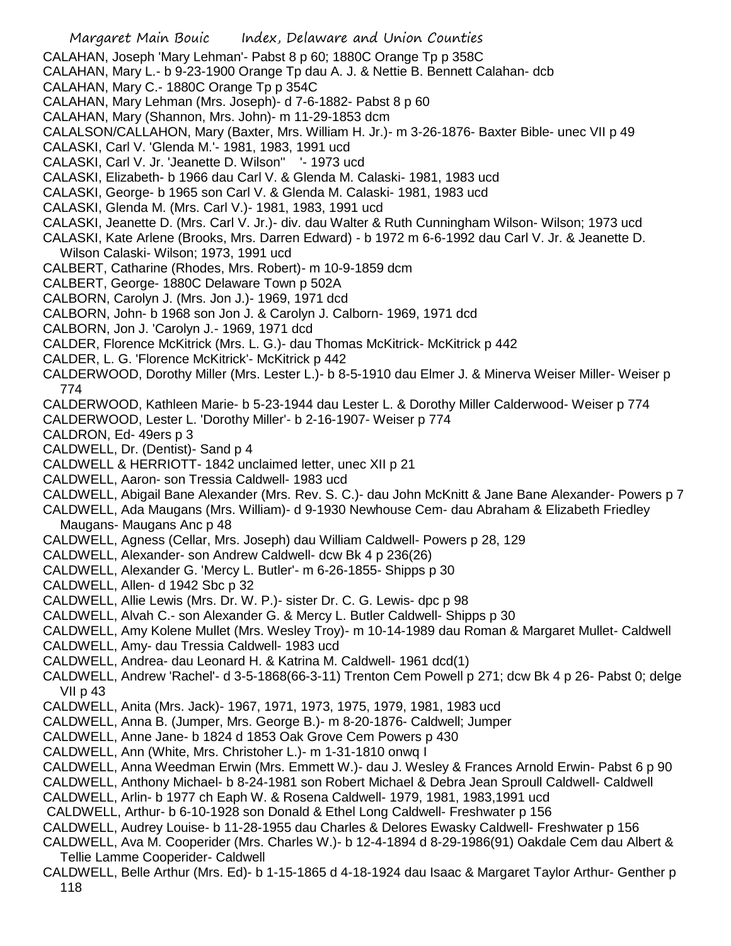CALAHAN, Joseph 'Mary Lehman'- Pabst 8 p 60; 1880C Orange Tp p 358C

CALAHAN, Mary L.- b 9-23-1900 Orange Tp dau A. J. & Nettie B. Bennett Calahan- dcb

CALAHAN, Mary C.- 1880C Orange Tp p 354C

- CALAHAN, Mary Lehman (Mrs. Joseph)- d 7-6-1882- Pabst 8 p 60
- CALAHAN, Mary (Shannon, Mrs. John)- m 11-29-1853 dcm
- CALALSON/CALLAHON, Mary (Baxter, Mrs. William H. Jr.)- m 3-26-1876- Baxter Bible- unec VII p 49
- CALASKI, Carl V. 'Glenda M.'- 1981, 1983, 1991 ucd
- CALASKI, Carl V. Jr. 'Jeanette D. Wilson'' '- 1973 ucd
- CALASKI, Elizabeth- b 1966 dau Carl V. & Glenda M. Calaski- 1981, 1983 ucd
- CALASKI, George- b 1965 son Carl V. & Glenda M. Calaski- 1981, 1983 ucd
- CALASKI, Glenda M. (Mrs. Carl V.)- 1981, 1983, 1991 ucd
- CALASKI, Jeanette D. (Mrs. Carl V. Jr.)- div. dau Walter & Ruth Cunningham Wilson- Wilson; 1973 ucd
- CALASKI, Kate Arlene (Brooks, Mrs. Darren Edward) b 1972 m 6-6-1992 dau Carl V. Jr. & Jeanette D. Wilson Calaski- Wilson; 1973, 1991 ucd
- CALBERT, Catharine (Rhodes, Mrs. Robert)- m 10-9-1859 dcm
- CALBERT, George- 1880C Delaware Town p 502A
- CALBORN, Carolyn J. (Mrs. Jon J.)- 1969, 1971 dcd
- CALBORN, John- b 1968 son Jon J. & Carolyn J. Calborn- 1969, 1971 dcd
- CALBORN, Jon J. 'Carolyn J.- 1969, 1971 dcd
- CALDER, Florence McKitrick (Mrs. L. G.)- dau Thomas McKitrick- McKitrick p 442
- CALDER, L. G. 'Florence McKitrick'- McKitrick p 442
- CALDERWOOD, Dorothy Miller (Mrs. Lester L.)- b 8-5-1910 dau Elmer J. & Minerva Weiser Miller- Weiser p 774
- CALDERWOOD, Kathleen Marie- b 5-23-1944 dau Lester L. & Dorothy Miller Calderwood- Weiser p 774
- CALDERWOOD, Lester L. 'Dorothy Miller'- b 2-16-1907- Weiser p 774
- CALDRON, Ed- 49ers p 3
- CALDWELL, Dr. (Dentist)- Sand p 4
- CALDWELL & HERRIOTT- 1842 unclaimed letter, unec XII p 21
- CALDWELL, Aaron- son Tressia Caldwell- 1983 ucd
- CALDWELL, Abigail Bane Alexander (Mrs. Rev. S. C.)- dau John McKnitt & Jane Bane Alexander- Powers p 7
- CALDWELL, Ada Maugans (Mrs. William)- d 9-1930 Newhouse Cem- dau Abraham & Elizabeth Friedley Maugans- Maugans Anc p 48
- CALDWELL, Agness (Cellar, Mrs. Joseph) dau William Caldwell- Powers p 28, 129
- CALDWELL, Alexander- son Andrew Caldwell- dcw Bk 4 p 236(26)
- CALDWELL, Alexander G. 'Mercy L. Butler'- m 6-26-1855- Shipps p 30
- CALDWELL, Allen- d 1942 Sbc p 32
- CALDWELL, Allie Lewis (Mrs. Dr. W. P.)- sister Dr. C. G. Lewis- dpc p 98
- CALDWELL, Alvah C.- son Alexander G. & Mercy L. Butler Caldwell- Shipps p 30
- CALDWELL, Amy Kolene Mullet (Mrs. Wesley Troy)- m 10-14-1989 dau Roman & Margaret Mullet- Caldwell
- CALDWELL, Amy- dau Tressia Caldwell- 1983 ucd
- CALDWELL, Andrea- dau Leonard H. & Katrina M. Caldwell- 1961 dcd(1)
- CALDWELL, Andrew 'Rachel'- d 3-5-1868(66-3-11) Trenton Cem Powell p 271; dcw Bk 4 p 26- Pabst 0; delge VII p 43
- CALDWELL, Anita (Mrs. Jack)- 1967, 1971, 1973, 1975, 1979, 1981, 1983 ucd
- CALDWELL, Anna B. (Jumper, Mrs. George B.)- m 8-20-1876- Caldwell; Jumper
- CALDWELL, Anne Jane- b 1824 d 1853 Oak Grove Cem Powers p 430
- CALDWELL, Ann (White, Mrs. Christoher L.)- m 1-31-1810 onwq I
- CALDWELL, Anna Weedman Erwin (Mrs. Emmett W.)- dau J. Wesley & Frances Arnold Erwin- Pabst 6 p 90
- CALDWELL, Anthony Michael- b 8-24-1981 son Robert Michael & Debra Jean Sproull Caldwell- Caldwell
- CALDWELL, Arlin- b 1977 ch Eaph W. & Rosena Caldwell- 1979, 1981, 1983,1991 ucd
- CALDWELL, Arthur- b 6-10-1928 son Donald & Ethel Long Caldwell- Freshwater p 156
- CALDWELL, Audrey Louise- b 11-28-1955 dau Charles & Delores Ewasky Caldwell- Freshwater p 156
- CALDWELL, Ava M. Cooperider (Mrs. Charles W.)- b 12-4-1894 d 8-29-1986(91) Oakdale Cem dau Albert & Tellie Lamme Cooperider- Caldwell
- CALDWELL, Belle Arthur (Mrs. Ed)- b 1-15-1865 d 4-18-1924 dau Isaac & Margaret Taylor Arthur- Genther p 118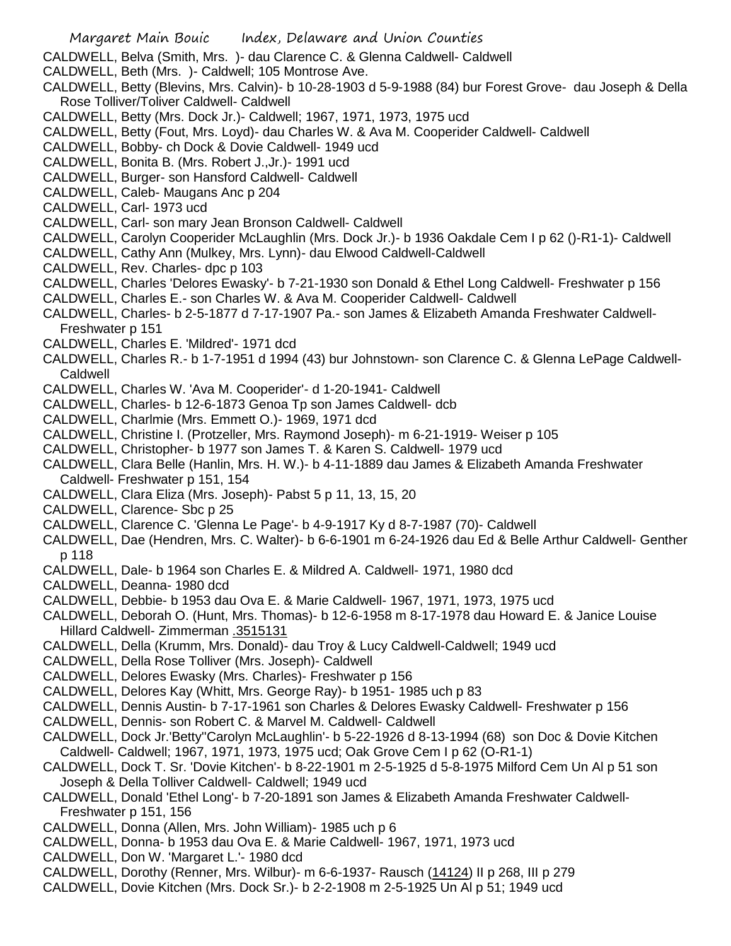CALDWELL, Belva (Smith, Mrs. )- dau Clarence C. & Glenna Caldwell- Caldwell

- CALDWELL, Beth (Mrs. )- Caldwell; 105 Montrose Ave.
- CALDWELL, Betty (Blevins, Mrs. Calvin)- b 10-28-1903 d 5-9-1988 (84) bur Forest Grove- dau Joseph & Della Rose Tolliver/Toliver Caldwell- Caldwell
- CALDWELL, Betty (Mrs. Dock Jr.)- Caldwell; 1967, 1971, 1973, 1975 ucd
- CALDWELL, Betty (Fout, Mrs. Loyd)- dau Charles W. & Ava M. Cooperider Caldwell- Caldwell
- CALDWELL, Bobby- ch Dock & Dovie Caldwell- 1949 ucd
- CALDWELL, Bonita B. (Mrs. Robert J.,Jr.)- 1991 ucd
- CALDWELL, Burger- son Hansford Caldwell- Caldwell
- CALDWELL, Caleb- Maugans Anc p 204
- CALDWELL, Carl- 1973 ucd
- CALDWELL, Carl- son mary Jean Bronson Caldwell- Caldwell
- CALDWELL, Carolyn Cooperider McLaughlin (Mrs. Dock Jr.)- b 1936 Oakdale Cem I p 62 ()-R1-1)- Caldwell
- CALDWELL, Cathy Ann (Mulkey, Mrs. Lynn)- dau Elwood Caldwell-Caldwell
- CALDWELL, Rev. Charles- dpc p 103
- CALDWELL, Charles 'Delores Ewasky'- b 7-21-1930 son Donald & Ethel Long Caldwell- Freshwater p 156
- CALDWELL, Charles E.- son Charles W. & Ava M. Cooperider Caldwell- Caldwell
- CALDWELL, Charles- b 2-5-1877 d 7-17-1907 Pa.- son James & Elizabeth Amanda Freshwater Caldwell-Freshwater p 151
- CALDWELL, Charles E. 'Mildred'- 1971 dcd
- CALDWELL, Charles R.- b 1-7-1951 d 1994 (43) bur Johnstown- son Clarence C. & Glenna LePage Caldwell-Caldwell
- CALDWELL, Charles W. 'Ava M. Cooperider'- d 1-20-1941- Caldwell
- CALDWELL, Charles- b 12-6-1873 Genoa Tp son James Caldwell- dcb
- CALDWELL, Charlmie (Mrs. Emmett O.)- 1969, 1971 dcd
- CALDWELL, Christine I. (Protzeller, Mrs. Raymond Joseph)- m 6-21-1919- Weiser p 105
- CALDWELL, Christopher- b 1977 son James T. & Karen S. Caldwell- 1979 ucd
- CALDWELL, Clara Belle (Hanlin, Mrs. H. W.)- b 4-11-1889 dau James & Elizabeth Amanda Freshwater Caldwell- Freshwater p 151, 154
- CALDWELL, Clara Eliza (Mrs. Joseph)- Pabst 5 p 11, 13, 15, 20
- CALDWELL, Clarence- Sbc p 25
- CALDWELL, Clarence C. 'Glenna Le Page'- b 4-9-1917 Ky d 8-7-1987 (70)- Caldwell
- CALDWELL, Dae (Hendren, Mrs. C. Walter)- b 6-6-1901 m 6-24-1926 dau Ed & Belle Arthur Caldwell- Genther p 118
- CALDWELL, Dale- b 1964 son Charles E. & Mildred A. Caldwell- 1971, 1980 dcd
- CALDWELL, Deanna- 1980 dcd
- CALDWELL, Debbie- b 1953 dau Ova E. & Marie Caldwell- 1967, 1971, 1973, 1975 ucd
- CALDWELL, Deborah O. (Hunt, Mrs. Thomas)- b 12-6-1958 m 8-17-1978 dau Howard E. & Janice Louise Hillard Caldwell- Zimmerman .3515131
- CALDWELL, Della (Krumm, Mrs. Donald)- dau Troy & Lucy Caldwell-Caldwell; 1949 ucd
- CALDWELL, Della Rose Tolliver (Mrs. Joseph)- Caldwell
- CALDWELL, Delores Ewasky (Mrs. Charles)- Freshwater p 156
- CALDWELL, Delores Kay (Whitt, Mrs. George Ray)- b 1951- 1985 uch p 83
- CALDWELL, Dennis Austin- b 7-17-1961 son Charles & Delores Ewasky Caldwell- Freshwater p 156
- CALDWELL, Dennis- son Robert C. & Marvel M. Caldwell- Caldwell
- CALDWELL, Dock Jr.'Betty''Carolyn McLaughlin'- b 5-22-1926 d 8-13-1994 (68) son Doc & Dovie Kitchen Caldwell- Caldwell; 1967, 1971, 1973, 1975 ucd; Oak Grove Cem I p 62 (O-R1-1)
- CALDWELL, Dock T. Sr. 'Dovie Kitchen'- b 8-22-1901 m 2-5-1925 d 5-8-1975 Milford Cem Un Al p 51 son Joseph & Della Tolliver Caldwell- Caldwell; 1949 ucd
- CALDWELL, Donald 'Ethel Long'- b 7-20-1891 son James & Elizabeth Amanda Freshwater Caldwell-Freshwater p 151, 156
- CALDWELL, Donna (Allen, Mrs. John William)- 1985 uch p 6
- CALDWELL, Donna- b 1953 dau Ova E. & Marie Caldwell- 1967, 1971, 1973 ucd
- CALDWELL, Don W. 'Margaret L.'- 1980 dcd
- CALDWELL, Dorothy (Renner, Mrs. Wilbur)- m 6-6-1937- Rausch (14124) II p 268, III p 279
- CALDWELL, Dovie Kitchen (Mrs. Dock Sr.)- b 2-2-1908 m 2-5-1925 Un Al p 51; 1949 ucd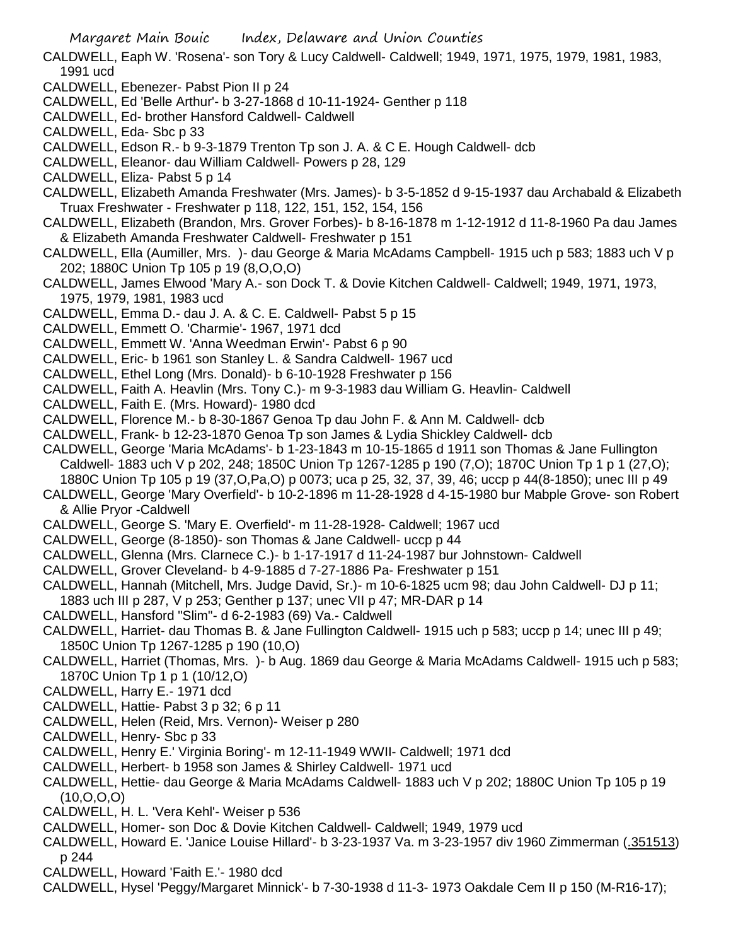- CALDWELL, Eaph W. 'Rosena'- son Tory & Lucy Caldwell- Caldwell; 1949, 1971, 1975, 1979, 1981, 1983, 1991 ucd
- CALDWELL, Ebenezer- Pabst Pion II p 24
- CALDWELL, Ed 'Belle Arthur'- b 3-27-1868 d 10-11-1924- Genther p 118
- CALDWELL, Ed- brother Hansford Caldwell- Caldwell
- CALDWELL, Eda- Sbc p 33
- CALDWELL, Edson R.- b 9-3-1879 Trenton Tp son J. A. & C E. Hough Caldwell- dcb
- CALDWELL, Eleanor- dau William Caldwell- Powers p 28, 129
- CALDWELL, Eliza- Pabst 5 p 14
- CALDWELL, Elizabeth Amanda Freshwater (Mrs. James)- b 3-5-1852 d 9-15-1937 dau Archabald & Elizabeth Truax Freshwater - Freshwater p 118, 122, 151, 152, 154, 156
- CALDWELL, Elizabeth (Brandon, Mrs. Grover Forbes)- b 8-16-1878 m 1-12-1912 d 11-8-1960 Pa dau James & Elizabeth Amanda Freshwater Caldwell- Freshwater p 151
- CALDWELL, Ella (Aumiller, Mrs. )- dau George & Maria McAdams Campbell- 1915 uch p 583; 1883 uch V p 202; 1880C Union Tp 105 p 19 (8,O,O,O)
- CALDWELL, James Elwood 'Mary A.- son Dock T. & Dovie Kitchen Caldwell- Caldwell; 1949, 1971, 1973, 1975, 1979, 1981, 1983 ucd
- CALDWELL, Emma D.- dau J. A. & C. E. Caldwell- Pabst 5 p 15
- CALDWELL, Emmett O. 'Charmie'- 1967, 1971 dcd
- CALDWELL, Emmett W. 'Anna Weedman Erwin'- Pabst 6 p 90
- CALDWELL, Eric- b 1961 son Stanley L. & Sandra Caldwell- 1967 ucd
- CALDWELL, Ethel Long (Mrs. Donald)- b 6-10-1928 Freshwater p 156
- CALDWELL, Faith A. Heavlin (Mrs. Tony C.)- m 9-3-1983 dau William G. Heavlin- Caldwell
- CALDWELL, Faith E. (Mrs. Howard)- 1980 dcd
- CALDWELL, Florence M.- b 8-30-1867 Genoa Tp dau John F. & Ann M. Caldwell- dcb
- CALDWELL, Frank- b 12-23-1870 Genoa Tp son James & Lydia Shickley Caldwell- dcb
- CALDWELL, George 'Maria McAdams'- b 1-23-1843 m 10-15-1865 d 1911 son Thomas & Jane Fullington Caldwell- 1883 uch V p 202, 248; 1850C Union Tp 1267-1285 p 190 (7,O); 1870C Union Tp 1 p 1 (27,O); 1880C Union Tp 105 p 19 (37,O,Pa,O) p 0073; uca p 25, 32, 37, 39, 46; uccp p 44(8-1850); unec III p 49
- CALDWELL, George 'Mary Overfield'- b 10-2-1896 m 11-28-1928 d 4-15-1980 bur Mabple Grove- son Robert & Allie Pryor -Caldwell
- CALDWELL, George S. 'Mary E. Overfield'- m 11-28-1928- Caldwell; 1967 ucd
- CALDWELL, George (8-1850)- son Thomas & Jane Caldwell- uccp p 44
- CALDWELL, Glenna (Mrs. Clarnece C.)- b 1-17-1917 d 11-24-1987 bur Johnstown- Caldwell
- CALDWELL, Grover Cleveland- b 4-9-1885 d 7-27-1886 Pa- Freshwater p 151
- CALDWELL, Hannah (Mitchell, Mrs. Judge David, Sr.)- m 10-6-1825 ucm 98; dau John Caldwell- DJ p 11;
- 1883 uch III p 287, V p 253; Genther p 137; unec VII p 47; MR-DAR p 14
- CALDWELL, Hansford "Slim"- d 6-2-1983 (69) Va.- Caldwell
- CALDWELL, Harriet- dau Thomas B. & Jane Fullington Caldwell- 1915 uch p 583; uccp p 14; unec III p 49; 1850C Union Tp 1267-1285 p 190 (10,O)
- CALDWELL, Harriet (Thomas, Mrs. )- b Aug. 1869 dau George & Maria McAdams Caldwell- 1915 uch p 583; 1870C Union Tp 1 p 1 (10/12,O)
- CALDWELL, Harry E.- 1971 dcd
- CALDWELL, Hattie- Pabst 3 p 32; 6 p 11
- CALDWELL, Helen (Reid, Mrs. Vernon)- Weiser p 280
- CALDWELL, Henry- Sbc p 33
- CALDWELL, Henry E.' Virginia Boring'- m 12-11-1949 WWII- Caldwell; 1971 dcd
- CALDWELL, Herbert- b 1958 son James & Shirley Caldwell- 1971 ucd
- CALDWELL, Hettie- dau George & Maria McAdams Caldwell- 1883 uch V p 202; 1880C Union Tp 105 p 19  $(10, 0, 0, 0)$
- CALDWELL, H. L. 'Vera Kehl'- Weiser p 536
- CALDWELL, Homer- son Doc & Dovie Kitchen Caldwell- Caldwell; 1949, 1979 ucd
- CALDWELL, Howard E. 'Janice Louise Hillard'- b 3-23-1937 Va. m 3-23-1957 div 1960 Zimmerman (.351513) p 244
- CALDWELL, Howard 'Faith E.'- 1980 dcd
- CALDWELL, Hysel 'Peggy/Margaret Minnick'- b 7-30-1938 d 11-3- 1973 Oakdale Cem II p 150 (M-R16-17);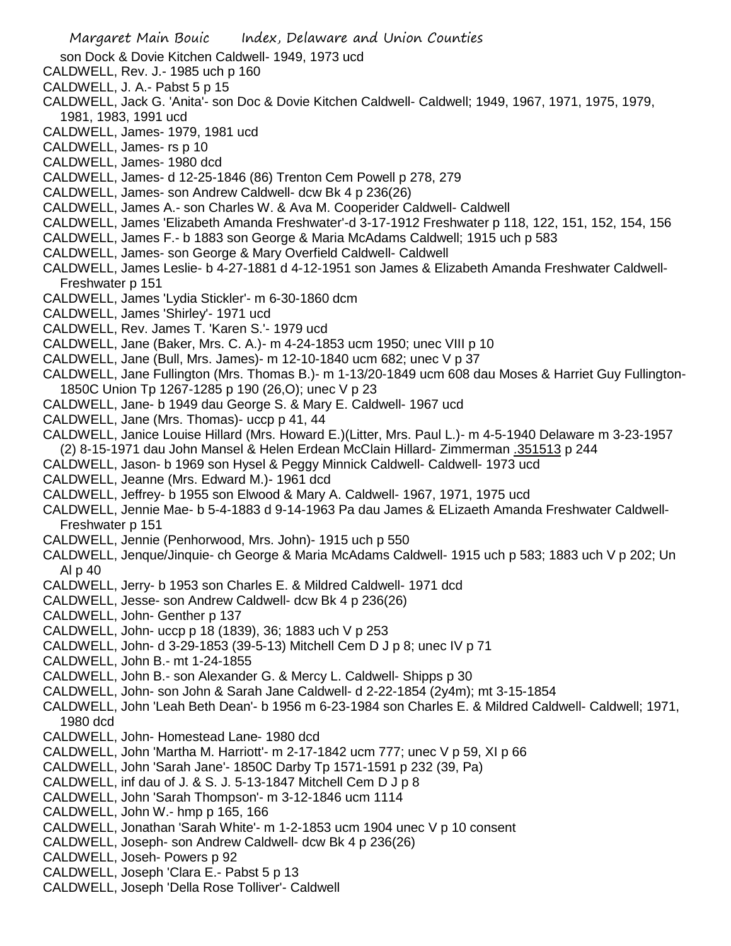son Dock & Dovie Kitchen Caldwell- 1949, 1973 ucd

- CALDWELL, Rev. J.- 1985 uch p 160
- CALDWELL, J. A.- Pabst 5 p 15
- CALDWELL, Jack G. 'Anita'- son Doc & Dovie Kitchen Caldwell- Caldwell; 1949, 1967, 1971, 1975, 1979, 1981, 1983, 1991 ucd
- CALDWELL, James- 1979, 1981 ucd
- CALDWELL, James- rs p 10
- CALDWELL, James- 1980 dcd
- CALDWELL, James- d 12-25-1846 (86) Trenton Cem Powell p 278, 279
- CALDWELL, James- son Andrew Caldwell- dcw Bk 4 p 236(26)
- CALDWELL, James A.- son Charles W. & Ava M. Cooperider Caldwell- Caldwell
- CALDWELL, James 'Elizabeth Amanda Freshwater'-d 3-17-1912 Freshwater p 118, 122, 151, 152, 154, 156
- CALDWELL, James F.- b 1883 son George & Maria McAdams Caldwell; 1915 uch p 583
- CALDWELL, James- son George & Mary Overfield Caldwell- Caldwell
- CALDWELL, James Leslie- b 4-27-1881 d 4-12-1951 son James & Elizabeth Amanda Freshwater Caldwell-Freshwater p 151
- CALDWELL, James 'Lydia Stickler'- m 6-30-1860 dcm
- CALDWELL, James 'Shirley'- 1971 ucd
- CALDWELL, Rev. James T. 'Karen S.'- 1979 ucd
- CALDWELL, Jane (Baker, Mrs. C. A.)- m 4-24-1853 ucm 1950; unec VIII p 10
- CALDWELL, Jane (Bull, Mrs. James)- m 12-10-1840 ucm 682; unec V p 37
- CALDWELL, Jane Fullington (Mrs. Thomas B.)- m 1-13/20-1849 ucm 608 dau Moses & Harriet Guy Fullington-1850C Union Tp 1267-1285 p 190 (26,O); unec V p 23
- CALDWELL, Jane- b 1949 dau George S. & Mary E. Caldwell- 1967 ucd
- CALDWELL, Jane (Mrs. Thomas)- uccp p 41, 44
- CALDWELL, Janice Louise Hillard (Mrs. Howard E.)(Litter, Mrs. Paul L.)- m 4-5-1940 Delaware m 3-23-1957 (2) 8-15-1971 dau John Mansel & Helen Erdean McClain Hillard- Zimmerman .351513 p 244
- CALDWELL, Jason- b 1969 son Hysel & Peggy Minnick Caldwell- Caldwell- 1973 ucd
- CALDWELL, Jeanne (Mrs. Edward M.)- 1961 dcd
- CALDWELL, Jeffrey- b 1955 son Elwood & Mary A. Caldwell- 1967, 1971, 1975 ucd
- CALDWELL, Jennie Mae- b 5-4-1883 d 9-14-1963 Pa dau James & ELizaeth Amanda Freshwater Caldwell-Freshwater p 151
- CALDWELL, Jennie (Penhorwood, Mrs. John)- 1915 uch p 550
- CALDWELL, Jenque/Jinquie- ch George & Maria McAdams Caldwell- 1915 uch p 583; 1883 uch V p 202; Un Al p 40
- CALDWELL, Jerry- b 1953 son Charles E. & Mildred Caldwell- 1971 dcd
- CALDWELL, Jesse- son Andrew Caldwell- dcw Bk 4 p 236(26)
- CALDWELL, John- Genther p 137
- CALDWELL, John- uccp p 18 (1839), 36; 1883 uch V p 253
- CALDWELL, John- d 3-29-1853 (39-5-13) Mitchell Cem D J p 8; unec IV p 71
- CALDWELL, John B.- mt 1-24-1855
- CALDWELL, John B.- son Alexander G. & Mercy L. Caldwell- Shipps p 30
- CALDWELL, John- son John & Sarah Jane Caldwell- d 2-22-1854 (2y4m); mt 3-15-1854
- CALDWELL, John 'Leah Beth Dean'- b 1956 m 6-23-1984 son Charles E. & Mildred Caldwell- Caldwell; 1971, 1980 dcd
- CALDWELL, John- Homestead Lane- 1980 dcd
- CALDWELL, John 'Martha M. Harriott'- m 2-17-1842 ucm 777; unec V p 59, XI p 66
- CALDWELL, John 'Sarah Jane'- 1850C Darby Tp 1571-1591 p 232 (39, Pa)
- CALDWELL, inf dau of J. & S. J. 5-13-1847 Mitchell Cem D J p 8
- CALDWELL, John 'Sarah Thompson'- m 3-12-1846 ucm 1114
- CALDWELL, John W.- hmp p 165, 166
- CALDWELL, Jonathan 'Sarah White'- m 1-2-1853 ucm 1904 unec V p 10 consent
- CALDWELL, Joseph- son Andrew Caldwell- dcw Bk 4 p 236(26)
- CALDWELL, Joseh- Powers p 92
- CALDWELL, Joseph 'Clara E.- Pabst 5 p 13
- CALDWELL, Joseph 'Della Rose Tolliver'- Caldwell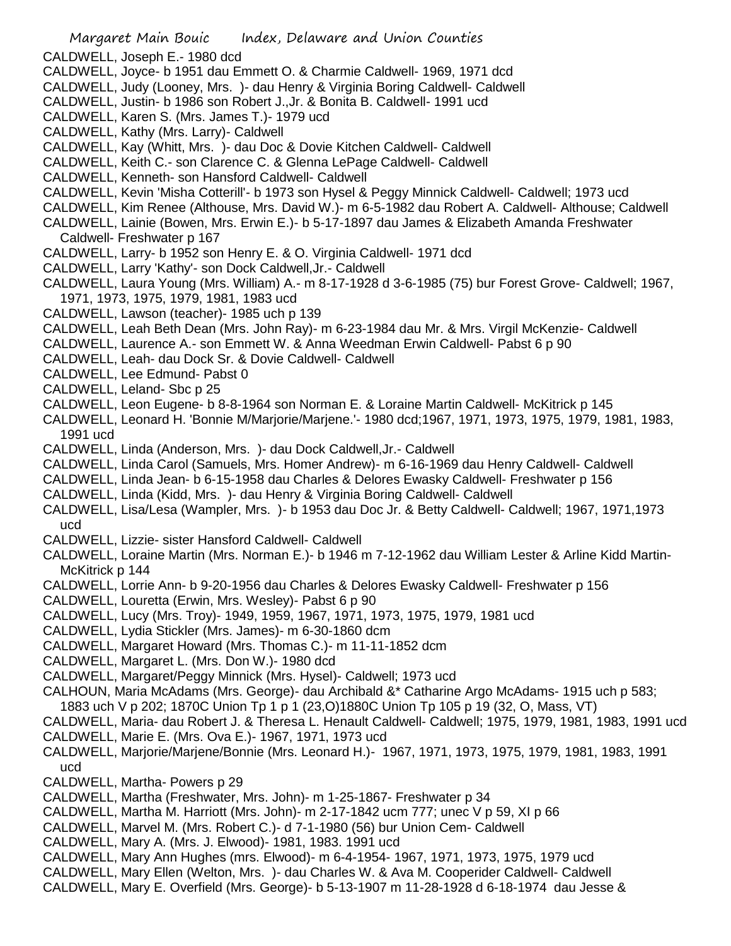Margaret Main Bouic Index, Delaware and Union Counties CALDWELL, Joseph E.- 1980 dcd CALDWELL, Joyce- b 1951 dau Emmett O. & Charmie Caldwell- 1969, 1971 dcd CALDWELL, Judy (Looney, Mrs. )- dau Henry & Virginia Boring Caldwell- Caldwell CALDWELL, Justin- b 1986 son Robert J.,Jr. & Bonita B. Caldwell- 1991 ucd CALDWELL, Karen S. (Mrs. James T.)- 1979 ucd CALDWELL, Kathy (Mrs. Larry)- Caldwell CALDWELL, Kay (Whitt, Mrs. )- dau Doc & Dovie Kitchen Caldwell- Caldwell CALDWELL, Keith C.- son Clarence C. & Glenna LePage Caldwell- Caldwell CALDWELL, Kenneth- son Hansford Caldwell- Caldwell CALDWELL, Kevin 'Misha Cotterill'- b 1973 son Hysel & Peggy Minnick Caldwell- Caldwell; 1973 ucd CALDWELL, Kim Renee (Althouse, Mrs. David W.)- m 6-5-1982 dau Robert A. Caldwell- Althouse; Caldwell CALDWELL, Lainie (Bowen, Mrs. Erwin E.)- b 5-17-1897 dau James & Elizabeth Amanda Freshwater Caldwell- Freshwater p 167 CALDWELL, Larry- b 1952 son Henry E. & O. Virginia Caldwell- 1971 dcd CALDWELL, Larry 'Kathy'- son Dock Caldwell,Jr.- Caldwell CALDWELL, Laura Young (Mrs. William) A.- m 8-17-1928 d 3-6-1985 (75) bur Forest Grove- Caldwell; 1967, 1971, 1973, 1975, 1979, 1981, 1983 ucd CALDWELL, Lawson (teacher)- 1985 uch p 139 CALDWELL, Leah Beth Dean (Mrs. John Ray)- m 6-23-1984 dau Mr. & Mrs. Virgil McKenzie- Caldwell CALDWELL, Laurence A.- son Emmett W. & Anna Weedman Erwin Caldwell- Pabst 6 p 90 CALDWELL, Leah- dau Dock Sr. & Dovie Caldwell- Caldwell CALDWELL, Lee Edmund- Pabst 0 CALDWELL, Leland- Sbc p 25 CALDWELL, Leon Eugene- b 8-8-1964 son Norman E. & Loraine Martin Caldwell- McKitrick p 145 CALDWELL, Leonard H. 'Bonnie M/Marjorie/Marjene.'- 1980 dcd;1967, 1971, 1973, 1975, 1979, 1981, 1983, 1991 ucd CALDWELL, Linda (Anderson, Mrs. )- dau Dock Caldwell,Jr.- Caldwell CALDWELL, Linda Carol (Samuels, Mrs. Homer Andrew)- m 6-16-1969 dau Henry Caldwell- Caldwell CALDWELL, Linda Jean- b 6-15-1958 dau Charles & Delores Ewasky Caldwell- Freshwater p 156 CALDWELL, Linda (Kidd, Mrs. )- dau Henry & Virginia Boring Caldwell- Caldwell CALDWELL, Lisa/Lesa (Wampler, Mrs. )- b 1953 dau Doc Jr. & Betty Caldwell- Caldwell; 1967, 1971,1973 ucd CALDWELL, Lizzie- sister Hansford Caldwell- Caldwell CALDWELL, Loraine Martin (Mrs. Norman E.)- b 1946 m 7-12-1962 dau William Lester & Arline Kidd Martin-McKitrick p 144 CALDWELL, Lorrie Ann- b 9-20-1956 dau Charles & Delores Ewasky Caldwell- Freshwater p 156 CALDWELL, Louretta (Erwin, Mrs. Wesley)- Pabst 6 p 90 CALDWELL, Lucy (Mrs. Troy)- 1949, 1959, 1967, 1971, 1973, 1975, 1979, 1981 ucd CALDWELL, Lydia Stickler (Mrs. James)- m 6-30-1860 dcm CALDWELL, Margaret Howard (Mrs. Thomas C.)- m 11-11-1852 dcm CALDWELL, Margaret L. (Mrs. Don W.)- 1980 dcd CALDWELL, Margaret/Peggy Minnick (Mrs. Hysel)- Caldwell; 1973 ucd

CALHOUN, Maria McAdams (Mrs. George)- dau Archibald &\* Catharine Argo McAdams- 1915 uch p 583;

- 1883 uch V p 202; 1870C Union Tp 1 p 1 (23,O)1880C Union Tp 105 p 19 (32, O, Mass, VT)
- CALDWELL, Maria- dau Robert J. & Theresa L. Henault Caldwell- Caldwell; 1975, 1979, 1981, 1983, 1991 ucd
- CALDWELL, Marie E. (Mrs. Ova E.)- 1967, 1971, 1973 ucd
- CALDWELL, Marjorie/Marjene/Bonnie (Mrs. Leonard H.)- 1967, 1971, 1973, 1975, 1979, 1981, 1983, 1991 ucd
- CALDWELL, Martha- Powers p 29
- CALDWELL, Martha (Freshwater, Mrs. John)- m 1-25-1867- Freshwater p 34
- CALDWELL, Martha M. Harriott (Mrs. John)- m 2-17-1842 ucm 777; unec V p 59, XI p 66
- CALDWELL, Marvel M. (Mrs. Robert C.)- d 7-1-1980 (56) bur Union Cem- Caldwell
- CALDWELL, Mary A. (Mrs. J. Elwood)- 1981, 1983. 1991 ucd
- CALDWELL, Mary Ann Hughes (mrs. Elwood)- m 6-4-1954- 1967, 1971, 1973, 1975, 1979 ucd
- CALDWELL, Mary Ellen (Welton, Mrs. )- dau Charles W. & Ava M. Cooperider Caldwell- Caldwell
- CALDWELL, Mary E. Overfield (Mrs. George)- b 5-13-1907 m 11-28-1928 d 6-18-1974 dau Jesse &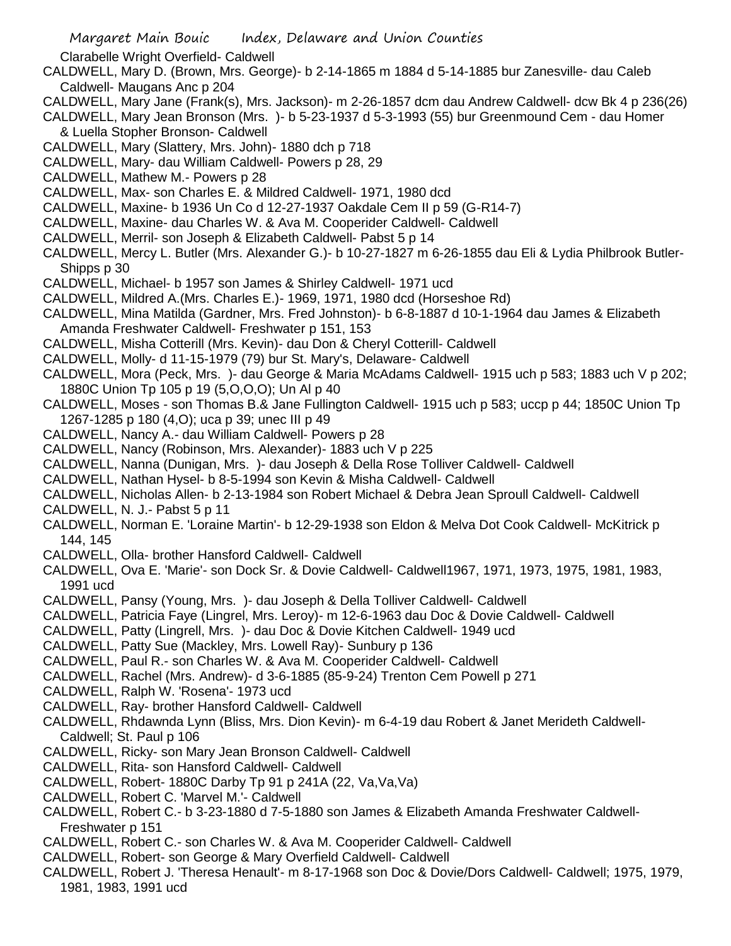Clarabelle Wright Overfield- Caldwell

- CALDWELL, Mary D. (Brown, Mrs. George)- b 2-14-1865 m 1884 d 5-14-1885 bur Zanesville- dau Caleb Caldwell- Maugans Anc p 204
- CALDWELL, Mary Jane (Frank(s), Mrs. Jackson)- m 2-26-1857 dcm dau Andrew Caldwell- dcw Bk 4 p 236(26)
- CALDWELL, Mary Jean Bronson (Mrs. )- b 5-23-1937 d 5-3-1993 (55) bur Greenmound Cem dau Homer & Luella Stopher Bronson- Caldwell
- CALDWELL, Mary (Slattery, Mrs. John)- 1880 dch p 718
- CALDWELL, Mary- dau William Caldwell- Powers p 28, 29
- CALDWELL, Mathew M.- Powers p 28
- CALDWELL, Max- son Charles E. & Mildred Caldwell- 1971, 1980 dcd
- CALDWELL, Maxine- b 1936 Un Co d 12-27-1937 Oakdale Cem II p 59 (G-R14-7)
- CALDWELL, Maxine- dau Charles W. & Ava M. Cooperider Caldwell- Caldwell
- CALDWELL, Merril- son Joseph & Elizabeth Caldwell- Pabst 5 p 14
- CALDWELL, Mercy L. Butler (Mrs. Alexander G.)- b 10-27-1827 m 6-26-1855 dau Eli & Lydia Philbrook Butler-Shipps p 30
- CALDWELL, Michael- b 1957 son James & Shirley Caldwell- 1971 ucd
- CALDWELL, Mildred A.(Mrs. Charles E.)- 1969, 1971, 1980 dcd (Horseshoe Rd)
- CALDWELL, Mina Matilda (Gardner, Mrs. Fred Johnston)- b 6-8-1887 d 10-1-1964 dau James & Elizabeth Amanda Freshwater Caldwell- Freshwater p 151, 153
- CALDWELL, Misha Cotterill (Mrs. Kevin)- dau Don & Cheryl Cotterill- Caldwell
- CALDWELL, Molly- d 11-15-1979 (79) bur St. Mary's, Delaware- Caldwell
- CALDWELL, Mora (Peck, Mrs. )- dau George & Maria McAdams Caldwell- 1915 uch p 583; 1883 uch V p 202; 1880C Union Tp 105 p 19 (5,O,O,O); Un Al p 40
- CALDWELL, Moses son Thomas B.& Jane Fullington Caldwell- 1915 uch p 583; uccp p 44; 1850C Union Tp 1267-1285 p 180 (4,O); uca p 39; unec III p 49
- CALDWELL, Nancy A.- dau William Caldwell- Powers p 28
- CALDWELL, Nancy (Robinson, Mrs. Alexander)- 1883 uch V p 225
- CALDWELL, Nanna (Dunigan, Mrs. )- dau Joseph & Della Rose Tolliver Caldwell- Caldwell
- CALDWELL, Nathan Hysel- b 8-5-1994 son Kevin & Misha Caldwell- Caldwell
- CALDWELL, Nicholas Allen- b 2-13-1984 son Robert Michael & Debra Jean Sproull Caldwell- Caldwell
- CALDWELL, N. J.- Pabst 5 p 11
- CALDWELL, Norman E. 'Loraine Martin'- b 12-29-1938 son Eldon & Melva Dot Cook Caldwell- McKitrick p 144, 145
- CALDWELL, Olla- brother Hansford Caldwell- Caldwell
- CALDWELL, Ova E. 'Marie'- son Dock Sr. & Dovie Caldwell- Caldwell1967, 1971, 1973, 1975, 1981, 1983, 1991 ucd
- CALDWELL, Pansy (Young, Mrs. )- dau Joseph & Della Tolliver Caldwell- Caldwell
- CALDWELL, Patricia Faye (Lingrel, Mrs. Leroy)- m 12-6-1963 dau Doc & Dovie Caldwell- Caldwell
- CALDWELL, Patty (Lingrell, Mrs. )- dau Doc & Dovie Kitchen Caldwell- 1949 ucd
- CALDWELL, Patty Sue (Mackley, Mrs. Lowell Ray)- Sunbury p 136
- CALDWELL, Paul R.- son Charles W. & Ava M. Cooperider Caldwell- Caldwell
- CALDWELL, Rachel (Mrs. Andrew)- d 3-6-1885 (85-9-24) Trenton Cem Powell p 271
- CALDWELL, Ralph W. 'Rosena'- 1973 ucd
- CALDWELL, Ray- brother Hansford Caldwell- Caldwell
- CALDWELL, Rhdawnda Lynn (Bliss, Mrs. Dion Kevin)- m 6-4-19 dau Robert & Janet Merideth Caldwell-Caldwell; St. Paul p 106
- CALDWELL, Ricky- son Mary Jean Bronson Caldwell- Caldwell
- CALDWELL, Rita- son Hansford Caldwell- Caldwell
- CALDWELL, Robert- 1880C Darby Tp 91 p 241A (22, Va,Va,Va)
- CALDWELL, Robert C. 'Marvel M.'- Caldwell
- CALDWELL, Robert C.- b 3-23-1880 d 7-5-1880 son James & Elizabeth Amanda Freshwater Caldwell-Freshwater p 151
- CALDWELL, Robert C.- son Charles W. & Ava M. Cooperider Caldwell- Caldwell
- CALDWELL, Robert- son George & Mary Overfield Caldwell- Caldwell
- CALDWELL, Robert J. 'Theresa Henault'- m 8-17-1968 son Doc & Dovie/Dors Caldwell- Caldwell; 1975, 1979, 1981, 1983, 1991 ucd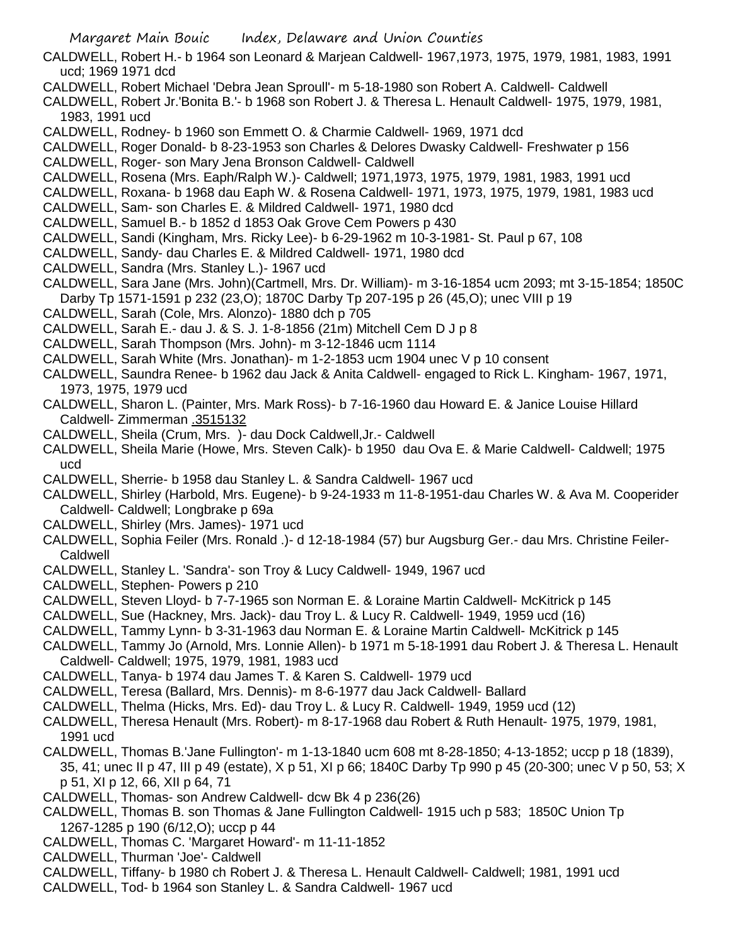CALDWELL, Robert H.- b 1964 son Leonard & Marjean Caldwell- 1967,1973, 1975, 1979, 1981, 1983, 1991 ucd; 1969 1971 dcd

CALDWELL, Robert Michael 'Debra Jean Sproull'- m 5-18-1980 son Robert A. Caldwell- Caldwell

CALDWELL, Robert Jr.'Bonita B.'- b 1968 son Robert J. & Theresa L. Henault Caldwell- 1975, 1979, 1981, 1983, 1991 ucd

CALDWELL, Rodney- b 1960 son Emmett O. & Charmie Caldwell- 1969, 1971 dcd

- CALDWELL, Roger Donald- b 8-23-1953 son Charles & Delores Dwasky Caldwell- Freshwater p 156
- CALDWELL, Roger- son Mary Jena Bronson Caldwell- Caldwell
- CALDWELL, Rosena (Mrs. Eaph/Ralph W.)- Caldwell; 1971,1973, 1975, 1979, 1981, 1983, 1991 ucd
- CALDWELL, Roxana- b 1968 dau Eaph W. & Rosena Caldwell- 1971, 1973, 1975, 1979, 1981, 1983 ucd
- CALDWELL, Sam- son Charles E. & Mildred Caldwell- 1971, 1980 dcd
- CALDWELL, Samuel B.- b 1852 d 1853 Oak Grove Cem Powers p 430
- CALDWELL, Sandi (Kingham, Mrs. Ricky Lee)- b 6-29-1962 m 10-3-1981- St. Paul p 67, 108
- CALDWELL, Sandy- dau Charles E. & Mildred Caldwell- 1971, 1980 dcd
- CALDWELL, Sandra (Mrs. Stanley L.)- 1967 ucd
- CALDWELL, Sara Jane (Mrs. John)(Cartmell, Mrs. Dr. William)- m 3-16-1854 ucm 2093; mt 3-15-1854; 1850C Darby Tp 1571-1591 p 232 (23,O); 1870C Darby Tp 207-195 p 26 (45,O); unec VIII p 19
- CALDWELL, Sarah (Cole, Mrs. Alonzo)- 1880 dch p 705
- CALDWELL, Sarah E.- dau J. & S. J. 1-8-1856 (21m) Mitchell Cem D J p 8
- CALDWELL, Sarah Thompson (Mrs. John)- m 3-12-1846 ucm 1114
- CALDWELL, Sarah White (Mrs. Jonathan)- m 1-2-1853 ucm 1904 unec V p 10 consent
- CALDWELL, Saundra Renee- b 1962 dau Jack & Anita Caldwell- engaged to Rick L. Kingham- 1967, 1971, 1973, 1975, 1979 ucd
- CALDWELL, Sharon L. (Painter, Mrs. Mark Ross)- b 7-16-1960 dau Howard E. & Janice Louise Hillard Caldwell- Zimmerman .3515132
- CALDWELL, Sheila (Crum, Mrs. )- dau Dock Caldwell,Jr.- Caldwell
- CALDWELL, Sheila Marie (Howe, Mrs. Steven Calk)- b 1950 dau Ova E. & Marie Caldwell- Caldwell; 1975 ucd
- CALDWELL, Sherrie- b 1958 dau Stanley L. & Sandra Caldwell- 1967 ucd
- CALDWELL, Shirley (Harbold, Mrs. Eugene)- b 9-24-1933 m 11-8-1951-dau Charles W. & Ava M. Cooperider Caldwell- Caldwell; Longbrake p 69a
- CALDWELL, Shirley (Mrs. James)- 1971 ucd
- CALDWELL, Sophia Feiler (Mrs. Ronald .)- d 12-18-1984 (57) bur Augsburg Ger.- dau Mrs. Christine Feiler-**Caldwell**
- CALDWELL, Stanley L. 'Sandra'- son Troy & Lucy Caldwell- 1949, 1967 ucd
- CALDWELL, Stephen- Powers p 210
- CALDWELL, Steven Lloyd- b 7-7-1965 son Norman E. & Loraine Martin Caldwell- McKitrick p 145
- CALDWELL, Sue (Hackney, Mrs. Jack)- dau Troy L. & Lucy R. Caldwell- 1949, 1959 ucd (16)
- CALDWELL, Tammy Lynn- b 3-31-1963 dau Norman E. & Loraine Martin Caldwell- McKitrick p 145
- CALDWELL, Tammy Jo (Arnold, Mrs. Lonnie Allen)- b 1971 m 5-18-1991 dau Robert J. & Theresa L. Henault Caldwell- Caldwell; 1975, 1979, 1981, 1983 ucd
- CALDWELL, Tanya- b 1974 dau James T. & Karen S. Caldwell- 1979 ucd
- CALDWELL, Teresa (Ballard, Mrs. Dennis)- m 8-6-1977 dau Jack Caldwell- Ballard
- CALDWELL, Thelma (Hicks, Mrs. Ed)- dau Troy L. & Lucy R. Caldwell- 1949, 1959 ucd (12)
- CALDWELL, Theresa Henault (Mrs. Robert)- m 8-17-1968 dau Robert & Ruth Henault- 1975, 1979, 1981, 1991 ucd
- CALDWELL, Thomas B.'Jane Fullington'- m 1-13-1840 ucm 608 mt 8-28-1850; 4-13-1852; uccp p 18 (1839), 35, 41; unec II p 47, III p 49 (estate), X p 51, XI p 66; 1840C Darby Tp 990 p 45 (20-300; unec V p 50, 53; X p 51, XI p 12, 66, XII p 64, 71
- CALDWELL, Thomas- son Andrew Caldwell- dcw Bk 4 p 236(26)
- CALDWELL, Thomas B. son Thomas & Jane Fullington Caldwell- 1915 uch p 583; 1850C Union Tp 1267-1285 p 190 (6/12,O); uccp p 44
- CALDWELL, Thomas C. 'Margaret Howard'- m 11-11-1852
- CALDWELL, Thurman 'Joe'- Caldwell
- CALDWELL, Tiffany- b 1980 ch Robert J. & Theresa L. Henault Caldwell- Caldwell; 1981, 1991 ucd
- CALDWELL, Tod- b 1964 son Stanley L. & Sandra Caldwell- 1967 ucd